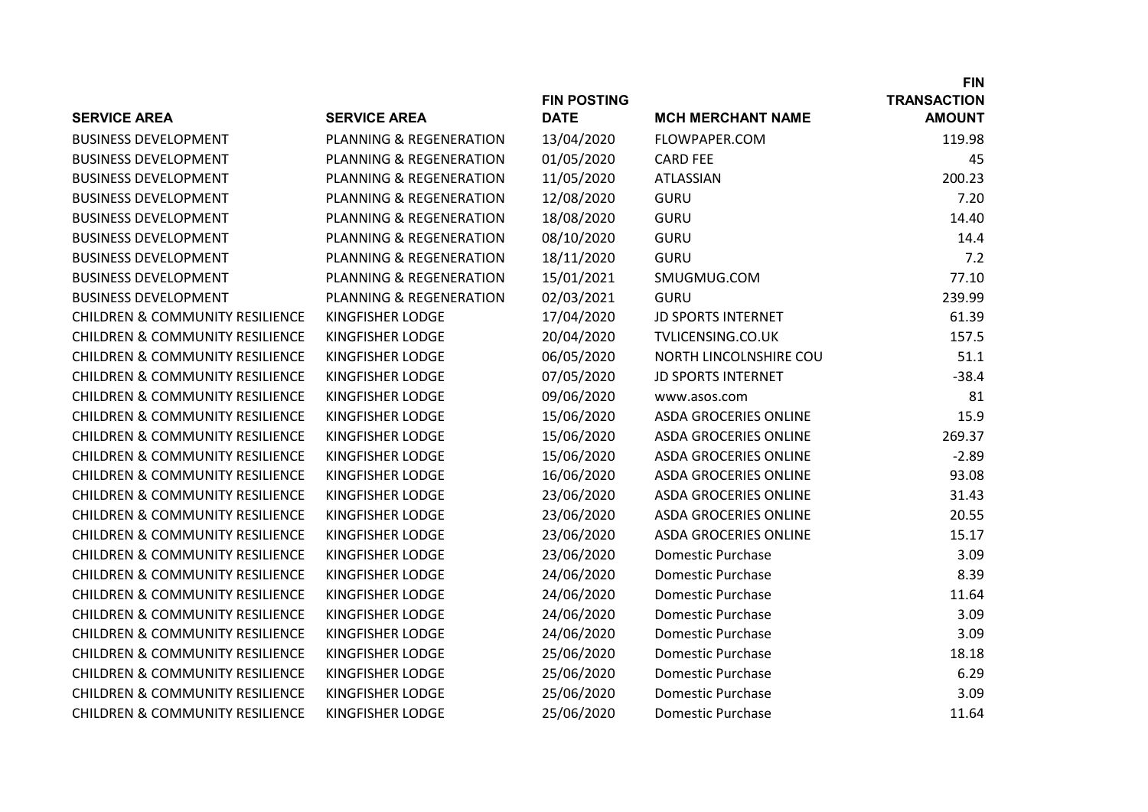|                                            |                                    |                    |                              | <b>FIN</b>         |
|--------------------------------------------|------------------------------------|--------------------|------------------------------|--------------------|
|                                            |                                    | <b>FIN POSTING</b> |                              | <b>TRANSACTION</b> |
| <b>SERVICE AREA</b>                        | <b>SERVICE AREA</b>                | <b>DATE</b>        | <b>MCH MERCHANT NAME</b>     | <b>AMOUNT</b>      |
| <b>BUSINESS DEVELOPMENT</b>                | <b>PLANNING &amp; REGENERATION</b> | 13/04/2020         | FLOWPAPER.COM                | 119.98             |
| <b>BUSINESS DEVELOPMENT</b>                | PLANNING & REGENERATION            | 01/05/2020         | <b>CARD FEE</b>              | 45                 |
| <b>BUSINESS DEVELOPMENT</b>                | PLANNING & REGENERATION            | 11/05/2020         | ATLASSIAN                    | 200.23             |
| <b>BUSINESS DEVELOPMENT</b>                | PLANNING & REGENERATION            | 12/08/2020         | <b>GURU</b>                  | 7.20               |
| <b>BUSINESS DEVELOPMENT</b>                | PLANNING & REGENERATION            | 18/08/2020         | <b>GURU</b>                  | 14.40              |
| <b>BUSINESS DEVELOPMENT</b>                | PLANNING & REGENERATION            | 08/10/2020         | <b>GURU</b>                  | 14.4               |
| <b>BUSINESS DEVELOPMENT</b>                | PLANNING & REGENERATION            | 18/11/2020         | <b>GURU</b>                  | 7.2                |
| <b>BUSINESS DEVELOPMENT</b>                | PLANNING & REGENERATION            | 15/01/2021         | SMUGMUG.COM                  | 77.10              |
| <b>BUSINESS DEVELOPMENT</b>                | PLANNING & REGENERATION            | 02/03/2021         | <b>GURU</b>                  | 239.99             |
| <b>CHILDREN &amp; COMMUNITY RESILIENCE</b> | <b>KINGFISHER LODGE</b>            | 17/04/2020         | <b>JD SPORTS INTERNET</b>    | 61.39              |
| <b>CHILDREN &amp; COMMUNITY RESILIENCE</b> | <b>KINGFISHER LODGE</b>            | 20/04/2020         | TVLICENSING.CO.UK            | 157.5              |
| <b>CHILDREN &amp; COMMUNITY RESILIENCE</b> | <b>KINGFISHER LODGE</b>            | 06/05/2020         | NORTH LINCOLNSHIRE COU       | 51.1               |
| <b>CHILDREN &amp; COMMUNITY RESILIENCE</b> | <b>KINGFISHER LODGE</b>            | 07/05/2020         | <b>JD SPORTS INTERNET</b>    | $-38.4$            |
| <b>CHILDREN &amp; COMMUNITY RESILIENCE</b> | <b>KINGFISHER LODGE</b>            | 09/06/2020         | www.asos.com                 | 81                 |
| <b>CHILDREN &amp; COMMUNITY RESILIENCE</b> | <b>KINGFISHER LODGE</b>            | 15/06/2020         | <b>ASDA GROCERIES ONLINE</b> | 15.9               |
| <b>CHILDREN &amp; COMMUNITY RESILIENCE</b> | <b>KINGFISHER LODGE</b>            | 15/06/2020         | <b>ASDA GROCERIES ONLINE</b> | 269.37             |
| <b>CHILDREN &amp; COMMUNITY RESILIENCE</b> | <b>KINGFISHER LODGE</b>            | 15/06/2020         | <b>ASDA GROCERIES ONLINE</b> | $-2.89$            |
| <b>CHILDREN &amp; COMMUNITY RESILIENCE</b> | <b>KINGFISHER LODGE</b>            | 16/06/2020         | <b>ASDA GROCERIES ONLINE</b> | 93.08              |
| <b>CHILDREN &amp; COMMUNITY RESILIENCE</b> | <b>KINGFISHER LODGE</b>            | 23/06/2020         | <b>ASDA GROCERIES ONLINE</b> | 31.43              |
| <b>CHILDREN &amp; COMMUNITY RESILIENCE</b> | <b>KINGFISHER LODGE</b>            | 23/06/2020         | <b>ASDA GROCERIES ONLINE</b> | 20.55              |
| <b>CHILDREN &amp; COMMUNITY RESILIENCE</b> | <b>KINGFISHER LODGE</b>            | 23/06/2020         | <b>ASDA GROCERIES ONLINE</b> | 15.17              |
| <b>CHILDREN &amp; COMMUNITY RESILIENCE</b> | KINGFISHER LODGE                   | 23/06/2020         | <b>Domestic Purchase</b>     | 3.09               |
| <b>CHILDREN &amp; COMMUNITY RESILIENCE</b> | <b>KINGFISHER LODGE</b>            | 24/06/2020         | <b>Domestic Purchase</b>     | 8.39               |
| <b>CHILDREN &amp; COMMUNITY RESILIENCE</b> | <b>KINGFISHER LODGE</b>            | 24/06/2020         | <b>Domestic Purchase</b>     | 11.64              |
| <b>CHILDREN &amp; COMMUNITY RESILIENCE</b> | <b>KINGFISHER LODGE</b>            | 24/06/2020         | <b>Domestic Purchase</b>     | 3.09               |
| <b>CHILDREN &amp; COMMUNITY RESILIENCE</b> | <b>KINGFISHER LODGE</b>            | 24/06/2020         | <b>Domestic Purchase</b>     | 3.09               |
| <b>CHILDREN &amp; COMMUNITY RESILIENCE</b> | <b>KINGFISHER LODGE</b>            | 25/06/2020         | <b>Domestic Purchase</b>     | 18.18              |
| <b>CHILDREN &amp; COMMUNITY RESILIENCE</b> | <b>KINGFISHER LODGE</b>            | 25/06/2020         | Domestic Purchase            | 6.29               |
| <b>CHILDREN &amp; COMMUNITY RESILIENCE</b> | <b>KINGFISHER LODGE</b>            | 25/06/2020         | <b>Domestic Purchase</b>     | 3.09               |
| <b>CHILDREN &amp; COMMUNITY RESILIENCE</b> | KINGFISHER LODGE                   | 25/06/2020         | <b>Domestic Purchase</b>     | 11.64              |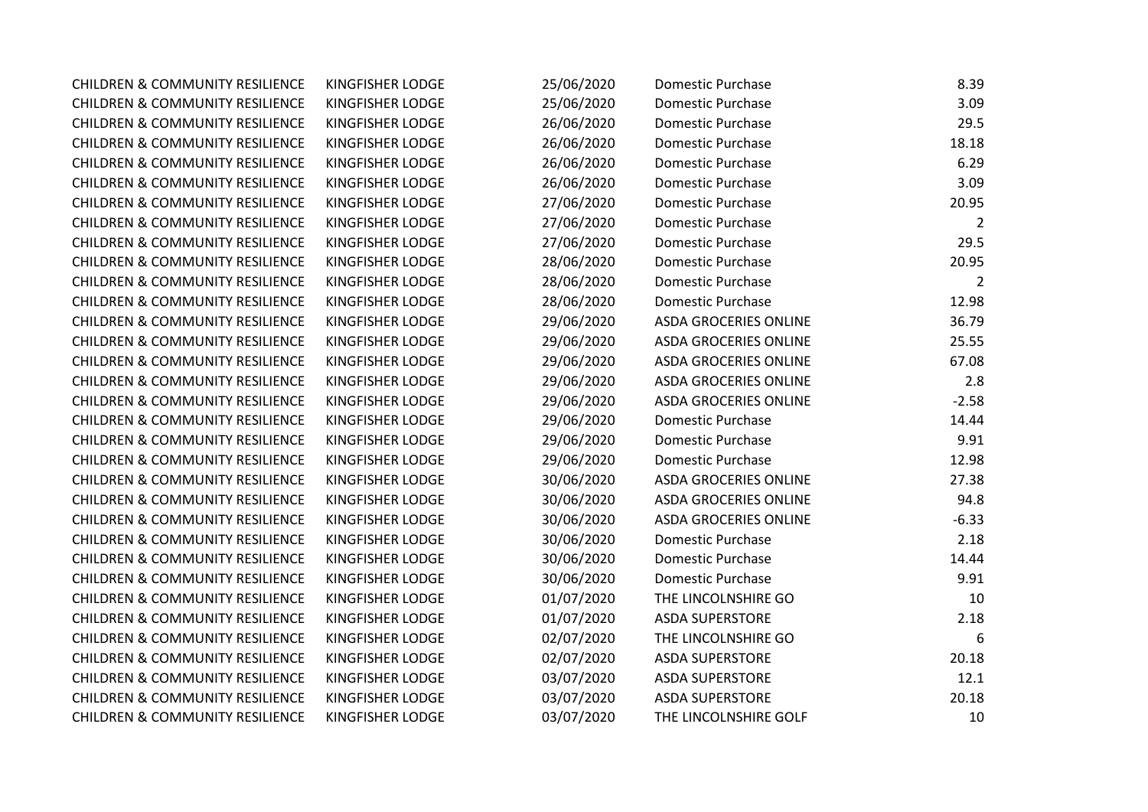| <b>CHILDREN &amp; COMMUNITY RESILIENCE</b> | KINGFISHER LODGE | 25/06/2020 | Domestic Purchase            | 8.39    |
|--------------------------------------------|------------------|------------|------------------------------|---------|
| <b>CHILDREN &amp; COMMUNITY RESILIENCE</b> | KINGFISHER LODGE | 25/06/2020 | <b>Domestic Purchase</b>     | 3.09    |
| <b>CHILDREN &amp; COMMUNITY RESILIENCE</b> | KINGFISHER LODGE | 26/06/2020 | Domestic Purchase            | 29.5    |
| <b>CHILDREN &amp; COMMUNITY RESILIENCE</b> | KINGFISHER LODGE | 26/06/2020 | Domestic Purchase            | 18.18   |
| <b>CHILDREN &amp; COMMUNITY RESILIENCE</b> | KINGFISHER LODGE | 26/06/2020 | <b>Domestic Purchase</b>     | 6.29    |
| <b>CHILDREN &amp; COMMUNITY RESILIENCE</b> | KINGFISHER LODGE | 26/06/2020 | <b>Domestic Purchase</b>     | 3.09    |
| <b>CHILDREN &amp; COMMUNITY RESILIENCE</b> | KINGFISHER LODGE | 27/06/2020 | <b>Domestic Purchase</b>     | 20.95   |
| <b>CHILDREN &amp; COMMUNITY RESILIENCE</b> | KINGFISHER LODGE | 27/06/2020 | <b>Domestic Purchase</b>     | 2       |
| <b>CHILDREN &amp; COMMUNITY RESILIENCE</b> | KINGFISHER LODGE | 27/06/2020 | <b>Domestic Purchase</b>     | 29.5    |
| <b>CHILDREN &amp; COMMUNITY RESILIENCE</b> | KINGFISHER LODGE | 28/06/2020 | <b>Domestic Purchase</b>     | 20.95   |
| <b>CHILDREN &amp; COMMUNITY RESILIENCE</b> | KINGFISHER LODGE | 28/06/2020 | Domestic Purchase            | 2       |
| <b>CHILDREN &amp; COMMUNITY RESILIENCE</b> | KINGFISHER LODGE | 28/06/2020 | Domestic Purchase            | 12.98   |
| <b>CHILDREN &amp; COMMUNITY RESILIENCE</b> | KINGFISHER LODGE | 29/06/2020 | <b>ASDA GROCERIES ONLINE</b> | 36.79   |
| <b>CHILDREN &amp; COMMUNITY RESILIENCE</b> | KINGFISHER LODGE | 29/06/2020 | <b>ASDA GROCERIES ONLINE</b> | 25.55   |
| <b>CHILDREN &amp; COMMUNITY RESILIENCE</b> | KINGFISHER LODGE | 29/06/2020 | <b>ASDA GROCERIES ONLINE</b> | 67.08   |
| <b>CHILDREN &amp; COMMUNITY RESILIENCE</b> | KINGFISHER LODGE | 29/06/2020 | <b>ASDA GROCERIES ONLINE</b> | 2.8     |
| <b>CHILDREN &amp; COMMUNITY RESILIENCE</b> | KINGFISHER LODGE | 29/06/2020 | <b>ASDA GROCERIES ONLINE</b> | $-2.58$ |
| <b>CHILDREN &amp; COMMUNITY RESILIENCE</b> | KINGFISHER LODGE | 29/06/2020 | <b>Domestic Purchase</b>     | 14.44   |
| <b>CHILDREN &amp; COMMUNITY RESILIENCE</b> | KINGFISHER LODGE | 29/06/2020 | <b>Domestic Purchase</b>     | 9.91    |
| <b>CHILDREN &amp; COMMUNITY RESILIENCE</b> | KINGFISHER LODGE | 29/06/2020 | <b>Domestic Purchase</b>     | 12.98   |
| <b>CHILDREN &amp; COMMUNITY RESILIENCE</b> | KINGFISHER LODGE | 30/06/2020 | <b>ASDA GROCERIES ONLINE</b> | 27.38   |
| <b>CHILDREN &amp; COMMUNITY RESILIENCE</b> | KINGFISHER LODGE | 30/06/2020 | <b>ASDA GROCERIES ONLINE</b> | 94.8    |
| <b>CHILDREN &amp; COMMUNITY RESILIENCE</b> | KINGFISHER LODGE | 30/06/2020 | <b>ASDA GROCERIES ONLINE</b> | $-6.33$ |
| <b>CHILDREN &amp; COMMUNITY RESILIENCE</b> | KINGFISHER LODGE | 30/06/2020 | <b>Domestic Purchase</b>     | 2.18    |
| <b>CHILDREN &amp; COMMUNITY RESILIENCE</b> | KINGFISHER LODGE | 30/06/2020 | <b>Domestic Purchase</b>     | 14.44   |
| <b>CHILDREN &amp; COMMUNITY RESILIENCE</b> | KINGFISHER LODGE | 30/06/2020 | Domestic Purchase            | 9.91    |
| <b>CHILDREN &amp; COMMUNITY RESILIENCE</b> | KINGFISHER LODGE | 01/07/2020 | THE LINCOLNSHIRE GO          | 10      |
| <b>CHILDREN &amp; COMMUNITY RESILIENCE</b> | KINGFISHER LODGE | 01/07/2020 | <b>ASDA SUPERSTORE</b>       | 2.18    |
| <b>CHILDREN &amp; COMMUNITY RESILIENCE</b> | KINGFISHER LODGE | 02/07/2020 | THE LINCOLNSHIRE GO          | 6       |
| <b>CHILDREN &amp; COMMUNITY RESILIENCE</b> | KINGFISHER LODGE | 02/07/2020 | <b>ASDA SUPERSTORE</b>       | 20.18   |
| <b>CHILDREN &amp; COMMUNITY RESILIENCE</b> | KINGFISHER LODGE | 03/07/2020 | <b>ASDA SUPERSTORE</b>       | 12.1    |
| <b>CHILDREN &amp; COMMUNITY RESILIENCE</b> | KINGFISHER LODGE | 03/07/2020 | <b>ASDA SUPERSTORE</b>       | 20.18   |
| <b>CHILDREN &amp; COMMUNITY RESILIENCE</b> | KINGFISHER LODGE | 03/07/2020 | THE LINCOLNSHIRE GOLF        | 10      |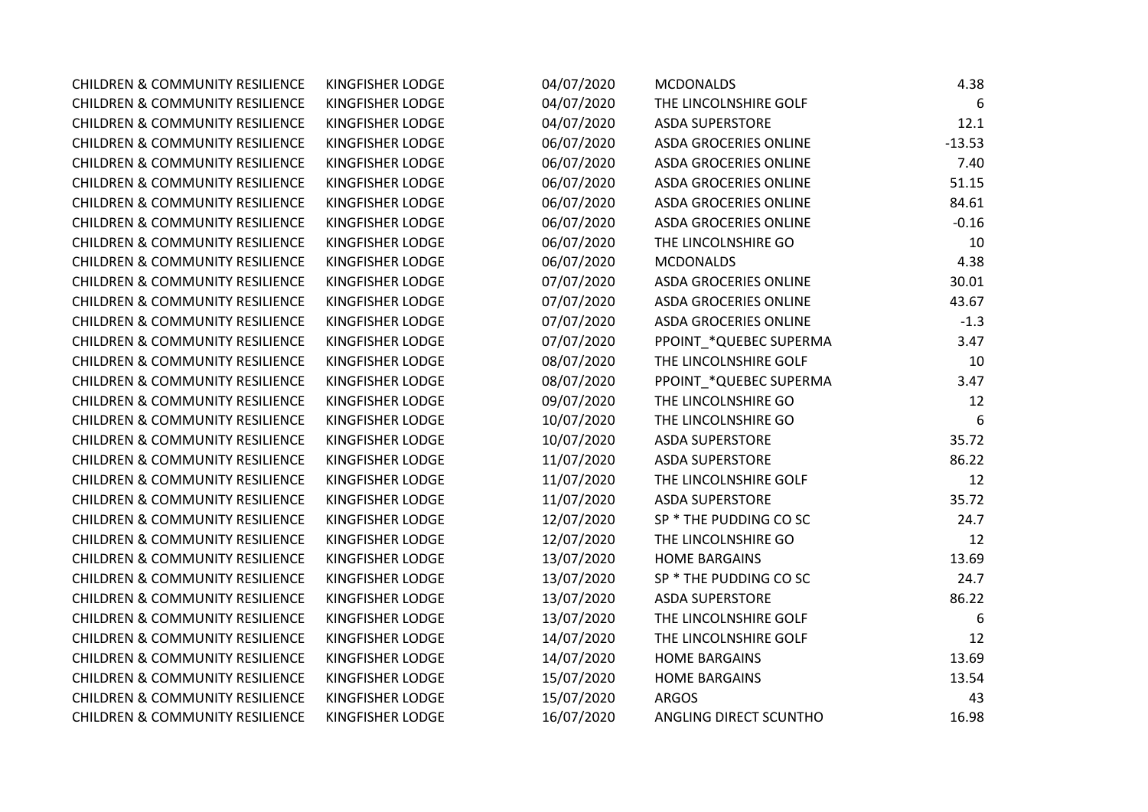| <b>CHILDREN &amp; COMMUNITY RESILIENCE</b> | KINGFISHER LODGE | 04/07/2020 | <b>MCDONALDS</b>             | 4.38     |
|--------------------------------------------|------------------|------------|------------------------------|----------|
| <b>CHILDREN &amp; COMMUNITY RESILIENCE</b> | KINGFISHER LODGE | 04/07/2020 | THE LINCOLNSHIRE GOLF        | 6        |
| <b>CHILDREN &amp; COMMUNITY RESILIENCE</b> | KINGFISHER LODGE | 04/07/2020 | <b>ASDA SUPERSTORE</b>       | 12.1     |
| <b>CHILDREN &amp; COMMUNITY RESILIENCE</b> | KINGFISHER LODGE | 06/07/2020 | <b>ASDA GROCERIES ONLINE</b> | $-13.53$ |
| <b>CHILDREN &amp; COMMUNITY RESILIENCE</b> | KINGFISHER LODGE | 06/07/2020 | <b>ASDA GROCERIES ONLINE</b> | 7.40     |
| <b>CHILDREN &amp; COMMUNITY RESILIENCE</b> | KINGFISHER LODGE | 06/07/2020 | <b>ASDA GROCERIES ONLINE</b> | 51.15    |
| <b>CHILDREN &amp; COMMUNITY RESILIENCE</b> | KINGFISHER LODGE | 06/07/2020 | <b>ASDA GROCERIES ONLINE</b> | 84.61    |
| <b>CHILDREN &amp; COMMUNITY RESILIENCE</b> | KINGFISHER LODGE | 06/07/2020 | <b>ASDA GROCERIES ONLINE</b> | $-0.16$  |
| <b>CHILDREN &amp; COMMUNITY RESILIENCE</b> | KINGFISHER LODGE | 06/07/2020 | THE LINCOLNSHIRE GO          | 10       |
| <b>CHILDREN &amp; COMMUNITY RESILIENCE</b> | KINGFISHER LODGE | 06/07/2020 | <b>MCDONALDS</b>             | 4.38     |
| <b>CHILDREN &amp; COMMUNITY RESILIENCE</b> | KINGFISHER LODGE | 07/07/2020 | <b>ASDA GROCERIES ONLINE</b> | 30.01    |
| <b>CHILDREN &amp; COMMUNITY RESILIENCE</b> | KINGFISHER LODGE | 07/07/2020 | <b>ASDA GROCERIES ONLINE</b> | 43.67    |
| <b>CHILDREN &amp; COMMUNITY RESILIENCE</b> | KINGFISHER LODGE | 07/07/2020 | <b>ASDA GROCERIES ONLINE</b> | $-1.3$   |
| <b>CHILDREN &amp; COMMUNITY RESILIENCE</b> | KINGFISHER LODGE | 07/07/2020 | PPOINT_*QUEBEC SUPERMA       | 3.47     |
| <b>CHILDREN &amp; COMMUNITY RESILIENCE</b> | KINGFISHER LODGE | 08/07/2020 | THE LINCOLNSHIRE GOLF        | 10       |
| <b>CHILDREN &amp; COMMUNITY RESILIENCE</b> | KINGFISHER LODGE | 08/07/2020 | PPOINT_*QUEBEC SUPERMA       | 3.47     |
| <b>CHILDREN &amp; COMMUNITY RESILIENCE</b> | KINGFISHER LODGE | 09/07/2020 | THE LINCOLNSHIRE GO          | 12       |
| <b>CHILDREN &amp; COMMUNITY RESILIENCE</b> | KINGFISHER LODGE | 10/07/2020 | THE LINCOLNSHIRE GO          | 6        |
| <b>CHILDREN &amp; COMMUNITY RESILIENCE</b> | KINGFISHER LODGE | 10/07/2020 | <b>ASDA SUPERSTORE</b>       | 35.72    |
| <b>CHILDREN &amp; COMMUNITY RESILIENCE</b> | KINGFISHER LODGE | 11/07/2020 | <b>ASDA SUPERSTORE</b>       | 86.22    |
| <b>CHILDREN &amp; COMMUNITY RESILIENCE</b> | KINGFISHER LODGE | 11/07/2020 | THE LINCOLNSHIRE GOLF        | 12       |
| <b>CHILDREN &amp; COMMUNITY RESILIENCE</b> | KINGFISHER LODGE | 11/07/2020 | <b>ASDA SUPERSTORE</b>       | 35.72    |
| <b>CHILDREN &amp; COMMUNITY RESILIENCE</b> | KINGFISHER LODGE | 12/07/2020 | SP * THE PUDDING CO SC       | 24.7     |
| <b>CHILDREN &amp; COMMUNITY RESILIENCE</b> | KINGFISHER LODGE | 12/07/2020 | THE LINCOLNSHIRE GO          | 12       |
| <b>CHILDREN &amp; COMMUNITY RESILIENCE</b> | KINGFISHER LODGE | 13/07/2020 | <b>HOME BARGAINS</b>         | 13.69    |
| <b>CHILDREN &amp; COMMUNITY RESILIENCE</b> | KINGFISHER LODGE | 13/07/2020 | SP * THE PUDDING CO SC       | 24.7     |
| <b>CHILDREN &amp; COMMUNITY RESILIENCE</b> | KINGFISHER LODGE | 13/07/2020 | <b>ASDA SUPERSTORE</b>       | 86.22    |
| <b>CHILDREN &amp; COMMUNITY RESILIENCE</b> | KINGFISHER LODGE | 13/07/2020 | THE LINCOLNSHIRE GOLF        | 6        |
| <b>CHILDREN &amp; COMMUNITY RESILIENCE</b> | KINGFISHER LODGE | 14/07/2020 | THE LINCOLNSHIRE GOLF        | 12       |
| <b>CHILDREN &amp; COMMUNITY RESILIENCE</b> | KINGFISHER LODGE | 14/07/2020 | <b>HOME BARGAINS</b>         | 13.69    |
| <b>CHILDREN &amp; COMMUNITY RESILIENCE</b> | KINGFISHER LODGE | 15/07/2020 | <b>HOME BARGAINS</b>         | 13.54    |
| <b>CHILDREN &amp; COMMUNITY RESILIENCE</b> | KINGFISHER LODGE | 15/07/2020 | <b>ARGOS</b>                 | 43       |
| <b>CHILDREN &amp; COMMUNITY RESILIENCE</b> | KINGFISHER LODGE | 16/07/2020 | ANGLING DIRECT SCUNTHO       | 16.98    |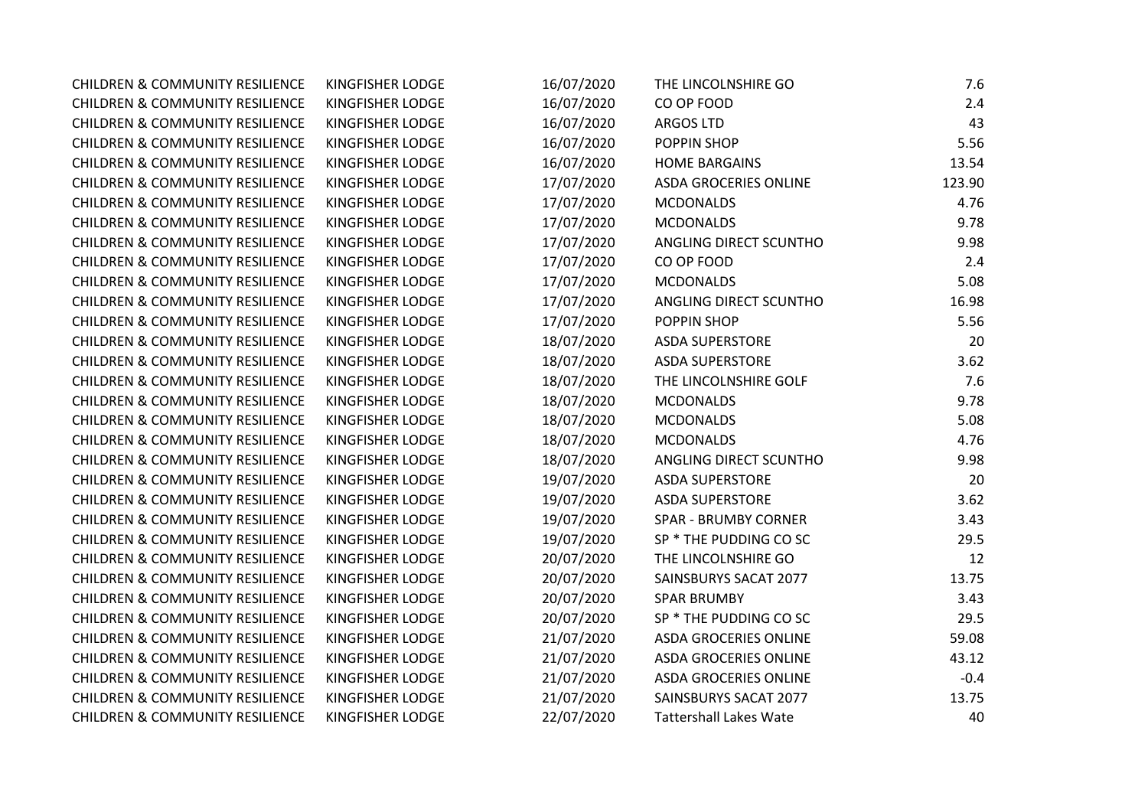| <b>CHILDREN &amp; COMMUNITY RESILIENCE</b> | KINGFISHER LODGE        | 16/07/2020 | THE LINCOLNSHIRE GO           | 7.6    |
|--------------------------------------------|-------------------------|------------|-------------------------------|--------|
| <b>CHILDREN &amp; COMMUNITY RESILIENCE</b> | KINGFISHER LODGE        | 16/07/2020 | CO OP FOOD                    | 2.4    |
| <b>CHILDREN &amp; COMMUNITY RESILIENCE</b> | KINGFISHER LODGE        | 16/07/2020 | <b>ARGOS LTD</b>              | 43     |
| <b>CHILDREN &amp; COMMUNITY RESILIENCE</b> | <b>KINGFISHER LODGE</b> | 16/07/2020 | POPPIN SHOP                   | 5.56   |
| <b>CHILDREN &amp; COMMUNITY RESILIENCE</b> | KINGFISHER LODGE        | 16/07/2020 | <b>HOME BARGAINS</b>          | 13.54  |
| <b>CHILDREN &amp; COMMUNITY RESILIENCE</b> | KINGFISHER LODGE        | 17/07/2020 | <b>ASDA GROCERIES ONLINE</b>  | 123.90 |
| <b>CHILDREN &amp; COMMUNITY RESILIENCE</b> | KINGFISHER LODGE        | 17/07/2020 | <b>MCDONALDS</b>              | 4.76   |
| <b>CHILDREN &amp; COMMUNITY RESILIENCE</b> | KINGFISHER LODGE        | 17/07/2020 | <b>MCDONALDS</b>              | 9.78   |
| <b>CHILDREN &amp; COMMUNITY RESILIENCE</b> | KINGFISHER LODGE        | 17/07/2020 | ANGLING DIRECT SCUNTHO        | 9.98   |
| <b>CHILDREN &amp; COMMUNITY RESILIENCE</b> | KINGFISHER LODGE        | 17/07/2020 | CO OP FOOD                    | 2.4    |
| <b>CHILDREN &amp; COMMUNITY RESILIENCE</b> | KINGFISHER LODGE        | 17/07/2020 | <b>MCDONALDS</b>              | 5.08   |
| <b>CHILDREN &amp; COMMUNITY RESILIENCE</b> | KINGFISHER LODGE        | 17/07/2020 | ANGLING DIRECT SCUNTHO        | 16.98  |
| <b>CHILDREN &amp; COMMUNITY RESILIENCE</b> | KINGFISHER LODGE        | 17/07/2020 | POPPIN SHOP                   | 5.56   |
| <b>CHILDREN &amp; COMMUNITY RESILIENCE</b> | KINGFISHER LODGE        | 18/07/2020 | <b>ASDA SUPERSTORE</b>        | 20     |
| <b>CHILDREN &amp; COMMUNITY RESILIENCE</b> | KINGFISHER LODGE        | 18/07/2020 | <b>ASDA SUPERSTORE</b>        | 3.62   |
| <b>CHILDREN &amp; COMMUNITY RESILIENCE</b> | <b>KINGFISHER LODGE</b> | 18/07/2020 | THE LINCOLNSHIRE GOLF         | 7.6    |
| <b>CHILDREN &amp; COMMUNITY RESILIENCE</b> | <b>KINGFISHER LODGE</b> | 18/07/2020 | <b>MCDONALDS</b>              | 9.78   |
| <b>CHILDREN &amp; COMMUNITY RESILIENCE</b> | KINGFISHER LODGE        | 18/07/2020 | <b>MCDONALDS</b>              | 5.08   |
| <b>CHILDREN &amp; COMMUNITY RESILIENCE</b> | KINGFISHER LODGE        | 18/07/2020 | <b>MCDONALDS</b>              | 4.76   |
| <b>CHILDREN &amp; COMMUNITY RESILIENCE</b> | KINGFISHER LODGE        | 18/07/2020 | ANGLING DIRECT SCUNTHO        | 9.98   |
| <b>CHILDREN &amp; COMMUNITY RESILIENCE</b> | KINGFISHER LODGE        | 19/07/2020 | <b>ASDA SUPERSTORE</b>        | 20     |
| <b>CHILDREN &amp; COMMUNITY RESILIENCE</b> | KINGFISHER LODGE        | 19/07/2020 | <b>ASDA SUPERSTORE</b>        | 3.62   |
| <b>CHILDREN &amp; COMMUNITY RESILIENCE</b> | KINGFISHER LODGE        | 19/07/2020 | <b>SPAR - BRUMBY CORNER</b>   | 3.43   |
| <b>CHILDREN &amp; COMMUNITY RESILIENCE</b> | KINGFISHER LODGE        | 19/07/2020 | SP * THE PUDDING CO SC        | 29.5   |
| <b>CHILDREN &amp; COMMUNITY RESILIENCE</b> | KINGFISHER LODGE        | 20/07/2020 | THE LINCOLNSHIRE GO           | 12     |
| <b>CHILDREN &amp; COMMUNITY RESILIENCE</b> | KINGFISHER LODGE        | 20/07/2020 | SAINSBURYS SACAT 2077         | 13.75  |
| <b>CHILDREN &amp; COMMUNITY RESILIENCE</b> | KINGFISHER LODGE        | 20/07/2020 | <b>SPAR BRUMBY</b>            | 3.43   |
| <b>CHILDREN &amp; COMMUNITY RESILIENCE</b> | KINGFISHER LODGE        | 20/07/2020 | SP * THE PUDDING CO SC        | 29.5   |
| <b>CHILDREN &amp; COMMUNITY RESILIENCE</b> | KINGFISHER LODGE        | 21/07/2020 | <b>ASDA GROCERIES ONLINE</b>  | 59.08  |
| <b>CHILDREN &amp; COMMUNITY RESILIENCE</b> | KINGFISHER LODGE        | 21/07/2020 | <b>ASDA GROCERIES ONLINE</b>  | 43.12  |
| <b>CHILDREN &amp; COMMUNITY RESILIENCE</b> | KINGFISHER LODGE        | 21/07/2020 | <b>ASDA GROCERIES ONLINE</b>  | $-0.4$ |
| <b>CHILDREN &amp; COMMUNITY RESILIENCE</b> | KINGFISHER LODGE        | 21/07/2020 | SAINSBURYS SACAT 2077         | 13.75  |
| <b>CHILDREN &amp; COMMUNITY RESILIENCE</b> | <b>KINGFISHER LODGE</b> | 22/07/2020 | <b>Tattershall Lakes Wate</b> | 40     |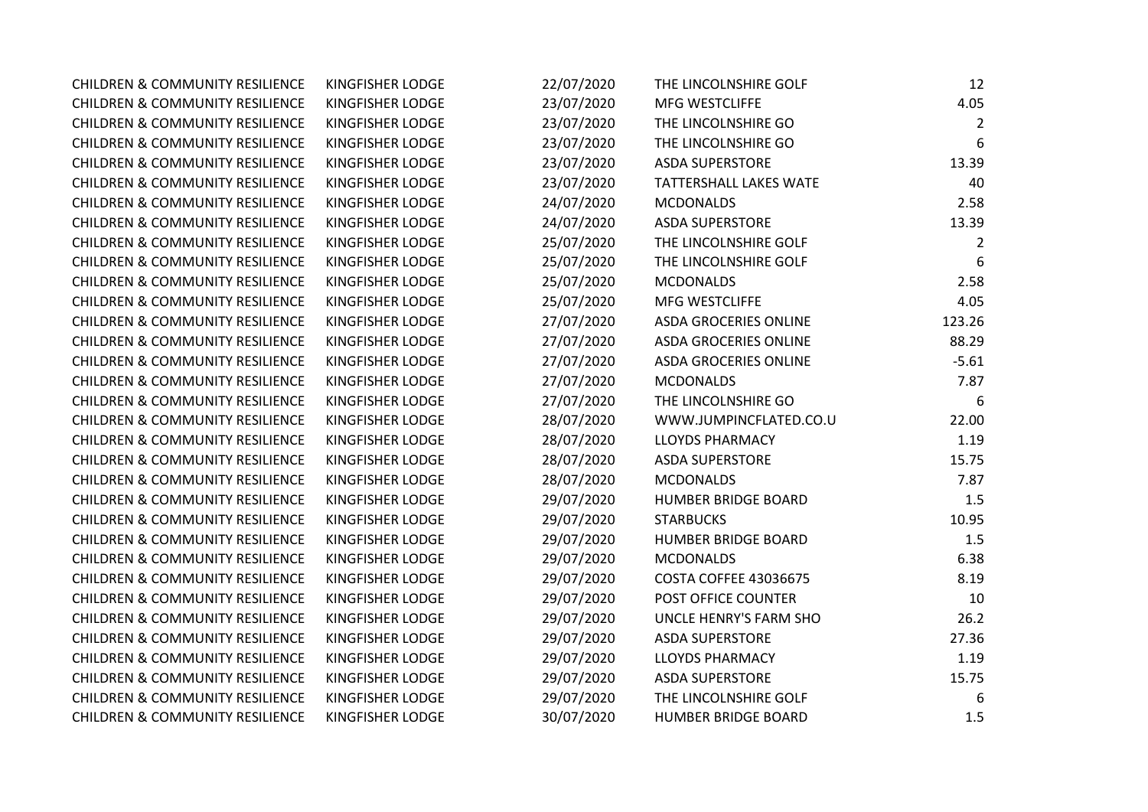| <b>CHILDREN &amp; COMMUNITY RESILIENCE</b> | KINGFISHER LODGE        | 22/07/2020 | THE LINCOLNSHIRE GOLF        | 12      |
|--------------------------------------------|-------------------------|------------|------------------------------|---------|
| <b>CHILDREN &amp; COMMUNITY RESILIENCE</b> | KINGFISHER LODGE        | 23/07/2020 | <b>MFG WESTCLIFFE</b>        | 4.05    |
| <b>CHILDREN &amp; COMMUNITY RESILIENCE</b> | KINGFISHER LODGE        | 23/07/2020 | THE LINCOLNSHIRE GO          | 2       |
| <b>CHILDREN &amp; COMMUNITY RESILIENCE</b> | <b>KINGFISHER LODGE</b> | 23/07/2020 | THE LINCOLNSHIRE GO          | 6       |
| <b>CHILDREN &amp; COMMUNITY RESILIENCE</b> | KINGFISHER LODGE        | 23/07/2020 | <b>ASDA SUPERSTORE</b>       | 13.39   |
| <b>CHILDREN &amp; COMMUNITY RESILIENCE</b> | KINGFISHER LODGE        | 23/07/2020 | TATTERSHALL LAKES WATE       | 40      |
| <b>CHILDREN &amp; COMMUNITY RESILIENCE</b> | <b>KINGFISHER LODGE</b> | 24/07/2020 | <b>MCDONALDS</b>             | 2.58    |
| <b>CHILDREN &amp; COMMUNITY RESILIENCE</b> | KINGFISHER LODGE        | 24/07/2020 | <b>ASDA SUPERSTORE</b>       | 13.39   |
| <b>CHILDREN &amp; COMMUNITY RESILIENCE</b> | KINGFISHER LODGE        | 25/07/2020 | THE LINCOLNSHIRE GOLF        | 2       |
| <b>CHILDREN &amp; COMMUNITY RESILIENCE</b> | KINGFISHER LODGE        | 25/07/2020 | THE LINCOLNSHIRE GOLF        | 6       |
| <b>CHILDREN &amp; COMMUNITY RESILIENCE</b> | KINGFISHER LODGE        | 25/07/2020 | <b>MCDONALDS</b>             | 2.58    |
| <b>CHILDREN &amp; COMMUNITY RESILIENCE</b> | KINGFISHER LODGE        | 25/07/2020 | MFG WESTCLIFFE               | 4.05    |
| <b>CHILDREN &amp; COMMUNITY RESILIENCE</b> | KINGFISHER LODGE        | 27/07/2020 | <b>ASDA GROCERIES ONLINE</b> | 123.26  |
| <b>CHILDREN &amp; COMMUNITY RESILIENCE</b> | KINGFISHER LODGE        | 27/07/2020 | <b>ASDA GROCERIES ONLINE</b> | 88.29   |
| <b>CHILDREN &amp; COMMUNITY RESILIENCE</b> | KINGFISHER LODGE        | 27/07/2020 | <b>ASDA GROCERIES ONLINE</b> | $-5.61$ |
| <b>CHILDREN &amp; COMMUNITY RESILIENCE</b> | <b>KINGFISHER LODGE</b> | 27/07/2020 | <b>MCDONALDS</b>             | 7.87    |
| <b>CHILDREN &amp; COMMUNITY RESILIENCE</b> | <b>KINGFISHER LODGE</b> | 27/07/2020 | THE LINCOLNSHIRE GO          | 6       |
| <b>CHILDREN &amp; COMMUNITY RESILIENCE</b> | KINGFISHER LODGE        | 28/07/2020 | WWW.JUMPINCFLATED.CO.U       | 22.00   |
| <b>CHILDREN &amp; COMMUNITY RESILIENCE</b> | KINGFISHER LODGE        | 28/07/2020 | <b>LLOYDS PHARMACY</b>       | 1.19    |
| <b>CHILDREN &amp; COMMUNITY RESILIENCE</b> | KINGFISHER LODGE        | 28/07/2020 | <b>ASDA SUPERSTORE</b>       | 15.75   |
| <b>CHILDREN &amp; COMMUNITY RESILIENCE</b> | KINGFISHER LODGE        | 28/07/2020 | <b>MCDONALDS</b>             | 7.87    |
| <b>CHILDREN &amp; COMMUNITY RESILIENCE</b> | <b>KINGFISHER LODGE</b> | 29/07/2020 | <b>HUMBER BRIDGE BOARD</b>   | 1.5     |
| <b>CHILDREN &amp; COMMUNITY RESILIENCE</b> | KINGFISHER LODGE        | 29/07/2020 | <b>STARBUCKS</b>             | 10.95   |
| <b>CHILDREN &amp; COMMUNITY RESILIENCE</b> | KINGFISHER LODGE        | 29/07/2020 | <b>HUMBER BRIDGE BOARD</b>   | 1.5     |
| <b>CHILDREN &amp; COMMUNITY RESILIENCE</b> | <b>KINGFISHER LODGE</b> | 29/07/2020 | <b>MCDONALDS</b>             | 6.38    |
| <b>CHILDREN &amp; COMMUNITY RESILIENCE</b> | KINGFISHER LODGE        | 29/07/2020 | <b>COSTA COFFEE 43036675</b> | 8.19    |
| <b>CHILDREN &amp; COMMUNITY RESILIENCE</b> | KINGFISHER LODGE        | 29/07/2020 | POST OFFICE COUNTER          | 10      |
| <b>CHILDREN &amp; COMMUNITY RESILIENCE</b> | KINGFISHER LODGE        | 29/07/2020 | UNCLE HENRY'S FARM SHO       | 26.2    |
| <b>CHILDREN &amp; COMMUNITY RESILIENCE</b> | KINGFISHER LODGE        | 29/07/2020 | <b>ASDA SUPERSTORE</b>       | 27.36   |
| <b>CHILDREN &amp; COMMUNITY RESILIENCE</b> | KINGFISHER LODGE        | 29/07/2020 | <b>LLOYDS PHARMACY</b>       | 1.19    |
| <b>CHILDREN &amp; COMMUNITY RESILIENCE</b> | KINGFISHER LODGE        | 29/07/2020 | <b>ASDA SUPERSTORE</b>       | 15.75   |
| <b>CHILDREN &amp; COMMUNITY RESILIENCE</b> | KINGFISHER LODGE        | 29/07/2020 | THE LINCOLNSHIRE GOLF        | 6       |
| <b>CHILDREN &amp; COMMUNITY RESILIENCE</b> | <b>KINGFISHER LODGE</b> | 30/07/2020 | <b>HUMBER BRIDGE BOARD</b>   | 1.5     |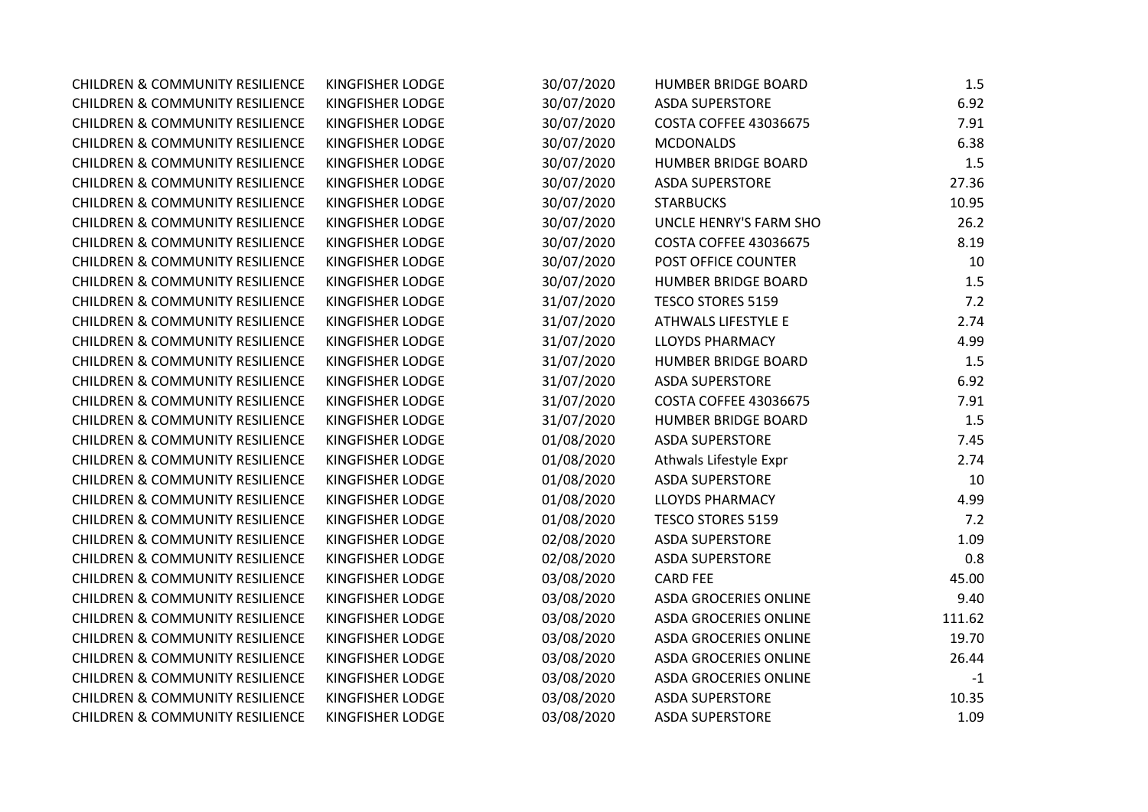| <b>CHILDREN &amp; COMMUNITY RESILIENCE</b> | KINGFISHER LODGE | 30/07/2020 | <b>HUMBER BRIDGE BOARD</b>   | 1.5    |
|--------------------------------------------|------------------|------------|------------------------------|--------|
| <b>CHILDREN &amp; COMMUNITY RESILIENCE</b> | KINGFISHER LODGE | 30/07/2020 | <b>ASDA SUPERSTORE</b>       | 6.92   |
| <b>CHILDREN &amp; COMMUNITY RESILIENCE</b> | KINGFISHER LODGE | 30/07/2020 | <b>COSTA COFFEE 43036675</b> | 7.91   |
| <b>CHILDREN &amp; COMMUNITY RESILIENCE</b> | KINGFISHER LODGE | 30/07/2020 | <b>MCDONALDS</b>             | 6.38   |
| <b>CHILDREN &amp; COMMUNITY RESILIENCE</b> | KINGFISHER LODGE | 30/07/2020 | <b>HUMBER BRIDGE BOARD</b>   | 1.5    |
| <b>CHILDREN &amp; COMMUNITY RESILIENCE</b> | KINGFISHER LODGE | 30/07/2020 | <b>ASDA SUPERSTORE</b>       | 27.36  |
| <b>CHILDREN &amp; COMMUNITY RESILIENCE</b> | KINGFISHER LODGE | 30/07/2020 | <b>STARBUCKS</b>             | 10.95  |
| <b>CHILDREN &amp; COMMUNITY RESILIENCE</b> | KINGFISHER LODGE | 30/07/2020 | UNCLE HENRY'S FARM SHO       | 26.2   |
| <b>CHILDREN &amp; COMMUNITY RESILIENCE</b> | KINGFISHER LODGE | 30/07/2020 | <b>COSTA COFFEE 43036675</b> | 8.19   |
| <b>CHILDREN &amp; COMMUNITY RESILIENCE</b> | KINGFISHER LODGE | 30/07/2020 | POST OFFICE COUNTER          | 10     |
| <b>CHILDREN &amp; COMMUNITY RESILIENCE</b> | KINGFISHER LODGE | 30/07/2020 | <b>HUMBER BRIDGE BOARD</b>   | 1.5    |
| <b>CHILDREN &amp; COMMUNITY RESILIENCE</b> | KINGFISHER LODGE | 31/07/2020 | <b>TESCO STORES 5159</b>     | 7.2    |
| <b>CHILDREN &amp; COMMUNITY RESILIENCE</b> | KINGFISHER LODGE | 31/07/2020 | ATHWALS LIFESTYLE E          | 2.74   |
| <b>CHILDREN &amp; COMMUNITY RESILIENCE</b> | KINGFISHER LODGE | 31/07/2020 | <b>LLOYDS PHARMACY</b>       | 4.99   |
| <b>CHILDREN &amp; COMMUNITY RESILIENCE</b> | KINGFISHER LODGE | 31/07/2020 | <b>HUMBER BRIDGE BOARD</b>   | 1.5    |
| <b>CHILDREN &amp; COMMUNITY RESILIENCE</b> | KINGFISHER LODGE | 31/07/2020 | <b>ASDA SUPERSTORE</b>       | 6.92   |
| <b>CHILDREN &amp; COMMUNITY RESILIENCE</b> | KINGFISHER LODGE | 31/07/2020 | <b>COSTA COFFEE 43036675</b> | 7.91   |
| <b>CHILDREN &amp; COMMUNITY RESILIENCE</b> | KINGFISHER LODGE | 31/07/2020 | <b>HUMBER BRIDGE BOARD</b>   | 1.5    |
| <b>CHILDREN &amp; COMMUNITY RESILIENCE</b> | KINGFISHER LODGE | 01/08/2020 | <b>ASDA SUPERSTORE</b>       | 7.45   |
| <b>CHILDREN &amp; COMMUNITY RESILIENCE</b> | KINGFISHER LODGE | 01/08/2020 | Athwals Lifestyle Expr       | 2.74   |
| <b>CHILDREN &amp; COMMUNITY RESILIENCE</b> | KINGFISHER LODGE | 01/08/2020 | <b>ASDA SUPERSTORE</b>       | 10     |
| <b>CHILDREN &amp; COMMUNITY RESILIENCE</b> | KINGFISHER LODGE | 01/08/2020 | <b>LLOYDS PHARMACY</b>       | 4.99   |
| <b>CHILDREN &amp; COMMUNITY RESILIENCE</b> | KINGFISHER LODGE | 01/08/2020 | <b>TESCO STORES 5159</b>     | 7.2    |
| <b>CHILDREN &amp; COMMUNITY RESILIENCE</b> | KINGFISHER LODGE | 02/08/2020 | <b>ASDA SUPERSTORE</b>       | 1.09   |
| <b>CHILDREN &amp; COMMUNITY RESILIENCE</b> | KINGFISHER LODGE | 02/08/2020 | <b>ASDA SUPERSTORE</b>       | 0.8    |
| <b>CHILDREN &amp; COMMUNITY RESILIENCE</b> | KINGFISHER LODGE | 03/08/2020 | <b>CARD FEE</b>              | 45.00  |
| <b>CHILDREN &amp; COMMUNITY RESILIENCE</b> | KINGFISHER LODGE | 03/08/2020 | <b>ASDA GROCERIES ONLINE</b> | 9.40   |
| <b>CHILDREN &amp; COMMUNITY RESILIENCE</b> | KINGFISHER LODGE | 03/08/2020 | <b>ASDA GROCERIES ONLINE</b> | 111.62 |
| <b>CHILDREN &amp; COMMUNITY RESILIENCE</b> | KINGFISHER LODGE | 03/08/2020 | <b>ASDA GROCERIES ONLINE</b> | 19.70  |
| <b>CHILDREN &amp; COMMUNITY RESILIENCE</b> | KINGFISHER LODGE | 03/08/2020 | <b>ASDA GROCERIES ONLINE</b> | 26.44  |
| <b>CHILDREN &amp; COMMUNITY RESILIENCE</b> | KINGFISHER LODGE | 03/08/2020 | <b>ASDA GROCERIES ONLINE</b> | $-1$   |
| <b>CHILDREN &amp; COMMUNITY RESILIENCE</b> | KINGFISHER LODGE | 03/08/2020 | <b>ASDA SUPERSTORE</b>       | 10.35  |
| <b>CHILDREN &amp; COMMUNITY RESILIENCE</b> | KINGFISHER LODGE | 03/08/2020 | <b>ASDA SUPERSTORE</b>       | 1.09   |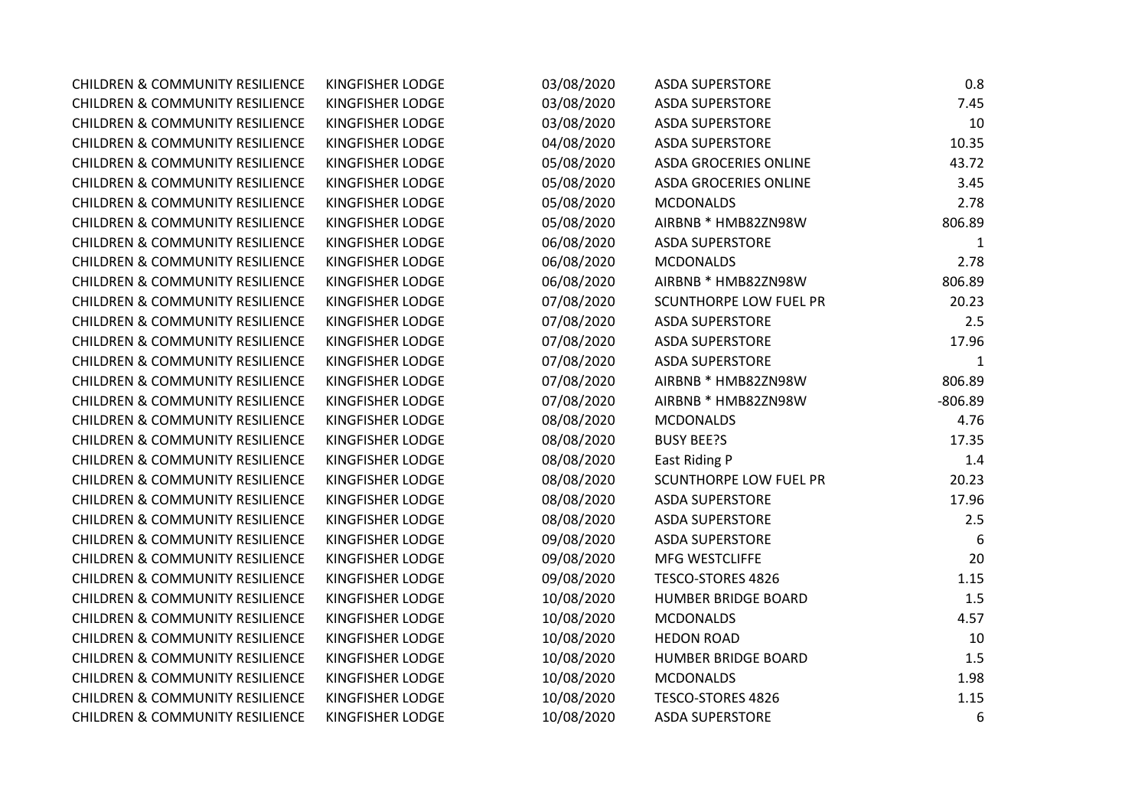| <b>CHILDREN &amp; COMMUNITY RESILIENCE</b> | <b>KINGFISHER LODGE</b> | 03/08/2020 | <b>ASDA SUPERSTORE</b>        | 0.8       |
|--------------------------------------------|-------------------------|------------|-------------------------------|-----------|
| <b>CHILDREN &amp; COMMUNITY RESILIENCE</b> | <b>KINGFISHER LODGE</b> | 03/08/2020 | <b>ASDA SUPERSTORE</b>        | 7.45      |
| <b>CHILDREN &amp; COMMUNITY RESILIENCE</b> | <b>KINGFISHER LODGE</b> | 03/08/2020 | <b>ASDA SUPERSTORE</b>        | 10        |
| <b>CHILDREN &amp; COMMUNITY RESILIENCE</b> | <b>KINGFISHER LODGE</b> | 04/08/2020 | <b>ASDA SUPERSTORE</b>        | 10.35     |
| <b>CHILDREN &amp; COMMUNITY RESILIENCE</b> | KINGFISHER LODGE        | 05/08/2020 | <b>ASDA GROCERIES ONLINE</b>  | 43.72     |
| <b>CHILDREN &amp; COMMUNITY RESILIENCE</b> | <b>KINGFISHER LODGE</b> | 05/08/2020 | <b>ASDA GROCERIES ONLINE</b>  | 3.45      |
| <b>CHILDREN &amp; COMMUNITY RESILIENCE</b> | KINGFISHER LODGE        | 05/08/2020 | <b>MCDONALDS</b>              | 2.78      |
| <b>CHILDREN &amp; COMMUNITY RESILIENCE</b> | KINGFISHER LODGE        | 05/08/2020 | AIRBNB * HMB82ZN98W           | 806.89    |
| <b>CHILDREN &amp; COMMUNITY RESILIENCE</b> | <b>KINGFISHER LODGE</b> | 06/08/2020 | <b>ASDA SUPERSTORE</b>        | 1         |
| <b>CHILDREN &amp; COMMUNITY RESILIENCE</b> | <b>KINGFISHER LODGE</b> | 06/08/2020 | <b>MCDONALDS</b>              | 2.78      |
| <b>CHILDREN &amp; COMMUNITY RESILIENCE</b> | KINGFISHER LODGE        | 06/08/2020 | AIRBNB * HMB82ZN98W           | 806.89    |
| <b>CHILDREN &amp; COMMUNITY RESILIENCE</b> | KINGFISHER LODGE        | 07/08/2020 | <b>SCUNTHORPE LOW FUEL PR</b> | 20.23     |
| <b>CHILDREN &amp; COMMUNITY RESILIENCE</b> | <b>KINGFISHER LODGE</b> | 07/08/2020 | <b>ASDA SUPERSTORE</b>        | 2.5       |
| <b>CHILDREN &amp; COMMUNITY RESILIENCE</b> | <b>KINGFISHER LODGE</b> | 07/08/2020 | <b>ASDA SUPERSTORE</b>        | 17.96     |
| <b>CHILDREN &amp; COMMUNITY RESILIENCE</b> | <b>KINGFISHER LODGE</b> | 07/08/2020 | <b>ASDA SUPERSTORE</b>        | 1         |
| <b>CHILDREN &amp; COMMUNITY RESILIENCE</b> | KINGFISHER LODGE        | 07/08/2020 | AIRBNB * HMB82ZN98W           | 806.89    |
| <b>CHILDREN &amp; COMMUNITY RESILIENCE</b> | KINGFISHER LODGE        | 07/08/2020 | AIRBNB * HMB82ZN98W           | $-806.89$ |
| <b>CHILDREN &amp; COMMUNITY RESILIENCE</b> | KINGFISHER LODGE        | 08/08/2020 | <b>MCDONALDS</b>              | 4.76      |
| <b>CHILDREN &amp; COMMUNITY RESILIENCE</b> | KINGFISHER LODGE        | 08/08/2020 | <b>BUSY BEE?S</b>             | 17.35     |
| <b>CHILDREN &amp; COMMUNITY RESILIENCE</b> | KINGFISHER LODGE        | 08/08/2020 | East Riding P                 | 1.4       |
| <b>CHILDREN &amp; COMMUNITY RESILIENCE</b> | KINGFISHER LODGE        | 08/08/2020 | <b>SCUNTHORPE LOW FUEL PR</b> | 20.23     |
| <b>CHILDREN &amp; COMMUNITY RESILIENCE</b> | KINGFISHER LODGE        | 08/08/2020 | <b>ASDA SUPERSTORE</b>        | 17.96     |
| <b>CHILDREN &amp; COMMUNITY RESILIENCE</b> | <b>KINGFISHER LODGE</b> | 08/08/2020 | <b>ASDA SUPERSTORE</b>        | 2.5       |
| <b>CHILDREN &amp; COMMUNITY RESILIENCE</b> | <b>KINGFISHER LODGE</b> | 09/08/2020 | <b>ASDA SUPERSTORE</b>        | 6         |
| <b>CHILDREN &amp; COMMUNITY RESILIENCE</b> | <b>KINGFISHER LODGE</b> | 09/08/2020 | MFG WESTCLIFFE                | 20        |
| <b>CHILDREN &amp; COMMUNITY RESILIENCE</b> | <b>KINGFISHER LODGE</b> | 09/08/2020 | TESCO-STORES 4826             | 1.15      |
| <b>CHILDREN &amp; COMMUNITY RESILIENCE</b> | KINGFISHER LODGE        | 10/08/2020 | <b>HUMBER BRIDGE BOARD</b>    | 1.5       |
| <b>CHILDREN &amp; COMMUNITY RESILIENCE</b> | KINGFISHER LODGE        | 10/08/2020 | <b>MCDONALDS</b>              | 4.57      |
| <b>CHILDREN &amp; COMMUNITY RESILIENCE</b> | KINGFISHER LODGE        | 10/08/2020 | <b>HEDON ROAD</b>             | 10        |
| <b>CHILDREN &amp; COMMUNITY RESILIENCE</b> | KINGFISHER LODGE        | 10/08/2020 | <b>HUMBER BRIDGE BOARD</b>    | 1.5       |
| <b>CHILDREN &amp; COMMUNITY RESILIENCE</b> | <b>KINGFISHER LODGE</b> | 10/08/2020 | <b>MCDONALDS</b>              | 1.98      |
| <b>CHILDREN &amp; COMMUNITY RESILIENCE</b> | KINGFISHER LODGE        | 10/08/2020 | TESCO-STORES 4826             | 1.15      |
| <b>CHILDREN &amp; COMMUNITY RESILIENCE</b> | <b>KINGFISHER LODGE</b> | 10/08/2020 | <b>ASDA SUPERSTORE</b>        | 6         |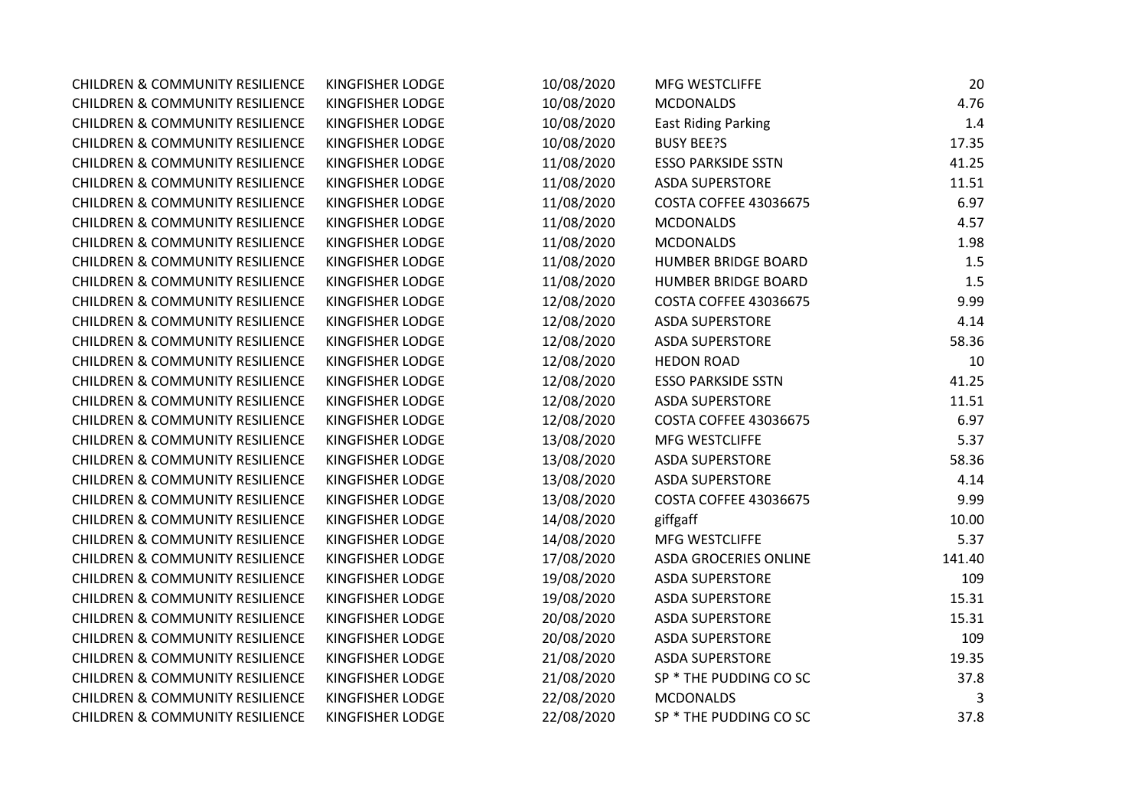| <b>CHILDREN &amp; COMMUNITY RESILIENCE</b> | <b>KINGFISHER LODGE</b> | 10/08/2020 | <b>MFG WESTCLIFFE</b>        | 20     |
|--------------------------------------------|-------------------------|------------|------------------------------|--------|
| <b>CHILDREN &amp; COMMUNITY RESILIENCE</b> | KINGFISHER LODGE        | 10/08/2020 | <b>MCDONALDS</b>             | 4.76   |
| <b>CHILDREN &amp; COMMUNITY RESILIENCE</b> | KINGFISHER LODGE        | 10/08/2020 | <b>East Riding Parking</b>   | 1.4    |
| <b>CHILDREN &amp; COMMUNITY RESILIENCE</b> | KINGFISHER LODGE        | 10/08/2020 | <b>BUSY BEE?S</b>            | 17.35  |
| <b>CHILDREN &amp; COMMUNITY RESILIENCE</b> | KINGFISHER LODGE        | 11/08/2020 | <b>ESSO PARKSIDE SSTN</b>    | 41.25  |
| <b>CHILDREN &amp; COMMUNITY RESILIENCE</b> | KINGFISHER LODGE        | 11/08/2020 | <b>ASDA SUPERSTORE</b>       | 11.51  |
| <b>CHILDREN &amp; COMMUNITY RESILIENCE</b> | KINGFISHER LODGE        | 11/08/2020 | <b>COSTA COFFEE 43036675</b> | 6.97   |
| <b>CHILDREN &amp; COMMUNITY RESILIENCE</b> | KINGFISHER LODGE        | 11/08/2020 | <b>MCDONALDS</b>             | 4.57   |
| <b>CHILDREN &amp; COMMUNITY RESILIENCE</b> | KINGFISHER LODGE        | 11/08/2020 | <b>MCDONALDS</b>             | 1.98   |
| <b>CHILDREN &amp; COMMUNITY RESILIENCE</b> | KINGFISHER LODGE        | 11/08/2020 | <b>HUMBER BRIDGE BOARD</b>   | 1.5    |
| <b>CHILDREN &amp; COMMUNITY RESILIENCE</b> | KINGFISHER LODGE        | 11/08/2020 | <b>HUMBER BRIDGE BOARD</b>   | 1.5    |
| <b>CHILDREN &amp; COMMUNITY RESILIENCE</b> | KINGFISHER LODGE        | 12/08/2020 | <b>COSTA COFFEE 43036675</b> | 9.99   |
| <b>CHILDREN &amp; COMMUNITY RESILIENCE</b> | KINGFISHER LODGE        | 12/08/2020 | <b>ASDA SUPERSTORE</b>       | 4.14   |
| <b>CHILDREN &amp; COMMUNITY RESILIENCE</b> | KINGFISHER LODGE        | 12/08/2020 | <b>ASDA SUPERSTORE</b>       | 58.36  |
| <b>CHILDREN &amp; COMMUNITY RESILIENCE</b> | KINGFISHER LODGE        | 12/08/2020 | <b>HEDON ROAD</b>            | 10     |
| <b>CHILDREN &amp; COMMUNITY RESILIENCE</b> | KINGFISHER LODGE        | 12/08/2020 | <b>ESSO PARKSIDE SSTN</b>    | 41.25  |
| <b>CHILDREN &amp; COMMUNITY RESILIENCE</b> | KINGFISHER LODGE        | 12/08/2020 | <b>ASDA SUPERSTORE</b>       | 11.51  |
| <b>CHILDREN &amp; COMMUNITY RESILIENCE</b> | KINGFISHER LODGE        | 12/08/2020 | <b>COSTA COFFEE 43036675</b> | 6.97   |
| <b>CHILDREN &amp; COMMUNITY RESILIENCE</b> | KINGFISHER LODGE        | 13/08/2020 | MFG WESTCLIFFE               | 5.37   |
| <b>CHILDREN &amp; COMMUNITY RESILIENCE</b> | KINGFISHER LODGE        | 13/08/2020 | <b>ASDA SUPERSTORE</b>       | 58.36  |
| <b>CHILDREN &amp; COMMUNITY RESILIENCE</b> | KINGFISHER LODGE        | 13/08/2020 | <b>ASDA SUPERSTORE</b>       | 4.14   |
| <b>CHILDREN &amp; COMMUNITY RESILIENCE</b> | KINGFISHER LODGE        | 13/08/2020 | <b>COSTA COFFEE 43036675</b> | 9.99   |
| <b>CHILDREN &amp; COMMUNITY RESILIENCE</b> | KINGFISHER LODGE        | 14/08/2020 | giffgaff                     | 10.00  |
| <b>CHILDREN &amp; COMMUNITY RESILIENCE</b> | KINGFISHER LODGE        | 14/08/2020 | <b>MFG WESTCLIFFE</b>        | 5.37   |
| <b>CHILDREN &amp; COMMUNITY RESILIENCE</b> | KINGFISHER LODGE        | 17/08/2020 | <b>ASDA GROCERIES ONLINE</b> | 141.40 |
| <b>CHILDREN &amp; COMMUNITY RESILIENCE</b> | KINGFISHER LODGE        | 19/08/2020 | <b>ASDA SUPERSTORE</b>       | 109    |
| <b>CHILDREN &amp; COMMUNITY RESILIENCE</b> | KINGFISHER LODGE        | 19/08/2020 | <b>ASDA SUPERSTORE</b>       | 15.31  |
| <b>CHILDREN &amp; COMMUNITY RESILIENCE</b> | KINGFISHER LODGE        | 20/08/2020 | <b>ASDA SUPERSTORE</b>       | 15.31  |
| <b>CHILDREN &amp; COMMUNITY RESILIENCE</b> | KINGFISHER LODGE        | 20/08/2020 | <b>ASDA SUPERSTORE</b>       | 109    |
| <b>CHILDREN &amp; COMMUNITY RESILIENCE</b> | KINGFISHER LODGE        | 21/08/2020 | <b>ASDA SUPERSTORE</b>       | 19.35  |
| <b>CHILDREN &amp; COMMUNITY RESILIENCE</b> | KINGFISHER LODGE        | 21/08/2020 | SP * THE PUDDING CO SC       | 37.8   |
| <b>CHILDREN &amp; COMMUNITY RESILIENCE</b> | KINGFISHER LODGE        | 22/08/2020 | <b>MCDONALDS</b>             | 3      |
| <b>CHILDREN &amp; COMMUNITY RESILIENCE</b> | KINGFISHER LODGE        | 22/08/2020 | SP * THE PUDDING CO SC       | 37.8   |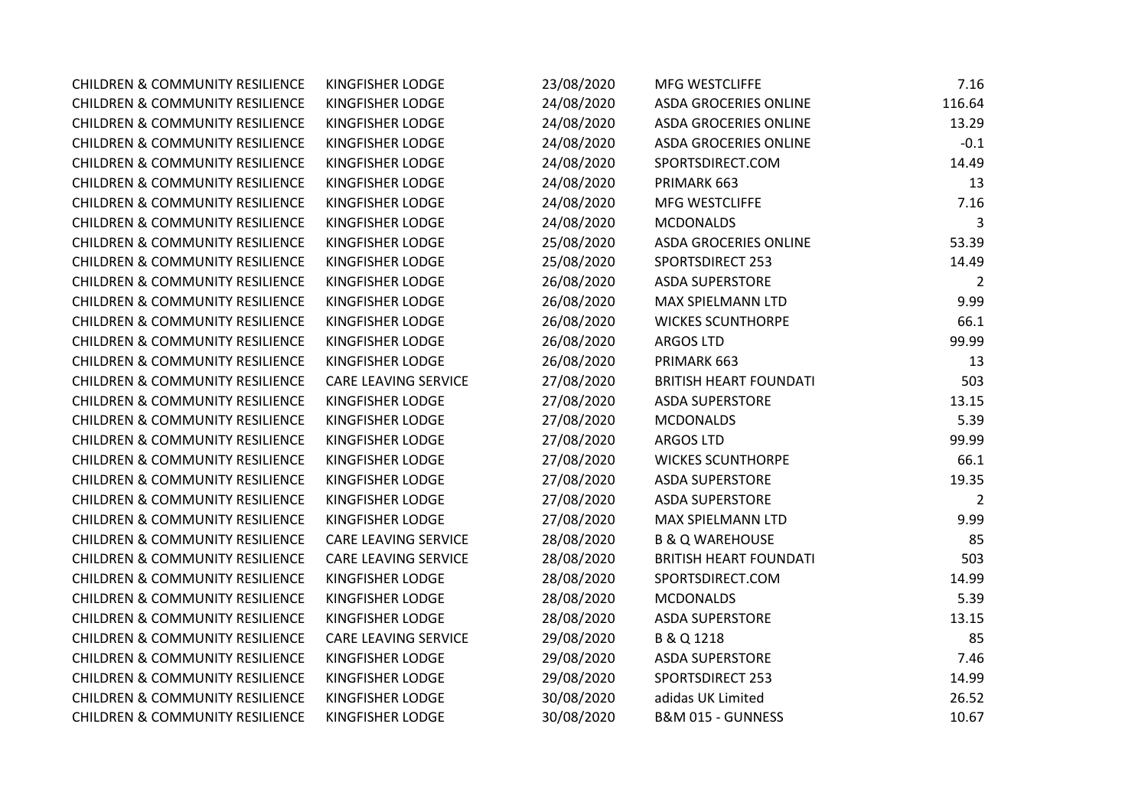| <b>CHILDREN &amp; COMMUNITY RESILIENCE</b> | KINGFISHER LODGE            | 23/08/2020 | MFG WESTCLIFFE                | 7.16           |
|--------------------------------------------|-----------------------------|------------|-------------------------------|----------------|
| <b>CHILDREN &amp; COMMUNITY RESILIENCE</b> | KINGFISHER LODGE            | 24/08/2020 | <b>ASDA GROCERIES ONLINE</b>  | 116.64         |
| <b>CHILDREN &amp; COMMUNITY RESILIENCE</b> | KINGFISHER LODGE            | 24/08/2020 | <b>ASDA GROCERIES ONLINE</b>  | 13.29          |
| <b>CHILDREN &amp; COMMUNITY RESILIENCE</b> | KINGFISHER LODGE            | 24/08/2020 | <b>ASDA GROCERIES ONLINE</b>  | $-0.1$         |
| <b>CHILDREN &amp; COMMUNITY RESILIENCE</b> | KINGFISHER LODGE            | 24/08/2020 | SPORTSDIRECT.COM              | 14.49          |
| <b>CHILDREN &amp; COMMUNITY RESILIENCE</b> | KINGFISHER LODGE            | 24/08/2020 | PRIMARK 663                   | 13             |
| <b>CHILDREN &amp; COMMUNITY RESILIENCE</b> | KINGFISHER LODGE            | 24/08/2020 | MFG WESTCLIFFE                | 7.16           |
| <b>CHILDREN &amp; COMMUNITY RESILIENCE</b> | KINGFISHER LODGE            | 24/08/2020 | <b>MCDONALDS</b>              | 3              |
| <b>CHILDREN &amp; COMMUNITY RESILIENCE</b> | KINGFISHER LODGE            | 25/08/2020 | <b>ASDA GROCERIES ONLINE</b>  | 53.39          |
| <b>CHILDREN &amp; COMMUNITY RESILIENCE</b> | KINGFISHER LODGE            | 25/08/2020 | <b>SPORTSDIRECT 253</b>       | 14.49          |
| <b>CHILDREN &amp; COMMUNITY RESILIENCE</b> | KINGFISHER LODGE            | 26/08/2020 | <b>ASDA SUPERSTORE</b>        | $\overline{2}$ |
| <b>CHILDREN &amp; COMMUNITY RESILIENCE</b> | KINGFISHER LODGE            | 26/08/2020 | MAX SPIELMANN LTD             | 9.99           |
| <b>CHILDREN &amp; COMMUNITY RESILIENCE</b> | KINGFISHER LODGE            | 26/08/2020 | <b>WICKES SCUNTHORPE</b>      | 66.1           |
| <b>CHILDREN &amp; COMMUNITY RESILIENCE</b> | KINGFISHER LODGE            | 26/08/2020 | <b>ARGOS LTD</b>              | 99.99          |
| <b>CHILDREN &amp; COMMUNITY RESILIENCE</b> | KINGFISHER LODGE            | 26/08/2020 | PRIMARK 663                   | 13             |
| <b>CHILDREN &amp; COMMUNITY RESILIENCE</b> | <b>CARE LEAVING SERVICE</b> | 27/08/2020 | <b>BRITISH HEART FOUNDATI</b> | 503            |
| <b>CHILDREN &amp; COMMUNITY RESILIENCE</b> | KINGFISHER LODGE            | 27/08/2020 | <b>ASDA SUPERSTORE</b>        | 13.15          |
| <b>CHILDREN &amp; COMMUNITY RESILIENCE</b> | KINGFISHER LODGE            | 27/08/2020 | <b>MCDONALDS</b>              | 5.39           |
| <b>CHILDREN &amp; COMMUNITY RESILIENCE</b> | KINGFISHER LODGE            | 27/08/2020 | <b>ARGOS LTD</b>              | 99.99          |
| <b>CHILDREN &amp; COMMUNITY RESILIENCE</b> | KINGFISHER LODGE            | 27/08/2020 | <b>WICKES SCUNTHORPE</b>      | 66.1           |
| <b>CHILDREN &amp; COMMUNITY RESILIENCE</b> | KINGFISHER LODGE            | 27/08/2020 | <b>ASDA SUPERSTORE</b>        | 19.35          |
| <b>CHILDREN &amp; COMMUNITY RESILIENCE</b> | KINGFISHER LODGE            | 27/08/2020 | <b>ASDA SUPERSTORE</b>        | $\overline{2}$ |
| <b>CHILDREN &amp; COMMUNITY RESILIENCE</b> | KINGFISHER LODGE            | 27/08/2020 | MAX SPIELMANN LTD             | 9.99           |
| <b>CHILDREN &amp; COMMUNITY RESILIENCE</b> | CARE LEAVING SERVICE        | 28/08/2020 | <b>B &amp; Q WAREHOUSE</b>    | 85             |
| <b>CHILDREN &amp; COMMUNITY RESILIENCE</b> | CARE LEAVING SERVICE        | 28/08/2020 | <b>BRITISH HEART FOUNDATI</b> | 503            |
| <b>CHILDREN &amp; COMMUNITY RESILIENCE</b> | KINGFISHER LODGE            | 28/08/2020 | SPORTSDIRECT.COM              | 14.99          |
| <b>CHILDREN &amp; COMMUNITY RESILIENCE</b> | KINGFISHER LODGE            | 28/08/2020 | <b>MCDONALDS</b>              | 5.39           |
| <b>CHILDREN &amp; COMMUNITY RESILIENCE</b> | KINGFISHER LODGE            | 28/08/2020 | <b>ASDA SUPERSTORE</b>        | 13.15          |
| <b>CHILDREN &amp; COMMUNITY RESILIENCE</b> | CARE LEAVING SERVICE        | 29/08/2020 | B & Q 1218                    | 85             |
| <b>CHILDREN &amp; COMMUNITY RESILIENCE</b> | KINGFISHER LODGE            | 29/08/2020 | <b>ASDA SUPERSTORE</b>        | 7.46           |
| <b>CHILDREN &amp; COMMUNITY RESILIENCE</b> | KINGFISHER LODGE            | 29/08/2020 | <b>SPORTSDIRECT 253</b>       | 14.99          |
| <b>CHILDREN &amp; COMMUNITY RESILIENCE</b> | KINGFISHER LODGE            | 30/08/2020 | adidas UK Limited             | 26.52          |
| <b>CHILDREN &amp; COMMUNITY RESILIENCE</b> | KINGFISHER LODGE            | 30/08/2020 | B&M 015 - GUNNESS             | 10.67          |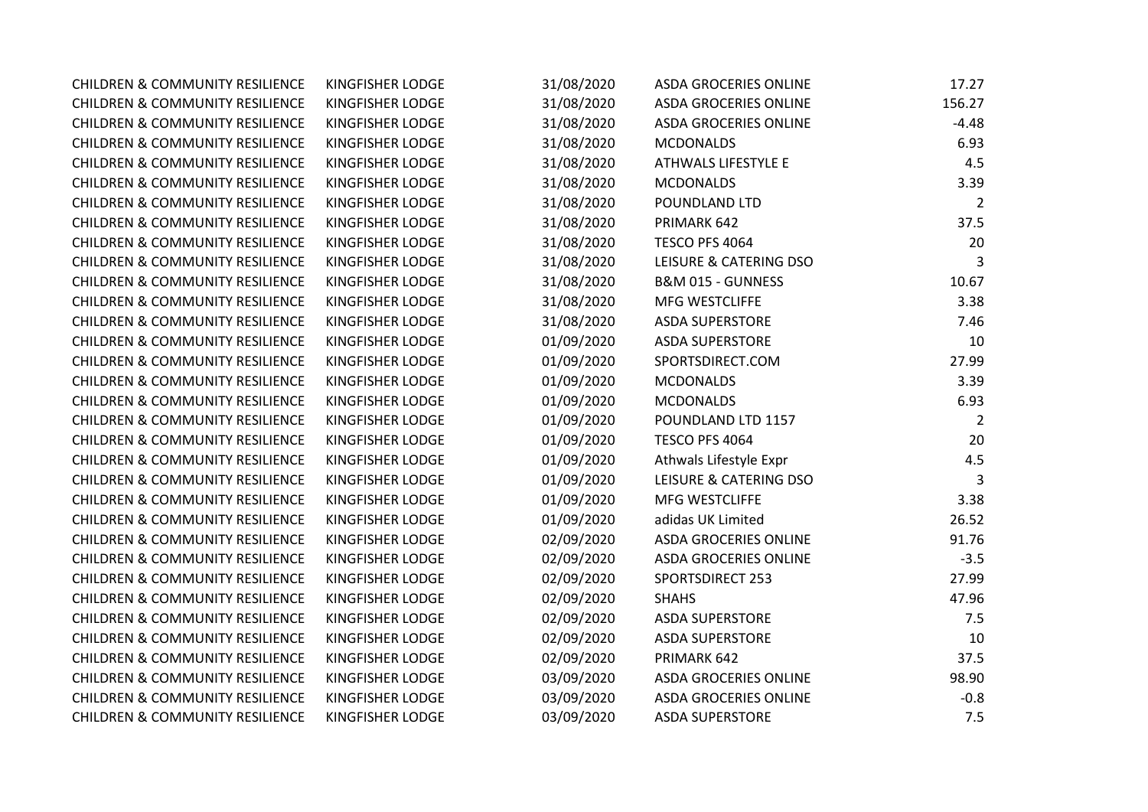| <b>CHILDREN &amp; COMMUNITY RESILIENCE</b> | <b>KINGFISHER LODGE</b> | 31/08/2020 | <b>ASDA GROCERIES ONLINE</b> | 17.27          |
|--------------------------------------------|-------------------------|------------|------------------------------|----------------|
| <b>CHILDREN &amp; COMMUNITY RESILIENCE</b> | KINGFISHER LODGE        | 31/08/2020 | <b>ASDA GROCERIES ONLINE</b> | 156.27         |
| <b>CHILDREN &amp; COMMUNITY RESILIENCE</b> | KINGFISHER LODGE        | 31/08/2020 | <b>ASDA GROCERIES ONLINE</b> | $-4.48$        |
| <b>CHILDREN &amp; COMMUNITY RESILIENCE</b> | KINGFISHER LODGE        | 31/08/2020 | <b>MCDONALDS</b>             | 6.93           |
| <b>CHILDREN &amp; COMMUNITY RESILIENCE</b> | KINGFISHER LODGE        | 31/08/2020 | ATHWALS LIFESTYLE E          | 4.5            |
| <b>CHILDREN &amp; COMMUNITY RESILIENCE</b> | KINGFISHER LODGE        | 31/08/2020 | <b>MCDONALDS</b>             | 3.39           |
| <b>CHILDREN &amp; COMMUNITY RESILIENCE</b> | KINGFISHER LODGE        | 31/08/2020 | POUNDLAND LTD                | $\overline{2}$ |
| <b>CHILDREN &amp; COMMUNITY RESILIENCE</b> | KINGFISHER LODGE        | 31/08/2020 | PRIMARK 642                  | 37.5           |
| <b>CHILDREN &amp; COMMUNITY RESILIENCE</b> | KINGFISHER LODGE        | 31/08/2020 | TESCO PFS 4064               | 20             |
| <b>CHILDREN &amp; COMMUNITY RESILIENCE</b> | KINGFISHER LODGE        | 31/08/2020 | LEISURE & CATERING DSO       | 3              |
| <b>CHILDREN &amp; COMMUNITY RESILIENCE</b> | <b>KINGFISHER LODGE</b> | 31/08/2020 | B&M 015 - GUNNESS            | 10.67          |
| <b>CHILDREN &amp; COMMUNITY RESILIENCE</b> | KINGFISHER LODGE        | 31/08/2020 | MFG WESTCLIFFE               | 3.38           |
| <b>CHILDREN &amp; COMMUNITY RESILIENCE</b> | KINGFISHER LODGE        | 31/08/2020 | <b>ASDA SUPERSTORE</b>       | 7.46           |
| <b>CHILDREN &amp; COMMUNITY RESILIENCE</b> | KINGFISHER LODGE        | 01/09/2020 | <b>ASDA SUPERSTORE</b>       | 10             |
| <b>CHILDREN &amp; COMMUNITY RESILIENCE</b> | KINGFISHER LODGE        | 01/09/2020 | SPORTSDIRECT.COM             | 27.99          |
| <b>CHILDREN &amp; COMMUNITY RESILIENCE</b> | KINGFISHER LODGE        | 01/09/2020 | <b>MCDONALDS</b>             | 3.39           |
| <b>CHILDREN &amp; COMMUNITY RESILIENCE</b> | KINGFISHER LODGE        | 01/09/2020 | <b>MCDONALDS</b>             | 6.93           |
| <b>CHILDREN &amp; COMMUNITY RESILIENCE</b> | KINGFISHER LODGE        | 01/09/2020 | POUNDLAND LTD 1157           | $\overline{2}$ |
| <b>CHILDREN &amp; COMMUNITY RESILIENCE</b> | KINGFISHER LODGE        | 01/09/2020 | TESCO PFS 4064               | 20             |
| <b>CHILDREN &amp; COMMUNITY RESILIENCE</b> | KINGFISHER LODGE        | 01/09/2020 | Athwals Lifestyle Expr       | 4.5            |
| <b>CHILDREN &amp; COMMUNITY RESILIENCE</b> | KINGFISHER LODGE        | 01/09/2020 | LEISURE & CATERING DSO       | 3              |
| <b>CHILDREN &amp; COMMUNITY RESILIENCE</b> | KINGFISHER LODGE        | 01/09/2020 | MFG WESTCLIFFE               | 3.38           |
| <b>CHILDREN &amp; COMMUNITY RESILIENCE</b> | KINGFISHER LODGE        | 01/09/2020 | adidas UK Limited            | 26.52          |
| <b>CHILDREN &amp; COMMUNITY RESILIENCE</b> | KINGFISHER LODGE        | 02/09/2020 | <b>ASDA GROCERIES ONLINE</b> | 91.76          |
| <b>CHILDREN &amp; COMMUNITY RESILIENCE</b> | KINGFISHER LODGE        | 02/09/2020 | ASDA GROCERIES ONLINE        | $-3.5$         |
| <b>CHILDREN &amp; COMMUNITY RESILIENCE</b> | KINGFISHER LODGE        | 02/09/2020 | <b>SPORTSDIRECT 253</b>      | 27.99          |
| <b>CHILDREN &amp; COMMUNITY RESILIENCE</b> | KINGFISHER LODGE        | 02/09/2020 | <b>SHAHS</b>                 | 47.96          |
| <b>CHILDREN &amp; COMMUNITY RESILIENCE</b> | KINGFISHER LODGE        | 02/09/2020 | <b>ASDA SUPERSTORE</b>       | 7.5            |
| <b>CHILDREN &amp; COMMUNITY RESILIENCE</b> | KINGFISHER LODGE        | 02/09/2020 | <b>ASDA SUPERSTORE</b>       | 10             |
| <b>CHILDREN &amp; COMMUNITY RESILIENCE</b> | KINGFISHER LODGE        | 02/09/2020 | PRIMARK 642                  | 37.5           |
| <b>CHILDREN &amp; COMMUNITY RESILIENCE</b> | KINGFISHER LODGE        | 03/09/2020 | <b>ASDA GROCERIES ONLINE</b> | 98.90          |
| <b>CHILDREN &amp; COMMUNITY RESILIENCE</b> | KINGFISHER LODGE        | 03/09/2020 | ASDA GROCERIES ONLINE        | $-0.8$         |
| <b>CHILDREN &amp; COMMUNITY RESILIENCE</b> | <b>KINGFISHER LODGE</b> | 03/09/2020 | <b>ASDA SUPERSTORE</b>       | 7.5            |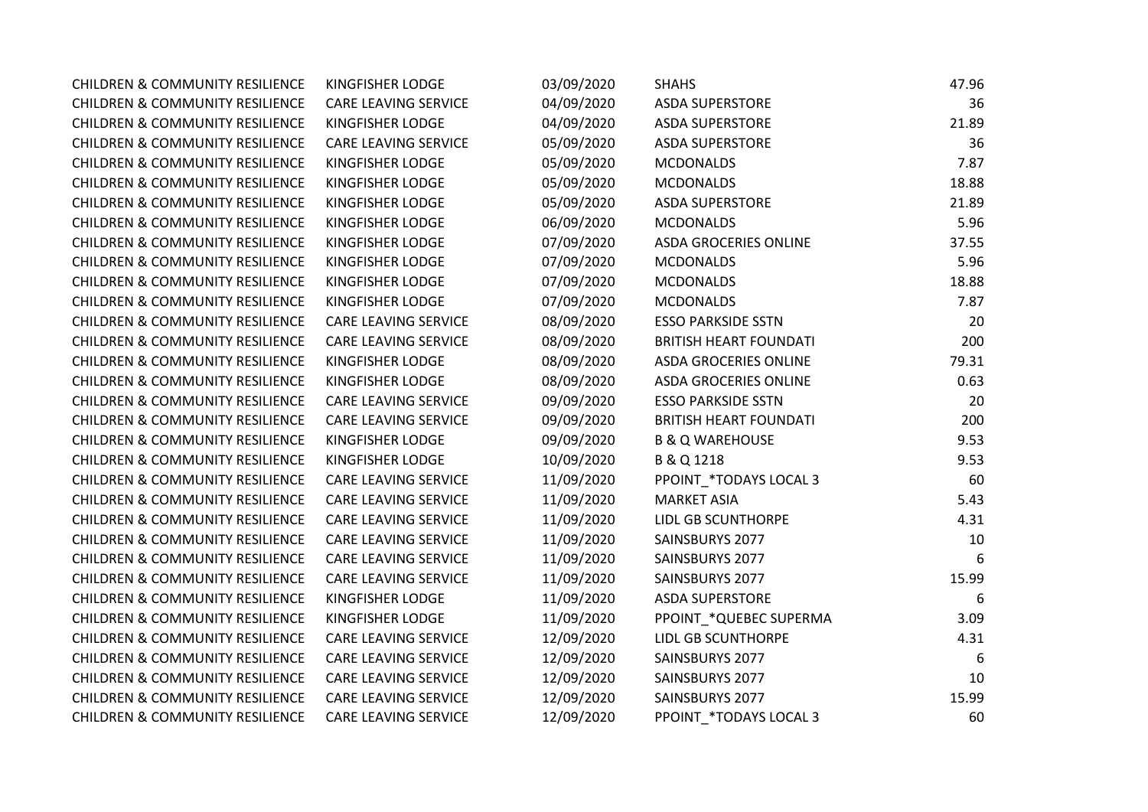| <b>CHILDREN &amp; COMMUNITY RESILIENCE</b> | <b>KINGFISHER LODGE</b>     | 03/09/2020 | <b>SHAHS</b>                  | 47.96 |
|--------------------------------------------|-----------------------------|------------|-------------------------------|-------|
| <b>CHILDREN &amp; COMMUNITY RESILIENCE</b> | <b>CARE LEAVING SERVICE</b> | 04/09/2020 | <b>ASDA SUPERSTORE</b>        | 36    |
| <b>CHILDREN &amp; COMMUNITY RESILIENCE</b> | KINGFISHER LODGE            | 04/09/2020 | <b>ASDA SUPERSTORE</b>        | 21.89 |
| <b>CHILDREN &amp; COMMUNITY RESILIENCE</b> | <b>CARE LEAVING SERVICE</b> | 05/09/2020 | <b>ASDA SUPERSTORE</b>        | 36    |
| <b>CHILDREN &amp; COMMUNITY RESILIENCE</b> | KINGFISHER LODGE            | 05/09/2020 | <b>MCDONALDS</b>              | 7.87  |
| <b>CHILDREN &amp; COMMUNITY RESILIENCE</b> | KINGFISHER LODGE            | 05/09/2020 | <b>MCDONALDS</b>              | 18.88 |
| <b>CHILDREN &amp; COMMUNITY RESILIENCE</b> | KINGFISHER LODGE            | 05/09/2020 | <b>ASDA SUPERSTORE</b>        | 21.89 |
| <b>CHILDREN &amp; COMMUNITY RESILIENCE</b> | KINGFISHER LODGE            | 06/09/2020 | <b>MCDONALDS</b>              | 5.96  |
| <b>CHILDREN &amp; COMMUNITY RESILIENCE</b> | KINGFISHER LODGE            | 07/09/2020 | <b>ASDA GROCERIES ONLINE</b>  | 37.55 |
| <b>CHILDREN &amp; COMMUNITY RESILIENCE</b> | KINGFISHER LODGE            | 07/09/2020 | <b>MCDONALDS</b>              | 5.96  |
| <b>CHILDREN &amp; COMMUNITY RESILIENCE</b> | KINGFISHER LODGE            | 07/09/2020 | <b>MCDONALDS</b>              | 18.88 |
| <b>CHILDREN &amp; COMMUNITY RESILIENCE</b> | KINGFISHER LODGE            | 07/09/2020 | <b>MCDONALDS</b>              | 7.87  |
| <b>CHILDREN &amp; COMMUNITY RESILIENCE</b> | <b>CARE LEAVING SERVICE</b> | 08/09/2020 | <b>ESSO PARKSIDE SSTN</b>     | 20    |
| <b>CHILDREN &amp; COMMUNITY RESILIENCE</b> | <b>CARE LEAVING SERVICE</b> | 08/09/2020 | <b>BRITISH HEART FOUNDATI</b> | 200   |
| <b>CHILDREN &amp; COMMUNITY RESILIENCE</b> | KINGFISHER LODGE            | 08/09/2020 | <b>ASDA GROCERIES ONLINE</b>  | 79.31 |
| <b>CHILDREN &amp; COMMUNITY RESILIENCE</b> | KINGFISHER LODGE            | 08/09/2020 | <b>ASDA GROCERIES ONLINE</b>  | 0.63  |
| <b>CHILDREN &amp; COMMUNITY RESILIENCE</b> | <b>CARE LEAVING SERVICE</b> | 09/09/2020 | <b>ESSO PARKSIDE SSTN</b>     | 20    |
| <b>CHILDREN &amp; COMMUNITY RESILIENCE</b> | CARE LEAVING SERVICE        | 09/09/2020 | <b>BRITISH HEART FOUNDATI</b> | 200   |
| <b>CHILDREN &amp; COMMUNITY RESILIENCE</b> | KINGFISHER LODGE            | 09/09/2020 | <b>B &amp; Q WAREHOUSE</b>    | 9.53  |
| <b>CHILDREN &amp; COMMUNITY RESILIENCE</b> | KINGFISHER LODGE            | 10/09/2020 | B & Q 1218                    | 9.53  |
| <b>CHILDREN &amp; COMMUNITY RESILIENCE</b> | <b>CARE LEAVING SERVICE</b> | 11/09/2020 | PPOINT_*TODAYS LOCAL 3        | 60    |
| <b>CHILDREN &amp; COMMUNITY RESILIENCE</b> | <b>CARE LEAVING SERVICE</b> | 11/09/2020 | <b>MARKET ASIA</b>            | 5.43  |
| <b>CHILDREN &amp; COMMUNITY RESILIENCE</b> | <b>CARE LEAVING SERVICE</b> | 11/09/2020 | <b>LIDL GB SCUNTHORPE</b>     | 4.31  |
| <b>CHILDREN &amp; COMMUNITY RESILIENCE</b> | <b>CARE LEAVING SERVICE</b> | 11/09/2020 | SAINSBURYS 2077               | 10    |
| <b>CHILDREN &amp; COMMUNITY RESILIENCE</b> | CARE LEAVING SERVICE        | 11/09/2020 | SAINSBURYS 2077               | 6     |
| <b>CHILDREN &amp; COMMUNITY RESILIENCE</b> | <b>CARE LEAVING SERVICE</b> | 11/09/2020 | SAINSBURYS 2077               | 15.99 |
| <b>CHILDREN &amp; COMMUNITY RESILIENCE</b> | KINGFISHER LODGE            | 11/09/2020 | <b>ASDA SUPERSTORE</b>        | 6     |
| <b>CHILDREN &amp; COMMUNITY RESILIENCE</b> | KINGFISHER LODGE            | 11/09/2020 | PPOINT_*QUEBEC SUPERMA        | 3.09  |
| <b>CHILDREN &amp; COMMUNITY RESILIENCE</b> | CARE LEAVING SERVICE        | 12/09/2020 | LIDL GB SCUNTHORPE            | 4.31  |
| <b>CHILDREN &amp; COMMUNITY RESILIENCE</b> | <b>CARE LEAVING SERVICE</b> | 12/09/2020 | SAINSBURYS 2077               | -6    |
| <b>CHILDREN &amp; COMMUNITY RESILIENCE</b> | CARE LEAVING SERVICE        | 12/09/2020 | SAINSBURYS 2077               | 10    |
| <b>CHILDREN &amp; COMMUNITY RESILIENCE</b> | CARE LEAVING SERVICE        | 12/09/2020 | SAINSBURYS 2077               | 15.99 |
| <b>CHILDREN &amp; COMMUNITY RESILIENCE</b> | <b>CARE LEAVING SERVICE</b> | 12/09/2020 | PPOINT *TODAYS LOCAL 3        | 60    |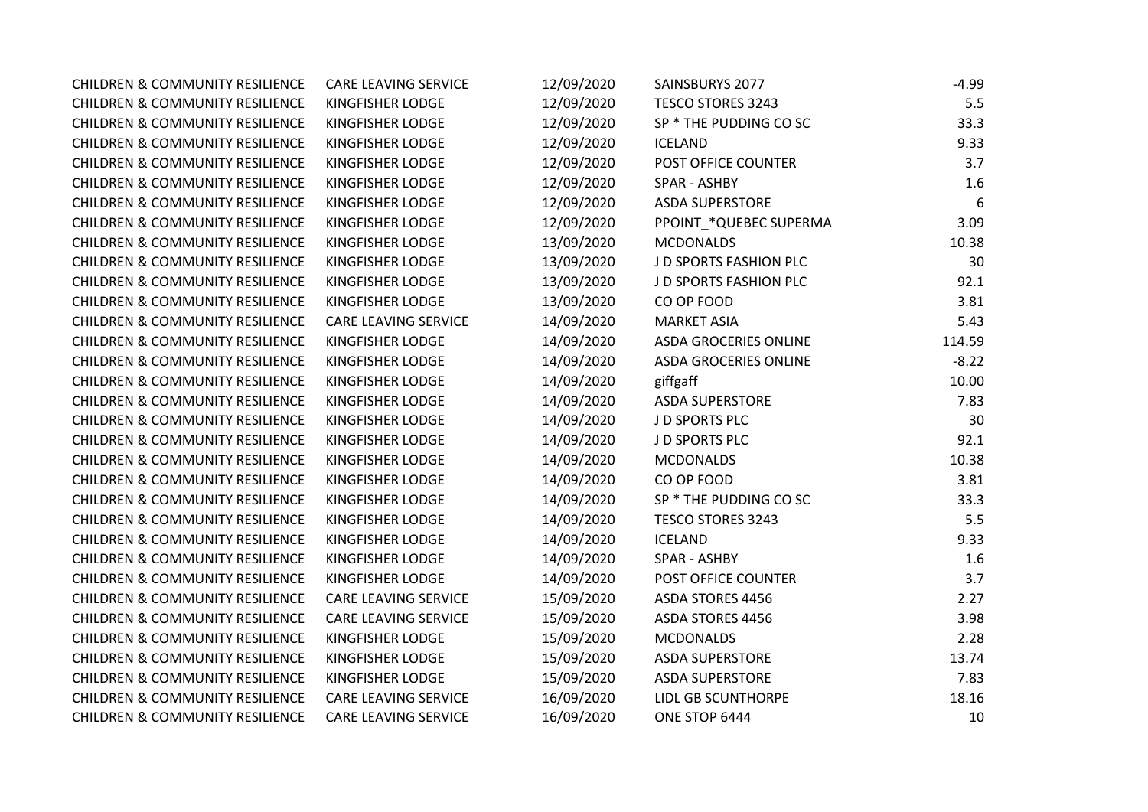| <b>CHILDREN &amp; COMMUNITY RESILIENCE</b> | <b>CARE LEAVING SERVICE</b> | 12/09/2020 | SAINSBURYS 2077              | $-4.99$ |
|--------------------------------------------|-----------------------------|------------|------------------------------|---------|
| <b>CHILDREN &amp; COMMUNITY RESILIENCE</b> | KINGFISHER LODGE            | 12/09/2020 | <b>TESCO STORES 3243</b>     | 5.5     |
| <b>CHILDREN &amp; COMMUNITY RESILIENCE</b> | KINGFISHER LODGE            | 12/09/2020 | SP * THE PUDDING CO SC       | 33.3    |
| <b>CHILDREN &amp; COMMUNITY RESILIENCE</b> | KINGFISHER LODGE            | 12/09/2020 | <b>ICELAND</b>               | 9.33    |
| <b>CHILDREN &amp; COMMUNITY RESILIENCE</b> | KINGFISHER LODGE            | 12/09/2020 | POST OFFICE COUNTER          | 3.7     |
| <b>CHILDREN &amp; COMMUNITY RESILIENCE</b> | KINGFISHER LODGE            | 12/09/2020 | SPAR - ASHBY                 | 1.6     |
| <b>CHILDREN &amp; COMMUNITY RESILIENCE</b> | KINGFISHER LODGE            | 12/09/2020 | <b>ASDA SUPERSTORE</b>       | 6       |
| <b>CHILDREN &amp; COMMUNITY RESILIENCE</b> | KINGFISHER LODGE            | 12/09/2020 | PPOINT_*QUEBEC SUPERMA       | 3.09    |
| <b>CHILDREN &amp; COMMUNITY RESILIENCE</b> | KINGFISHER LODGE            | 13/09/2020 | <b>MCDONALDS</b>             | 10.38   |
| <b>CHILDREN &amp; COMMUNITY RESILIENCE</b> | KINGFISHER LODGE            | 13/09/2020 | J D SPORTS FASHION PLC       | 30      |
| <b>CHILDREN &amp; COMMUNITY RESILIENCE</b> | KINGFISHER LODGE            | 13/09/2020 | J D SPORTS FASHION PLC       | 92.1    |
| <b>CHILDREN &amp; COMMUNITY RESILIENCE</b> | KINGFISHER LODGE            | 13/09/2020 | CO OP FOOD                   | 3.81    |
| <b>CHILDREN &amp; COMMUNITY RESILIENCE</b> | <b>CARE LEAVING SERVICE</b> | 14/09/2020 | <b>MARKET ASIA</b>           | 5.43    |
| <b>CHILDREN &amp; COMMUNITY RESILIENCE</b> | KINGFISHER LODGE            | 14/09/2020 | <b>ASDA GROCERIES ONLINE</b> | 114.59  |
| <b>CHILDREN &amp; COMMUNITY RESILIENCE</b> | KINGFISHER LODGE            | 14/09/2020 | <b>ASDA GROCERIES ONLINE</b> | $-8.22$ |
| <b>CHILDREN &amp; COMMUNITY RESILIENCE</b> | KINGFISHER LODGE            | 14/09/2020 | giffgaff                     | 10.00   |
| <b>CHILDREN &amp; COMMUNITY RESILIENCE</b> | KINGFISHER LODGE            | 14/09/2020 | <b>ASDA SUPERSTORE</b>       | 7.83    |
| <b>CHILDREN &amp; COMMUNITY RESILIENCE</b> | KINGFISHER LODGE            | 14/09/2020 | J D SPORTS PLC               | 30      |
| <b>CHILDREN &amp; COMMUNITY RESILIENCE</b> | KINGFISHER LODGE            | 14/09/2020 | J D SPORTS PLC               | 92.1    |
| <b>CHILDREN &amp; COMMUNITY RESILIENCE</b> | KINGFISHER LODGE            | 14/09/2020 | <b>MCDONALDS</b>             | 10.38   |
| <b>CHILDREN &amp; COMMUNITY RESILIENCE</b> | KINGFISHER LODGE            | 14/09/2020 | CO OP FOOD                   | 3.81    |
| <b>CHILDREN &amp; COMMUNITY RESILIENCE</b> | KINGFISHER LODGE            | 14/09/2020 | SP * THE PUDDING CO SC       | 33.3    |
| <b>CHILDREN &amp; COMMUNITY RESILIENCE</b> | KINGFISHER LODGE            | 14/09/2020 | <b>TESCO STORES 3243</b>     | 5.5     |
| <b>CHILDREN &amp; COMMUNITY RESILIENCE</b> | KINGFISHER LODGE            | 14/09/2020 | <b>ICELAND</b>               | 9.33    |
| <b>CHILDREN &amp; COMMUNITY RESILIENCE</b> | KINGFISHER LODGE            | 14/09/2020 | SPAR - ASHBY                 | 1.6     |
| <b>CHILDREN &amp; COMMUNITY RESILIENCE</b> | KINGFISHER LODGE            | 14/09/2020 | POST OFFICE COUNTER          | 3.7     |
| <b>CHILDREN &amp; COMMUNITY RESILIENCE</b> | <b>CARE LEAVING SERVICE</b> | 15/09/2020 | ASDA STORES 4456             | 2.27    |
| <b>CHILDREN &amp; COMMUNITY RESILIENCE</b> | <b>CARE LEAVING SERVICE</b> | 15/09/2020 | <b>ASDA STORES 4456</b>      | 3.98    |
| <b>CHILDREN &amp; COMMUNITY RESILIENCE</b> | KINGFISHER LODGE            | 15/09/2020 | <b>MCDONALDS</b>             | 2.28    |
| <b>CHILDREN &amp; COMMUNITY RESILIENCE</b> | KINGFISHER LODGE            | 15/09/2020 | <b>ASDA SUPERSTORE</b>       | 13.74   |
| <b>CHILDREN &amp; COMMUNITY RESILIENCE</b> | KINGFISHER LODGE            | 15/09/2020 | <b>ASDA SUPERSTORE</b>       | 7.83    |
| <b>CHILDREN &amp; COMMUNITY RESILIENCE</b> | CARE LEAVING SERVICE        | 16/09/2020 | LIDL GB SCUNTHORPE           | 18.16   |
| <b>CHILDREN &amp; COMMUNITY RESILIENCE</b> | <b>CARE LEAVING SERVICE</b> | 16/09/2020 | ONE STOP 6444                | 10      |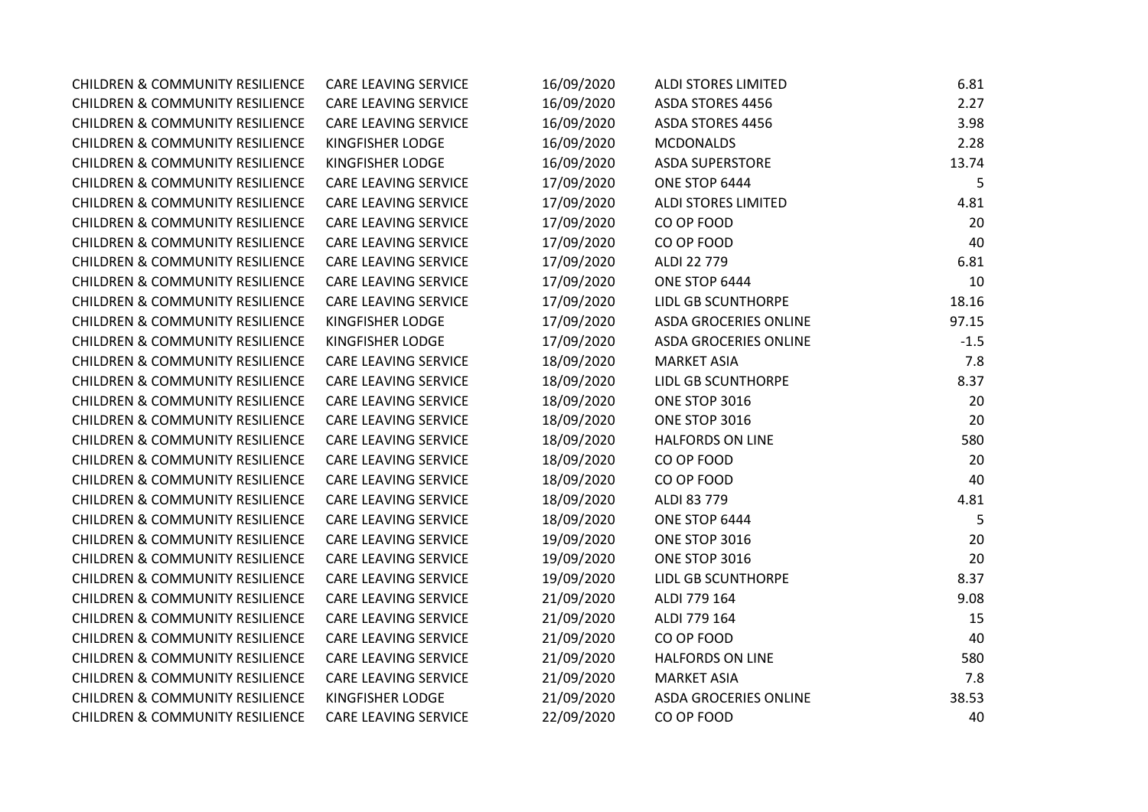| <b>CHILDREN &amp; COMMUNITY RESILIENCE</b> | <b>CARE LEAVING SERVICE</b> | 16/09/2020 | <b>ALDI STORES LIMITED</b>   | 6.81   |
|--------------------------------------------|-----------------------------|------------|------------------------------|--------|
| <b>CHILDREN &amp; COMMUNITY RESILIENCE</b> | <b>CARE LEAVING SERVICE</b> | 16/09/2020 | <b>ASDA STORES 4456</b>      | 2.27   |
| <b>CHILDREN &amp; COMMUNITY RESILIENCE</b> | <b>CARE LEAVING SERVICE</b> | 16/09/2020 | <b>ASDA STORES 4456</b>      | 3.98   |
| <b>CHILDREN &amp; COMMUNITY RESILIENCE</b> | KINGFISHER LODGE            | 16/09/2020 | <b>MCDONALDS</b>             | 2.28   |
| <b>CHILDREN &amp; COMMUNITY RESILIENCE</b> | KINGFISHER LODGE            | 16/09/2020 | <b>ASDA SUPERSTORE</b>       | 13.74  |
| <b>CHILDREN &amp; COMMUNITY RESILIENCE</b> | <b>CARE LEAVING SERVICE</b> | 17/09/2020 | ONE STOP 6444                | 5      |
| <b>CHILDREN &amp; COMMUNITY RESILIENCE</b> | CARE LEAVING SERVICE        | 17/09/2020 | <b>ALDI STORES LIMITED</b>   | 4.81   |
| <b>CHILDREN &amp; COMMUNITY RESILIENCE</b> | CARE LEAVING SERVICE        | 17/09/2020 | CO OP FOOD                   | 20     |
| <b>CHILDREN &amp; COMMUNITY RESILIENCE</b> | CARE LEAVING SERVICE        | 17/09/2020 | CO OP FOOD                   | 40     |
| <b>CHILDREN &amp; COMMUNITY RESILIENCE</b> | CARE LEAVING SERVICE        | 17/09/2020 | ALDI 22 779                  | 6.81   |
| <b>CHILDREN &amp; COMMUNITY RESILIENCE</b> | CARE LEAVING SERVICE        | 17/09/2020 | ONE STOP 6444                | 10     |
| <b>CHILDREN &amp; COMMUNITY RESILIENCE</b> | <b>CARE LEAVING SERVICE</b> | 17/09/2020 | LIDL GB SCUNTHORPE           | 18.16  |
| <b>CHILDREN &amp; COMMUNITY RESILIENCE</b> | KINGFISHER LODGE            | 17/09/2020 | <b>ASDA GROCERIES ONLINE</b> | 97.15  |
| <b>CHILDREN &amp; COMMUNITY RESILIENCE</b> | KINGFISHER LODGE            | 17/09/2020 | <b>ASDA GROCERIES ONLINE</b> | $-1.5$ |
| <b>CHILDREN &amp; COMMUNITY RESILIENCE</b> | <b>CARE LEAVING SERVICE</b> | 18/09/2020 | <b>MARKET ASIA</b>           | 7.8    |
| <b>CHILDREN &amp; COMMUNITY RESILIENCE</b> | CARE LEAVING SERVICE        | 18/09/2020 | LIDL GB SCUNTHORPE           | 8.37   |
| <b>CHILDREN &amp; COMMUNITY RESILIENCE</b> | CARE LEAVING SERVICE        | 18/09/2020 | ONE STOP 3016                | 20     |
| <b>CHILDREN &amp; COMMUNITY RESILIENCE</b> | CARE LEAVING SERVICE        | 18/09/2020 | ONE STOP 3016                | 20     |
| <b>CHILDREN &amp; COMMUNITY RESILIENCE</b> | <b>CARE LEAVING SERVICE</b> | 18/09/2020 | <b>HALFORDS ON LINE</b>      | 580    |
| <b>CHILDREN &amp; COMMUNITY RESILIENCE</b> | CARE LEAVING SERVICE        | 18/09/2020 | CO OP FOOD                   | 20     |
| <b>CHILDREN &amp; COMMUNITY RESILIENCE</b> | CARE LEAVING SERVICE        | 18/09/2020 | CO OP FOOD                   | 40     |
| <b>CHILDREN &amp; COMMUNITY RESILIENCE</b> | <b>CARE LEAVING SERVICE</b> | 18/09/2020 | ALDI 83 779                  | 4.81   |
| <b>CHILDREN &amp; COMMUNITY RESILIENCE</b> | CARE LEAVING SERVICE        | 18/09/2020 | ONE STOP 6444                | 5      |
| <b>CHILDREN &amp; COMMUNITY RESILIENCE</b> | CARE LEAVING SERVICE        | 19/09/2020 | ONE STOP 3016                | 20     |
| <b>CHILDREN &amp; COMMUNITY RESILIENCE</b> | <b>CARE LEAVING SERVICE</b> | 19/09/2020 | ONE STOP 3016                | 20     |
| <b>CHILDREN &amp; COMMUNITY RESILIENCE</b> | CARE LEAVING SERVICE        | 19/09/2020 | <b>LIDL GB SCUNTHORPE</b>    | 8.37   |
| <b>CHILDREN &amp; COMMUNITY RESILIENCE</b> | CARE LEAVING SERVICE        | 21/09/2020 | ALDI 779 164                 | 9.08   |
| <b>CHILDREN &amp; COMMUNITY RESILIENCE</b> | CARE LEAVING SERVICE        | 21/09/2020 | ALDI 779 164                 | 15     |
| <b>CHILDREN &amp; COMMUNITY RESILIENCE</b> | CARE LEAVING SERVICE        | 21/09/2020 | CO OP FOOD                   | 40     |
| <b>CHILDREN &amp; COMMUNITY RESILIENCE</b> | CARE LEAVING SERVICE        | 21/09/2020 | <b>HALFORDS ON LINE</b>      | 580    |
| <b>CHILDREN &amp; COMMUNITY RESILIENCE</b> | <b>CARE LEAVING SERVICE</b> | 21/09/2020 | <b>MARKET ASIA</b>           | 7.8    |
| <b>CHILDREN &amp; COMMUNITY RESILIENCE</b> | KINGFISHER LODGE            | 21/09/2020 | <b>ASDA GROCERIES ONLINE</b> | 38.53  |
| <b>CHILDREN &amp; COMMUNITY RESILIENCE</b> | <b>CARE LEAVING SERVICE</b> | 22/09/2020 | CO OP FOOD                   | 40     |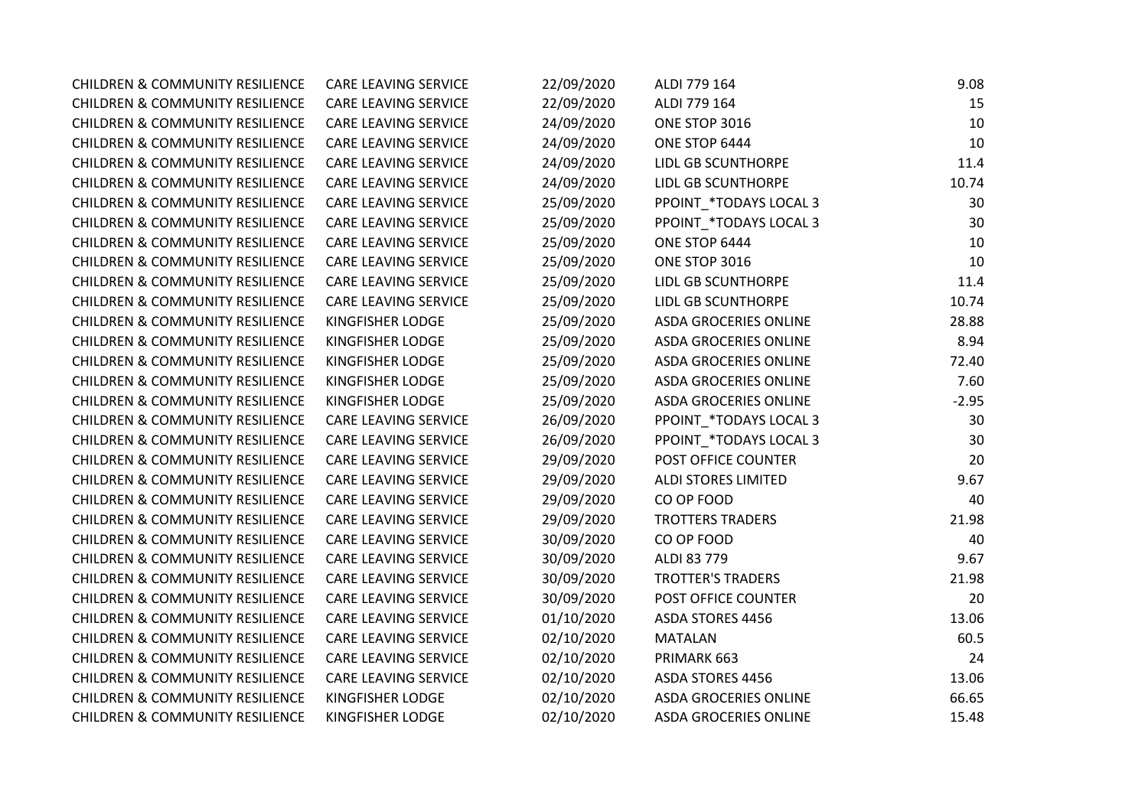| <b>CHILDREN &amp; COMMUNITY RESILIENCE</b> | <b>CARE LEAVING SERVICE</b> | 22/09/2020 | ALDI 779 164                 | 9.08    |
|--------------------------------------------|-----------------------------|------------|------------------------------|---------|
| <b>CHILDREN &amp; COMMUNITY RESILIENCE</b> | <b>CARE LEAVING SERVICE</b> | 22/09/2020 | ALDI 779 164                 | 15      |
| <b>CHILDREN &amp; COMMUNITY RESILIENCE</b> | CARE LEAVING SERVICE        | 24/09/2020 | ONE STOP 3016                | 10      |
| <b>CHILDREN &amp; COMMUNITY RESILIENCE</b> | CARE LEAVING SERVICE        | 24/09/2020 | ONE STOP 6444                | 10      |
| <b>CHILDREN &amp; COMMUNITY RESILIENCE</b> | CARE LEAVING SERVICE        | 24/09/2020 | <b>LIDL GB SCUNTHORPE</b>    | 11.4    |
| <b>CHILDREN &amp; COMMUNITY RESILIENCE</b> | CARE LEAVING SERVICE        | 24/09/2020 | <b>LIDL GB SCUNTHORPE</b>    | 10.74   |
| <b>CHILDREN &amp; COMMUNITY RESILIENCE</b> | CARE LEAVING SERVICE        | 25/09/2020 | PPOINT_*TODAYS LOCAL 3       | 30      |
| <b>CHILDREN &amp; COMMUNITY RESILIENCE</b> | CARE LEAVING SERVICE        | 25/09/2020 | PPOINT_*TODAYS LOCAL 3       | 30      |
| <b>CHILDREN &amp; COMMUNITY RESILIENCE</b> | CARE LEAVING SERVICE        | 25/09/2020 | ONE STOP 6444                | 10      |
| <b>CHILDREN &amp; COMMUNITY RESILIENCE</b> | CARE LEAVING SERVICE        | 25/09/2020 | ONE STOP 3016                | 10      |
| <b>CHILDREN &amp; COMMUNITY RESILIENCE</b> | <b>CARE LEAVING SERVICE</b> | 25/09/2020 | LIDL GB SCUNTHORPE           | 11.4    |
| <b>CHILDREN &amp; COMMUNITY RESILIENCE</b> | CARE LEAVING SERVICE        | 25/09/2020 | <b>LIDL GB SCUNTHORPE</b>    | 10.74   |
| <b>CHILDREN &amp; COMMUNITY RESILIENCE</b> | <b>KINGFISHER LODGE</b>     | 25/09/2020 | <b>ASDA GROCERIES ONLINE</b> | 28.88   |
| <b>CHILDREN &amp; COMMUNITY RESILIENCE</b> | KINGFISHER LODGE            | 25/09/2020 | <b>ASDA GROCERIES ONLINE</b> | 8.94    |
| <b>CHILDREN &amp; COMMUNITY RESILIENCE</b> | <b>KINGFISHER LODGE</b>     | 25/09/2020 | <b>ASDA GROCERIES ONLINE</b> | 72.40   |
| <b>CHILDREN &amp; COMMUNITY RESILIENCE</b> | <b>KINGFISHER LODGE</b>     | 25/09/2020 | ASDA GROCERIES ONLINE        | 7.60    |
| <b>CHILDREN &amp; COMMUNITY RESILIENCE</b> | KINGFISHER LODGE            | 25/09/2020 | ASDA GROCERIES ONLINE        | $-2.95$ |
| <b>CHILDREN &amp; COMMUNITY RESILIENCE</b> | CARE LEAVING SERVICE        | 26/09/2020 | PPOINT_*TODAYS LOCAL 3       | 30      |
| <b>CHILDREN &amp; COMMUNITY RESILIENCE</b> | CARE LEAVING SERVICE        | 26/09/2020 | PPOINT *TODAYS LOCAL 3       | 30      |
| <b>CHILDREN &amp; COMMUNITY RESILIENCE</b> | CARE LEAVING SERVICE        | 29/09/2020 | POST OFFICE COUNTER          | 20      |
| <b>CHILDREN &amp; COMMUNITY RESILIENCE</b> | CARE LEAVING SERVICE        | 29/09/2020 | <b>ALDI STORES LIMITED</b>   | 9.67    |
| <b>CHILDREN &amp; COMMUNITY RESILIENCE</b> | CARE LEAVING SERVICE        | 29/09/2020 | CO OP FOOD                   | 40      |
| <b>CHILDREN &amp; COMMUNITY RESILIENCE</b> | CARE LEAVING SERVICE        | 29/09/2020 | <b>TROTTERS TRADERS</b>      | 21.98   |
| <b>CHILDREN &amp; COMMUNITY RESILIENCE</b> | CARE LEAVING SERVICE        | 30/09/2020 | CO OP FOOD                   | 40      |
| <b>CHILDREN &amp; COMMUNITY RESILIENCE</b> | <b>CARE LEAVING SERVICE</b> | 30/09/2020 | ALDI 83 779                  | 9.67    |
| <b>CHILDREN &amp; COMMUNITY RESILIENCE</b> | CARE LEAVING SERVICE        | 30/09/2020 | <b>TROTTER'S TRADERS</b>     | 21.98   |
| <b>CHILDREN &amp; COMMUNITY RESILIENCE</b> | CARE LEAVING SERVICE        | 30/09/2020 | POST OFFICE COUNTER          | 20      |
| <b>CHILDREN &amp; COMMUNITY RESILIENCE</b> | CARE LEAVING SERVICE        | 01/10/2020 | ASDA STORES 4456             | 13.06   |
| <b>CHILDREN &amp; COMMUNITY RESILIENCE</b> | <b>CARE LEAVING SERVICE</b> | 02/10/2020 | <b>MATALAN</b>               | 60.5    |
| <b>CHILDREN &amp; COMMUNITY RESILIENCE</b> | CARE LEAVING SERVICE        | 02/10/2020 | PRIMARK 663                  | 24      |
| <b>CHILDREN &amp; COMMUNITY RESILIENCE</b> | CARE LEAVING SERVICE        | 02/10/2020 | ASDA STORES 4456             | 13.06   |
| <b>CHILDREN &amp; COMMUNITY RESILIENCE</b> | KINGFISHER LODGE            | 02/10/2020 | ASDA GROCERIES ONLINE        | 66.65   |
| <b>CHILDREN &amp; COMMUNITY RESILIENCE</b> | <b>KINGFISHER LODGE</b>     | 02/10/2020 | <b>ASDA GROCERIES ONLINE</b> | 15.48   |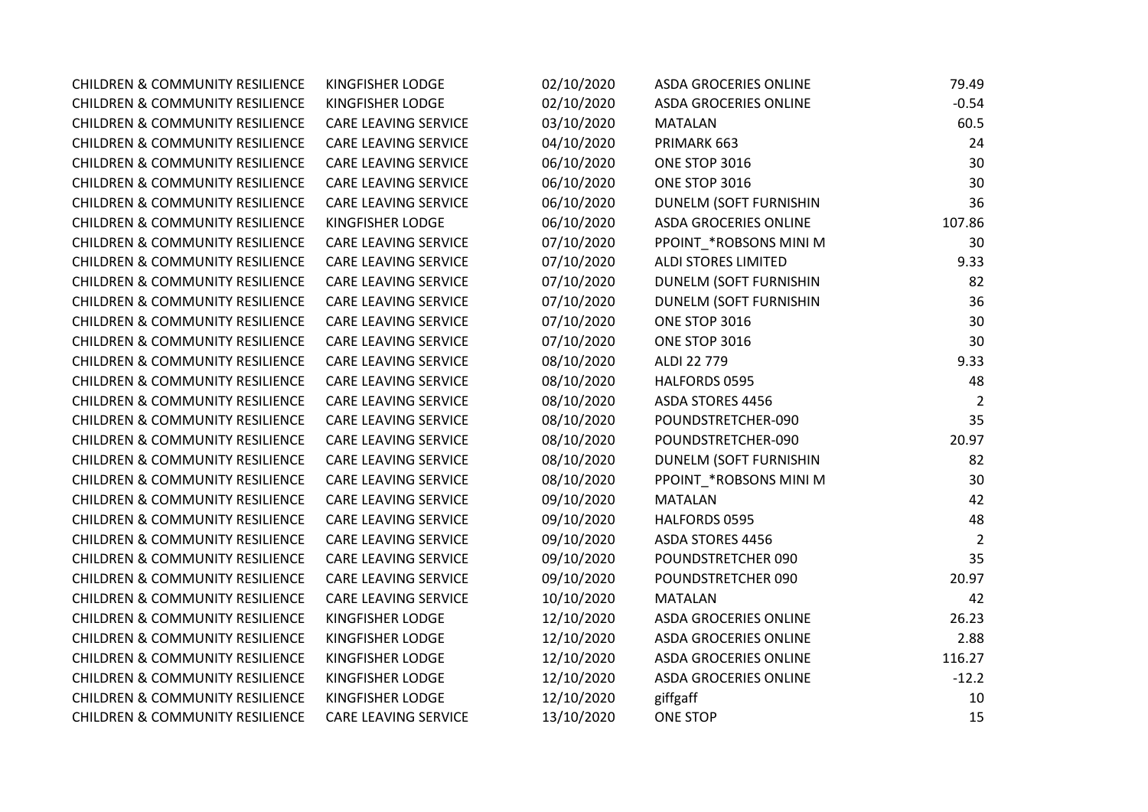| <b>CHILDREN &amp; COMMUNITY RESILIENCE</b> | KINGFISHER LODGE            | 02/10/2020 | <b>ASDA GROCERIES ONLINE</b>  | 79.49          |
|--------------------------------------------|-----------------------------|------------|-------------------------------|----------------|
| <b>CHILDREN &amp; COMMUNITY RESILIENCE</b> | <b>KINGFISHER LODGE</b>     | 02/10/2020 | <b>ASDA GROCERIES ONLINE</b>  | $-0.54$        |
| <b>CHILDREN &amp; COMMUNITY RESILIENCE</b> | <b>CARE LEAVING SERVICE</b> | 03/10/2020 | <b>MATALAN</b>                | 60.5           |
| <b>CHILDREN &amp; COMMUNITY RESILIENCE</b> | <b>CARE LEAVING SERVICE</b> | 04/10/2020 | PRIMARK 663                   | 24             |
| <b>CHILDREN &amp; COMMUNITY RESILIENCE</b> | <b>CARE LEAVING SERVICE</b> | 06/10/2020 | ONE STOP 3016                 | 30             |
| <b>CHILDREN &amp; COMMUNITY RESILIENCE</b> | CARE LEAVING SERVICE        | 06/10/2020 | ONE STOP 3016                 | 30             |
| <b>CHILDREN &amp; COMMUNITY RESILIENCE</b> | <b>CARE LEAVING SERVICE</b> | 06/10/2020 | <b>DUNELM (SOFT FURNISHIN</b> | 36             |
| <b>CHILDREN &amp; COMMUNITY RESILIENCE</b> | <b>KINGFISHER LODGE</b>     | 06/10/2020 | <b>ASDA GROCERIES ONLINE</b>  | 107.86         |
| <b>CHILDREN &amp; COMMUNITY RESILIENCE</b> | <b>CARE LEAVING SERVICE</b> | 07/10/2020 | PPOINT_*ROBSONS MINI M        | 30             |
| <b>CHILDREN &amp; COMMUNITY RESILIENCE</b> | CARE LEAVING SERVICE        | 07/10/2020 | <b>ALDI STORES LIMITED</b>    | 9.33           |
| <b>CHILDREN &amp; COMMUNITY RESILIENCE</b> | <b>CARE LEAVING SERVICE</b> | 07/10/2020 | DUNELM (SOFT FURNISHIN        | 82             |
| <b>CHILDREN &amp; COMMUNITY RESILIENCE</b> | <b>CARE LEAVING SERVICE</b> | 07/10/2020 | DUNELM (SOFT FURNISHIN        | 36             |
| <b>CHILDREN &amp; COMMUNITY RESILIENCE</b> | <b>CARE LEAVING SERVICE</b> | 07/10/2020 | ONE STOP 3016                 | 30             |
| <b>CHILDREN &amp; COMMUNITY RESILIENCE</b> | <b>CARE LEAVING SERVICE</b> | 07/10/2020 | ONE STOP 3016                 | 30             |
| <b>CHILDREN &amp; COMMUNITY RESILIENCE</b> | <b>CARE LEAVING SERVICE</b> | 08/10/2020 | ALDI 22 779                   | 9.33           |
| <b>CHILDREN &amp; COMMUNITY RESILIENCE</b> | <b>CARE LEAVING SERVICE</b> | 08/10/2020 | HALFORDS 0595                 | 48             |
| <b>CHILDREN &amp; COMMUNITY RESILIENCE</b> | CARE LEAVING SERVICE        | 08/10/2020 | ASDA STORES 4456              | 2              |
| <b>CHILDREN &amp; COMMUNITY RESILIENCE</b> | <b>CARE LEAVING SERVICE</b> | 08/10/2020 | POUNDSTRETCHER-090            | 35             |
| <b>CHILDREN &amp; COMMUNITY RESILIENCE</b> | <b>CARE LEAVING SERVICE</b> | 08/10/2020 | POUNDSTRETCHER-090            | 20.97          |
| <b>CHILDREN &amp; COMMUNITY RESILIENCE</b> | <b>CARE LEAVING SERVICE</b> | 08/10/2020 | DUNELM (SOFT FURNISHIN        | 82             |
| <b>CHILDREN &amp; COMMUNITY RESILIENCE</b> | <b>CARE LEAVING SERVICE</b> | 08/10/2020 | PPOINT_*ROBSONS MINI M        | 30             |
| <b>CHILDREN &amp; COMMUNITY RESILIENCE</b> | <b>CARE LEAVING SERVICE</b> | 09/10/2020 | <b>MATALAN</b>                | 42             |
| <b>CHILDREN &amp; COMMUNITY RESILIENCE</b> | <b>CARE LEAVING SERVICE</b> | 09/10/2020 | HALFORDS 0595                 | 48             |
| <b>CHILDREN &amp; COMMUNITY RESILIENCE</b> | CARE LEAVING SERVICE        | 09/10/2020 | ASDA STORES 4456              | $\overline{2}$ |
| <b>CHILDREN &amp; COMMUNITY RESILIENCE</b> | <b>CARE LEAVING SERVICE</b> | 09/10/2020 | POUNDSTRETCHER 090            | 35             |
| <b>CHILDREN &amp; COMMUNITY RESILIENCE</b> | <b>CARE LEAVING SERVICE</b> | 09/10/2020 | POUNDSTRETCHER 090            | 20.97          |
| <b>CHILDREN &amp; COMMUNITY RESILIENCE</b> | <b>CARE LEAVING SERVICE</b> | 10/10/2020 | <b>MATALAN</b>                | 42             |
| <b>CHILDREN &amp; COMMUNITY RESILIENCE</b> | <b>KINGFISHER LODGE</b>     | 12/10/2020 | <b>ASDA GROCERIES ONLINE</b>  | 26.23          |
| <b>CHILDREN &amp; COMMUNITY RESILIENCE</b> | <b>KINGFISHER LODGE</b>     | 12/10/2020 | ASDA GROCERIES ONLINE         | 2.88           |
| <b>CHILDREN &amp; COMMUNITY RESILIENCE</b> | <b>KINGFISHER LODGE</b>     | 12/10/2020 | ASDA GROCERIES ONLINE         | 116.27         |
| <b>CHILDREN &amp; COMMUNITY RESILIENCE</b> | KINGFISHER LODGE            | 12/10/2020 | ASDA GROCERIES ONLINE         | $-12.2$        |
| <b>CHILDREN &amp; COMMUNITY RESILIENCE</b> | KINGFISHER LODGE            | 12/10/2020 | giffgaff                      | 10             |
| <b>CHILDREN &amp; COMMUNITY RESILIENCE</b> | <b>CARE LEAVING SERVICE</b> | 13/10/2020 | <b>ONE STOP</b>               | 15             |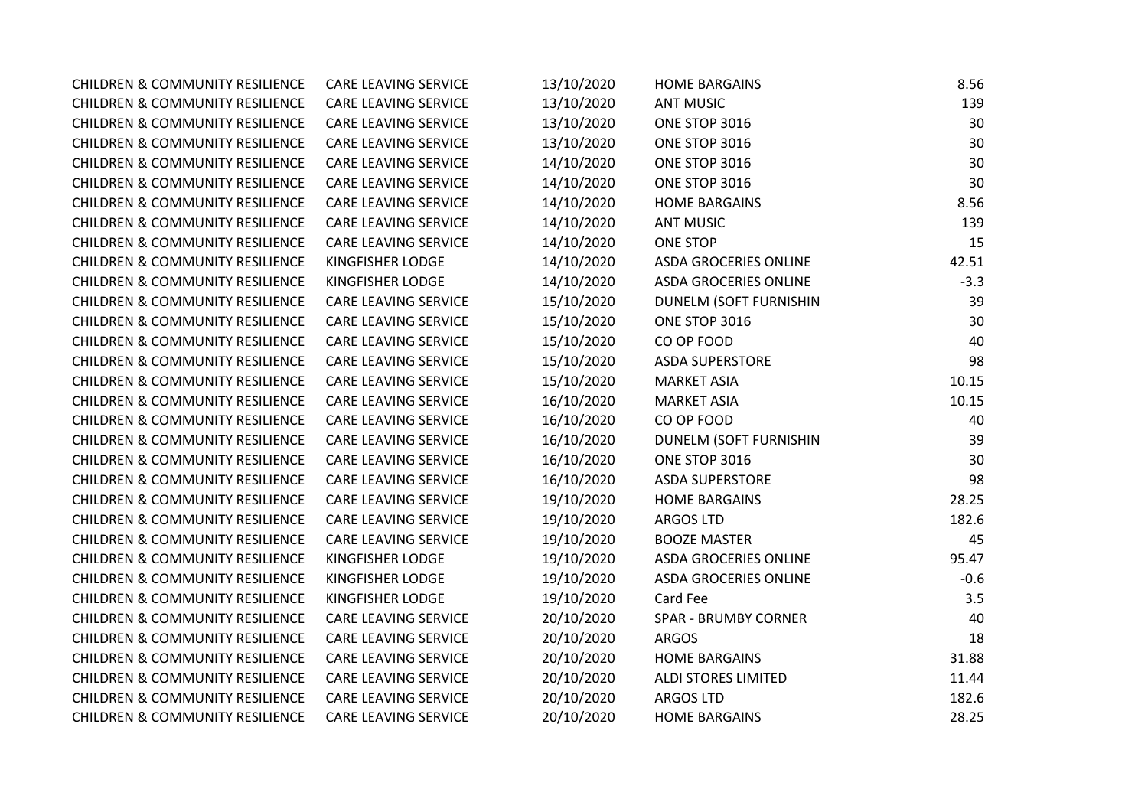| <b>CHILDREN &amp; COMMUNITY RESILIENCE</b> | CARE LEAVING SERVICE        | 13/10/2020 | <b>HOME BARGAINS</b>          | 8.56   |
|--------------------------------------------|-----------------------------|------------|-------------------------------|--------|
| <b>CHILDREN &amp; COMMUNITY RESILIENCE</b> | CARE LEAVING SERVICE        | 13/10/2020 | <b>ANT MUSIC</b>              | 139    |
| <b>CHILDREN &amp; COMMUNITY RESILIENCE</b> | CARE LEAVING SERVICE        | 13/10/2020 | ONE STOP 3016                 | 30     |
| <b>CHILDREN &amp; COMMUNITY RESILIENCE</b> | CARE LEAVING SERVICE        | 13/10/2020 | ONE STOP 3016                 | 30     |
| <b>CHILDREN &amp; COMMUNITY RESILIENCE</b> | CARE LEAVING SERVICE        | 14/10/2020 | ONE STOP 3016                 | 30     |
| <b>CHILDREN &amp; COMMUNITY RESILIENCE</b> | CARE LEAVING SERVICE        | 14/10/2020 | ONE STOP 3016                 | 30     |
| <b>CHILDREN &amp; COMMUNITY RESILIENCE</b> | CARE LEAVING SERVICE        | 14/10/2020 | <b>HOME BARGAINS</b>          | 8.56   |
| <b>CHILDREN &amp; COMMUNITY RESILIENCE</b> | CARE LEAVING SERVICE        | 14/10/2020 | <b>ANT MUSIC</b>              | 139    |
| <b>CHILDREN &amp; COMMUNITY RESILIENCE</b> | CARE LEAVING SERVICE        | 14/10/2020 | <b>ONE STOP</b>               | 15     |
| <b>CHILDREN &amp; COMMUNITY RESILIENCE</b> | KINGFISHER LODGE            | 14/10/2020 | <b>ASDA GROCERIES ONLINE</b>  | 42.51  |
| <b>CHILDREN &amp; COMMUNITY RESILIENCE</b> | KINGFISHER LODGE            | 14/10/2020 | ASDA GROCERIES ONLINE         | $-3.3$ |
| <b>CHILDREN &amp; COMMUNITY RESILIENCE</b> | CARE LEAVING SERVICE        | 15/10/2020 | <b>DUNELM (SOFT FURNISHIN</b> | 39     |
| <b>CHILDREN &amp; COMMUNITY RESILIENCE</b> | CARE LEAVING SERVICE        | 15/10/2020 | ONE STOP 3016                 | 30     |
| <b>CHILDREN &amp; COMMUNITY RESILIENCE</b> | CARE LEAVING SERVICE        | 15/10/2020 | CO OP FOOD                    | 40     |
| <b>CHILDREN &amp; COMMUNITY RESILIENCE</b> | CARE LEAVING SERVICE        | 15/10/2020 | <b>ASDA SUPERSTORE</b>        | 98     |
| <b>CHILDREN &amp; COMMUNITY RESILIENCE</b> | <b>CARE LEAVING SERVICE</b> | 15/10/2020 | <b>MARKET ASIA</b>            | 10.15  |
| <b>CHILDREN &amp; COMMUNITY RESILIENCE</b> | CARE LEAVING SERVICE        | 16/10/2020 | <b>MARKET ASIA</b>            | 10.15  |
| <b>CHILDREN &amp; COMMUNITY RESILIENCE</b> | CARE LEAVING SERVICE        | 16/10/2020 | CO OP FOOD                    | 40     |
| <b>CHILDREN &amp; COMMUNITY RESILIENCE</b> | CARE LEAVING SERVICE        | 16/10/2020 | DUNELM (SOFT FURNISHIN        | 39     |
| <b>CHILDREN &amp; COMMUNITY RESILIENCE</b> | CARE LEAVING SERVICE        | 16/10/2020 | ONE STOP 3016                 | 30     |
| <b>CHILDREN &amp; COMMUNITY RESILIENCE</b> | CARE LEAVING SERVICE        | 16/10/2020 | <b>ASDA SUPERSTORE</b>        | 98     |
| <b>CHILDREN &amp; COMMUNITY RESILIENCE</b> | CARE LEAVING SERVICE        | 19/10/2020 | <b>HOME BARGAINS</b>          | 28.25  |
| <b>CHILDREN &amp; COMMUNITY RESILIENCE</b> | <b>CARE LEAVING SERVICE</b> | 19/10/2020 | <b>ARGOS LTD</b>              | 182.6  |
| <b>CHILDREN &amp; COMMUNITY RESILIENCE</b> | CARE LEAVING SERVICE        | 19/10/2020 | <b>BOOZE MASTER</b>           | 45     |
| <b>CHILDREN &amp; COMMUNITY RESILIENCE</b> | KINGFISHER LODGE            | 19/10/2020 | <b>ASDA GROCERIES ONLINE</b>  | 95.47  |
| <b>CHILDREN &amp; COMMUNITY RESILIENCE</b> | KINGFISHER LODGE            | 19/10/2020 | <b>ASDA GROCERIES ONLINE</b>  | $-0.6$ |
| <b>CHILDREN &amp; COMMUNITY RESILIENCE</b> | KINGFISHER LODGE            | 19/10/2020 | Card Fee                      | 3.5    |
| <b>CHILDREN &amp; COMMUNITY RESILIENCE</b> | CARE LEAVING SERVICE        | 20/10/2020 | <b>SPAR - BRUMBY CORNER</b>   | 40     |
| <b>CHILDREN &amp; COMMUNITY RESILIENCE</b> | CARE LEAVING SERVICE        | 20/10/2020 | <b>ARGOS</b>                  | 18     |
| <b>CHILDREN &amp; COMMUNITY RESILIENCE</b> | CARE LEAVING SERVICE        | 20/10/2020 | <b>HOME BARGAINS</b>          | 31.88  |
| <b>CHILDREN &amp; COMMUNITY RESILIENCE</b> | CARE LEAVING SERVICE        | 20/10/2020 | ALDI STORES LIMITED           | 11.44  |
| <b>CHILDREN &amp; COMMUNITY RESILIENCE</b> | CARE LEAVING SERVICE        | 20/10/2020 | <b>ARGOS LTD</b>              | 182.6  |
| <b>CHILDREN &amp; COMMUNITY RESILIENCE</b> | <b>CARE LEAVING SERVICE</b> | 20/10/2020 | <b>HOME BARGAINS</b>          | 28.25  |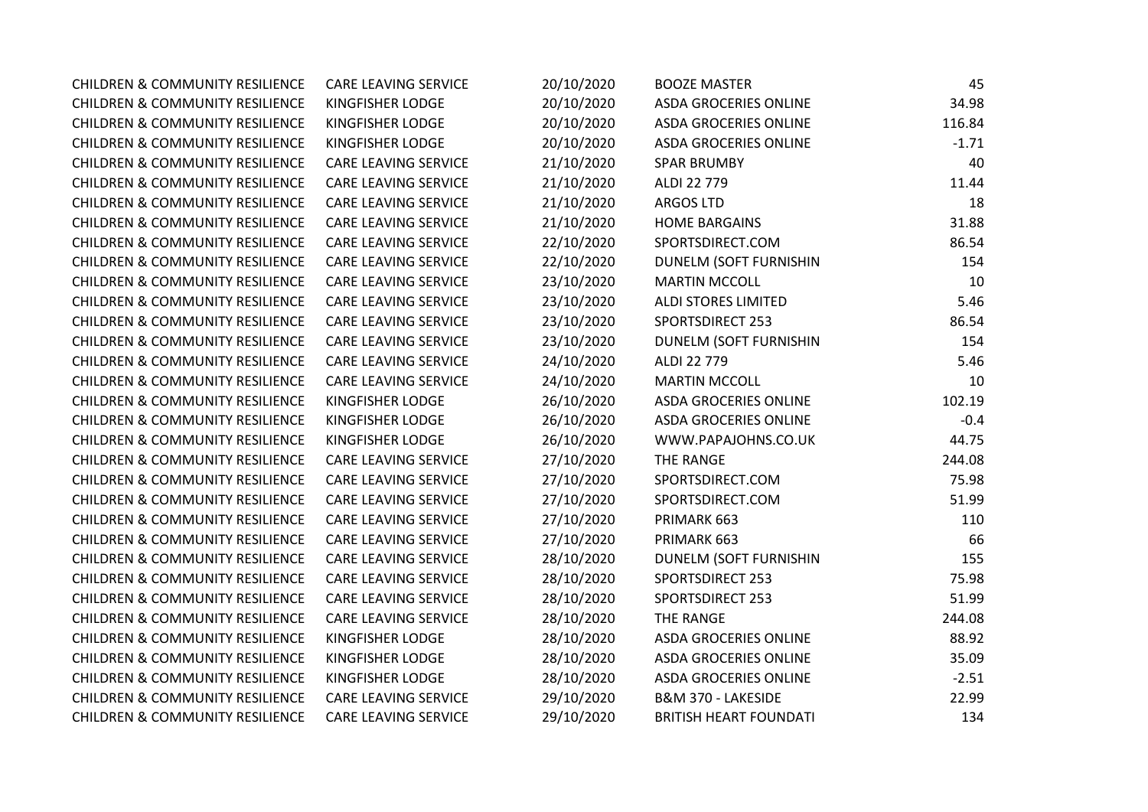| <b>CHILDREN &amp; COMMUNITY RESILIENCE</b> | CARE LEAVING SERVICE        | 20/10/2020 | <b>BOOZE MASTER</b>           | 45      |
|--------------------------------------------|-----------------------------|------------|-------------------------------|---------|
| <b>CHILDREN &amp; COMMUNITY RESILIENCE</b> | KINGFISHER LODGE            | 20/10/2020 | ASDA GROCERIES ONLINE         | 34.98   |
| <b>CHILDREN &amp; COMMUNITY RESILIENCE</b> | <b>KINGFISHER LODGE</b>     | 20/10/2020 | ASDA GROCERIES ONLINE         | 116.84  |
| <b>CHILDREN &amp; COMMUNITY RESILIENCE</b> | <b>KINGFISHER LODGE</b>     | 20/10/2020 | ASDA GROCERIES ONLINE         | $-1.71$ |
| <b>CHILDREN &amp; COMMUNITY RESILIENCE</b> | <b>CARE LEAVING SERVICE</b> | 21/10/2020 | <b>SPAR BRUMBY</b>            | 40      |
| <b>CHILDREN &amp; COMMUNITY RESILIENCE</b> | CARE LEAVING SERVICE        | 21/10/2020 | ALDI 22 779                   | 11.44   |
| <b>CHILDREN &amp; COMMUNITY RESILIENCE</b> | <b>CARE LEAVING SERVICE</b> | 21/10/2020 | <b>ARGOS LTD</b>              | 18      |
| <b>CHILDREN &amp; COMMUNITY RESILIENCE</b> | <b>CARE LEAVING SERVICE</b> | 21/10/2020 | <b>HOME BARGAINS</b>          | 31.88   |
| <b>CHILDREN &amp; COMMUNITY RESILIENCE</b> | <b>CARE LEAVING SERVICE</b> | 22/10/2020 | SPORTSDIRECT.COM              | 86.54   |
| <b>CHILDREN &amp; COMMUNITY RESILIENCE</b> | <b>CARE LEAVING SERVICE</b> | 22/10/2020 | DUNELM (SOFT FURNISHIN        | 154     |
| <b>CHILDREN &amp; COMMUNITY RESILIENCE</b> | <b>CARE LEAVING SERVICE</b> | 23/10/2020 | <b>MARTIN MCCOLL</b>          | 10      |
| <b>CHILDREN &amp; COMMUNITY RESILIENCE</b> | <b>CARE LEAVING SERVICE</b> | 23/10/2020 | <b>ALDI STORES LIMITED</b>    | 5.46    |
| <b>CHILDREN &amp; COMMUNITY RESILIENCE</b> | <b>CARE LEAVING SERVICE</b> | 23/10/2020 | <b>SPORTSDIRECT 253</b>       | 86.54   |
| <b>CHILDREN &amp; COMMUNITY RESILIENCE</b> | <b>CARE LEAVING SERVICE</b> | 23/10/2020 | DUNELM (SOFT FURNISHIN        | 154     |
| <b>CHILDREN &amp; COMMUNITY RESILIENCE</b> | <b>CARE LEAVING SERVICE</b> | 24/10/2020 | ALDI 22 779                   | 5.46    |
| <b>CHILDREN &amp; COMMUNITY RESILIENCE</b> | <b>CARE LEAVING SERVICE</b> | 24/10/2020 | <b>MARTIN MCCOLL</b>          | 10      |
| <b>CHILDREN &amp; COMMUNITY RESILIENCE</b> | KINGFISHER LODGE            | 26/10/2020 | <b>ASDA GROCERIES ONLINE</b>  | 102.19  |
| <b>CHILDREN &amp; COMMUNITY RESILIENCE</b> | KINGFISHER LODGE            | 26/10/2020 | ASDA GROCERIES ONLINE         | $-0.4$  |
| <b>CHILDREN &amp; COMMUNITY RESILIENCE</b> | KINGFISHER LODGE            | 26/10/2020 | WWW.PAPAJOHNS.CO.UK           | 44.75   |
| <b>CHILDREN &amp; COMMUNITY RESILIENCE</b> | CARE LEAVING SERVICE        | 27/10/2020 | THE RANGE                     | 244.08  |
| <b>CHILDREN &amp; COMMUNITY RESILIENCE</b> | CARE LEAVING SERVICE        | 27/10/2020 | SPORTSDIRECT.COM              | 75.98   |
| <b>CHILDREN &amp; COMMUNITY RESILIENCE</b> | <b>CARE LEAVING SERVICE</b> | 27/10/2020 | SPORTSDIRECT.COM              | 51.99   |
| <b>CHILDREN &amp; COMMUNITY RESILIENCE</b> | <b>CARE LEAVING SERVICE</b> | 27/10/2020 | PRIMARK 663                   | 110     |
| <b>CHILDREN &amp; COMMUNITY RESILIENCE</b> | <b>CARE LEAVING SERVICE</b> | 27/10/2020 | PRIMARK 663                   | 66      |
| <b>CHILDREN &amp; COMMUNITY RESILIENCE</b> | <b>CARE LEAVING SERVICE</b> | 28/10/2020 | DUNELM (SOFT FURNISHIN        | 155     |
| <b>CHILDREN &amp; COMMUNITY RESILIENCE</b> | <b>CARE LEAVING SERVICE</b> | 28/10/2020 | <b>SPORTSDIRECT 253</b>       | 75.98   |
| <b>CHILDREN &amp; COMMUNITY RESILIENCE</b> | <b>CARE LEAVING SERVICE</b> | 28/10/2020 | SPORTSDIRECT 253              | 51.99   |
| <b>CHILDREN &amp; COMMUNITY RESILIENCE</b> | <b>CARE LEAVING SERVICE</b> | 28/10/2020 | THE RANGE                     | 244.08  |
| <b>CHILDREN &amp; COMMUNITY RESILIENCE</b> | <b>KINGFISHER LODGE</b>     | 28/10/2020 | <b>ASDA GROCERIES ONLINE</b>  | 88.92   |
| <b>CHILDREN &amp; COMMUNITY RESILIENCE</b> | KINGFISHER LODGE            | 28/10/2020 | ASDA GROCERIES ONLINE         | 35.09   |
| <b>CHILDREN &amp; COMMUNITY RESILIENCE</b> | KINGFISHER LODGE            | 28/10/2020 | ASDA GROCERIES ONLINE         | $-2.51$ |
| <b>CHILDREN &amp; COMMUNITY RESILIENCE</b> | <b>CARE LEAVING SERVICE</b> | 29/10/2020 | B&M 370 - LAKESIDE            | 22.99   |
| <b>CHILDREN &amp; COMMUNITY RESILIENCE</b> | <b>CARE LEAVING SERVICE</b> | 29/10/2020 | <b>BRITISH HEART FOUNDATI</b> | 134     |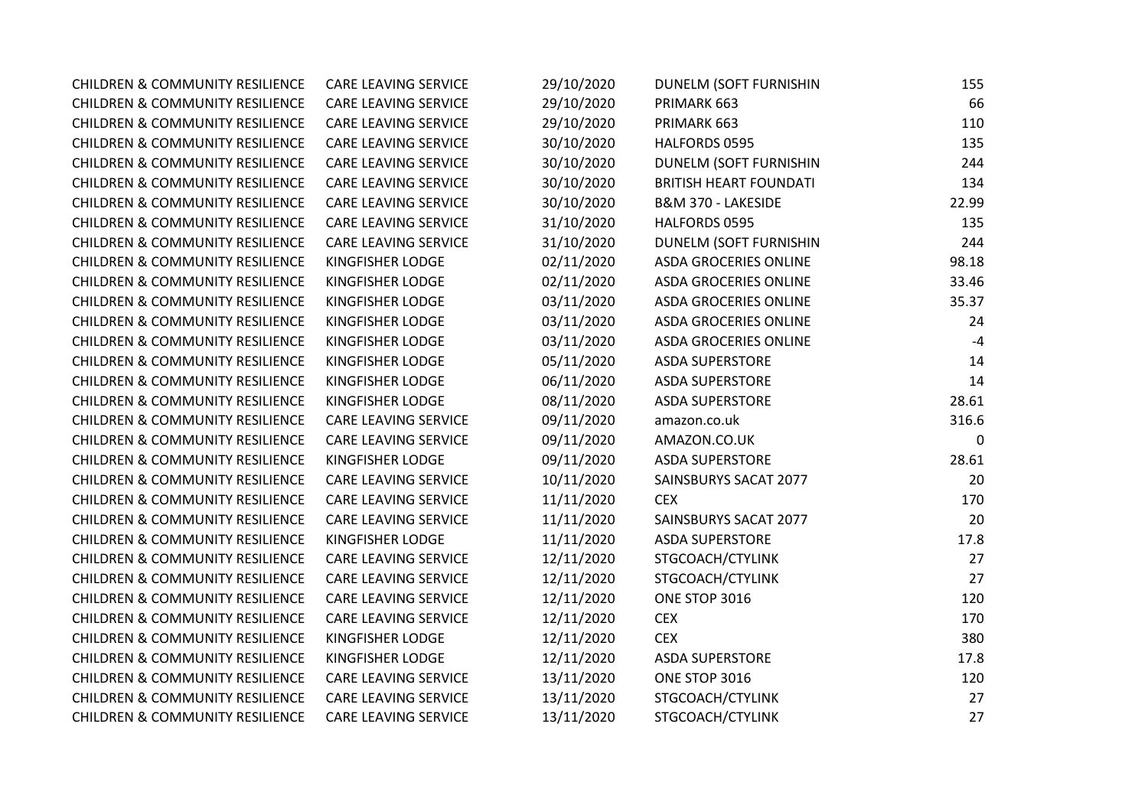| <b>CHILDREN &amp; COMMUNITY RESILIENCE</b> | <b>CARE LEAVING SERVICE</b> | 29/10/2020 | DUNELM (SOFT FURNISHIN        | 155   |
|--------------------------------------------|-----------------------------|------------|-------------------------------|-------|
| <b>CHILDREN &amp; COMMUNITY RESILIENCE</b> | <b>CARE LEAVING SERVICE</b> | 29/10/2020 | PRIMARK 663                   | 66    |
| <b>CHILDREN &amp; COMMUNITY RESILIENCE</b> | CARE LEAVING SERVICE        | 29/10/2020 | PRIMARK 663                   | 110   |
| <b>CHILDREN &amp; COMMUNITY RESILIENCE</b> | CARE LEAVING SERVICE        | 30/10/2020 | HALFORDS 0595                 | 135   |
| <b>CHILDREN &amp; COMMUNITY RESILIENCE</b> | CARE LEAVING SERVICE        | 30/10/2020 | <b>DUNELM (SOFT FURNISHIN</b> | 244   |
| <b>CHILDREN &amp; COMMUNITY RESILIENCE</b> | CARE LEAVING SERVICE        | 30/10/2020 | <b>BRITISH HEART FOUNDATI</b> | 134   |
| <b>CHILDREN &amp; COMMUNITY RESILIENCE</b> | CARE LEAVING SERVICE        | 30/10/2020 | B&M 370 - LAKESIDE            | 22.99 |
| <b>CHILDREN &amp; COMMUNITY RESILIENCE</b> | <b>CARE LEAVING SERVICE</b> | 31/10/2020 | HALFORDS 0595                 | 135   |
| <b>CHILDREN &amp; COMMUNITY RESILIENCE</b> | <b>CARE LEAVING SERVICE</b> | 31/10/2020 | DUNELM (SOFT FURNISHIN        | 244   |
| <b>CHILDREN &amp; COMMUNITY RESILIENCE</b> | KINGFISHER LODGE            | 02/11/2020 | <b>ASDA GROCERIES ONLINE</b>  | 98.18 |
| <b>CHILDREN &amp; COMMUNITY RESILIENCE</b> | KINGFISHER LODGE            | 02/11/2020 | ASDA GROCERIES ONLINE         | 33.46 |
| <b>CHILDREN &amp; COMMUNITY RESILIENCE</b> | KINGFISHER LODGE            | 03/11/2020 | ASDA GROCERIES ONLINE         | 35.37 |
| <b>CHILDREN &amp; COMMUNITY RESILIENCE</b> | KINGFISHER LODGE            | 03/11/2020 | <b>ASDA GROCERIES ONLINE</b>  | 24    |
| <b>CHILDREN &amp; COMMUNITY RESILIENCE</b> | KINGFISHER LODGE            | 03/11/2020 | ASDA GROCERIES ONLINE         | $-4$  |
| <b>CHILDREN &amp; COMMUNITY RESILIENCE</b> | KINGFISHER LODGE            | 05/11/2020 | <b>ASDA SUPERSTORE</b>        | 14    |
| <b>CHILDREN &amp; COMMUNITY RESILIENCE</b> | <b>KINGFISHER LODGE</b>     | 06/11/2020 | <b>ASDA SUPERSTORE</b>        | 14    |
| <b>CHILDREN &amp; COMMUNITY RESILIENCE</b> | KINGFISHER LODGE            | 08/11/2020 | <b>ASDA SUPERSTORE</b>        | 28.61 |
| <b>CHILDREN &amp; COMMUNITY RESILIENCE</b> | CARE LEAVING SERVICE        | 09/11/2020 | amazon.co.uk                  | 316.6 |
| <b>CHILDREN &amp; COMMUNITY RESILIENCE</b> | CARE LEAVING SERVICE        | 09/11/2020 | AMAZON.CO.UK                  | 0     |
| <b>CHILDREN &amp; COMMUNITY RESILIENCE</b> | KINGFISHER LODGE            | 09/11/2020 | <b>ASDA SUPERSTORE</b>        | 28.61 |
| <b>CHILDREN &amp; COMMUNITY RESILIENCE</b> | CARE LEAVING SERVICE        | 10/11/2020 | SAINSBURYS SACAT 2077         | 20    |
| <b>CHILDREN &amp; COMMUNITY RESILIENCE</b> | CARE LEAVING SERVICE        | 11/11/2020 | <b>CEX</b>                    | 170   |
| <b>CHILDREN &amp; COMMUNITY RESILIENCE</b> | CARE LEAVING SERVICE        | 11/11/2020 | SAINSBURYS SACAT 2077         | 20    |
| <b>CHILDREN &amp; COMMUNITY RESILIENCE</b> | KINGFISHER LODGE            | 11/11/2020 | <b>ASDA SUPERSTORE</b>        | 17.8  |
| <b>CHILDREN &amp; COMMUNITY RESILIENCE</b> | CARE LEAVING SERVICE        | 12/11/2020 | STGCOACH/CTYLINK              | 27    |
| <b>CHILDREN &amp; COMMUNITY RESILIENCE</b> | CARE LEAVING SERVICE        | 12/11/2020 | STGCOACH/CTYLINK              | 27    |
| <b>CHILDREN &amp; COMMUNITY RESILIENCE</b> | CARE LEAVING SERVICE        | 12/11/2020 | ONE STOP 3016                 | 120   |
| <b>CHILDREN &amp; COMMUNITY RESILIENCE</b> | CARE LEAVING SERVICE        | 12/11/2020 | <b>CEX</b>                    | 170   |
| <b>CHILDREN &amp; COMMUNITY RESILIENCE</b> | KINGFISHER LODGE            | 12/11/2020 | <b>CEX</b>                    | 380   |
| <b>CHILDREN &amp; COMMUNITY RESILIENCE</b> | KINGFISHER LODGE            | 12/11/2020 | <b>ASDA SUPERSTORE</b>        | 17.8  |
| <b>CHILDREN &amp; COMMUNITY RESILIENCE</b> | CARE LEAVING SERVICE        | 13/11/2020 | ONE STOP 3016                 | 120   |
| <b>CHILDREN &amp; COMMUNITY RESILIENCE</b> | CARE LEAVING SERVICE        | 13/11/2020 | STGCOACH/CTYLINK              | 27    |
| <b>CHILDREN &amp; COMMUNITY RESILIENCE</b> | CARE LEAVING SERVICE        | 13/11/2020 | STGCOACH/CTYLINK              | 27    |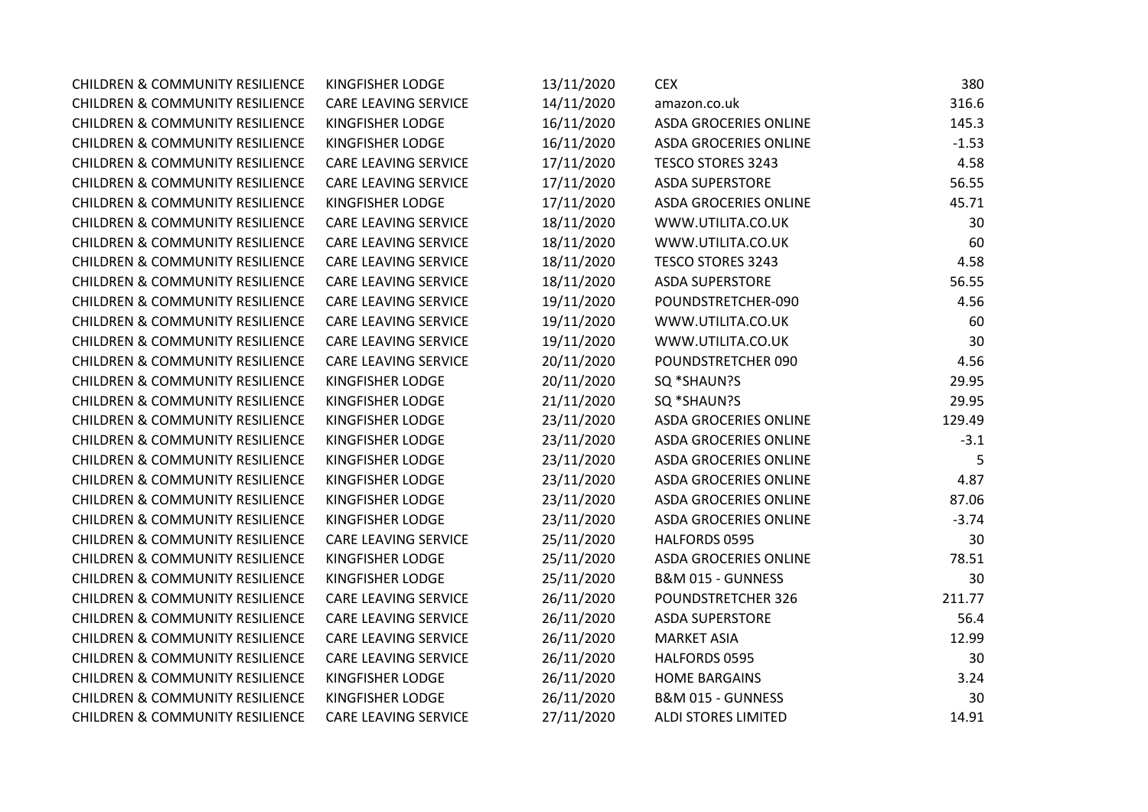| <b>CHILDREN &amp; COMMUNITY RESILIENCE</b> | <b>KINGFISHER LODGE</b>     | 13/11/2020 | <b>CEX</b>                   | 380     |
|--------------------------------------------|-----------------------------|------------|------------------------------|---------|
| <b>CHILDREN &amp; COMMUNITY RESILIENCE</b> | <b>CARE LEAVING SERVICE</b> | 14/11/2020 | amazon.co.uk                 | 316.6   |
| <b>CHILDREN &amp; COMMUNITY RESILIENCE</b> | <b>KINGFISHER LODGE</b>     | 16/11/2020 | ASDA GROCERIES ONLINE        | 145.3   |
| <b>CHILDREN &amp; COMMUNITY RESILIENCE</b> | <b>KINGFISHER LODGE</b>     | 16/11/2020 | ASDA GROCERIES ONLINE        | $-1.53$ |
| <b>CHILDREN &amp; COMMUNITY RESILIENCE</b> | <b>CARE LEAVING SERVICE</b> | 17/11/2020 | <b>TESCO STORES 3243</b>     | 4.58    |
| <b>CHILDREN &amp; COMMUNITY RESILIENCE</b> | <b>CARE LEAVING SERVICE</b> | 17/11/2020 | <b>ASDA SUPERSTORE</b>       | 56.55   |
| <b>CHILDREN &amp; COMMUNITY RESILIENCE</b> | KINGFISHER LODGE            | 17/11/2020 | <b>ASDA GROCERIES ONLINE</b> | 45.71   |
| <b>CHILDREN &amp; COMMUNITY RESILIENCE</b> | <b>CARE LEAVING SERVICE</b> | 18/11/2020 | WWW.UTILITA.CO.UK            | 30      |
| <b>CHILDREN &amp; COMMUNITY RESILIENCE</b> | CARE LEAVING SERVICE        | 18/11/2020 | WWW.UTILITA.CO.UK            | 60      |
| <b>CHILDREN &amp; COMMUNITY RESILIENCE</b> | CARE LEAVING SERVICE        | 18/11/2020 | <b>TESCO STORES 3243</b>     | 4.58    |
| <b>CHILDREN &amp; COMMUNITY RESILIENCE</b> | CARE LEAVING SERVICE        | 18/11/2020 | <b>ASDA SUPERSTORE</b>       | 56.55   |
| <b>CHILDREN &amp; COMMUNITY RESILIENCE</b> | <b>CARE LEAVING SERVICE</b> | 19/11/2020 | POUNDSTRETCHER-090           | 4.56    |
| <b>CHILDREN &amp; COMMUNITY RESILIENCE</b> | <b>CARE LEAVING SERVICE</b> | 19/11/2020 | WWW.UTILITA.CO.UK            | 60      |
| <b>CHILDREN &amp; COMMUNITY RESILIENCE</b> | <b>CARE LEAVING SERVICE</b> | 19/11/2020 | WWW.UTILITA.CO.UK            | 30      |
| <b>CHILDREN &amp; COMMUNITY RESILIENCE</b> | <b>CARE LEAVING SERVICE</b> | 20/11/2020 | POUNDSTRETCHER 090           | 4.56    |
| <b>CHILDREN &amp; COMMUNITY RESILIENCE</b> | <b>KINGFISHER LODGE</b>     | 20/11/2020 | SQ *SHAUN?S                  | 29.95   |
| <b>CHILDREN &amp; COMMUNITY RESILIENCE</b> | <b>KINGFISHER LODGE</b>     | 21/11/2020 | SQ *SHAUN?S                  | 29.95   |
| <b>CHILDREN &amp; COMMUNITY RESILIENCE</b> | KINGFISHER LODGE            | 23/11/2020 | ASDA GROCERIES ONLINE        | 129.49  |
| <b>CHILDREN &amp; COMMUNITY RESILIENCE</b> | <b>KINGFISHER LODGE</b>     | 23/11/2020 | <b>ASDA GROCERIES ONLINE</b> | $-3.1$  |
| <b>CHILDREN &amp; COMMUNITY RESILIENCE</b> | KINGFISHER LODGE            | 23/11/2020 | <b>ASDA GROCERIES ONLINE</b> | 5       |
| <b>CHILDREN &amp; COMMUNITY RESILIENCE</b> | KINGFISHER LODGE            | 23/11/2020 | ASDA GROCERIES ONLINE        | 4.87    |
| <b>CHILDREN &amp; COMMUNITY RESILIENCE</b> | <b>KINGFISHER LODGE</b>     | 23/11/2020 | <b>ASDA GROCERIES ONLINE</b> | 87.06   |
| <b>CHILDREN &amp; COMMUNITY RESILIENCE</b> | KINGFISHER LODGE            | 23/11/2020 | <b>ASDA GROCERIES ONLINE</b> | $-3.74$ |
| <b>CHILDREN &amp; COMMUNITY RESILIENCE</b> | <b>CARE LEAVING SERVICE</b> | 25/11/2020 | HALFORDS 0595                | 30      |
| <b>CHILDREN &amp; COMMUNITY RESILIENCE</b> | <b>KINGFISHER LODGE</b>     | 25/11/2020 | <b>ASDA GROCERIES ONLINE</b> | 78.51   |
| <b>CHILDREN &amp; COMMUNITY RESILIENCE</b> | <b>KINGFISHER LODGE</b>     | 25/11/2020 | B&M 015 - GUNNESS            | 30      |
| <b>CHILDREN &amp; COMMUNITY RESILIENCE</b> | <b>CARE LEAVING SERVICE</b> | 26/11/2020 | POUNDSTRETCHER 326           | 211.77  |
| <b>CHILDREN &amp; COMMUNITY RESILIENCE</b> | CARE LEAVING SERVICE        | 26/11/2020 | <b>ASDA SUPERSTORE</b>       | 56.4    |
| <b>CHILDREN &amp; COMMUNITY RESILIENCE</b> | CARE LEAVING SERVICE        | 26/11/2020 | <b>MARKET ASIA</b>           | 12.99   |
| <b>CHILDREN &amp; COMMUNITY RESILIENCE</b> | <b>CARE LEAVING SERVICE</b> | 26/11/2020 | HALFORDS 0595                | 30      |
| <b>CHILDREN &amp; COMMUNITY RESILIENCE</b> | <b>KINGFISHER LODGE</b>     | 26/11/2020 | <b>HOME BARGAINS</b>         | 3.24    |
| <b>CHILDREN &amp; COMMUNITY RESILIENCE</b> | <b>KINGFISHER LODGE</b>     | 26/11/2020 | B&M 015 - GUNNESS            | 30      |
| <b>CHILDREN &amp; COMMUNITY RESILIENCE</b> | <b>CARE LEAVING SERVICE</b> | 27/11/2020 | <b>ALDI STORES LIMITED</b>   | 14.91   |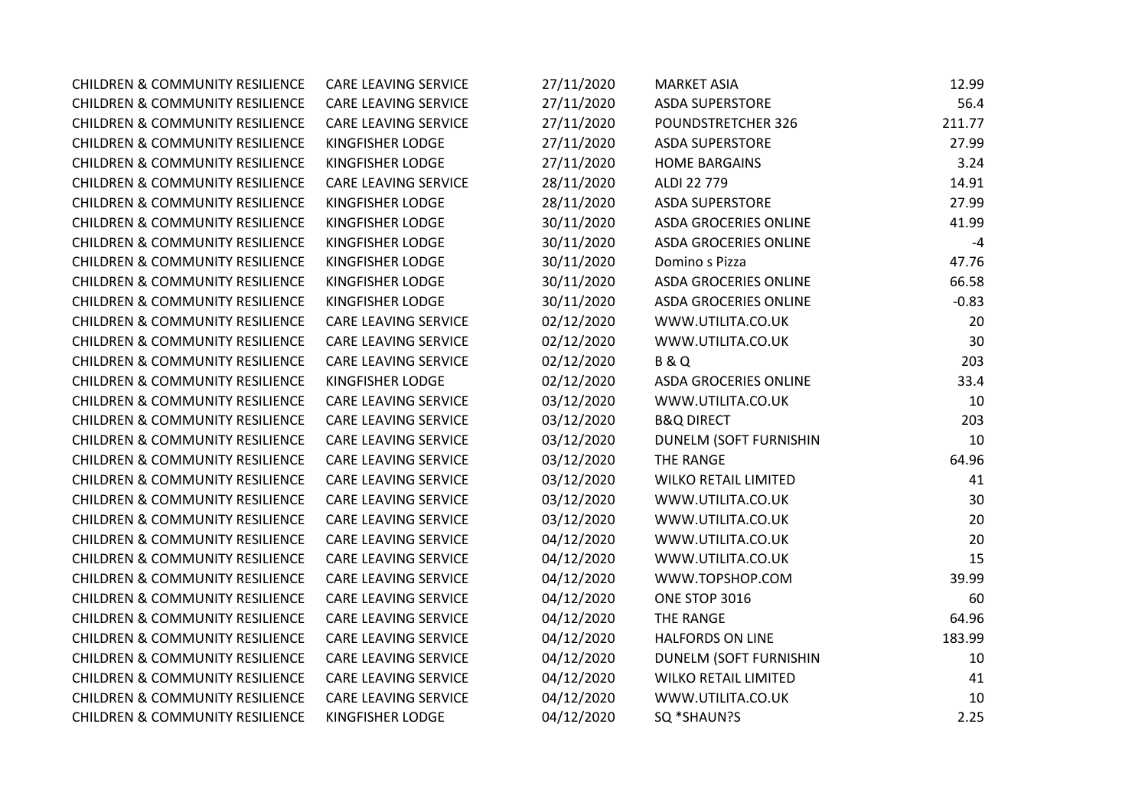| <b>CHILDREN &amp; COMMUNITY RESILIENCE</b> | <b>CARE LEAVING SERVICE</b> | 27/11/2020 | <b>MARKET ASIA</b>           | 12.99   |
|--------------------------------------------|-----------------------------|------------|------------------------------|---------|
| <b>CHILDREN &amp; COMMUNITY RESILIENCE</b> | <b>CARE LEAVING SERVICE</b> | 27/11/2020 | <b>ASDA SUPERSTORE</b>       | 56.4    |
| <b>CHILDREN &amp; COMMUNITY RESILIENCE</b> | <b>CARE LEAVING SERVICE</b> | 27/11/2020 | POUNDSTRETCHER 326           | 211.77  |
| <b>CHILDREN &amp; COMMUNITY RESILIENCE</b> | <b>KINGFISHER LODGE</b>     | 27/11/2020 | <b>ASDA SUPERSTORE</b>       | 27.99   |
| <b>CHILDREN &amp; COMMUNITY RESILIENCE</b> | <b>KINGFISHER LODGE</b>     | 27/11/2020 | <b>HOME BARGAINS</b>         | 3.24    |
| <b>CHILDREN &amp; COMMUNITY RESILIENCE</b> | <b>CARE LEAVING SERVICE</b> | 28/11/2020 | ALDI 22 779                  | 14.91   |
| <b>CHILDREN &amp; COMMUNITY RESILIENCE</b> | <b>KINGFISHER LODGE</b>     | 28/11/2020 | <b>ASDA SUPERSTORE</b>       | 27.99   |
| <b>CHILDREN &amp; COMMUNITY RESILIENCE</b> | <b>KINGFISHER LODGE</b>     | 30/11/2020 | ASDA GROCERIES ONLINE        | 41.99   |
| <b>CHILDREN &amp; COMMUNITY RESILIENCE</b> | KINGFISHER LODGE            | 30/11/2020 | ASDA GROCERIES ONLINE        | $-4$    |
| <b>CHILDREN &amp; COMMUNITY RESILIENCE</b> | <b>KINGFISHER LODGE</b>     | 30/11/2020 | Domino s Pizza               | 47.76   |
| <b>CHILDREN &amp; COMMUNITY RESILIENCE</b> | <b>KINGFISHER LODGE</b>     | 30/11/2020 | <b>ASDA GROCERIES ONLINE</b> | 66.58   |
| <b>CHILDREN &amp; COMMUNITY RESILIENCE</b> | KINGFISHER LODGE            | 30/11/2020 | ASDA GROCERIES ONLINE        | $-0.83$ |
| <b>CHILDREN &amp; COMMUNITY RESILIENCE</b> | <b>CARE LEAVING SERVICE</b> | 02/12/2020 | WWW.UTILITA.CO.UK            | 20      |
| <b>CHILDREN &amp; COMMUNITY RESILIENCE</b> | <b>CARE LEAVING SERVICE</b> | 02/12/2020 | WWW.UTILITA.CO.UK            | 30      |
| <b>CHILDREN &amp; COMMUNITY RESILIENCE</b> | CARE LEAVING SERVICE        | 02/12/2020 | <b>B&amp;Q</b>               | 203     |
| <b>CHILDREN &amp; COMMUNITY RESILIENCE</b> | <b>KINGFISHER LODGE</b>     | 02/12/2020 | <b>ASDA GROCERIES ONLINE</b> | 33.4    |
| <b>CHILDREN &amp; COMMUNITY RESILIENCE</b> | CARE LEAVING SERVICE        | 03/12/2020 | WWW.UTILITA.CO.UK            | 10      |
| <b>CHILDREN &amp; COMMUNITY RESILIENCE</b> | CARE LEAVING SERVICE        | 03/12/2020 | <b>B&amp;Q DIRECT</b>        | 203     |
| <b>CHILDREN &amp; COMMUNITY RESILIENCE</b> | CARE LEAVING SERVICE        | 03/12/2020 | DUNELM (SOFT FURNISHIN       | 10      |
| <b>CHILDREN &amp; COMMUNITY RESILIENCE</b> | CARE LEAVING SERVICE        | 03/12/2020 | THE RANGE                    | 64.96   |
| <b>CHILDREN &amp; COMMUNITY RESILIENCE</b> | CARE LEAVING SERVICE        | 03/12/2020 | <b>WILKO RETAIL LIMITED</b>  | 41      |
| <b>CHILDREN &amp; COMMUNITY RESILIENCE</b> | <b>CARE LEAVING SERVICE</b> | 03/12/2020 | WWW.UTILITA.CO.UK            | 30      |
| <b>CHILDREN &amp; COMMUNITY RESILIENCE</b> | CARE LEAVING SERVICE        | 03/12/2020 | WWW.UTILITA.CO.UK            | 20      |
| <b>CHILDREN &amp; COMMUNITY RESILIENCE</b> | <b>CARE LEAVING SERVICE</b> | 04/12/2020 | WWW.UTILITA.CO.UK            | 20      |
| <b>CHILDREN &amp; COMMUNITY RESILIENCE</b> | CARE LEAVING SERVICE        | 04/12/2020 | WWW.UTILITA.CO.UK            | 15      |
| <b>CHILDREN &amp; COMMUNITY RESILIENCE</b> | CARE LEAVING SERVICE        | 04/12/2020 | WWW.TOPSHOP.COM              | 39.99   |
| <b>CHILDREN &amp; COMMUNITY RESILIENCE</b> | CARE LEAVING SERVICE        | 04/12/2020 | ONE STOP 3016                | 60      |
| <b>CHILDREN &amp; COMMUNITY RESILIENCE</b> | <b>CARE LEAVING SERVICE</b> | 04/12/2020 | THE RANGE                    | 64.96   |
| <b>CHILDREN &amp; COMMUNITY RESILIENCE</b> | CARE LEAVING SERVICE        | 04/12/2020 | <b>HALFORDS ON LINE</b>      | 183.99  |
| <b>CHILDREN &amp; COMMUNITY RESILIENCE</b> | CARE LEAVING SERVICE        | 04/12/2020 | DUNELM (SOFT FURNISHIN       | 10      |
| <b>CHILDREN &amp; COMMUNITY RESILIENCE</b> | CARE LEAVING SERVICE        | 04/12/2020 | <b>WILKO RETAIL LIMITED</b>  | 41      |
| <b>CHILDREN &amp; COMMUNITY RESILIENCE</b> | CARE LEAVING SERVICE        | 04/12/2020 | WWW.UTILITA.CO.UK            | 10      |
| <b>CHILDREN &amp; COMMUNITY RESILIENCE</b> | <b>KINGFISHER LODGE</b>     | 04/12/2020 | SQ *SHAUN?S                  | 2.25    |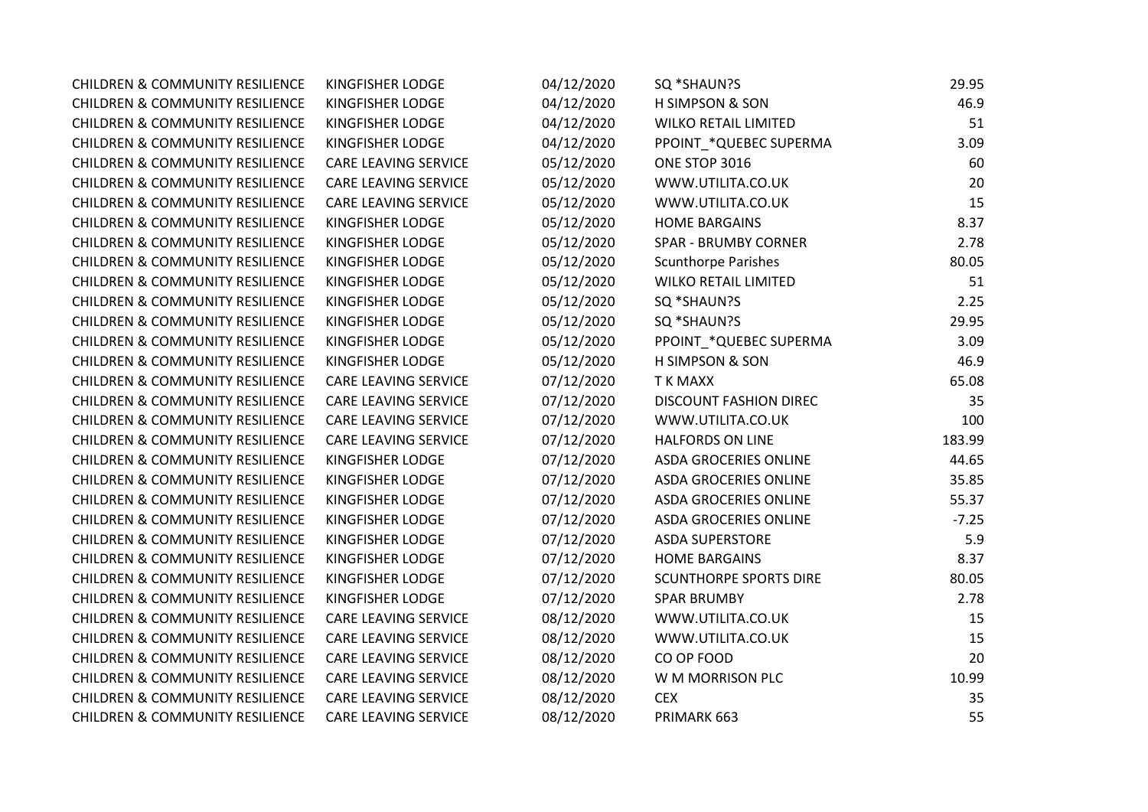| <b>CHILDREN &amp; COMMUNITY RESILIENCE</b> | KINGFISHER LODGE            | 04/12/2020 | SQ *SHAUN?S                   | 29.95   |
|--------------------------------------------|-----------------------------|------------|-------------------------------|---------|
| <b>CHILDREN &amp; COMMUNITY RESILIENCE</b> | KINGFISHER LODGE            | 04/12/2020 | <b>H SIMPSON &amp; SON</b>    | 46.9    |
| <b>CHILDREN &amp; COMMUNITY RESILIENCE</b> | KINGFISHER LODGE            | 04/12/2020 | <b>WILKO RETAIL LIMITED</b>   | 51      |
| <b>CHILDREN &amp; COMMUNITY RESILIENCE</b> | KINGFISHER LODGE            | 04/12/2020 | PPOINT *QUEBEC SUPERMA        | 3.09    |
| <b>CHILDREN &amp; COMMUNITY RESILIENCE</b> | <b>CARE LEAVING SERVICE</b> | 05/12/2020 | ONE STOP 3016                 | 60      |
| <b>CHILDREN &amp; COMMUNITY RESILIENCE</b> | <b>CARE LEAVING SERVICE</b> | 05/12/2020 | WWW.UTILITA.CO.UK             | 20      |
| <b>CHILDREN &amp; COMMUNITY RESILIENCE</b> | <b>CARE LEAVING SERVICE</b> | 05/12/2020 | WWW.UTILITA.CO.UK             | 15      |
| <b>CHILDREN &amp; COMMUNITY RESILIENCE</b> | KINGFISHER LODGE            | 05/12/2020 | <b>HOME BARGAINS</b>          | 8.37    |
| <b>CHILDREN &amp; COMMUNITY RESILIENCE</b> | KINGFISHER LODGE            | 05/12/2020 | <b>SPAR - BRUMBY CORNER</b>   | 2.78    |
| <b>CHILDREN &amp; COMMUNITY RESILIENCE</b> | KINGFISHER LODGE            | 05/12/2020 | <b>Scunthorpe Parishes</b>    | 80.05   |
| <b>CHILDREN &amp; COMMUNITY RESILIENCE</b> | KINGFISHER LODGE            | 05/12/2020 | <b>WILKO RETAIL LIMITED</b>   | 51      |
| <b>CHILDREN &amp; COMMUNITY RESILIENCE</b> | KINGFISHER LODGE            | 05/12/2020 | SQ *SHAUN?S                   | 2.25    |
| <b>CHILDREN &amp; COMMUNITY RESILIENCE</b> | KINGFISHER LODGE            | 05/12/2020 | SQ *SHAUN?S                   | 29.95   |
| <b>CHILDREN &amp; COMMUNITY RESILIENCE</b> | KINGFISHER LODGE            | 05/12/2020 | PPOINT_*QUEBEC SUPERMA        | 3.09    |
| <b>CHILDREN &amp; COMMUNITY RESILIENCE</b> | KINGFISHER LODGE            | 05/12/2020 | H SIMPSON & SON               | 46.9    |
| <b>CHILDREN &amp; COMMUNITY RESILIENCE</b> | <b>CARE LEAVING SERVICE</b> | 07/12/2020 | T K MAXX                      | 65.08   |
| <b>CHILDREN &amp; COMMUNITY RESILIENCE</b> | CARE LEAVING SERVICE        | 07/12/2020 | <b>DISCOUNT FASHION DIREC</b> | 35      |
| <b>CHILDREN &amp; COMMUNITY RESILIENCE</b> | CARE LEAVING SERVICE        | 07/12/2020 | WWW.UTILITA.CO.UK             | 100     |
| <b>CHILDREN &amp; COMMUNITY RESILIENCE</b> | <b>CARE LEAVING SERVICE</b> | 07/12/2020 | <b>HALFORDS ON LINE</b>       | 183.99  |
| <b>CHILDREN &amp; COMMUNITY RESILIENCE</b> | KINGFISHER LODGE            | 07/12/2020 | <b>ASDA GROCERIES ONLINE</b>  | 44.65   |
| <b>CHILDREN &amp; COMMUNITY RESILIENCE</b> | KINGFISHER LODGE            | 07/12/2020 | ASDA GROCERIES ONLINE         | 35.85   |
| <b>CHILDREN &amp; COMMUNITY RESILIENCE</b> | KINGFISHER LODGE            | 07/12/2020 | ASDA GROCERIES ONLINE         | 55.37   |
| <b>CHILDREN &amp; COMMUNITY RESILIENCE</b> | KINGFISHER LODGE            | 07/12/2020 | <b>ASDA GROCERIES ONLINE</b>  | $-7.25$ |
| <b>CHILDREN &amp; COMMUNITY RESILIENCE</b> | KINGFISHER LODGE            | 07/12/2020 | <b>ASDA SUPERSTORE</b>        | 5.9     |
| <b>CHILDREN &amp; COMMUNITY RESILIENCE</b> | KINGFISHER LODGE            | 07/12/2020 | <b>HOME BARGAINS</b>          | 8.37    |
| <b>CHILDREN &amp; COMMUNITY RESILIENCE</b> | KINGFISHER LODGE            | 07/12/2020 | <b>SCUNTHORPE SPORTS DIRE</b> | 80.05   |
| <b>CHILDREN &amp; COMMUNITY RESILIENCE</b> | KINGFISHER LODGE            | 07/12/2020 | <b>SPAR BRUMBY</b>            | 2.78    |
| <b>CHILDREN &amp; COMMUNITY RESILIENCE</b> | <b>CARE LEAVING SERVICE</b> | 08/12/2020 | WWW.UTILITA.CO.UK             | 15      |
| <b>CHILDREN &amp; COMMUNITY RESILIENCE</b> | CARE LEAVING SERVICE        | 08/12/2020 | WWW.UTILITA.CO.UK             | 15      |
| <b>CHILDREN &amp; COMMUNITY RESILIENCE</b> | CARE LEAVING SERVICE        | 08/12/2020 | CO OP FOOD                    | 20      |
| <b>CHILDREN &amp; COMMUNITY RESILIENCE</b> | CARE LEAVING SERVICE        | 08/12/2020 | W M MORRISON PLC              | 10.99   |
| <b>CHILDREN &amp; COMMUNITY RESILIENCE</b> | CARE LEAVING SERVICE        | 08/12/2020 | <b>CEX</b>                    | 35      |
| <b>CHILDREN &amp; COMMUNITY RESILIENCE</b> | <b>CARE LEAVING SERVICE</b> | 08/12/2020 | PRIMARK 663                   | 55      |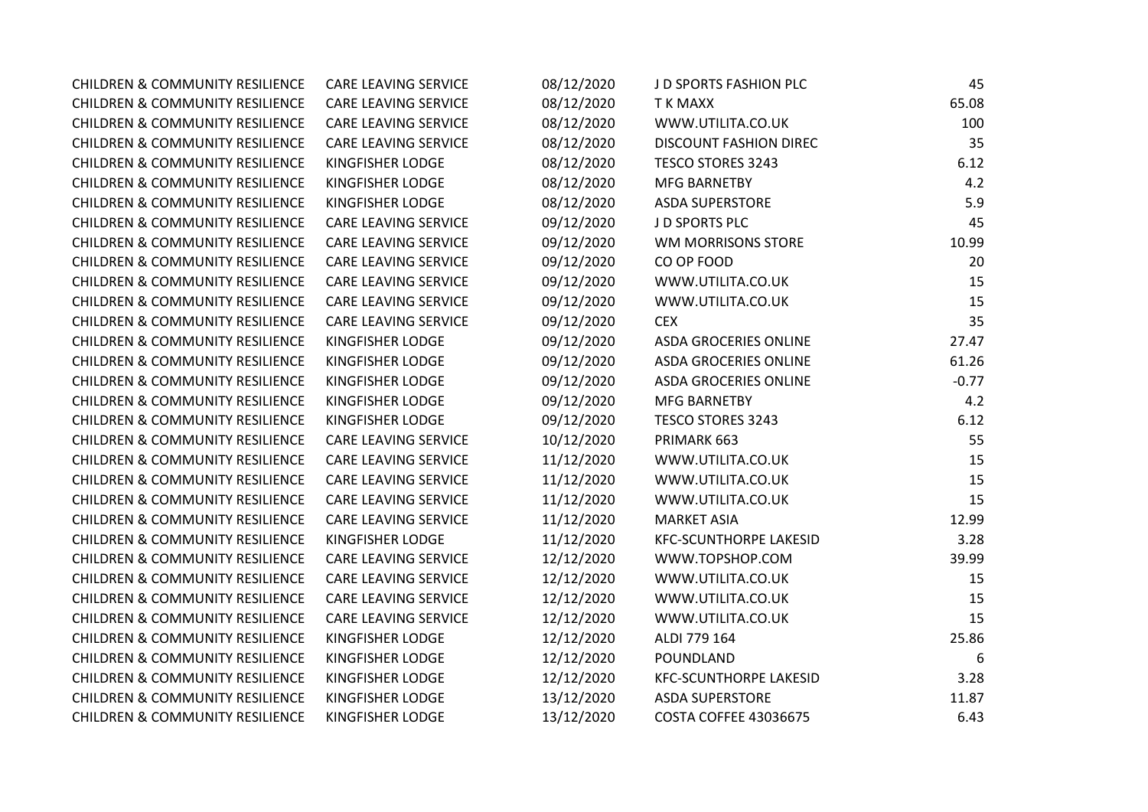| <b>CHILDREN &amp; COMMUNITY RESILIENCE</b> | <b>CARE LEAVING SERVICE</b> | 08/12/2020 | J D SPORTS FASHION PLC        | 45      |
|--------------------------------------------|-----------------------------|------------|-------------------------------|---------|
| <b>CHILDREN &amp; COMMUNITY RESILIENCE</b> | <b>CARE LEAVING SERVICE</b> | 08/12/2020 | <b>TK MAXX</b>                | 65.08   |
| <b>CHILDREN &amp; COMMUNITY RESILIENCE</b> | <b>CARE LEAVING SERVICE</b> | 08/12/2020 | WWW.UTILITA.CO.UK             | 100     |
| <b>CHILDREN &amp; COMMUNITY RESILIENCE</b> | <b>CARE LEAVING SERVICE</b> | 08/12/2020 | <b>DISCOUNT FASHION DIREC</b> | 35      |
| <b>CHILDREN &amp; COMMUNITY RESILIENCE</b> | KINGFISHER LODGE            | 08/12/2020 | TESCO STORES 3243             | 6.12    |
| <b>CHILDREN &amp; COMMUNITY RESILIENCE</b> | KINGFISHER LODGE            | 08/12/2020 | <b>MFG BARNETBY</b>           | 4.2     |
| <b>CHILDREN &amp; COMMUNITY RESILIENCE</b> | KINGFISHER LODGE            | 08/12/2020 | <b>ASDA SUPERSTORE</b>        | 5.9     |
| <b>CHILDREN &amp; COMMUNITY RESILIENCE</b> | <b>CARE LEAVING SERVICE</b> | 09/12/2020 | J D SPORTS PLC                | 45      |
| <b>CHILDREN &amp; COMMUNITY RESILIENCE</b> | CARE LEAVING SERVICE        | 09/12/2020 | WM MORRISONS STORE            | 10.99   |
| <b>CHILDREN &amp; COMMUNITY RESILIENCE</b> | CARE LEAVING SERVICE        | 09/12/2020 | CO OP FOOD                    | 20      |
| <b>CHILDREN &amp; COMMUNITY RESILIENCE</b> | <b>CARE LEAVING SERVICE</b> | 09/12/2020 | WWW.UTILITA.CO.UK             | 15      |
| <b>CHILDREN &amp; COMMUNITY RESILIENCE</b> | CARE LEAVING SERVICE        | 09/12/2020 | WWW.UTILITA.CO.UK             | 15      |
| <b>CHILDREN &amp; COMMUNITY RESILIENCE</b> | CARE LEAVING SERVICE        | 09/12/2020 | <b>CEX</b>                    | 35      |
| <b>CHILDREN &amp; COMMUNITY RESILIENCE</b> | <b>KINGFISHER LODGE</b>     | 09/12/2020 | <b>ASDA GROCERIES ONLINE</b>  | 27.47   |
| <b>CHILDREN &amp; COMMUNITY RESILIENCE</b> | <b>KINGFISHER LODGE</b>     | 09/12/2020 | <b>ASDA GROCERIES ONLINE</b>  | 61.26   |
| <b>CHILDREN &amp; COMMUNITY RESILIENCE</b> | KINGFISHER LODGE            | 09/12/2020 | <b>ASDA GROCERIES ONLINE</b>  | $-0.77$ |
| <b>CHILDREN &amp; COMMUNITY RESILIENCE</b> | <b>KINGFISHER LODGE</b>     | 09/12/2020 | <b>MFG BARNETBY</b>           | 4.2     |
| <b>CHILDREN &amp; COMMUNITY RESILIENCE</b> | KINGFISHER LODGE            | 09/12/2020 | <b>TESCO STORES 3243</b>      | 6.12    |
| <b>CHILDREN &amp; COMMUNITY RESILIENCE</b> | CARE LEAVING SERVICE        | 10/12/2020 | PRIMARK 663                   | 55      |
| <b>CHILDREN &amp; COMMUNITY RESILIENCE</b> | CARE LEAVING SERVICE        | 11/12/2020 | WWW.UTILITA.CO.UK             | 15      |
| <b>CHILDREN &amp; COMMUNITY RESILIENCE</b> | CARE LEAVING SERVICE        | 11/12/2020 | WWW.UTILITA.CO.UK             | 15      |
| <b>CHILDREN &amp; COMMUNITY RESILIENCE</b> | <b>CARE LEAVING SERVICE</b> | 11/12/2020 | WWW.UTILITA.CO.UK             | 15      |
| <b>CHILDREN &amp; COMMUNITY RESILIENCE</b> | <b>CARE LEAVING SERVICE</b> | 11/12/2020 | <b>MARKET ASIA</b>            | 12.99   |
| <b>CHILDREN &amp; COMMUNITY RESILIENCE</b> | <b>KINGFISHER LODGE</b>     | 11/12/2020 | <b>KFC-SCUNTHORPE LAKESID</b> | 3.28    |
| <b>CHILDREN &amp; COMMUNITY RESILIENCE</b> | <b>CARE LEAVING SERVICE</b> | 12/12/2020 | WWW.TOPSHOP.COM               | 39.99   |
| <b>CHILDREN &amp; COMMUNITY RESILIENCE</b> | <b>CARE LEAVING SERVICE</b> | 12/12/2020 | WWW.UTILITA.CO.UK             | 15      |
| <b>CHILDREN &amp; COMMUNITY RESILIENCE</b> | <b>CARE LEAVING SERVICE</b> | 12/12/2020 | WWW.UTILITA.CO.UK             | 15      |
| <b>CHILDREN &amp; COMMUNITY RESILIENCE</b> | CARE LEAVING SERVICE        | 12/12/2020 | WWW.UTILITA.CO.UK             | 15      |
| <b>CHILDREN &amp; COMMUNITY RESILIENCE</b> | KINGFISHER LODGE            | 12/12/2020 | ALDI 779 164                  | 25.86   |
| <b>CHILDREN &amp; COMMUNITY RESILIENCE</b> | KINGFISHER LODGE            | 12/12/2020 | POUNDLAND                     | 6       |
| <b>CHILDREN &amp; COMMUNITY RESILIENCE</b> | <b>KINGFISHER LODGE</b>     | 12/12/2020 | <b>KFC-SCUNTHORPE LAKESID</b> | 3.28    |
| <b>CHILDREN &amp; COMMUNITY RESILIENCE</b> | KINGFISHER LODGE            | 13/12/2020 | <b>ASDA SUPERSTORE</b>        | 11.87   |
| <b>CHILDREN &amp; COMMUNITY RESILIENCE</b> | <b>KINGFISHER LODGE</b>     | 13/12/2020 | <b>COSTA COFFEE 43036675</b>  | 6.43    |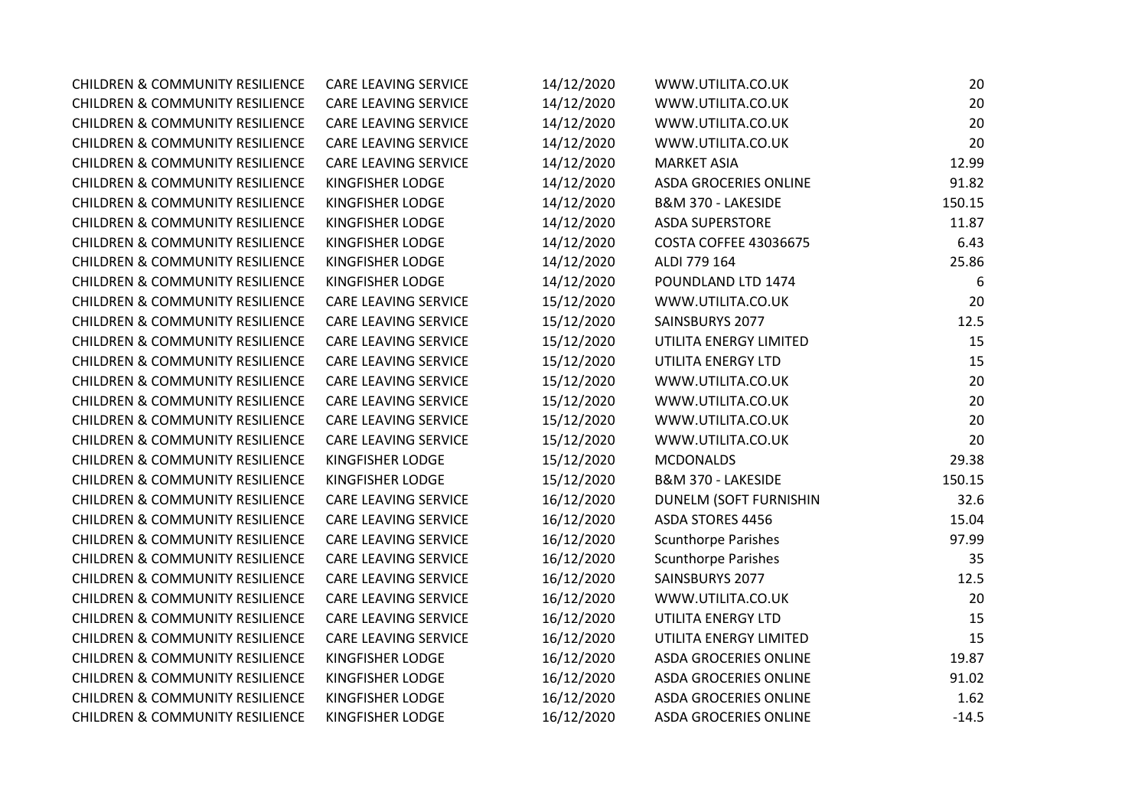| <b>CHILDREN &amp; COMMUNITY RESILIENCE</b> | <b>CARE LEAVING SERVICE</b> | 14/12/2020 | WWW.UTILITA.CO.UK            | 20      |
|--------------------------------------------|-----------------------------|------------|------------------------------|---------|
| <b>CHILDREN &amp; COMMUNITY RESILIENCE</b> | CARE LEAVING SERVICE        | 14/12/2020 | WWW.UTILITA.CO.UK            | 20      |
| <b>CHILDREN &amp; COMMUNITY RESILIENCE</b> | CARE LEAVING SERVICE        | 14/12/2020 | WWW.UTILITA.CO.UK            | 20      |
| <b>CHILDREN &amp; COMMUNITY RESILIENCE</b> | CARE LEAVING SERVICE        | 14/12/2020 | WWW.UTILITA.CO.UK            | 20      |
| <b>CHILDREN &amp; COMMUNITY RESILIENCE</b> | CARE LEAVING SERVICE        | 14/12/2020 | <b>MARKET ASIA</b>           | 12.99   |
| <b>CHILDREN &amp; COMMUNITY RESILIENCE</b> | KINGFISHER LODGE            | 14/12/2020 | <b>ASDA GROCERIES ONLINE</b> | 91.82   |
| <b>CHILDREN &amp; COMMUNITY RESILIENCE</b> | KINGFISHER LODGE            | 14/12/2020 | B&M 370 - LAKESIDE           | 150.15  |
| <b>CHILDREN &amp; COMMUNITY RESILIENCE</b> | KINGFISHER LODGE            | 14/12/2020 | <b>ASDA SUPERSTORE</b>       | 11.87   |
| <b>CHILDREN &amp; COMMUNITY RESILIENCE</b> | KINGFISHER LODGE            | 14/12/2020 | <b>COSTA COFFEE 43036675</b> | 6.43    |
| <b>CHILDREN &amp; COMMUNITY RESILIENCE</b> | KINGFISHER LODGE            | 14/12/2020 | ALDI 779 164                 | 25.86   |
| <b>CHILDREN &amp; COMMUNITY RESILIENCE</b> | KINGFISHER LODGE            | 14/12/2020 | POUNDLAND LTD 1474           | 6       |
| <b>CHILDREN &amp; COMMUNITY RESILIENCE</b> | CARE LEAVING SERVICE        | 15/12/2020 | WWW.UTILITA.CO.UK            | 20      |
| <b>CHILDREN &amp; COMMUNITY RESILIENCE</b> | CARE LEAVING SERVICE        | 15/12/2020 | SAINSBURYS 2077              | 12.5    |
| <b>CHILDREN &amp; COMMUNITY RESILIENCE</b> | CARE LEAVING SERVICE        | 15/12/2020 | UTILITA ENERGY LIMITED       | 15      |
| <b>CHILDREN &amp; COMMUNITY RESILIENCE</b> | CARE LEAVING SERVICE        | 15/12/2020 | UTILITA ENERGY LTD           | 15      |
| <b>CHILDREN &amp; COMMUNITY RESILIENCE</b> | CARE LEAVING SERVICE        | 15/12/2020 | WWW.UTILITA.CO.UK            | 20      |
| <b>CHILDREN &amp; COMMUNITY RESILIENCE</b> | CARE LEAVING SERVICE        | 15/12/2020 | WWW.UTILITA.CO.UK            | 20      |
| <b>CHILDREN &amp; COMMUNITY RESILIENCE</b> | CARE LEAVING SERVICE        | 15/12/2020 | WWW.UTILITA.CO.UK            | 20      |
| <b>CHILDREN &amp; COMMUNITY RESILIENCE</b> | CARE LEAVING SERVICE        | 15/12/2020 | WWW.UTILITA.CO.UK            | 20      |
| <b>CHILDREN &amp; COMMUNITY RESILIENCE</b> | KINGFISHER LODGE            | 15/12/2020 | <b>MCDONALDS</b>             | 29.38   |
| <b>CHILDREN &amp; COMMUNITY RESILIENCE</b> | KINGFISHER LODGE            | 15/12/2020 | B&M 370 - LAKESIDE           | 150.15  |
| <b>CHILDREN &amp; COMMUNITY RESILIENCE</b> | CARE LEAVING SERVICE        | 16/12/2020 | DUNELM (SOFT FURNISHIN       | 32.6    |
| <b>CHILDREN &amp; COMMUNITY RESILIENCE</b> | CARE LEAVING SERVICE        | 16/12/2020 | ASDA STORES 4456             | 15.04   |
| <b>CHILDREN &amp; COMMUNITY RESILIENCE</b> | CARE LEAVING SERVICE        | 16/12/2020 | <b>Scunthorpe Parishes</b>   | 97.99   |
| <b>CHILDREN &amp; COMMUNITY RESILIENCE</b> | CARE LEAVING SERVICE        | 16/12/2020 | <b>Scunthorpe Parishes</b>   | 35      |
| <b>CHILDREN &amp; COMMUNITY RESILIENCE</b> | CARE LEAVING SERVICE        | 16/12/2020 | SAINSBURYS 2077              | 12.5    |
| <b>CHILDREN &amp; COMMUNITY RESILIENCE</b> | CARE LEAVING SERVICE        | 16/12/2020 | WWW.UTILITA.CO.UK            | 20      |
| <b>CHILDREN &amp; COMMUNITY RESILIENCE</b> | CARE LEAVING SERVICE        | 16/12/2020 | UTILITA ENERGY LTD           | 15      |
| <b>CHILDREN &amp; COMMUNITY RESILIENCE</b> | CARE LEAVING SERVICE        | 16/12/2020 | UTILITA ENERGY LIMITED       | 15      |
| <b>CHILDREN &amp; COMMUNITY RESILIENCE</b> | KINGFISHER LODGE            | 16/12/2020 | <b>ASDA GROCERIES ONLINE</b> | 19.87   |
| <b>CHILDREN &amp; COMMUNITY RESILIENCE</b> | KINGFISHER LODGE            | 16/12/2020 | <b>ASDA GROCERIES ONLINE</b> | 91.02   |
| <b>CHILDREN &amp; COMMUNITY RESILIENCE</b> | KINGFISHER LODGE            | 16/12/2020 | ASDA GROCERIES ONLINE        | 1.62    |
| <b>CHILDREN &amp; COMMUNITY RESILIENCE</b> | KINGFISHER LODGE            | 16/12/2020 | <b>ASDA GROCERIES ONLINE</b> | $-14.5$ |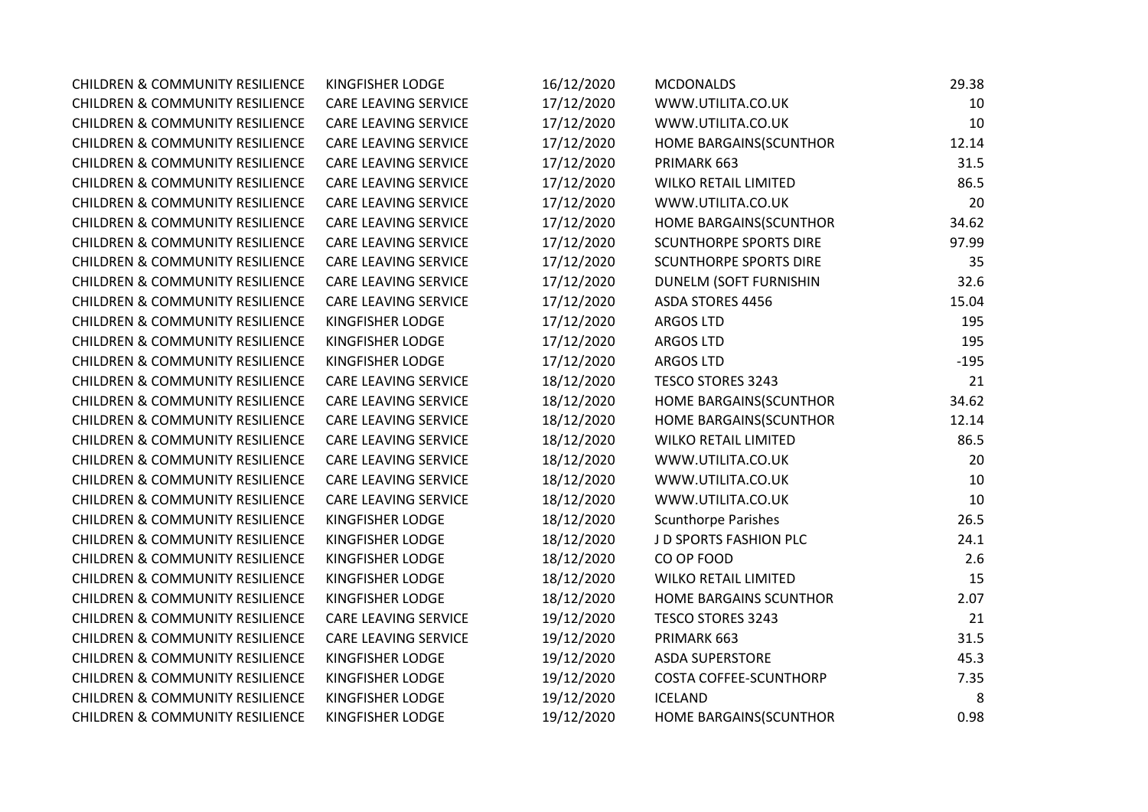| <b>CHILDREN &amp; COMMUNITY RESILIENCE</b> | <b>KINGFISHER LODGE</b>     | 16/12/2020 | <b>MCDONALDS</b>              | 29.38  |
|--------------------------------------------|-----------------------------|------------|-------------------------------|--------|
| <b>CHILDREN &amp; COMMUNITY RESILIENCE</b> | <b>CARE LEAVING SERVICE</b> | 17/12/2020 | WWW.UTILITA.CO.UK             | 10     |
| <b>CHILDREN &amp; COMMUNITY RESILIENCE</b> | CARE LEAVING SERVICE        | 17/12/2020 | WWW.UTILITA.CO.UK             | 10     |
| <b>CHILDREN &amp; COMMUNITY RESILIENCE</b> | <b>CARE LEAVING SERVICE</b> | 17/12/2020 | HOME BARGAINS(SCUNTHOR        | 12.14  |
| <b>CHILDREN &amp; COMMUNITY RESILIENCE</b> | <b>CARE LEAVING SERVICE</b> | 17/12/2020 | PRIMARK 663                   | 31.5   |
| <b>CHILDREN &amp; COMMUNITY RESILIENCE</b> | CARE LEAVING SERVICE        | 17/12/2020 | <b>WILKO RETAIL LIMITED</b>   | 86.5   |
| <b>CHILDREN &amp; COMMUNITY RESILIENCE</b> | CARE LEAVING SERVICE        | 17/12/2020 | WWW.UTILITA.CO.UK             | 20     |
| <b>CHILDREN &amp; COMMUNITY RESILIENCE</b> | CARE LEAVING SERVICE        | 17/12/2020 | HOME BARGAINS(SCUNTHOR        | 34.62  |
| <b>CHILDREN &amp; COMMUNITY RESILIENCE</b> | <b>CARE LEAVING SERVICE</b> | 17/12/2020 | <b>SCUNTHORPE SPORTS DIRE</b> | 97.99  |
| <b>CHILDREN &amp; COMMUNITY RESILIENCE</b> | CARE LEAVING SERVICE        | 17/12/2020 | <b>SCUNTHORPE SPORTS DIRE</b> | 35     |
| <b>CHILDREN &amp; COMMUNITY RESILIENCE</b> | <b>CARE LEAVING SERVICE</b> | 17/12/2020 | DUNELM (SOFT FURNISHIN        | 32.6   |
| <b>CHILDREN &amp; COMMUNITY RESILIENCE</b> | CARE LEAVING SERVICE        | 17/12/2020 | ASDA STORES 4456              | 15.04  |
| <b>CHILDREN &amp; COMMUNITY RESILIENCE</b> | KINGFISHER LODGE            | 17/12/2020 | <b>ARGOS LTD</b>              | 195    |
| <b>CHILDREN &amp; COMMUNITY RESILIENCE</b> | KINGFISHER LODGE            | 17/12/2020 | ARGOS LTD                     | 195    |
| <b>CHILDREN &amp; COMMUNITY RESILIENCE</b> | KINGFISHER LODGE            | 17/12/2020 | <b>ARGOS LTD</b>              | $-195$ |
| <b>CHILDREN &amp; COMMUNITY RESILIENCE</b> | CARE LEAVING SERVICE        | 18/12/2020 | <b>TESCO STORES 3243</b>      | 21     |
| <b>CHILDREN &amp; COMMUNITY RESILIENCE</b> | CARE LEAVING SERVICE        | 18/12/2020 | HOME BARGAINS(SCUNTHOR        | 34.62  |
| <b>CHILDREN &amp; COMMUNITY RESILIENCE</b> | CARE LEAVING SERVICE        | 18/12/2020 | HOME BARGAINS(SCUNTHOR        | 12.14  |
| <b>CHILDREN &amp; COMMUNITY RESILIENCE</b> | CARE LEAVING SERVICE        | 18/12/2020 | <b>WILKO RETAIL LIMITED</b>   | 86.5   |
| <b>CHILDREN &amp; COMMUNITY RESILIENCE</b> | <b>CARE LEAVING SERVICE</b> | 18/12/2020 | WWW.UTILITA.CO.UK             | 20     |
| <b>CHILDREN &amp; COMMUNITY RESILIENCE</b> | CARE LEAVING SERVICE        | 18/12/2020 | WWW.UTILITA.CO.UK             | 10     |
| <b>CHILDREN &amp; COMMUNITY RESILIENCE</b> | <b>CARE LEAVING SERVICE</b> | 18/12/2020 | WWW.UTILITA.CO.UK             | 10     |
| <b>CHILDREN &amp; COMMUNITY RESILIENCE</b> | <b>KINGFISHER LODGE</b>     | 18/12/2020 | <b>Scunthorpe Parishes</b>    | 26.5   |
| <b>CHILDREN &amp; COMMUNITY RESILIENCE</b> | <b>KINGFISHER LODGE</b>     | 18/12/2020 | J D SPORTS FASHION PLC        | 24.1   |
| <b>CHILDREN &amp; COMMUNITY RESILIENCE</b> | KINGFISHER LODGE            | 18/12/2020 | CO OP FOOD                    | 2.6    |
| <b>CHILDREN &amp; COMMUNITY RESILIENCE</b> | <b>KINGFISHER LODGE</b>     | 18/12/2020 | <b>WILKO RETAIL LIMITED</b>   | 15     |
| <b>CHILDREN &amp; COMMUNITY RESILIENCE</b> | <b>KINGFISHER LODGE</b>     | 18/12/2020 | HOME BARGAINS SCUNTHOR        | 2.07   |
| <b>CHILDREN &amp; COMMUNITY RESILIENCE</b> | CARE LEAVING SERVICE        | 19/12/2020 | <b>TESCO STORES 3243</b>      | 21     |
| <b>CHILDREN &amp; COMMUNITY RESILIENCE</b> | CARE LEAVING SERVICE        | 19/12/2020 | PRIMARK 663                   | 31.5   |
| <b>CHILDREN &amp; COMMUNITY RESILIENCE</b> | KINGFISHER LODGE            | 19/12/2020 | <b>ASDA SUPERSTORE</b>        | 45.3   |
| <b>CHILDREN &amp; COMMUNITY RESILIENCE</b> | <b>KINGFISHER LODGE</b>     | 19/12/2020 | <b>COSTA COFFEE-SCUNTHORP</b> | 7.35   |
| <b>CHILDREN &amp; COMMUNITY RESILIENCE</b> | KINGFISHER LODGE            | 19/12/2020 | <b>ICELAND</b>                | 8      |
| <b>CHILDREN &amp; COMMUNITY RESILIENCE</b> | <b>KINGFISHER LODGE</b>     | 19/12/2020 | HOME BARGAINS(SCUNTHOR        | 0.98   |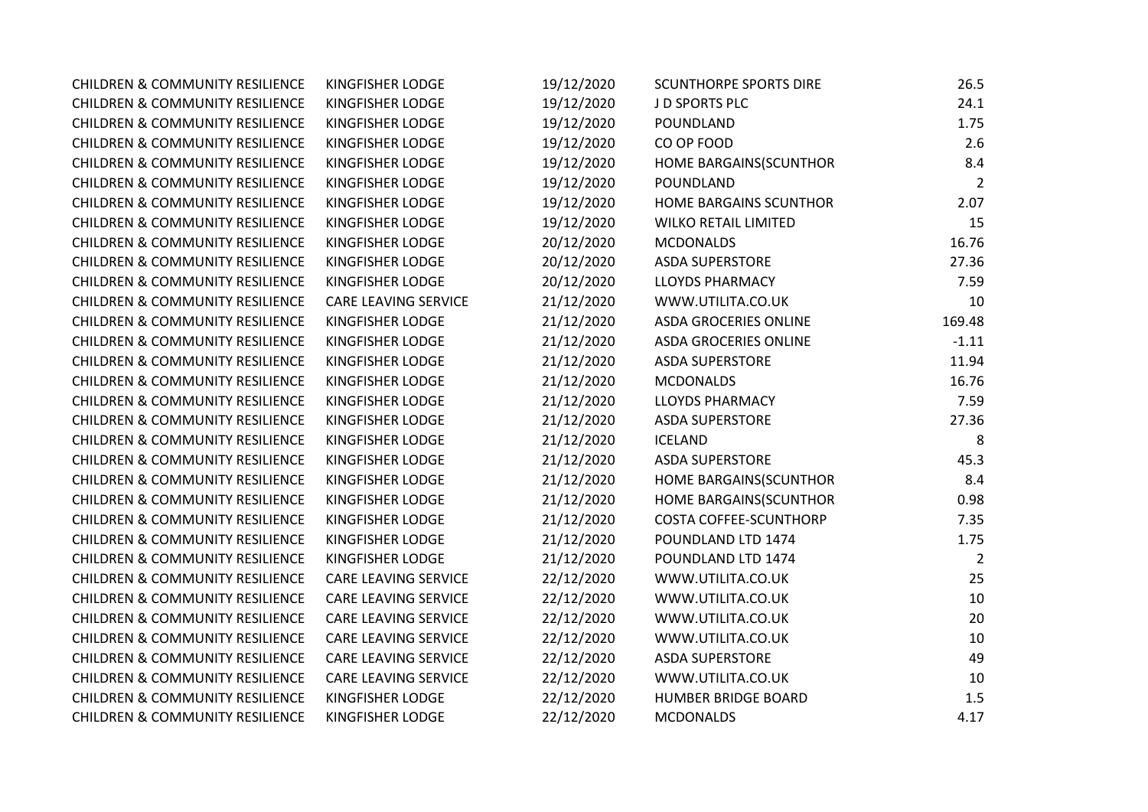| <b>CHILDREN &amp; COMMUNITY RESILIENCE</b> | KINGFISHER LODGE            | 19/12/2020 | <b>SCUNTHORPE SPORTS DIRE</b> | 26.5           |
|--------------------------------------------|-----------------------------|------------|-------------------------------|----------------|
| <b>CHILDREN &amp; COMMUNITY RESILIENCE</b> | KINGFISHER LODGE            | 19/12/2020 | J D SPORTS PLC                | 24.1           |
| <b>CHILDREN &amp; COMMUNITY RESILIENCE</b> | KINGFISHER LODGE            | 19/12/2020 | POUNDLAND                     | 1.75           |
| <b>CHILDREN &amp; COMMUNITY RESILIENCE</b> | KINGFISHER LODGE            | 19/12/2020 | CO OP FOOD                    | 2.6            |
| <b>CHILDREN &amp; COMMUNITY RESILIENCE</b> | KINGFISHER LODGE            | 19/12/2020 | HOME BARGAINS(SCUNTHOR        | 8.4            |
| <b>CHILDREN &amp; COMMUNITY RESILIENCE</b> | KINGFISHER LODGE            | 19/12/2020 | POUNDLAND                     | $\overline{2}$ |
| <b>CHILDREN &amp; COMMUNITY RESILIENCE</b> | KINGFISHER LODGE            | 19/12/2020 | HOME BARGAINS SCUNTHOR        | 2.07           |
| <b>CHILDREN &amp; COMMUNITY RESILIENCE</b> | KINGFISHER LODGE            | 19/12/2020 | <b>WILKO RETAIL LIMITED</b>   | 15             |
| <b>CHILDREN &amp; COMMUNITY RESILIENCE</b> | KINGFISHER LODGE            | 20/12/2020 | <b>MCDONALDS</b>              | 16.76          |
| <b>CHILDREN &amp; COMMUNITY RESILIENCE</b> | KINGFISHER LODGE            | 20/12/2020 | <b>ASDA SUPERSTORE</b>        | 27.36          |
| <b>CHILDREN &amp; COMMUNITY RESILIENCE</b> | KINGFISHER LODGE            | 20/12/2020 | <b>LLOYDS PHARMACY</b>        | 7.59           |
| <b>CHILDREN &amp; COMMUNITY RESILIENCE</b> | <b>CARE LEAVING SERVICE</b> | 21/12/2020 | WWW.UTILITA.CO.UK             | 10             |
| <b>CHILDREN &amp; COMMUNITY RESILIENCE</b> | KINGFISHER LODGE            | 21/12/2020 | <b>ASDA GROCERIES ONLINE</b>  | 169.48         |
| <b>CHILDREN &amp; COMMUNITY RESILIENCE</b> | KINGFISHER LODGE            | 21/12/2020 | <b>ASDA GROCERIES ONLINE</b>  | $-1.11$        |
| <b>CHILDREN &amp; COMMUNITY RESILIENCE</b> | KINGFISHER LODGE            | 21/12/2020 | <b>ASDA SUPERSTORE</b>        | 11.94          |
| <b>CHILDREN &amp; COMMUNITY RESILIENCE</b> | KINGFISHER LODGE            | 21/12/2020 | <b>MCDONALDS</b>              | 16.76          |
| <b>CHILDREN &amp; COMMUNITY RESILIENCE</b> | KINGFISHER LODGE            | 21/12/2020 | <b>LLOYDS PHARMACY</b>        | 7.59           |
| <b>CHILDREN &amp; COMMUNITY RESILIENCE</b> | KINGFISHER LODGE            | 21/12/2020 | <b>ASDA SUPERSTORE</b>        | 27.36          |
| <b>CHILDREN &amp; COMMUNITY RESILIENCE</b> | KINGFISHER LODGE            | 21/12/2020 | <b>ICELAND</b>                | 8              |
| <b>CHILDREN &amp; COMMUNITY RESILIENCE</b> | KINGFISHER LODGE            | 21/12/2020 | <b>ASDA SUPERSTORE</b>        | 45.3           |
| <b>CHILDREN &amp; COMMUNITY RESILIENCE</b> | KINGFISHER LODGE            | 21/12/2020 | HOME BARGAINS(SCUNTHOR        | 8.4            |
| <b>CHILDREN &amp; COMMUNITY RESILIENCE</b> | KINGFISHER LODGE            | 21/12/2020 | HOME BARGAINS(SCUNTHOR        | 0.98           |
| <b>CHILDREN &amp; COMMUNITY RESILIENCE</b> | KINGFISHER LODGE            | 21/12/2020 | <b>COSTA COFFEE-SCUNTHORP</b> | 7.35           |
| <b>CHILDREN &amp; COMMUNITY RESILIENCE</b> | KINGFISHER LODGE            | 21/12/2020 | POUNDLAND LTD 1474            | 1.75           |
| <b>CHILDREN &amp; COMMUNITY RESILIENCE</b> | KINGFISHER LODGE            | 21/12/2020 | POUNDLAND LTD 1474            | 2              |
| <b>CHILDREN &amp; COMMUNITY RESILIENCE</b> | <b>CARE LEAVING SERVICE</b> | 22/12/2020 | WWW.UTILITA.CO.UK             | 25             |
| <b>CHILDREN &amp; COMMUNITY RESILIENCE</b> | CARE LEAVING SERVICE        | 22/12/2020 | WWW.UTILITA.CO.UK             | 10             |
| <b>CHILDREN &amp; COMMUNITY RESILIENCE</b> | <b>CARE LEAVING SERVICE</b> | 22/12/2020 | WWW.UTILITA.CO.UK             | 20             |
| <b>CHILDREN &amp; COMMUNITY RESILIENCE</b> | CARE LEAVING SERVICE        | 22/12/2020 | WWW.UTILITA.CO.UK             | 10             |
| <b>CHILDREN &amp; COMMUNITY RESILIENCE</b> | <b>CARE LEAVING SERVICE</b> | 22/12/2020 | <b>ASDA SUPERSTORE</b>        | 49             |
| <b>CHILDREN &amp; COMMUNITY RESILIENCE</b> | CARE LEAVING SERVICE        | 22/12/2020 | WWW.UTILITA.CO.UK             | 10             |
| <b>CHILDREN &amp; COMMUNITY RESILIENCE</b> | KINGFISHER LODGE            | 22/12/2020 | HUMBER BRIDGE BOARD           | 1.5            |
| <b>CHILDREN &amp; COMMUNITY RESILIENCE</b> | KINGFISHER LODGE            | 22/12/2020 | <b>MCDONALDS</b>              | 4.17           |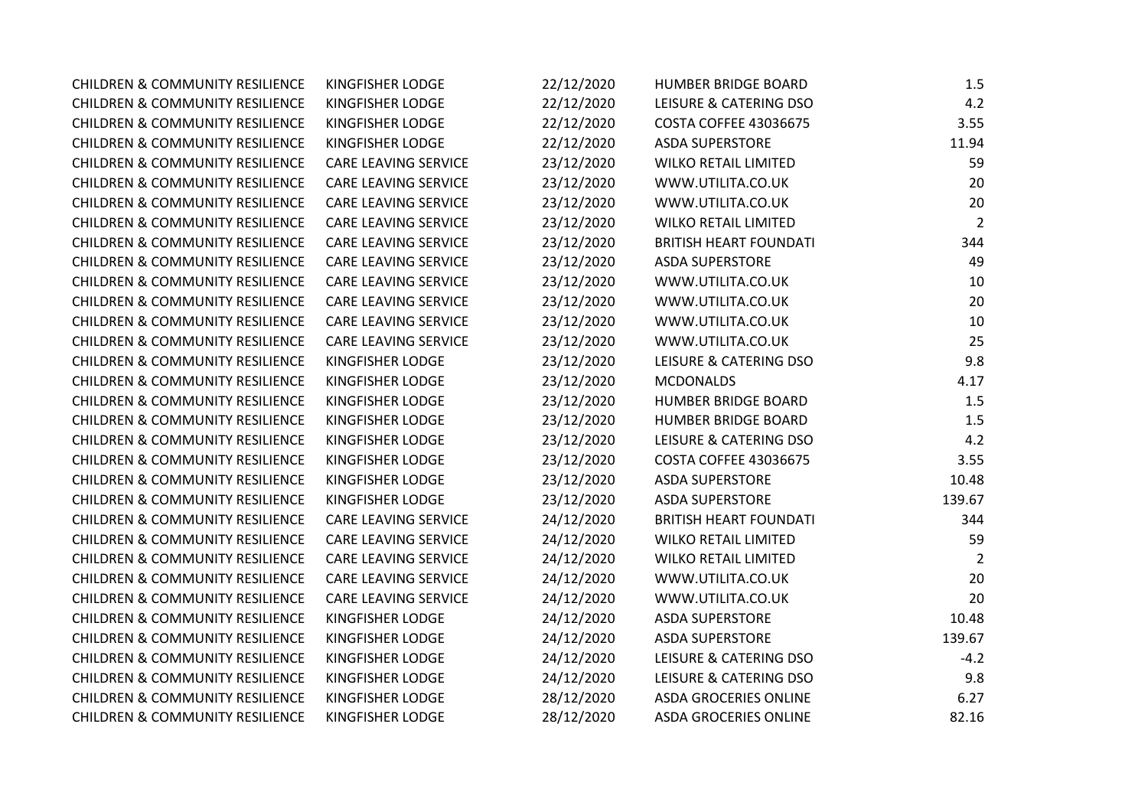| <b>CHILDREN &amp; COMMUNITY RESILIENCE</b> | KINGFISHER LODGE            | 22/12/2020 | <b>HUMBER BRIDGE BOARD</b>    | 1.5            |
|--------------------------------------------|-----------------------------|------------|-------------------------------|----------------|
| <b>CHILDREN &amp; COMMUNITY RESILIENCE</b> | KINGFISHER LODGE            | 22/12/2020 | LEISURE & CATERING DSO        | 4.2            |
| <b>CHILDREN &amp; COMMUNITY RESILIENCE</b> | KINGFISHER LODGE            | 22/12/2020 | <b>COSTA COFFEE 43036675</b>  | 3.55           |
| <b>CHILDREN &amp; COMMUNITY RESILIENCE</b> | KINGFISHER LODGE            | 22/12/2020 | <b>ASDA SUPERSTORE</b>        | 11.94          |
| <b>CHILDREN &amp; COMMUNITY RESILIENCE</b> | CARE LEAVING SERVICE        | 23/12/2020 | <b>WILKO RETAIL LIMITED</b>   | 59             |
| <b>CHILDREN &amp; COMMUNITY RESILIENCE</b> | CARE LEAVING SERVICE        | 23/12/2020 | WWW.UTILITA.CO.UK             | 20             |
| <b>CHILDREN &amp; COMMUNITY RESILIENCE</b> | CARE LEAVING SERVICE        | 23/12/2020 | WWW.UTILITA.CO.UK             | 20             |
| <b>CHILDREN &amp; COMMUNITY RESILIENCE</b> | <b>CARE LEAVING SERVICE</b> | 23/12/2020 | <b>WILKO RETAIL LIMITED</b>   | $\overline{2}$ |
| <b>CHILDREN &amp; COMMUNITY RESILIENCE</b> | CARE LEAVING SERVICE        | 23/12/2020 | <b>BRITISH HEART FOUNDATI</b> | 344            |
| <b>CHILDREN &amp; COMMUNITY RESILIENCE</b> | CARE LEAVING SERVICE        | 23/12/2020 | <b>ASDA SUPERSTORE</b>        | 49             |
| <b>CHILDREN &amp; COMMUNITY RESILIENCE</b> | CARE LEAVING SERVICE        | 23/12/2020 | WWW.UTILITA.CO.UK             | 10             |
| <b>CHILDREN &amp; COMMUNITY RESILIENCE</b> | <b>CARE LEAVING SERVICE</b> | 23/12/2020 | WWW.UTILITA.CO.UK             | 20             |
| <b>CHILDREN &amp; COMMUNITY RESILIENCE</b> | <b>CARE LEAVING SERVICE</b> | 23/12/2020 | WWW.UTILITA.CO.UK             | 10             |
| <b>CHILDREN &amp; COMMUNITY RESILIENCE</b> | CARE LEAVING SERVICE        | 23/12/2020 | WWW.UTILITA.CO.UK             | 25             |
| <b>CHILDREN &amp; COMMUNITY RESILIENCE</b> | KINGFISHER LODGE            | 23/12/2020 | LEISURE & CATERING DSO        | 9.8            |
| <b>CHILDREN &amp; COMMUNITY RESILIENCE</b> | KINGFISHER LODGE            | 23/12/2020 | <b>MCDONALDS</b>              | 4.17           |
| <b>CHILDREN &amp; COMMUNITY RESILIENCE</b> | KINGFISHER LODGE            | 23/12/2020 | <b>HUMBER BRIDGE BOARD</b>    | 1.5            |
| <b>CHILDREN &amp; COMMUNITY RESILIENCE</b> | KINGFISHER LODGE            | 23/12/2020 | HUMBER BRIDGE BOARD           | 1.5            |
| <b>CHILDREN &amp; COMMUNITY RESILIENCE</b> | KINGFISHER LODGE            | 23/12/2020 | LEISURE & CATERING DSO        | 4.2            |
| <b>CHILDREN &amp; COMMUNITY RESILIENCE</b> | KINGFISHER LODGE            | 23/12/2020 | <b>COSTA COFFEE 43036675</b>  | 3.55           |
| <b>CHILDREN &amp; COMMUNITY RESILIENCE</b> | KINGFISHER LODGE            | 23/12/2020 | <b>ASDA SUPERSTORE</b>        | 10.48          |
| <b>CHILDREN &amp; COMMUNITY RESILIENCE</b> | KINGFISHER LODGE            | 23/12/2020 | <b>ASDA SUPERSTORE</b>        | 139.67         |
| <b>CHILDREN &amp; COMMUNITY RESILIENCE</b> | <b>CARE LEAVING SERVICE</b> | 24/12/2020 | <b>BRITISH HEART FOUNDATI</b> | 344            |
| <b>CHILDREN &amp; COMMUNITY RESILIENCE</b> | CARE LEAVING SERVICE        | 24/12/2020 | <b>WILKO RETAIL LIMITED</b>   | 59             |
| <b>CHILDREN &amp; COMMUNITY RESILIENCE</b> | CARE LEAVING SERVICE        | 24/12/2020 | <b>WILKO RETAIL LIMITED</b>   | $\overline{2}$ |
| <b>CHILDREN &amp; COMMUNITY RESILIENCE</b> | <b>CARE LEAVING SERVICE</b> | 24/12/2020 | WWW.UTILITA.CO.UK             | 20             |
| <b>CHILDREN &amp; COMMUNITY RESILIENCE</b> | <b>CARE LEAVING SERVICE</b> | 24/12/2020 | WWW.UTILITA.CO.UK             | 20             |
| <b>CHILDREN &amp; COMMUNITY RESILIENCE</b> | KINGFISHER LODGE            | 24/12/2020 | <b>ASDA SUPERSTORE</b>        | 10.48          |
| <b>CHILDREN &amp; COMMUNITY RESILIENCE</b> | KINGFISHER LODGE            | 24/12/2020 | <b>ASDA SUPERSTORE</b>        | 139.67         |
| <b>CHILDREN &amp; COMMUNITY RESILIENCE</b> | KINGFISHER LODGE            | 24/12/2020 | LEISURE & CATERING DSO        | $-4.2$         |
| <b>CHILDREN &amp; COMMUNITY RESILIENCE</b> | KINGFISHER LODGE            | 24/12/2020 | LEISURE & CATERING DSO        | 9.8            |
| <b>CHILDREN &amp; COMMUNITY RESILIENCE</b> | KINGFISHER LODGE            | 28/12/2020 | ASDA GROCERIES ONLINE         | 6.27           |
| <b>CHILDREN &amp; COMMUNITY RESILIENCE</b> | KINGFISHER LODGE            | 28/12/2020 | <b>ASDA GROCERIES ONLINE</b>  | 82.16          |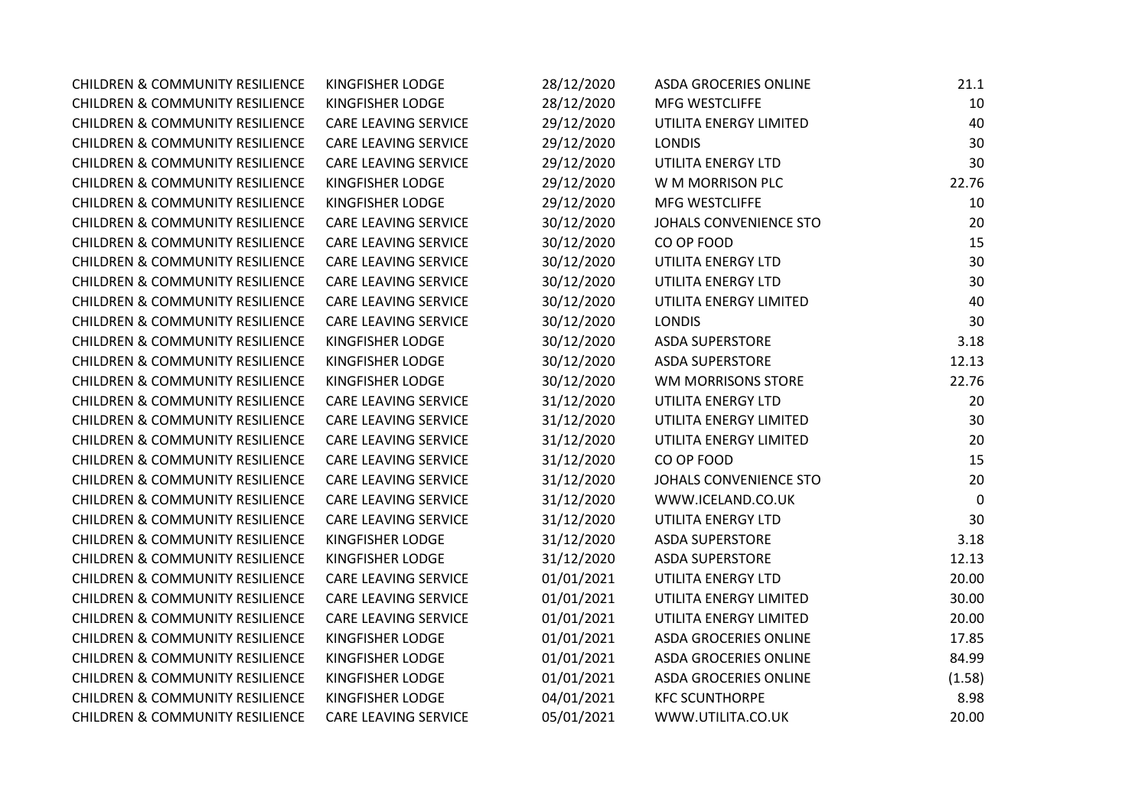| <b>CHILDREN &amp; COMMUNITY RESILIENCE</b> | <b>KINGFISHER LODGE</b>     | 28/12/2020 | <b>ASDA GROCERIES ONLINE</b> | 21.1        |
|--------------------------------------------|-----------------------------|------------|------------------------------|-------------|
| <b>CHILDREN &amp; COMMUNITY RESILIENCE</b> | KINGFISHER LODGE            | 28/12/2020 | MFG WESTCLIFFE               | 10          |
| <b>CHILDREN &amp; COMMUNITY RESILIENCE</b> | CARE LEAVING SERVICE        | 29/12/2020 | UTILITA ENERGY LIMITED       | 40          |
| <b>CHILDREN &amp; COMMUNITY RESILIENCE</b> | CARE LEAVING SERVICE        | 29/12/2020 | <b>LONDIS</b>                | 30          |
| <b>CHILDREN &amp; COMMUNITY RESILIENCE</b> | <b>CARE LEAVING SERVICE</b> | 29/12/2020 | UTILITA ENERGY LTD           | 30          |
| <b>CHILDREN &amp; COMMUNITY RESILIENCE</b> | KINGFISHER LODGE            | 29/12/2020 | W M MORRISON PLC             | 22.76       |
| <b>CHILDREN &amp; COMMUNITY RESILIENCE</b> | <b>KINGFISHER LODGE</b>     | 29/12/2020 | <b>MFG WESTCLIFFE</b>        | 10          |
| <b>CHILDREN &amp; COMMUNITY RESILIENCE</b> | <b>CARE LEAVING SERVICE</b> | 30/12/2020 | JOHALS CONVENIENCE STO       | 20          |
| <b>CHILDREN &amp; COMMUNITY RESILIENCE</b> | CARE LEAVING SERVICE        | 30/12/2020 | CO OP FOOD                   | 15          |
| <b>CHILDREN &amp; COMMUNITY RESILIENCE</b> | CARE LEAVING SERVICE        | 30/12/2020 | UTILITA ENERGY LTD           | 30          |
| <b>CHILDREN &amp; COMMUNITY RESILIENCE</b> | <b>CARE LEAVING SERVICE</b> | 30/12/2020 | UTILITA ENERGY LTD           | 30          |
| <b>CHILDREN &amp; COMMUNITY RESILIENCE</b> | CARE LEAVING SERVICE        | 30/12/2020 | UTILITA ENERGY LIMITED       | 40          |
| <b>CHILDREN &amp; COMMUNITY RESILIENCE</b> | CARE LEAVING SERVICE        | 30/12/2020 | <b>LONDIS</b>                | 30          |
| <b>CHILDREN &amp; COMMUNITY RESILIENCE</b> | <b>KINGFISHER LODGE</b>     | 30/12/2020 | <b>ASDA SUPERSTORE</b>       | 3.18        |
| <b>CHILDREN &amp; COMMUNITY RESILIENCE</b> | <b>KINGFISHER LODGE</b>     | 30/12/2020 | <b>ASDA SUPERSTORE</b>       | 12.13       |
| <b>CHILDREN &amp; COMMUNITY RESILIENCE</b> | KINGFISHER LODGE            | 30/12/2020 | WM MORRISONS STORE           | 22.76       |
| <b>CHILDREN &amp; COMMUNITY RESILIENCE</b> | <b>CARE LEAVING SERVICE</b> | 31/12/2020 | UTILITA ENERGY LTD           | 20          |
| <b>CHILDREN &amp; COMMUNITY RESILIENCE</b> | CARE LEAVING SERVICE        | 31/12/2020 | UTILITA ENERGY LIMITED       | 30          |
| <b>CHILDREN &amp; COMMUNITY RESILIENCE</b> | <b>CARE LEAVING SERVICE</b> | 31/12/2020 | UTILITA ENERGY LIMITED       | 20          |
| <b>CHILDREN &amp; COMMUNITY RESILIENCE</b> | <b>CARE LEAVING SERVICE</b> | 31/12/2020 | CO OP FOOD                   | 15          |
| <b>CHILDREN &amp; COMMUNITY RESILIENCE</b> | <b>CARE LEAVING SERVICE</b> | 31/12/2020 | JOHALS CONVENIENCE STO       | 20          |
| <b>CHILDREN &amp; COMMUNITY RESILIENCE</b> | <b>CARE LEAVING SERVICE</b> | 31/12/2020 | WWW.ICELAND.CO.UK            | $\mathbf 0$ |
| <b>CHILDREN &amp; COMMUNITY RESILIENCE</b> | <b>CARE LEAVING SERVICE</b> | 31/12/2020 | UTILITA ENERGY LTD           | 30          |
| <b>CHILDREN &amp; COMMUNITY RESILIENCE</b> | <b>KINGFISHER LODGE</b>     | 31/12/2020 | <b>ASDA SUPERSTORE</b>       | 3.18        |
| <b>CHILDREN &amp; COMMUNITY RESILIENCE</b> | <b>KINGFISHER LODGE</b>     | 31/12/2020 | <b>ASDA SUPERSTORE</b>       | 12.13       |
| <b>CHILDREN &amp; COMMUNITY RESILIENCE</b> | <b>CARE LEAVING SERVICE</b> | 01/01/2021 | UTILITA ENERGY LTD           | 20.00       |
| <b>CHILDREN &amp; COMMUNITY RESILIENCE</b> | <b>CARE LEAVING SERVICE</b> | 01/01/2021 | UTILITA ENERGY LIMITED       | 30.00       |
| <b>CHILDREN &amp; COMMUNITY RESILIENCE</b> | CARE LEAVING SERVICE        | 01/01/2021 | UTILITA ENERGY LIMITED       | 20.00       |
| <b>CHILDREN &amp; COMMUNITY RESILIENCE</b> | <b>KINGFISHER LODGE</b>     | 01/01/2021 | ASDA GROCERIES ONLINE        | 17.85       |
| <b>CHILDREN &amp; COMMUNITY RESILIENCE</b> | <b>KINGFISHER LODGE</b>     | 01/01/2021 | <b>ASDA GROCERIES ONLINE</b> | 84.99       |
| <b>CHILDREN &amp; COMMUNITY RESILIENCE</b> | KINGFISHER LODGE            | 01/01/2021 | <b>ASDA GROCERIES ONLINE</b> | (1.58)      |
| <b>CHILDREN &amp; COMMUNITY RESILIENCE</b> | <b>KINGFISHER LODGE</b>     | 04/01/2021 | <b>KFC SCUNTHORPE</b>        | 8.98        |
| <b>CHILDREN &amp; COMMUNITY RESILIENCE</b> | <b>CARE LEAVING SERVICE</b> | 05/01/2021 | WWW.UTILITA.CO.UK            | 20.00       |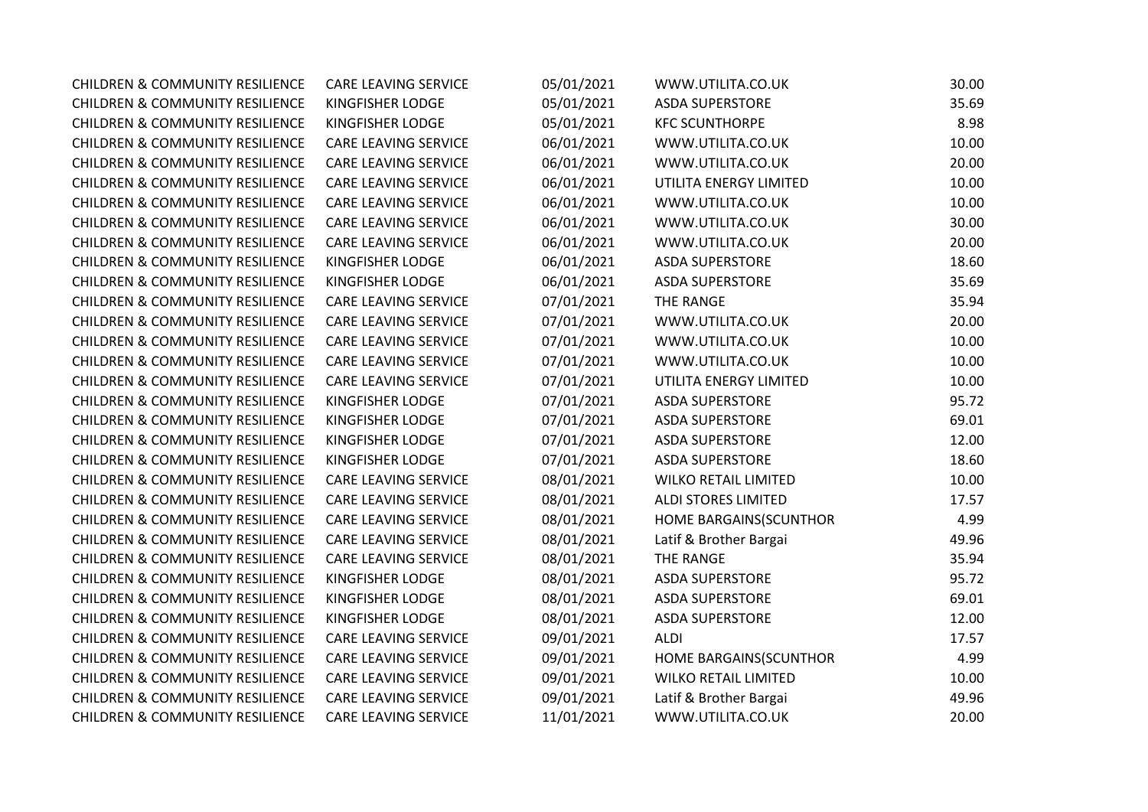| <b>CHILDREN &amp; COMMUNITY RESILIENCE</b> | <b>CARE LEAVING SERVICE</b> | 05/01/2021 | WWW.UTILITA.CO.UK           | 30.00 |
|--------------------------------------------|-----------------------------|------------|-----------------------------|-------|
| <b>CHILDREN &amp; COMMUNITY RESILIENCE</b> | KINGFISHER LODGE            | 05/01/2021 | <b>ASDA SUPERSTORE</b>      | 35.69 |
| <b>CHILDREN &amp; COMMUNITY RESILIENCE</b> | KINGFISHER LODGE            | 05/01/2021 | <b>KFC SCUNTHORPE</b>       | 8.98  |
| <b>CHILDREN &amp; COMMUNITY RESILIENCE</b> | <b>CARE LEAVING SERVICE</b> | 06/01/2021 | WWW.UTILITA.CO.UK           | 10.00 |
| <b>CHILDREN &amp; COMMUNITY RESILIENCE</b> | CARE LEAVING SERVICE        | 06/01/2021 | WWW.UTILITA.CO.UK           | 20.00 |
| <b>CHILDREN &amp; COMMUNITY RESILIENCE</b> | CARE LEAVING SERVICE        | 06/01/2021 | UTILITA ENERGY LIMITED      | 10.00 |
| <b>CHILDREN &amp; COMMUNITY RESILIENCE</b> | <b>CARE LEAVING SERVICE</b> | 06/01/2021 | WWW.UTILITA.CO.UK           | 10.00 |
| <b>CHILDREN &amp; COMMUNITY RESILIENCE</b> | <b>CARE LEAVING SERVICE</b> | 06/01/2021 | WWW.UTILITA.CO.UK           | 30.00 |
| <b>CHILDREN &amp; COMMUNITY RESILIENCE</b> | <b>CARE LEAVING SERVICE</b> | 06/01/2021 | WWW.UTILITA.CO.UK           | 20.00 |
| <b>CHILDREN &amp; COMMUNITY RESILIENCE</b> | KINGFISHER LODGE            | 06/01/2021 | <b>ASDA SUPERSTORE</b>      | 18.60 |
| <b>CHILDREN &amp; COMMUNITY RESILIENCE</b> | KINGFISHER LODGE            | 06/01/2021 | <b>ASDA SUPERSTORE</b>      | 35.69 |
| <b>CHILDREN &amp; COMMUNITY RESILIENCE</b> | <b>CARE LEAVING SERVICE</b> | 07/01/2021 | THE RANGE                   | 35.94 |
| <b>CHILDREN &amp; COMMUNITY RESILIENCE</b> | <b>CARE LEAVING SERVICE</b> | 07/01/2021 | WWW.UTILITA.CO.UK           | 20.00 |
| <b>CHILDREN &amp; COMMUNITY RESILIENCE</b> | <b>CARE LEAVING SERVICE</b> | 07/01/2021 | WWW.UTILITA.CO.UK           | 10.00 |
| <b>CHILDREN &amp; COMMUNITY RESILIENCE</b> | CARE LEAVING SERVICE        | 07/01/2021 | WWW.UTILITA.CO.UK           | 10.00 |
| <b>CHILDREN &amp; COMMUNITY RESILIENCE</b> | CARE LEAVING SERVICE        | 07/01/2021 | UTILITA ENERGY LIMITED      | 10.00 |
| <b>CHILDREN &amp; COMMUNITY RESILIENCE</b> | KINGFISHER LODGE            | 07/01/2021 | <b>ASDA SUPERSTORE</b>      | 95.72 |
| <b>CHILDREN &amp; COMMUNITY RESILIENCE</b> | KINGFISHER LODGE            | 07/01/2021 | <b>ASDA SUPERSTORE</b>      | 69.01 |
| <b>CHILDREN &amp; COMMUNITY RESILIENCE</b> | KINGFISHER LODGE            | 07/01/2021 | <b>ASDA SUPERSTORE</b>      | 12.00 |
| <b>CHILDREN &amp; COMMUNITY RESILIENCE</b> | KINGFISHER LODGE            | 07/01/2021 | <b>ASDA SUPERSTORE</b>      | 18.60 |
| <b>CHILDREN &amp; COMMUNITY RESILIENCE</b> | <b>CARE LEAVING SERVICE</b> | 08/01/2021 | <b>WILKO RETAIL LIMITED</b> | 10.00 |
| <b>CHILDREN &amp; COMMUNITY RESILIENCE</b> | <b>CARE LEAVING SERVICE</b> | 08/01/2021 | <b>ALDI STORES LIMITED</b>  | 17.57 |
| <b>CHILDREN &amp; COMMUNITY RESILIENCE</b> | <b>CARE LEAVING SERVICE</b> | 08/01/2021 | HOME BARGAINS(SCUNTHOR      | 4.99  |
| <b>CHILDREN &amp; COMMUNITY RESILIENCE</b> | CARE LEAVING SERVICE        | 08/01/2021 | Latif & Brother Bargai      | 49.96 |
| <b>CHILDREN &amp; COMMUNITY RESILIENCE</b> | CARE LEAVING SERVICE        | 08/01/2021 | THE RANGE                   | 35.94 |
| <b>CHILDREN &amp; COMMUNITY RESILIENCE</b> | KINGFISHER LODGE            | 08/01/2021 | <b>ASDA SUPERSTORE</b>      | 95.72 |
| <b>CHILDREN &amp; COMMUNITY RESILIENCE</b> | KINGFISHER LODGE            | 08/01/2021 | <b>ASDA SUPERSTORE</b>      | 69.01 |
| <b>CHILDREN &amp; COMMUNITY RESILIENCE</b> | KINGFISHER LODGE            | 08/01/2021 | <b>ASDA SUPERSTORE</b>      | 12.00 |
| <b>CHILDREN &amp; COMMUNITY RESILIENCE</b> | <b>CARE LEAVING SERVICE</b> | 09/01/2021 | ALDI                        | 17.57 |
| <b>CHILDREN &amp; COMMUNITY RESILIENCE</b> | <b>CARE LEAVING SERVICE</b> | 09/01/2021 | HOME BARGAINS(SCUNTHOR      | 4.99  |
| <b>CHILDREN &amp; COMMUNITY RESILIENCE</b> | <b>CARE LEAVING SERVICE</b> | 09/01/2021 | <b>WILKO RETAIL LIMITED</b> | 10.00 |
| <b>CHILDREN &amp; COMMUNITY RESILIENCE</b> | <b>CARE LEAVING SERVICE</b> | 09/01/2021 | Latif & Brother Bargai      | 49.96 |
| <b>CHILDREN &amp; COMMUNITY RESILIENCE</b> | <b>CARE LEAVING SERVICE</b> | 11/01/2021 | WWW.UTILITA.CO.UK           | 20.00 |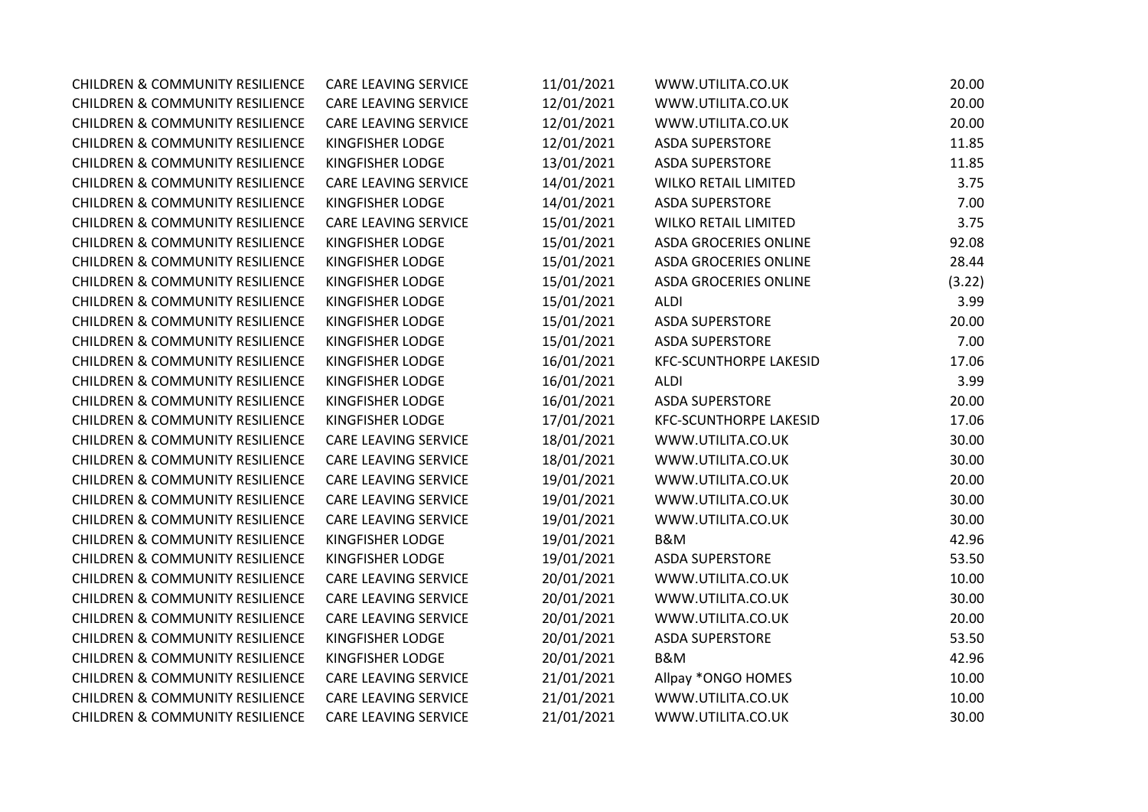| <b>CHILDREN &amp; COMMUNITY RESILIENCE</b> | <b>CARE LEAVING SERVICE</b> | 11/01/2021 | WWW.UTILITA.CO.UK             | 20.00  |
|--------------------------------------------|-----------------------------|------------|-------------------------------|--------|
| <b>CHILDREN &amp; COMMUNITY RESILIENCE</b> | <b>CARE LEAVING SERVICE</b> | 12/01/2021 | WWW.UTILITA.CO.UK             | 20.00  |
| <b>CHILDREN &amp; COMMUNITY RESILIENCE</b> | <b>CARE LEAVING SERVICE</b> | 12/01/2021 | WWW.UTILITA.CO.UK             | 20.00  |
| <b>CHILDREN &amp; COMMUNITY RESILIENCE</b> | <b>KINGFISHER LODGE</b>     | 12/01/2021 | <b>ASDA SUPERSTORE</b>        | 11.85  |
| <b>CHILDREN &amp; COMMUNITY RESILIENCE</b> | KINGFISHER LODGE            | 13/01/2021 | <b>ASDA SUPERSTORE</b>        | 11.85  |
| <b>CHILDREN &amp; COMMUNITY RESILIENCE</b> | <b>CARE LEAVING SERVICE</b> | 14/01/2021 | <b>WILKO RETAIL LIMITED</b>   | 3.75   |
| <b>CHILDREN &amp; COMMUNITY RESILIENCE</b> | KINGFISHER LODGE            | 14/01/2021 | <b>ASDA SUPERSTORE</b>        | 7.00   |
| <b>CHILDREN &amp; COMMUNITY RESILIENCE</b> | <b>CARE LEAVING SERVICE</b> | 15/01/2021 | <b>WILKO RETAIL LIMITED</b>   | 3.75   |
| <b>CHILDREN &amp; COMMUNITY RESILIENCE</b> | KINGFISHER LODGE            | 15/01/2021 | <b>ASDA GROCERIES ONLINE</b>  | 92.08  |
| <b>CHILDREN &amp; COMMUNITY RESILIENCE</b> | KINGFISHER LODGE            | 15/01/2021 | <b>ASDA GROCERIES ONLINE</b>  | 28.44  |
| <b>CHILDREN &amp; COMMUNITY RESILIENCE</b> | KINGFISHER LODGE            | 15/01/2021 | <b>ASDA GROCERIES ONLINE</b>  | (3.22) |
| <b>CHILDREN &amp; COMMUNITY RESILIENCE</b> | KINGFISHER LODGE            | 15/01/2021 | <b>ALDI</b>                   | 3.99   |
| <b>CHILDREN &amp; COMMUNITY RESILIENCE</b> | KINGFISHER LODGE            | 15/01/2021 | <b>ASDA SUPERSTORE</b>        | 20.00  |
| <b>CHILDREN &amp; COMMUNITY RESILIENCE</b> | KINGFISHER LODGE            | 15/01/2021 | <b>ASDA SUPERSTORE</b>        | 7.00   |
| <b>CHILDREN &amp; COMMUNITY RESILIENCE</b> | KINGFISHER LODGE            | 16/01/2021 | <b>KFC-SCUNTHORPE LAKESID</b> | 17.06  |
| <b>CHILDREN &amp; COMMUNITY RESILIENCE</b> | KINGFISHER LODGE            | 16/01/2021 | <b>ALDI</b>                   | 3.99   |
| <b>CHILDREN &amp; COMMUNITY RESILIENCE</b> | KINGFISHER LODGE            | 16/01/2021 | <b>ASDA SUPERSTORE</b>        | 20.00  |
| <b>CHILDREN &amp; COMMUNITY RESILIENCE</b> | KINGFISHER LODGE            | 17/01/2021 | <b>KFC-SCUNTHORPE LAKESID</b> | 17.06  |
| <b>CHILDREN &amp; COMMUNITY RESILIENCE</b> | <b>CARE LEAVING SERVICE</b> | 18/01/2021 | WWW.UTILITA.CO.UK             | 30.00  |
| <b>CHILDREN &amp; COMMUNITY RESILIENCE</b> | <b>CARE LEAVING SERVICE</b> | 18/01/2021 | WWW.UTILITA.CO.UK             | 30.00  |
| <b>CHILDREN &amp; COMMUNITY RESILIENCE</b> | CARE LEAVING SERVICE        | 19/01/2021 | WWW.UTILITA.CO.UK             | 20.00  |
| <b>CHILDREN &amp; COMMUNITY RESILIENCE</b> | <b>CARE LEAVING SERVICE</b> | 19/01/2021 | WWW.UTILITA.CO.UK             | 30.00  |
| <b>CHILDREN &amp; COMMUNITY RESILIENCE</b> | <b>CARE LEAVING SERVICE</b> | 19/01/2021 | WWW.UTILITA.CO.UK             | 30.00  |
| <b>CHILDREN &amp; COMMUNITY RESILIENCE</b> | KINGFISHER LODGE            | 19/01/2021 | B&M                           | 42.96  |
| <b>CHILDREN &amp; COMMUNITY RESILIENCE</b> | KINGFISHER LODGE            | 19/01/2021 | <b>ASDA SUPERSTORE</b>        | 53.50  |
| <b>CHILDREN &amp; COMMUNITY RESILIENCE</b> | <b>CARE LEAVING SERVICE</b> | 20/01/2021 | WWW.UTILITA.CO.UK             | 10.00  |
| <b>CHILDREN &amp; COMMUNITY RESILIENCE</b> | <b>CARE LEAVING SERVICE</b> | 20/01/2021 | WWW.UTILITA.CO.UK             | 30.00  |
| <b>CHILDREN &amp; COMMUNITY RESILIENCE</b> | <b>CARE LEAVING SERVICE</b> | 20/01/2021 | WWW.UTILITA.CO.UK             | 20.00  |
| <b>CHILDREN &amp; COMMUNITY RESILIENCE</b> | KINGFISHER LODGE            | 20/01/2021 | <b>ASDA SUPERSTORE</b>        | 53.50  |
| <b>CHILDREN &amp; COMMUNITY RESILIENCE</b> | KINGFISHER LODGE            | 20/01/2021 | <b>B&amp;M</b>                | 42.96  |
| <b>CHILDREN &amp; COMMUNITY RESILIENCE</b> | CARE LEAVING SERVICE        | 21/01/2021 | Allpay *ONGO HOMES            | 10.00  |
| <b>CHILDREN &amp; COMMUNITY RESILIENCE</b> | CARE LEAVING SERVICE        | 21/01/2021 | WWW.UTILITA.CO.UK             | 10.00  |
| <b>CHILDREN &amp; COMMUNITY RESILIENCE</b> | <b>CARE LEAVING SERVICE</b> | 21/01/2021 | WWW.UTILITA.CO.UK             | 30.00  |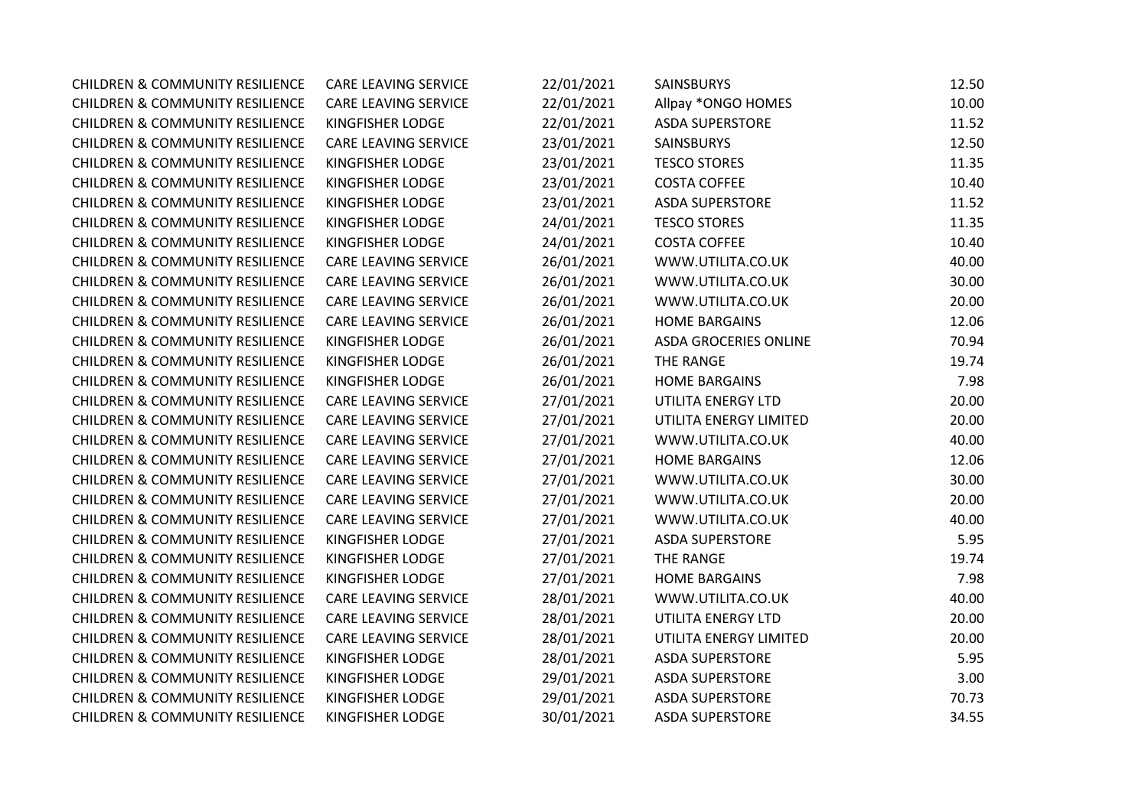| <b>CHILDREN &amp; COMMUNITY RESILIENCE</b> | <b>CARE LEAVING SERVICE</b> | 22/01/2021 | <b>SAINSBURYS</b>            | 12.50 |
|--------------------------------------------|-----------------------------|------------|------------------------------|-------|
| <b>CHILDREN &amp; COMMUNITY RESILIENCE</b> | <b>CARE LEAVING SERVICE</b> | 22/01/2021 | Allpay *ONGO HOMES           | 10.00 |
| <b>CHILDREN &amp; COMMUNITY RESILIENCE</b> | KINGFISHER LODGE            | 22/01/2021 | <b>ASDA SUPERSTORE</b>       | 11.52 |
| <b>CHILDREN &amp; COMMUNITY RESILIENCE</b> | <b>CARE LEAVING SERVICE</b> | 23/01/2021 | <b>SAINSBURYS</b>            | 12.50 |
| <b>CHILDREN &amp; COMMUNITY RESILIENCE</b> | KINGFISHER LODGE            | 23/01/2021 | <b>TESCO STORES</b>          | 11.35 |
| <b>CHILDREN &amp; COMMUNITY RESILIENCE</b> | KINGFISHER LODGE            | 23/01/2021 | <b>COSTA COFFEE</b>          | 10.40 |
| <b>CHILDREN &amp; COMMUNITY RESILIENCE</b> | KINGFISHER LODGE            | 23/01/2021 | <b>ASDA SUPERSTORE</b>       | 11.52 |
| <b>CHILDREN &amp; COMMUNITY RESILIENCE</b> | KINGFISHER LODGE            | 24/01/2021 | <b>TESCO STORES</b>          | 11.35 |
| <b>CHILDREN &amp; COMMUNITY RESILIENCE</b> | KINGFISHER LODGE            | 24/01/2021 | <b>COSTA COFFEE</b>          | 10.40 |
| <b>CHILDREN &amp; COMMUNITY RESILIENCE</b> | <b>CARE LEAVING SERVICE</b> | 26/01/2021 | WWW.UTILITA.CO.UK            | 40.00 |
| <b>CHILDREN &amp; COMMUNITY RESILIENCE</b> | <b>CARE LEAVING SERVICE</b> | 26/01/2021 | WWW.UTILITA.CO.UK            | 30.00 |
| <b>CHILDREN &amp; COMMUNITY RESILIENCE</b> | <b>CARE LEAVING SERVICE</b> | 26/01/2021 | WWW.UTILITA.CO.UK            | 20.00 |
| <b>CHILDREN &amp; COMMUNITY RESILIENCE</b> | <b>CARE LEAVING SERVICE</b> | 26/01/2021 | <b>HOME BARGAINS</b>         | 12.06 |
| <b>CHILDREN &amp; COMMUNITY RESILIENCE</b> | KINGFISHER LODGE            | 26/01/2021 | <b>ASDA GROCERIES ONLINE</b> | 70.94 |
| <b>CHILDREN &amp; COMMUNITY RESILIENCE</b> | KINGFISHER LODGE            | 26/01/2021 | THE RANGE                    | 19.74 |
| <b>CHILDREN &amp; COMMUNITY RESILIENCE</b> | KINGFISHER LODGE            | 26/01/2021 | <b>HOME BARGAINS</b>         | 7.98  |
| <b>CHILDREN &amp; COMMUNITY RESILIENCE</b> | <b>CARE LEAVING SERVICE</b> | 27/01/2021 | UTILITA ENERGY LTD           | 20.00 |
| <b>CHILDREN &amp; COMMUNITY RESILIENCE</b> | CARE LEAVING SERVICE        | 27/01/2021 | UTILITA ENERGY LIMITED       | 20.00 |
| <b>CHILDREN &amp; COMMUNITY RESILIENCE</b> | <b>CARE LEAVING SERVICE</b> | 27/01/2021 | WWW.UTILITA.CO.UK            | 40.00 |
| <b>CHILDREN &amp; COMMUNITY RESILIENCE</b> | <b>CARE LEAVING SERVICE</b> | 27/01/2021 | <b>HOME BARGAINS</b>         | 12.06 |
| <b>CHILDREN &amp; COMMUNITY RESILIENCE</b> | <b>CARE LEAVING SERVICE</b> | 27/01/2021 | WWW.UTILITA.CO.UK            | 30.00 |
| <b>CHILDREN &amp; COMMUNITY RESILIENCE</b> | <b>CARE LEAVING SERVICE</b> | 27/01/2021 | WWW.UTILITA.CO.UK            | 20.00 |
| <b>CHILDREN &amp; COMMUNITY RESILIENCE</b> | <b>CARE LEAVING SERVICE</b> | 27/01/2021 | WWW.UTILITA.CO.UK            | 40.00 |
| <b>CHILDREN &amp; COMMUNITY RESILIENCE</b> | KINGFISHER LODGE            | 27/01/2021 | <b>ASDA SUPERSTORE</b>       | 5.95  |
| <b>CHILDREN &amp; COMMUNITY RESILIENCE</b> | KINGFISHER LODGE            | 27/01/2021 | THE RANGE                    | 19.74 |
| <b>CHILDREN &amp; COMMUNITY RESILIENCE</b> | KINGFISHER LODGE            | 27/01/2021 | <b>HOME BARGAINS</b>         | 7.98  |
| <b>CHILDREN &amp; COMMUNITY RESILIENCE</b> | <b>CARE LEAVING SERVICE</b> | 28/01/2021 | WWW.UTILITA.CO.UK            | 40.00 |
| <b>CHILDREN &amp; COMMUNITY RESILIENCE</b> | <b>CARE LEAVING SERVICE</b> | 28/01/2021 | UTILITA ENERGY LTD           | 20.00 |
| <b>CHILDREN &amp; COMMUNITY RESILIENCE</b> | CARE LEAVING SERVICE        | 28/01/2021 | UTILITA ENERGY LIMITED       | 20.00 |
| <b>CHILDREN &amp; COMMUNITY RESILIENCE</b> | <b>KINGFISHER LODGE</b>     | 28/01/2021 | <b>ASDA SUPERSTORE</b>       | 5.95  |
| <b>CHILDREN &amp; COMMUNITY RESILIENCE</b> | KINGFISHER LODGE            | 29/01/2021 | <b>ASDA SUPERSTORE</b>       | 3.00  |
| <b>CHILDREN &amp; COMMUNITY RESILIENCE</b> | KINGFISHER LODGE            | 29/01/2021 | <b>ASDA SUPERSTORE</b>       | 70.73 |
| <b>CHILDREN &amp; COMMUNITY RESILIENCE</b> | KINGFISHER LODGE            | 30/01/2021 | <b>ASDA SUPERSTORE</b>       | 34.55 |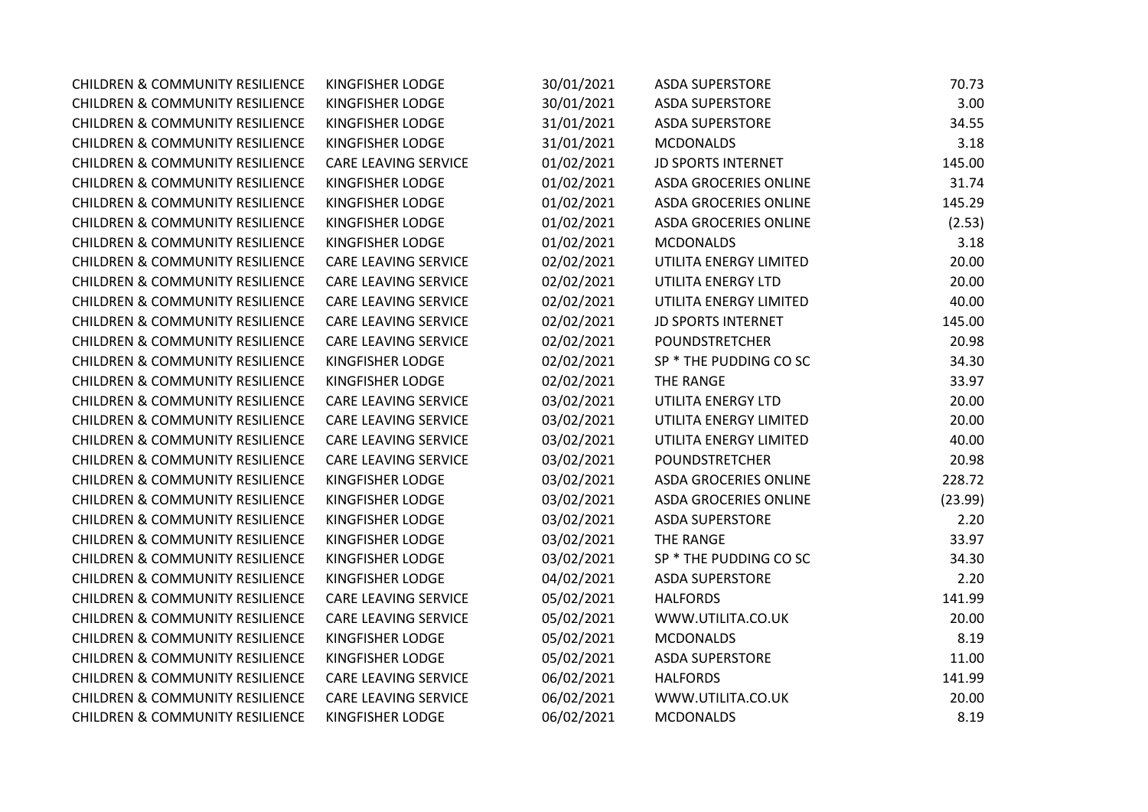| <b>CHILDREN &amp; COMMUNITY RESILIENCE</b> | KINGFISHER LODGE            | 30/01/2021 | <b>ASDA SUPERSTORE</b>       | 70.73   |
|--------------------------------------------|-----------------------------|------------|------------------------------|---------|
| <b>CHILDREN &amp; COMMUNITY RESILIENCE</b> | KINGFISHER LODGE            | 30/01/2021 | <b>ASDA SUPERSTORE</b>       | 3.00    |
| <b>CHILDREN &amp; COMMUNITY RESILIENCE</b> | KINGFISHER LODGE            | 31/01/2021 | <b>ASDA SUPERSTORE</b>       | 34.55   |
| <b>CHILDREN &amp; COMMUNITY RESILIENCE</b> | KINGFISHER LODGE            | 31/01/2021 | <b>MCDONALDS</b>             | 3.18    |
| <b>CHILDREN &amp; COMMUNITY RESILIENCE</b> | <b>CARE LEAVING SERVICE</b> | 01/02/2021 | <b>JD SPORTS INTERNET</b>    | 145.00  |
| <b>CHILDREN &amp; COMMUNITY RESILIENCE</b> | KINGFISHER LODGE            | 01/02/2021 | <b>ASDA GROCERIES ONLINE</b> | 31.74   |
| <b>CHILDREN &amp; COMMUNITY RESILIENCE</b> | KINGFISHER LODGE            | 01/02/2021 | <b>ASDA GROCERIES ONLINE</b> | 145.29  |
| <b>CHILDREN &amp; COMMUNITY RESILIENCE</b> | KINGFISHER LODGE            | 01/02/2021 | <b>ASDA GROCERIES ONLINE</b> | (2.53)  |
| <b>CHILDREN &amp; COMMUNITY RESILIENCE</b> | KINGFISHER LODGE            | 01/02/2021 | <b>MCDONALDS</b>             | 3.18    |
| <b>CHILDREN &amp; COMMUNITY RESILIENCE</b> | <b>CARE LEAVING SERVICE</b> | 02/02/2021 | UTILITA ENERGY LIMITED       | 20.00   |
| <b>CHILDREN &amp; COMMUNITY RESILIENCE</b> | <b>CARE LEAVING SERVICE</b> | 02/02/2021 | UTILITA ENERGY LTD           | 20.00   |
| <b>CHILDREN &amp; COMMUNITY RESILIENCE</b> | <b>CARE LEAVING SERVICE</b> | 02/02/2021 | UTILITA ENERGY LIMITED       | 40.00   |
| <b>CHILDREN &amp; COMMUNITY RESILIENCE</b> | <b>CARE LEAVING SERVICE</b> | 02/02/2021 | <b>JD SPORTS INTERNET</b>    | 145.00  |
| <b>CHILDREN &amp; COMMUNITY RESILIENCE</b> | <b>CARE LEAVING SERVICE</b> | 02/02/2021 | <b>POUNDSTRETCHER</b>        | 20.98   |
| <b>CHILDREN &amp; COMMUNITY RESILIENCE</b> | KINGFISHER LODGE            | 02/02/2021 | SP * THE PUDDING CO SC       | 34.30   |
| <b>CHILDREN &amp; COMMUNITY RESILIENCE</b> | KINGFISHER LODGE            | 02/02/2021 | THE RANGE                    | 33.97   |
| <b>CHILDREN &amp; COMMUNITY RESILIENCE</b> | <b>CARE LEAVING SERVICE</b> | 03/02/2021 | UTILITA ENERGY LTD           | 20.00   |
| <b>CHILDREN &amp; COMMUNITY RESILIENCE</b> | CARE LEAVING SERVICE        | 03/02/2021 | UTILITA ENERGY LIMITED       | 20.00   |
| <b>CHILDREN &amp; COMMUNITY RESILIENCE</b> | <b>CARE LEAVING SERVICE</b> | 03/02/2021 | UTILITA ENERGY LIMITED       | 40.00   |
| <b>CHILDREN &amp; COMMUNITY RESILIENCE</b> | <b>CARE LEAVING SERVICE</b> | 03/02/2021 | <b>POUNDSTRETCHER</b>        | 20.98   |
| <b>CHILDREN &amp; COMMUNITY RESILIENCE</b> | KINGFISHER LODGE            | 03/02/2021 | <b>ASDA GROCERIES ONLINE</b> | 228.72  |
| <b>CHILDREN &amp; COMMUNITY RESILIENCE</b> | KINGFISHER LODGE            | 03/02/2021 | ASDA GROCERIES ONLINE        | (23.99) |
| <b>CHILDREN &amp; COMMUNITY RESILIENCE</b> | KINGFISHER LODGE            | 03/02/2021 | <b>ASDA SUPERSTORE</b>       | 2.20    |
| <b>CHILDREN &amp; COMMUNITY RESILIENCE</b> | KINGFISHER LODGE            | 03/02/2021 | THE RANGE                    | 33.97   |
| <b>CHILDREN &amp; COMMUNITY RESILIENCE</b> | KINGFISHER LODGE            | 03/02/2021 | SP * THE PUDDING CO SC       | 34.30   |
| <b>CHILDREN &amp; COMMUNITY RESILIENCE</b> | KINGFISHER LODGE            | 04/02/2021 | <b>ASDA SUPERSTORE</b>       | 2.20    |
| <b>CHILDREN &amp; COMMUNITY RESILIENCE</b> | <b>CARE LEAVING SERVICE</b> | 05/02/2021 | <b>HALFORDS</b>              | 141.99  |
| <b>CHILDREN &amp; COMMUNITY RESILIENCE</b> | <b>CARE LEAVING SERVICE</b> | 05/02/2021 | WWW.UTILITA.CO.UK            | 20.00   |
| <b>CHILDREN &amp; COMMUNITY RESILIENCE</b> | KINGFISHER LODGE            | 05/02/2021 | <b>MCDONALDS</b>             | 8.19    |
| <b>CHILDREN &amp; COMMUNITY RESILIENCE</b> | KINGFISHER LODGE            | 05/02/2021 | <b>ASDA SUPERSTORE</b>       | 11.00   |
| <b>CHILDREN &amp; COMMUNITY RESILIENCE</b> | <b>CARE LEAVING SERVICE</b> | 06/02/2021 | <b>HALFORDS</b>              | 141.99  |
| <b>CHILDREN &amp; COMMUNITY RESILIENCE</b> | <b>CARE LEAVING SERVICE</b> | 06/02/2021 | WWW.UTILITA.CO.UK            | 20.00   |
| <b>CHILDREN &amp; COMMUNITY RESILIENCE</b> | KINGFISHER LODGE            | 06/02/2021 | <b>MCDONALDS</b>             | 8.19    |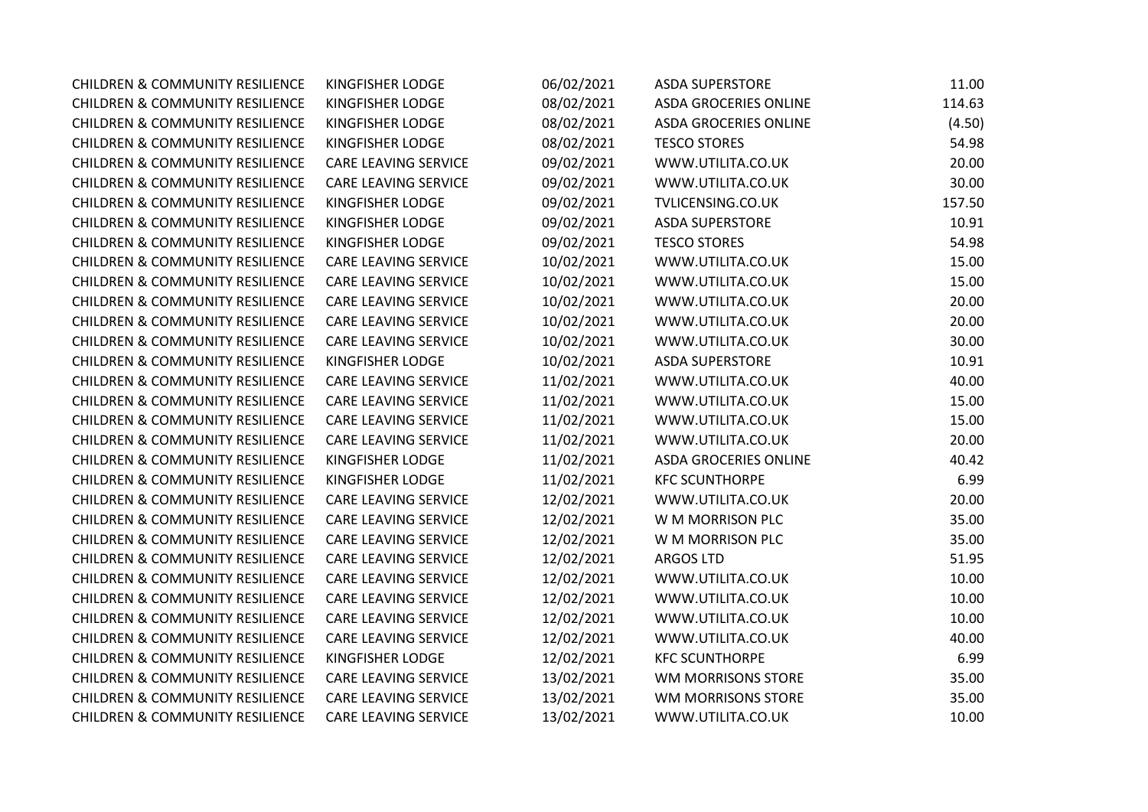| <b>CHILDREN &amp; COMMUNITY RESILIENCE</b> | <b>KINGFISHER LODGE</b>     | 06/02/2021 | <b>ASDA SUPERSTORE</b>       | 11.00  |
|--------------------------------------------|-----------------------------|------------|------------------------------|--------|
| <b>CHILDREN &amp; COMMUNITY RESILIENCE</b> | KINGFISHER LODGE            | 08/02/2021 | <b>ASDA GROCERIES ONLINE</b> | 114.63 |
| <b>CHILDREN &amp; COMMUNITY RESILIENCE</b> | KINGFISHER LODGE            | 08/02/2021 | <b>ASDA GROCERIES ONLINE</b> | (4.50) |
| <b>CHILDREN &amp; COMMUNITY RESILIENCE</b> | KINGFISHER LODGE            | 08/02/2021 | <b>TESCO STORES</b>          | 54.98  |
| <b>CHILDREN &amp; COMMUNITY RESILIENCE</b> | <b>CARE LEAVING SERVICE</b> | 09/02/2021 | WWW.UTILITA.CO.UK            | 20.00  |
| <b>CHILDREN &amp; COMMUNITY RESILIENCE</b> | CARE LEAVING SERVICE        | 09/02/2021 | WWW.UTILITA.CO.UK            | 30.00  |
| <b>CHILDREN &amp; COMMUNITY RESILIENCE</b> | KINGFISHER LODGE            | 09/02/2021 | TVLICENSING.CO.UK            | 157.50 |
| <b>CHILDREN &amp; COMMUNITY RESILIENCE</b> | KINGFISHER LODGE            | 09/02/2021 | <b>ASDA SUPERSTORE</b>       | 10.91  |
| <b>CHILDREN &amp; COMMUNITY RESILIENCE</b> | KINGFISHER LODGE            | 09/02/2021 | <b>TESCO STORES</b>          | 54.98  |
| <b>CHILDREN &amp; COMMUNITY RESILIENCE</b> | <b>CARE LEAVING SERVICE</b> | 10/02/2021 | WWW.UTILITA.CO.UK            | 15.00  |
| <b>CHILDREN &amp; COMMUNITY RESILIENCE</b> | <b>CARE LEAVING SERVICE</b> | 10/02/2021 | WWW.UTILITA.CO.UK            | 15.00  |
| <b>CHILDREN &amp; COMMUNITY RESILIENCE</b> | <b>CARE LEAVING SERVICE</b> | 10/02/2021 | WWW.UTILITA.CO.UK            | 20.00  |
| <b>CHILDREN &amp; COMMUNITY RESILIENCE</b> | <b>CARE LEAVING SERVICE</b> | 10/02/2021 | WWW.UTILITA.CO.UK            | 20.00  |
| <b>CHILDREN &amp; COMMUNITY RESILIENCE</b> | <b>CARE LEAVING SERVICE</b> | 10/02/2021 | WWW.UTILITA.CO.UK            | 30.00  |
| <b>CHILDREN &amp; COMMUNITY RESILIENCE</b> | KINGFISHER LODGE            | 10/02/2021 | <b>ASDA SUPERSTORE</b>       | 10.91  |
| <b>CHILDREN &amp; COMMUNITY RESILIENCE</b> | <b>CARE LEAVING SERVICE</b> | 11/02/2021 | WWW.UTILITA.CO.UK            | 40.00  |
| <b>CHILDREN &amp; COMMUNITY RESILIENCE</b> | <b>CARE LEAVING SERVICE</b> | 11/02/2021 | WWW.UTILITA.CO.UK            | 15.00  |
| <b>CHILDREN &amp; COMMUNITY RESILIENCE</b> | CARE LEAVING SERVICE        | 11/02/2021 | WWW.UTILITA.CO.UK            | 15.00  |
| <b>CHILDREN &amp; COMMUNITY RESILIENCE</b> | <b>CARE LEAVING SERVICE</b> | 11/02/2021 | WWW.UTILITA.CO.UK            | 20.00  |
| <b>CHILDREN &amp; COMMUNITY RESILIENCE</b> | KINGFISHER LODGE            | 11/02/2021 | <b>ASDA GROCERIES ONLINE</b> | 40.42  |
| <b>CHILDREN &amp; COMMUNITY RESILIENCE</b> | KINGFISHER LODGE            | 11/02/2021 | <b>KFC SCUNTHORPE</b>        | 6.99   |
| <b>CHILDREN &amp; COMMUNITY RESILIENCE</b> | <b>CARE LEAVING SERVICE</b> | 12/02/2021 | WWW.UTILITA.CO.UK            | 20.00  |
| <b>CHILDREN &amp; COMMUNITY RESILIENCE</b> | CARE LEAVING SERVICE        | 12/02/2021 | W M MORRISON PLC             | 35.00  |
| <b>CHILDREN &amp; COMMUNITY RESILIENCE</b> | <b>CARE LEAVING SERVICE</b> | 12/02/2021 | W M MORRISON PLC             | 35.00  |
| <b>CHILDREN &amp; COMMUNITY RESILIENCE</b> | CARE LEAVING SERVICE        | 12/02/2021 | <b>ARGOS LTD</b>             | 51.95  |
| <b>CHILDREN &amp; COMMUNITY RESILIENCE</b> | <b>CARE LEAVING SERVICE</b> | 12/02/2021 | WWW.UTILITA.CO.UK            | 10.00  |
| <b>CHILDREN &amp; COMMUNITY RESILIENCE</b> | CARE LEAVING SERVICE        | 12/02/2021 | WWW.UTILITA.CO.UK            | 10.00  |
| <b>CHILDREN &amp; COMMUNITY RESILIENCE</b> | CARE LEAVING SERVICE        | 12/02/2021 | WWW.UTILITA.CO.UK            | 10.00  |
| <b>CHILDREN &amp; COMMUNITY RESILIENCE</b> | <b>CARE LEAVING SERVICE</b> | 12/02/2021 | WWW.UTILITA.CO.UK            | 40.00  |
| <b>CHILDREN &amp; COMMUNITY RESILIENCE</b> | KINGFISHER LODGE            | 12/02/2021 | <b>KFC SCUNTHORPE</b>        | 6.99   |
| <b>CHILDREN &amp; COMMUNITY RESILIENCE</b> | <b>CARE LEAVING SERVICE</b> | 13/02/2021 | WM MORRISONS STORE           | 35.00  |
| <b>CHILDREN &amp; COMMUNITY RESILIENCE</b> | <b>CARE LEAVING SERVICE</b> | 13/02/2021 | WM MORRISONS STORE           | 35.00  |
| <b>CHILDREN &amp; COMMUNITY RESILIENCE</b> | <b>CARE LEAVING SERVICE</b> | 13/02/2021 | WWW.UTILITA.CO.UK            | 10.00  |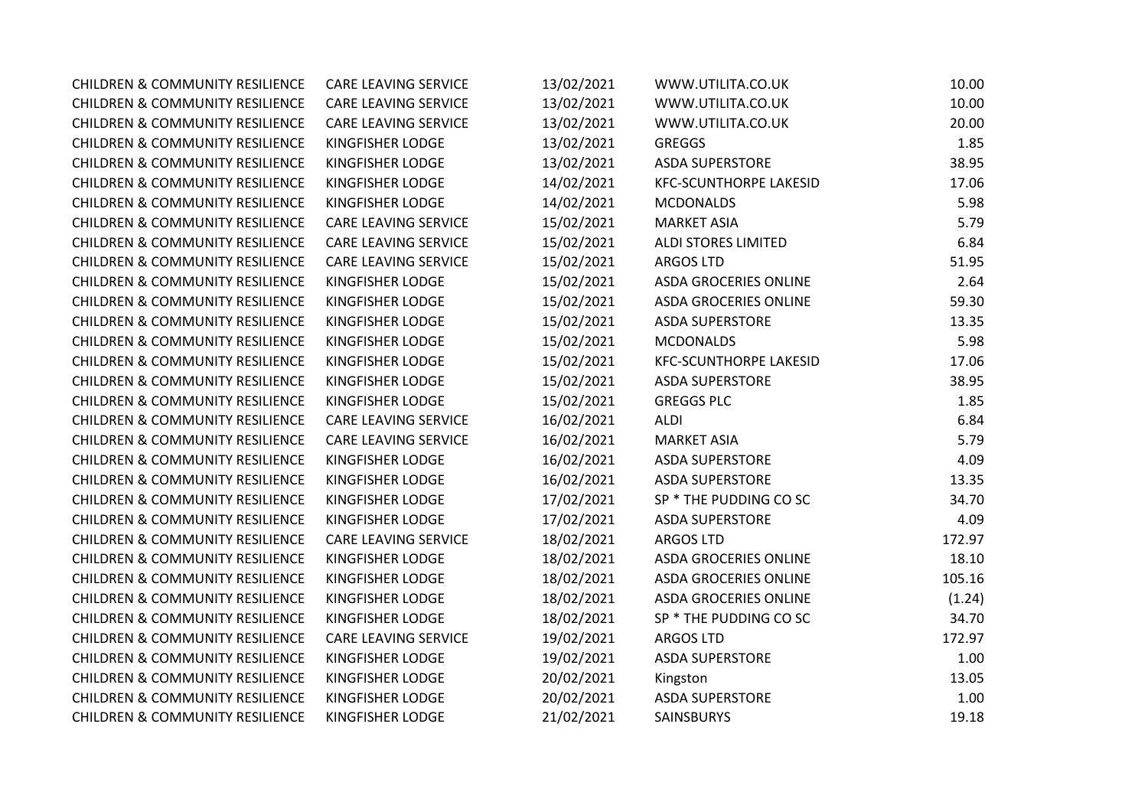| <b>CHILDREN &amp; COMMUNITY RESILIENCE</b> | CARE LEAVING SERVICE        | 13/02/2021 | WWW.UTILITA.CO.UK             | 10.00  |
|--------------------------------------------|-----------------------------|------------|-------------------------------|--------|
| <b>CHILDREN &amp; COMMUNITY RESILIENCE</b> | <b>CARE LEAVING SERVICE</b> | 13/02/2021 | WWW.UTILITA.CO.UK             | 10.00  |
| <b>CHILDREN &amp; COMMUNITY RESILIENCE</b> | CARE LEAVING SERVICE        | 13/02/2021 | WWW.UTILITA.CO.UK             | 20.00  |
| <b>CHILDREN &amp; COMMUNITY RESILIENCE</b> | <b>KINGFISHER LODGE</b>     | 13/02/2021 | <b>GREGGS</b>                 | 1.85   |
| <b>CHILDREN &amp; COMMUNITY RESILIENCE</b> | KINGFISHER LODGE            | 13/02/2021 | <b>ASDA SUPERSTORE</b>        | 38.95  |
| <b>CHILDREN &amp; COMMUNITY RESILIENCE</b> | KINGFISHER LODGE            | 14/02/2021 | <b>KFC-SCUNTHORPE LAKESID</b> | 17.06  |
| <b>CHILDREN &amp; COMMUNITY RESILIENCE</b> | KINGFISHER LODGE            | 14/02/2021 | <b>MCDONALDS</b>              | 5.98   |
| <b>CHILDREN &amp; COMMUNITY RESILIENCE</b> | CARE LEAVING SERVICE        | 15/02/2021 | <b>MARKET ASIA</b>            | 5.79   |
| <b>CHILDREN &amp; COMMUNITY RESILIENCE</b> | CARE LEAVING SERVICE        | 15/02/2021 | <b>ALDI STORES LIMITED</b>    | 6.84   |
| <b>CHILDREN &amp; COMMUNITY RESILIENCE</b> | CARE LEAVING SERVICE        | 15/02/2021 | <b>ARGOS LTD</b>              | 51.95  |
| <b>CHILDREN &amp; COMMUNITY RESILIENCE</b> | <b>KINGFISHER LODGE</b>     | 15/02/2021 | <b>ASDA GROCERIES ONLINE</b>  | 2.64   |
| <b>CHILDREN &amp; COMMUNITY RESILIENCE</b> | <b>KINGFISHER LODGE</b>     | 15/02/2021 | <b>ASDA GROCERIES ONLINE</b>  | 59.30  |
| <b>CHILDREN &amp; COMMUNITY RESILIENCE</b> | KINGFISHER LODGE            | 15/02/2021 | <b>ASDA SUPERSTORE</b>        | 13.35  |
| <b>CHILDREN &amp; COMMUNITY RESILIENCE</b> | KINGFISHER LODGE            | 15/02/2021 | <b>MCDONALDS</b>              | 5.98   |
| <b>CHILDREN &amp; COMMUNITY RESILIENCE</b> | KINGFISHER LODGE            | 15/02/2021 | <b>KFC-SCUNTHORPE LAKESID</b> | 17.06  |
| <b>CHILDREN &amp; COMMUNITY RESILIENCE</b> | KINGFISHER LODGE            | 15/02/2021 | <b>ASDA SUPERSTORE</b>        | 38.95  |
| <b>CHILDREN &amp; COMMUNITY RESILIENCE</b> | KINGFISHER LODGE            | 15/02/2021 | <b>GREGGS PLC</b>             | 1.85   |
| <b>CHILDREN &amp; COMMUNITY RESILIENCE</b> | CARE LEAVING SERVICE        | 16/02/2021 | ALDI                          | 6.84   |
| <b>CHILDREN &amp; COMMUNITY RESILIENCE</b> | <b>CARE LEAVING SERVICE</b> | 16/02/2021 | <b>MARKET ASIA</b>            | 5.79   |
| <b>CHILDREN &amp; COMMUNITY RESILIENCE</b> | <b>KINGFISHER LODGE</b>     | 16/02/2021 | <b>ASDA SUPERSTORE</b>        | 4.09   |
| <b>CHILDREN &amp; COMMUNITY RESILIENCE</b> | KINGFISHER LODGE            | 16/02/2021 | <b>ASDA SUPERSTORE</b>        | 13.35  |
| <b>CHILDREN &amp; COMMUNITY RESILIENCE</b> | KINGFISHER LODGE            | 17/02/2021 | SP * THE PUDDING CO SC        | 34.70  |
| <b>CHILDREN &amp; COMMUNITY RESILIENCE</b> | <b>KINGFISHER LODGE</b>     | 17/02/2021 | <b>ASDA SUPERSTORE</b>        | 4.09   |
| <b>CHILDREN &amp; COMMUNITY RESILIENCE</b> | <b>CARE LEAVING SERVICE</b> | 18/02/2021 | <b>ARGOS LTD</b>              | 172.97 |
| <b>CHILDREN &amp; COMMUNITY RESILIENCE</b> | KINGFISHER LODGE            | 18/02/2021 | ASDA GROCERIES ONLINE         | 18.10  |
| <b>CHILDREN &amp; COMMUNITY RESILIENCE</b> | KINGFISHER LODGE            | 18/02/2021 | ASDA GROCERIES ONLINE         | 105.16 |
| <b>CHILDREN &amp; COMMUNITY RESILIENCE</b> | KINGFISHER LODGE            | 18/02/2021 | ASDA GROCERIES ONLINE         | (1.24) |
| <b>CHILDREN &amp; COMMUNITY RESILIENCE</b> | KINGFISHER LODGE            | 18/02/2021 | SP * THE PUDDING CO SC        | 34.70  |
| <b>CHILDREN &amp; COMMUNITY RESILIENCE</b> | <b>CARE LEAVING SERVICE</b> | 19/02/2021 | <b>ARGOS LTD</b>              | 172.97 |
| <b>CHILDREN &amp; COMMUNITY RESILIENCE</b> | <b>KINGFISHER LODGE</b>     | 19/02/2021 | <b>ASDA SUPERSTORE</b>        | 1.00   |
| <b>CHILDREN &amp; COMMUNITY RESILIENCE</b> | KINGFISHER LODGE            | 20/02/2021 | Kingston                      | 13.05  |
| <b>CHILDREN &amp; COMMUNITY RESILIENCE</b> | KINGFISHER LODGE            | 20/02/2021 | <b>ASDA SUPERSTORE</b>        | 1.00   |
| <b>CHILDREN &amp; COMMUNITY RESILIENCE</b> | KINGFISHER LODGE            | 21/02/2021 | <b>SAINSBURYS</b>             | 19.18  |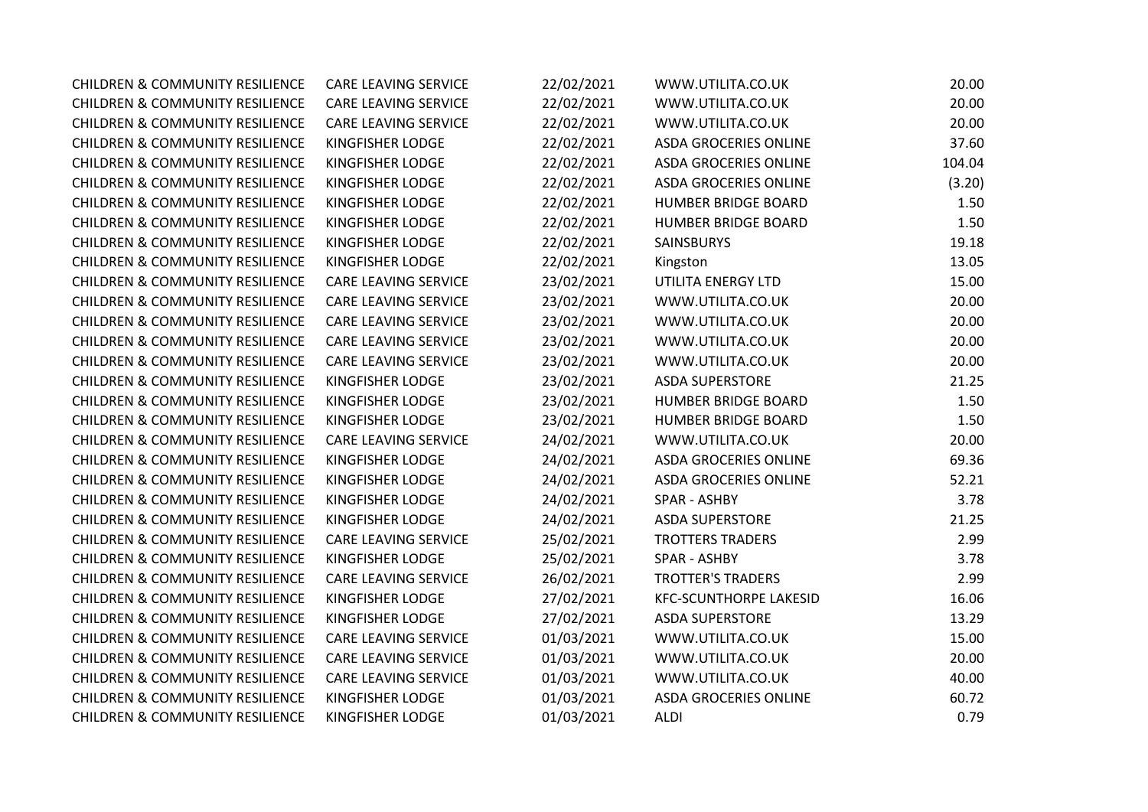| <b>CHILDREN &amp; COMMUNITY RESILIENCE</b> | <b>CARE LEAVING SERVICE</b> | 22/02/2021 | WWW.UTILITA.CO.UK             | 20.00  |
|--------------------------------------------|-----------------------------|------------|-------------------------------|--------|
| <b>CHILDREN &amp; COMMUNITY RESILIENCE</b> | CARE LEAVING SERVICE        | 22/02/2021 | WWW.UTILITA.CO.UK             | 20.00  |
| <b>CHILDREN &amp; COMMUNITY RESILIENCE</b> | CARE LEAVING SERVICE        | 22/02/2021 | WWW.UTILITA.CO.UK             | 20.00  |
| <b>CHILDREN &amp; COMMUNITY RESILIENCE</b> | KINGFISHER LODGE            | 22/02/2021 | <b>ASDA GROCERIES ONLINE</b>  | 37.60  |
| <b>CHILDREN &amp; COMMUNITY RESILIENCE</b> | KINGFISHER LODGE            | 22/02/2021 | <b>ASDA GROCERIES ONLINE</b>  | 104.04 |
| <b>CHILDREN &amp; COMMUNITY RESILIENCE</b> | KINGFISHER LODGE            | 22/02/2021 | <b>ASDA GROCERIES ONLINE</b>  | (3.20) |
| <b>CHILDREN &amp; COMMUNITY RESILIENCE</b> | KINGFISHER LODGE            | 22/02/2021 | <b>HUMBER BRIDGE BOARD</b>    | 1.50   |
| <b>CHILDREN &amp; COMMUNITY RESILIENCE</b> | KINGFISHER LODGE            | 22/02/2021 | <b>HUMBER BRIDGE BOARD</b>    | 1.50   |
| <b>CHILDREN &amp; COMMUNITY RESILIENCE</b> | KINGFISHER LODGE            | 22/02/2021 | SAINSBURYS                    | 19.18  |
| <b>CHILDREN &amp; COMMUNITY RESILIENCE</b> | KINGFISHER LODGE            | 22/02/2021 | Kingston                      | 13.05  |
| <b>CHILDREN &amp; COMMUNITY RESILIENCE</b> | <b>CARE LEAVING SERVICE</b> | 23/02/2021 | UTILITA ENERGY LTD            | 15.00  |
| <b>CHILDREN &amp; COMMUNITY RESILIENCE</b> | CARE LEAVING SERVICE        | 23/02/2021 | WWW.UTILITA.CO.UK             | 20.00  |
| <b>CHILDREN &amp; COMMUNITY RESILIENCE</b> | CARE LEAVING SERVICE        | 23/02/2021 | WWW.UTILITA.CO.UK             | 20.00  |
| <b>CHILDREN &amp; COMMUNITY RESILIENCE</b> | CARE LEAVING SERVICE        | 23/02/2021 | WWW.UTILITA.CO.UK             | 20.00  |
| <b>CHILDREN &amp; COMMUNITY RESILIENCE</b> | CARE LEAVING SERVICE        | 23/02/2021 | WWW.UTILITA.CO.UK             | 20.00  |
| <b>CHILDREN &amp; COMMUNITY RESILIENCE</b> | KINGFISHER LODGE            | 23/02/2021 | <b>ASDA SUPERSTORE</b>        | 21.25  |
| <b>CHILDREN &amp; COMMUNITY RESILIENCE</b> | KINGFISHER LODGE            | 23/02/2021 | <b>HUMBER BRIDGE BOARD</b>    | 1.50   |
| <b>CHILDREN &amp; COMMUNITY RESILIENCE</b> | KINGFISHER LODGE            | 23/02/2021 | <b>HUMBER BRIDGE BOARD</b>    | 1.50   |
| <b>CHILDREN &amp; COMMUNITY RESILIENCE</b> | <b>CARE LEAVING SERVICE</b> | 24/02/2021 | WWW.UTILITA.CO.UK             | 20.00  |
| <b>CHILDREN &amp; COMMUNITY RESILIENCE</b> | KINGFISHER LODGE            | 24/02/2021 | <b>ASDA GROCERIES ONLINE</b>  | 69.36  |
| <b>CHILDREN &amp; COMMUNITY RESILIENCE</b> | KINGFISHER LODGE            | 24/02/2021 | <b>ASDA GROCERIES ONLINE</b>  | 52.21  |
| <b>CHILDREN &amp; COMMUNITY RESILIENCE</b> | KINGFISHER LODGE            | 24/02/2021 | SPAR - ASHBY                  | 3.78   |
| <b>CHILDREN &amp; COMMUNITY RESILIENCE</b> | KINGFISHER LODGE            | 24/02/2021 | <b>ASDA SUPERSTORE</b>        | 21.25  |
| <b>CHILDREN &amp; COMMUNITY RESILIENCE</b> | <b>CARE LEAVING SERVICE</b> | 25/02/2021 | <b>TROTTERS TRADERS</b>       | 2.99   |
| <b>CHILDREN &amp; COMMUNITY RESILIENCE</b> | KINGFISHER LODGE            | 25/02/2021 | SPAR - ASHBY                  | 3.78   |
| <b>CHILDREN &amp; COMMUNITY RESILIENCE</b> | <b>CARE LEAVING SERVICE</b> | 26/02/2021 | <b>TROTTER'S TRADERS</b>      | 2.99   |
| <b>CHILDREN &amp; COMMUNITY RESILIENCE</b> | KINGFISHER LODGE            | 27/02/2021 | <b>KFC-SCUNTHORPE LAKESID</b> | 16.06  |
| <b>CHILDREN &amp; COMMUNITY RESILIENCE</b> | KINGFISHER LODGE            | 27/02/2021 | <b>ASDA SUPERSTORE</b>        | 13.29  |
| <b>CHILDREN &amp; COMMUNITY RESILIENCE</b> | CARE LEAVING SERVICE        | 01/03/2021 | WWW.UTILITA.CO.UK             | 15.00  |
| <b>CHILDREN &amp; COMMUNITY RESILIENCE</b> | CARE LEAVING SERVICE        | 01/03/2021 | WWW.UTILITA.CO.UK             | 20.00  |
| <b>CHILDREN &amp; COMMUNITY RESILIENCE</b> | CARE LEAVING SERVICE        | 01/03/2021 | WWW.UTILITA.CO.UK             | 40.00  |
| <b>CHILDREN &amp; COMMUNITY RESILIENCE</b> | KINGFISHER LODGE            | 01/03/2021 | <b>ASDA GROCERIES ONLINE</b>  | 60.72  |
| <b>CHILDREN &amp; COMMUNITY RESILIENCE</b> | KINGFISHER LODGE            | 01/03/2021 | <b>ALDI</b>                   | 0.79   |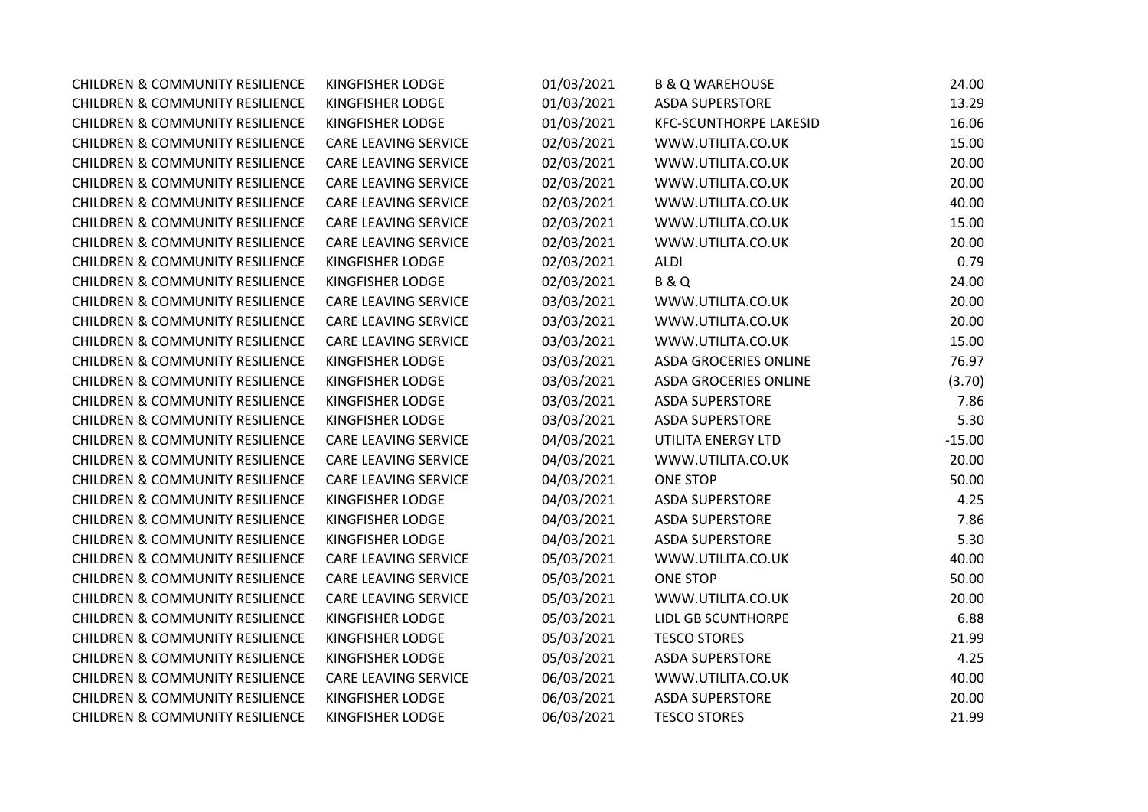| <b>CHILDREN &amp; COMMUNITY RESILIENCE</b> | <b>KINGFISHER LODGE</b>     | 01/03/2021 | <b>B &amp; Q WAREHOUSE</b>    | 24.00    |
|--------------------------------------------|-----------------------------|------------|-------------------------------|----------|
| <b>CHILDREN &amp; COMMUNITY RESILIENCE</b> | KINGFISHER LODGE            | 01/03/2021 | <b>ASDA SUPERSTORE</b>        | 13.29    |
| <b>CHILDREN &amp; COMMUNITY RESILIENCE</b> | KINGFISHER LODGE            | 01/03/2021 | <b>KFC-SCUNTHORPE LAKESID</b> | 16.06    |
| <b>CHILDREN &amp; COMMUNITY RESILIENCE</b> | <b>CARE LEAVING SERVICE</b> | 02/03/2021 | WWW.UTILITA.CO.UK             | 15.00    |
| <b>CHILDREN &amp; COMMUNITY RESILIENCE</b> | CARE LEAVING SERVICE        | 02/03/2021 | WWW.UTILITA.CO.UK             | 20.00    |
| <b>CHILDREN &amp; COMMUNITY RESILIENCE</b> | <b>CARE LEAVING SERVICE</b> | 02/03/2021 | WWW.UTILITA.CO.UK             | 20.00    |
| <b>CHILDREN &amp; COMMUNITY RESILIENCE</b> | <b>CARE LEAVING SERVICE</b> | 02/03/2021 | WWW.UTILITA.CO.UK             | 40.00    |
| <b>CHILDREN &amp; COMMUNITY RESILIENCE</b> | <b>CARE LEAVING SERVICE</b> | 02/03/2021 | WWW.UTILITA.CO.UK             | 15.00    |
| <b>CHILDREN &amp; COMMUNITY RESILIENCE</b> | <b>CARE LEAVING SERVICE</b> | 02/03/2021 | WWW.UTILITA.CO.UK             | 20.00    |
| <b>CHILDREN &amp; COMMUNITY RESILIENCE</b> | KINGFISHER LODGE            | 02/03/2021 | <b>ALDI</b>                   | 0.79     |
| <b>CHILDREN &amp; COMMUNITY RESILIENCE</b> | KINGFISHER LODGE            | 02/03/2021 | <b>B&amp;Q</b>                | 24.00    |
| <b>CHILDREN &amp; COMMUNITY RESILIENCE</b> | <b>CARE LEAVING SERVICE</b> | 03/03/2021 | WWW.UTILITA.CO.UK             | 20.00    |
| <b>CHILDREN &amp; COMMUNITY RESILIENCE</b> | <b>CARE LEAVING SERVICE</b> | 03/03/2021 | WWW.UTILITA.CO.UK             | 20.00    |
| <b>CHILDREN &amp; COMMUNITY RESILIENCE</b> | <b>CARE LEAVING SERVICE</b> | 03/03/2021 | WWW.UTILITA.CO.UK             | 15.00    |
| <b>CHILDREN &amp; COMMUNITY RESILIENCE</b> | KINGFISHER LODGE            | 03/03/2021 | ASDA GROCERIES ONLINE         | 76.97    |
| <b>CHILDREN &amp; COMMUNITY RESILIENCE</b> | KINGFISHER LODGE            | 03/03/2021 | <b>ASDA GROCERIES ONLINE</b>  | (3.70)   |
| <b>CHILDREN &amp; COMMUNITY RESILIENCE</b> | KINGFISHER LODGE            | 03/03/2021 | <b>ASDA SUPERSTORE</b>        | 7.86     |
| <b>CHILDREN &amp; COMMUNITY RESILIENCE</b> | KINGFISHER LODGE            | 03/03/2021 | <b>ASDA SUPERSTORE</b>        | 5.30     |
| <b>CHILDREN &amp; COMMUNITY RESILIENCE</b> | <b>CARE LEAVING SERVICE</b> | 04/03/2021 | UTILITA ENERGY LTD            | $-15.00$ |
| <b>CHILDREN &amp; COMMUNITY RESILIENCE</b> | <b>CARE LEAVING SERVICE</b> | 04/03/2021 | WWW.UTILITA.CO.UK             | 20.00    |
| <b>CHILDREN &amp; COMMUNITY RESILIENCE</b> | <b>CARE LEAVING SERVICE</b> | 04/03/2021 | <b>ONE STOP</b>               | 50.00    |
| <b>CHILDREN &amp; COMMUNITY RESILIENCE</b> | KINGFISHER LODGE            | 04/03/2021 | <b>ASDA SUPERSTORE</b>        | 4.25     |
| <b>CHILDREN &amp; COMMUNITY RESILIENCE</b> | KINGFISHER LODGE            | 04/03/2021 | <b>ASDA SUPERSTORE</b>        | 7.86     |
| <b>CHILDREN &amp; COMMUNITY RESILIENCE</b> | KINGFISHER LODGE            | 04/03/2021 | <b>ASDA SUPERSTORE</b>        | 5.30     |
| <b>CHILDREN &amp; COMMUNITY RESILIENCE</b> | <b>CARE LEAVING SERVICE</b> | 05/03/2021 | WWW.UTILITA.CO.UK             | 40.00    |
| <b>CHILDREN &amp; COMMUNITY RESILIENCE</b> | CARE LEAVING SERVICE        | 05/03/2021 | <b>ONE STOP</b>               | 50.00    |
| <b>CHILDREN &amp; COMMUNITY RESILIENCE</b> | <b>CARE LEAVING SERVICE</b> | 05/03/2021 | WWW.UTILITA.CO.UK             | 20.00    |
| <b>CHILDREN &amp; COMMUNITY RESILIENCE</b> | KINGFISHER LODGE            | 05/03/2021 | <b>LIDL GB SCUNTHORPE</b>     | 6.88     |
| <b>CHILDREN &amp; COMMUNITY RESILIENCE</b> | KINGFISHER LODGE            | 05/03/2021 | <b>TESCO STORES</b>           | 21.99    |
| <b>CHILDREN &amp; COMMUNITY RESILIENCE</b> | KINGFISHER LODGE            | 05/03/2021 | <b>ASDA SUPERSTORE</b>        | 4.25     |
| <b>CHILDREN &amp; COMMUNITY RESILIENCE</b> | <b>CARE LEAVING SERVICE</b> | 06/03/2021 | WWW.UTILITA.CO.UK             | 40.00    |
| <b>CHILDREN &amp; COMMUNITY RESILIENCE</b> | KINGFISHER LODGE            | 06/03/2021 | <b>ASDA SUPERSTORE</b>        | 20.00    |
| <b>CHILDREN &amp; COMMUNITY RESILIENCE</b> | <b>KINGFISHER LODGE</b>     | 06/03/2021 | <b>TESCO STORES</b>           | 21.99    |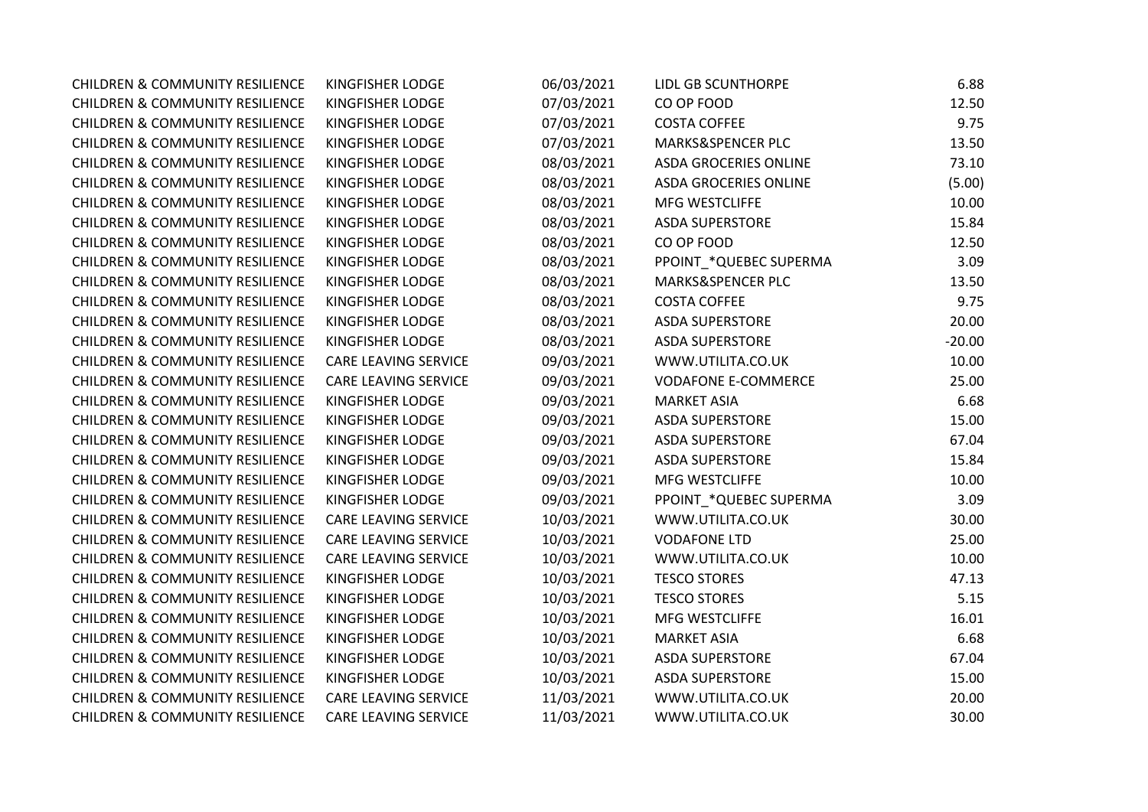| <b>CHILDREN &amp; COMMUNITY RESILIENCE</b> | KINGFISHER LODGE            | 06/03/2021 | LIDL GB SCUNTHORPE           | 6.88     |
|--------------------------------------------|-----------------------------|------------|------------------------------|----------|
| <b>CHILDREN &amp; COMMUNITY RESILIENCE</b> | KINGFISHER LODGE            | 07/03/2021 | CO OP FOOD                   | 12.50    |
| <b>CHILDREN &amp; COMMUNITY RESILIENCE</b> | KINGFISHER LODGE            | 07/03/2021 | <b>COSTA COFFEE</b>          | 9.75     |
| <b>CHILDREN &amp; COMMUNITY RESILIENCE</b> | KINGFISHER LODGE            | 07/03/2021 | MARKS&SPENCER PLC            | 13.50    |
| <b>CHILDREN &amp; COMMUNITY RESILIENCE</b> | KINGFISHER LODGE            | 08/03/2021 | <b>ASDA GROCERIES ONLINE</b> | 73.10    |
| <b>CHILDREN &amp; COMMUNITY RESILIENCE</b> | KINGFISHER LODGE            | 08/03/2021 | ASDA GROCERIES ONLINE        | (5.00)   |
| <b>CHILDREN &amp; COMMUNITY RESILIENCE</b> | KINGFISHER LODGE            | 08/03/2021 | MFG WESTCLIFFE               | 10.00    |
| <b>CHILDREN &amp; COMMUNITY RESILIENCE</b> | KINGFISHER LODGE            | 08/03/2021 | <b>ASDA SUPERSTORE</b>       | 15.84    |
| <b>CHILDREN &amp; COMMUNITY RESILIENCE</b> | KINGFISHER LODGE            | 08/03/2021 | CO OP FOOD                   | 12.50    |
| <b>CHILDREN &amp; COMMUNITY RESILIENCE</b> | KINGFISHER LODGE            | 08/03/2021 | PPOINT_*QUEBEC SUPERMA       | 3.09     |
| <b>CHILDREN &amp; COMMUNITY RESILIENCE</b> | KINGFISHER LODGE            | 08/03/2021 | MARKS&SPENCER PLC            | 13.50    |
| <b>CHILDREN &amp; COMMUNITY RESILIENCE</b> | KINGFISHER LODGE            | 08/03/2021 | <b>COSTA COFFEE</b>          | 9.75     |
| <b>CHILDREN &amp; COMMUNITY RESILIENCE</b> | KINGFISHER LODGE            | 08/03/2021 | <b>ASDA SUPERSTORE</b>       | 20.00    |
| <b>CHILDREN &amp; COMMUNITY RESILIENCE</b> | KINGFISHER LODGE            | 08/03/2021 | <b>ASDA SUPERSTORE</b>       | $-20.00$ |
| <b>CHILDREN &amp; COMMUNITY RESILIENCE</b> | <b>CARE LEAVING SERVICE</b> | 09/03/2021 | WWW.UTILITA.CO.UK            | 10.00    |
| <b>CHILDREN &amp; COMMUNITY RESILIENCE</b> | <b>CARE LEAVING SERVICE</b> | 09/03/2021 | <b>VODAFONE E-COMMERCE</b>   | 25.00    |
| <b>CHILDREN &amp; COMMUNITY RESILIENCE</b> | KINGFISHER LODGE            | 09/03/2021 | <b>MARKET ASIA</b>           | 6.68     |
| <b>CHILDREN &amp; COMMUNITY RESILIENCE</b> | KINGFISHER LODGE            | 09/03/2021 | <b>ASDA SUPERSTORE</b>       | 15.00    |
| <b>CHILDREN &amp; COMMUNITY RESILIENCE</b> | KINGFISHER LODGE            | 09/03/2021 | <b>ASDA SUPERSTORE</b>       | 67.04    |
| <b>CHILDREN &amp; COMMUNITY RESILIENCE</b> | KINGFISHER LODGE            | 09/03/2021 | <b>ASDA SUPERSTORE</b>       | 15.84    |
| <b>CHILDREN &amp; COMMUNITY RESILIENCE</b> | KINGFISHER LODGE            | 09/03/2021 | MFG WESTCLIFFE               | 10.00    |
| <b>CHILDREN &amp; COMMUNITY RESILIENCE</b> | KINGFISHER LODGE            | 09/03/2021 | PPOINT_*QUEBEC SUPERMA       | 3.09     |
| <b>CHILDREN &amp; COMMUNITY RESILIENCE</b> | <b>CARE LEAVING SERVICE</b> | 10/03/2021 | WWW.UTILITA.CO.UK            | 30.00    |
| <b>CHILDREN &amp; COMMUNITY RESILIENCE</b> | <b>CARE LEAVING SERVICE</b> | 10/03/2021 | <b>VODAFONE LTD</b>          | 25.00    |
| <b>CHILDREN &amp; COMMUNITY RESILIENCE</b> | <b>CARE LEAVING SERVICE</b> | 10/03/2021 | WWW.UTILITA.CO.UK            | 10.00    |
| <b>CHILDREN &amp; COMMUNITY RESILIENCE</b> | KINGFISHER LODGE            | 10/03/2021 | <b>TESCO STORES</b>          | 47.13    |
| <b>CHILDREN &amp; COMMUNITY RESILIENCE</b> | KINGFISHER LODGE            | 10/03/2021 | <b>TESCO STORES</b>          | 5.15     |
| <b>CHILDREN &amp; COMMUNITY RESILIENCE</b> | KINGFISHER LODGE            | 10/03/2021 | MFG WESTCLIFFE               | 16.01    |
| <b>CHILDREN &amp; COMMUNITY RESILIENCE</b> | KINGFISHER LODGE            | 10/03/2021 | <b>MARKET ASIA</b>           | 6.68     |
| <b>CHILDREN &amp; COMMUNITY RESILIENCE</b> | KINGFISHER LODGE            | 10/03/2021 | <b>ASDA SUPERSTORE</b>       | 67.04    |
| <b>CHILDREN &amp; COMMUNITY RESILIENCE</b> | KINGFISHER LODGE            | 10/03/2021 | <b>ASDA SUPERSTORE</b>       | 15.00    |
| <b>CHILDREN &amp; COMMUNITY RESILIENCE</b> | <b>CARE LEAVING SERVICE</b> | 11/03/2021 | WWW.UTILITA.CO.UK            | 20.00    |
| <b>CHILDREN &amp; COMMUNITY RESILIENCE</b> | <b>CARE LEAVING SERVICE</b> | 11/03/2021 | WWW.UTILITA.CO.UK            | 30.00    |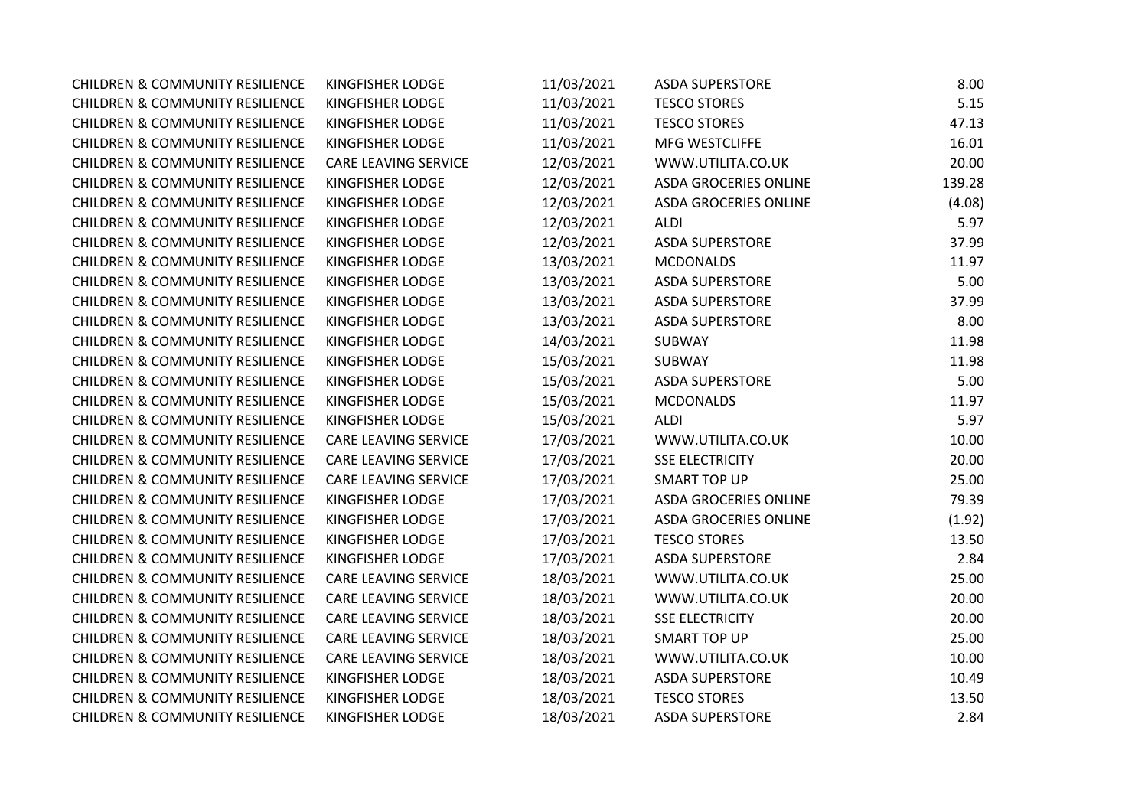| <b>CHILDREN &amp; COMMUNITY RESILIENCE</b> | <b>KINGFISHER LODGE</b>     | 11/03/2021 | <b>ASDA SUPERSTORE</b>       | 8.00   |
|--------------------------------------------|-----------------------------|------------|------------------------------|--------|
| <b>CHILDREN &amp; COMMUNITY RESILIENCE</b> | KINGFISHER LODGE            | 11/03/2021 | <b>TESCO STORES</b>          | 5.15   |
| <b>CHILDREN &amp; COMMUNITY RESILIENCE</b> | <b>KINGFISHER LODGE</b>     | 11/03/2021 | <b>TESCO STORES</b>          | 47.13  |
| <b>CHILDREN &amp; COMMUNITY RESILIENCE</b> | <b>KINGFISHER LODGE</b>     | 11/03/2021 | MFG WESTCLIFFE               | 16.01  |
| <b>CHILDREN &amp; COMMUNITY RESILIENCE</b> | <b>CARE LEAVING SERVICE</b> | 12/03/2021 | WWW.UTILITA.CO.UK            | 20.00  |
| <b>CHILDREN &amp; COMMUNITY RESILIENCE</b> | KINGFISHER LODGE            | 12/03/2021 | <b>ASDA GROCERIES ONLINE</b> | 139.28 |
| <b>CHILDREN &amp; COMMUNITY RESILIENCE</b> | <b>KINGFISHER LODGE</b>     | 12/03/2021 | <b>ASDA GROCERIES ONLINE</b> | (4.08) |
| <b>CHILDREN &amp; COMMUNITY RESILIENCE</b> | KINGFISHER LODGE            | 12/03/2021 | <b>ALDI</b>                  | 5.97   |
| <b>CHILDREN &amp; COMMUNITY RESILIENCE</b> | <b>KINGFISHER LODGE</b>     | 12/03/2021 | <b>ASDA SUPERSTORE</b>       | 37.99  |
| <b>CHILDREN &amp; COMMUNITY RESILIENCE</b> | KINGFISHER LODGE            | 13/03/2021 | <b>MCDONALDS</b>             | 11.97  |
| <b>CHILDREN &amp; COMMUNITY RESILIENCE</b> | <b>KINGFISHER LODGE</b>     | 13/03/2021 | <b>ASDA SUPERSTORE</b>       | 5.00   |
| <b>CHILDREN &amp; COMMUNITY RESILIENCE</b> | KINGFISHER LODGE            | 13/03/2021 | <b>ASDA SUPERSTORE</b>       | 37.99  |
| <b>CHILDREN &amp; COMMUNITY RESILIENCE</b> | <b>KINGFISHER LODGE</b>     | 13/03/2021 | <b>ASDA SUPERSTORE</b>       | 8.00   |
| <b>CHILDREN &amp; COMMUNITY RESILIENCE</b> | KINGFISHER LODGE            | 14/03/2021 | SUBWAY                       | 11.98  |
| <b>CHILDREN &amp; COMMUNITY RESILIENCE</b> | <b>KINGFISHER LODGE</b>     | 15/03/2021 | SUBWAY                       | 11.98  |
| <b>CHILDREN &amp; COMMUNITY RESILIENCE</b> | KINGFISHER LODGE            | 15/03/2021 | <b>ASDA SUPERSTORE</b>       | 5.00   |
| <b>CHILDREN &amp; COMMUNITY RESILIENCE</b> | KINGFISHER LODGE            | 15/03/2021 | <b>MCDONALDS</b>             | 11.97  |
| <b>CHILDREN &amp; COMMUNITY RESILIENCE</b> | KINGFISHER LODGE            | 15/03/2021 | <b>ALDI</b>                  | 5.97   |
| <b>CHILDREN &amp; COMMUNITY RESILIENCE</b> | CARE LEAVING SERVICE        | 17/03/2021 | WWW.UTILITA.CO.UK            | 10.00  |
| <b>CHILDREN &amp; COMMUNITY RESILIENCE</b> | <b>CARE LEAVING SERVICE</b> | 17/03/2021 | <b>SSE ELECTRICITY</b>       | 20.00  |
| <b>CHILDREN &amp; COMMUNITY RESILIENCE</b> | <b>CARE LEAVING SERVICE</b> | 17/03/2021 | <b>SMART TOP UP</b>          | 25.00  |
| <b>CHILDREN &amp; COMMUNITY RESILIENCE</b> | KINGFISHER LODGE            | 17/03/2021 | <b>ASDA GROCERIES ONLINE</b> | 79.39  |
| <b>CHILDREN &amp; COMMUNITY RESILIENCE</b> | <b>KINGFISHER LODGE</b>     | 17/03/2021 | <b>ASDA GROCERIES ONLINE</b> | (1.92) |
| <b>CHILDREN &amp; COMMUNITY RESILIENCE</b> | <b>KINGFISHER LODGE</b>     | 17/03/2021 | <b>TESCO STORES</b>          | 13.50  |
| <b>CHILDREN &amp; COMMUNITY RESILIENCE</b> | <b>KINGFISHER LODGE</b>     | 17/03/2021 | <b>ASDA SUPERSTORE</b>       | 2.84   |
| <b>CHILDREN &amp; COMMUNITY RESILIENCE</b> | <b>CARE LEAVING SERVICE</b> | 18/03/2021 | WWW.UTILITA.CO.UK            | 25.00  |
| <b>CHILDREN &amp; COMMUNITY RESILIENCE</b> | <b>CARE LEAVING SERVICE</b> | 18/03/2021 | WWW.UTILITA.CO.UK            | 20.00  |
| <b>CHILDREN &amp; COMMUNITY RESILIENCE</b> | <b>CARE LEAVING SERVICE</b> | 18/03/2021 | <b>SSE ELECTRICITY</b>       | 20.00  |
| <b>CHILDREN &amp; COMMUNITY RESILIENCE</b> | <b>CARE LEAVING SERVICE</b> | 18/03/2021 | <b>SMART TOP UP</b>          | 25.00  |
| <b>CHILDREN &amp; COMMUNITY RESILIENCE</b> | CARE LEAVING SERVICE        | 18/03/2021 | WWW.UTILITA.CO.UK            | 10.00  |
| <b>CHILDREN &amp; COMMUNITY RESILIENCE</b> | <b>KINGFISHER LODGE</b>     | 18/03/2021 | <b>ASDA SUPERSTORE</b>       | 10.49  |
| <b>CHILDREN &amp; COMMUNITY RESILIENCE</b> | <b>KINGFISHER LODGE</b>     | 18/03/2021 | <b>TESCO STORES</b>          | 13.50  |
| <b>CHILDREN &amp; COMMUNITY RESILIENCE</b> | <b>KINGFISHER LODGE</b>     | 18/03/2021 | <b>ASDA SUPERSTORE</b>       | 2.84   |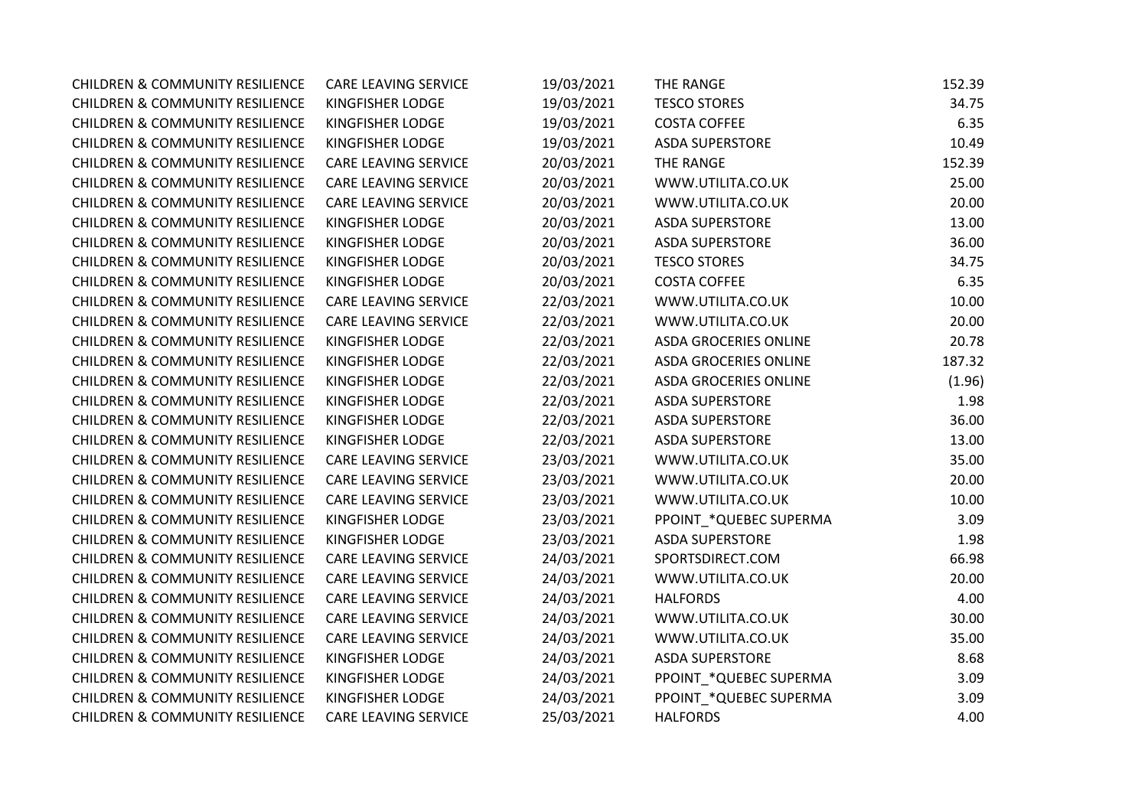| <b>CHILDREN &amp; COMMUNITY RESILIENCE</b> | CARE LEAVING SERVICE    | 19/03/2021 | THE RANGE                    | 152.39 |
|--------------------------------------------|-------------------------|------------|------------------------------|--------|
| <b>CHILDREN &amp; COMMUNITY RESILIENCE</b> | KINGFISHER LODGE        | 19/03/2021 | <b>TESCO STORES</b>          | 34.75  |
| <b>CHILDREN &amp; COMMUNITY RESILIENCE</b> | KINGFISHER LODGE        | 19/03/2021 | <b>COSTA COFFEE</b>          | 6.35   |
| <b>CHILDREN &amp; COMMUNITY RESILIENCE</b> | <b>KINGFISHER LODGE</b> | 19/03/2021 | <b>ASDA SUPERSTORE</b>       | 10.49  |
| <b>CHILDREN &amp; COMMUNITY RESILIENCE</b> | CARE LEAVING SERVICE    | 20/03/2021 | THE RANGE                    | 152.39 |
| <b>CHILDREN &amp; COMMUNITY RESILIENCE</b> | CARE LEAVING SERVICE    | 20/03/2021 | WWW.UTILITA.CO.UK            | 25.00  |
| <b>CHILDREN &amp; COMMUNITY RESILIENCE</b> | CARE LEAVING SERVICE    | 20/03/2021 | WWW.UTILITA.CO.UK            | 20.00  |
| <b>CHILDREN &amp; COMMUNITY RESILIENCE</b> | KINGFISHER LODGE        | 20/03/2021 | <b>ASDA SUPERSTORE</b>       | 13.00  |
| <b>CHILDREN &amp; COMMUNITY RESILIENCE</b> | KINGFISHER LODGE        | 20/03/2021 | <b>ASDA SUPERSTORE</b>       | 36.00  |
| <b>CHILDREN &amp; COMMUNITY RESILIENCE</b> | KINGFISHER LODGE        | 20/03/2021 | <b>TESCO STORES</b>          | 34.75  |
| <b>CHILDREN &amp; COMMUNITY RESILIENCE</b> | KINGFISHER LODGE        | 20/03/2021 | <b>COSTA COFFEE</b>          | 6.35   |
| <b>CHILDREN &amp; COMMUNITY RESILIENCE</b> | CARE LEAVING SERVICE    | 22/03/2021 | WWW.UTILITA.CO.UK            | 10.00  |
| <b>CHILDREN &amp; COMMUNITY RESILIENCE</b> | CARE LEAVING SERVICE    | 22/03/2021 | WWW.UTILITA.CO.UK            | 20.00  |
| <b>CHILDREN &amp; COMMUNITY RESILIENCE</b> | KINGFISHER LODGE        | 22/03/2021 | <b>ASDA GROCERIES ONLINE</b> | 20.78  |
| <b>CHILDREN &amp; COMMUNITY RESILIENCE</b> | KINGFISHER LODGE        | 22/03/2021 | <b>ASDA GROCERIES ONLINE</b> | 187.32 |
| <b>CHILDREN &amp; COMMUNITY RESILIENCE</b> | <b>KINGFISHER LODGE</b> | 22/03/2021 | <b>ASDA GROCERIES ONLINE</b> | (1.96) |
| <b>CHILDREN &amp; COMMUNITY RESILIENCE</b> | <b>KINGFISHER LODGE</b> | 22/03/2021 | <b>ASDA SUPERSTORE</b>       | 1.98   |
| <b>CHILDREN &amp; COMMUNITY RESILIENCE</b> | KINGFISHER LODGE        | 22/03/2021 | <b>ASDA SUPERSTORE</b>       | 36.00  |
| <b>CHILDREN &amp; COMMUNITY RESILIENCE</b> | KINGFISHER LODGE        | 22/03/2021 | <b>ASDA SUPERSTORE</b>       | 13.00  |
| <b>CHILDREN &amp; COMMUNITY RESILIENCE</b> | CARE LEAVING SERVICE    | 23/03/2021 | WWW.UTILITA.CO.UK            | 35.00  |
| <b>CHILDREN &amp; COMMUNITY RESILIENCE</b> | CARE LEAVING SERVICE    | 23/03/2021 | WWW.UTILITA.CO.UK            | 20.00  |
| <b>CHILDREN &amp; COMMUNITY RESILIENCE</b> | CARE LEAVING SERVICE    | 23/03/2021 | WWW.UTILITA.CO.UK            | 10.00  |
| <b>CHILDREN &amp; COMMUNITY RESILIENCE</b> | KINGFISHER LODGE        | 23/03/2021 | PPOINT_*QUEBEC SUPERMA       | 3.09   |
| <b>CHILDREN &amp; COMMUNITY RESILIENCE</b> | <b>KINGFISHER LODGE</b> | 23/03/2021 | <b>ASDA SUPERSTORE</b>       | 1.98   |
| <b>CHILDREN &amp; COMMUNITY RESILIENCE</b> | CARE LEAVING SERVICE    | 24/03/2021 | SPORTSDIRECT.COM             | 66.98  |
| <b>CHILDREN &amp; COMMUNITY RESILIENCE</b> | CARE LEAVING SERVICE    | 24/03/2021 | WWW.UTILITA.CO.UK            | 20.00  |
| <b>CHILDREN &amp; COMMUNITY RESILIENCE</b> | CARE LEAVING SERVICE    | 24/03/2021 | <b>HALFORDS</b>              | 4.00   |
| <b>CHILDREN &amp; COMMUNITY RESILIENCE</b> | CARE LEAVING SERVICE    | 24/03/2021 | WWW.UTILITA.CO.UK            | 30.00  |
| <b>CHILDREN &amp; COMMUNITY RESILIENCE</b> | CARE LEAVING SERVICE    | 24/03/2021 | WWW.UTILITA.CO.UK            | 35.00  |
| <b>CHILDREN &amp; COMMUNITY RESILIENCE</b> | KINGFISHER LODGE        | 24/03/2021 | <b>ASDA SUPERSTORE</b>       | 8.68   |
| <b>CHILDREN &amp; COMMUNITY RESILIENCE</b> | KINGFISHER LODGE        | 24/03/2021 | PPOINT_*QUEBEC SUPERMA       | 3.09   |
| <b>CHILDREN &amp; COMMUNITY RESILIENCE</b> | KINGFISHER LODGE        | 24/03/2021 | PPOINT_*QUEBEC SUPERMA       | 3.09   |
| <b>CHILDREN &amp; COMMUNITY RESILIENCE</b> | CARE LEAVING SERVICE    | 25/03/2021 | <b>HALFORDS</b>              | 4.00   |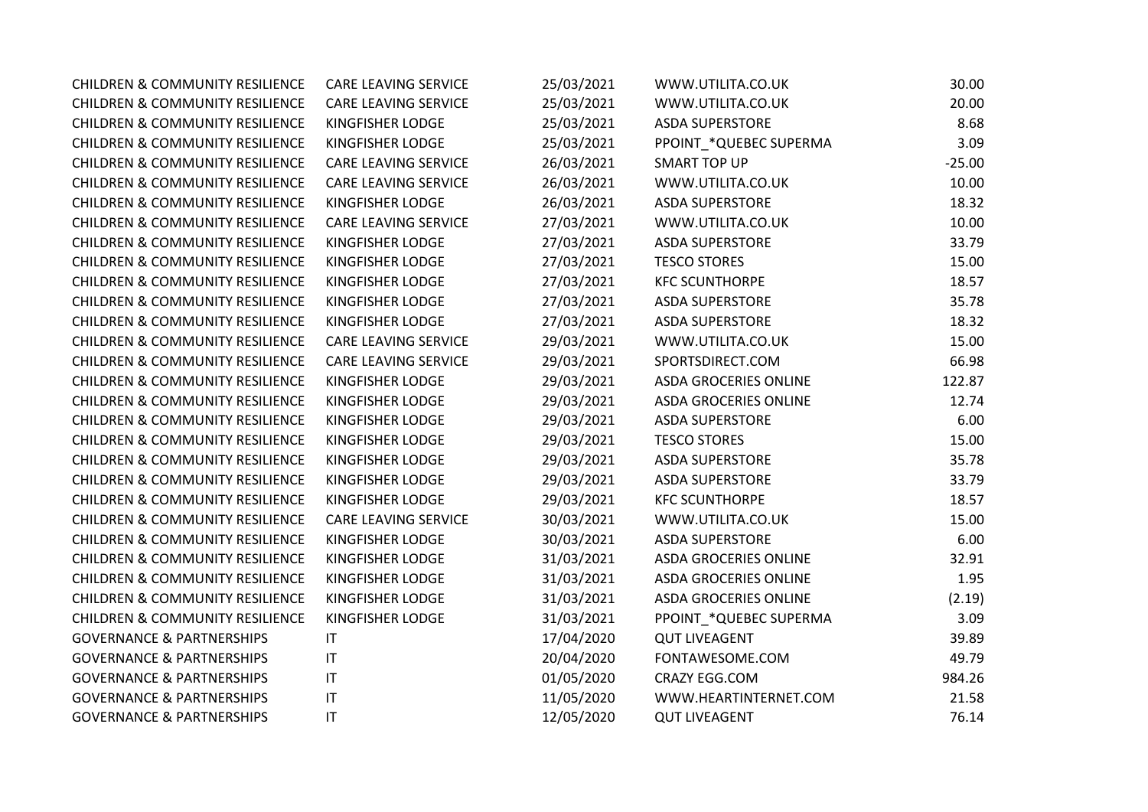| <b>CHILDREN &amp; COMMUNITY RESILIENCE</b> | <b>CARE LEAVING SERVICE</b> | 25/03/2021 | WWW.UTILITA.CO.UK            | 30.00    |
|--------------------------------------------|-----------------------------|------------|------------------------------|----------|
| <b>CHILDREN &amp; COMMUNITY RESILIENCE</b> | CARE LEAVING SERVICE        | 25/03/2021 | WWW.UTILITA.CO.UK            | 20.00    |
| <b>CHILDREN &amp; COMMUNITY RESILIENCE</b> | KINGFISHER LODGE            | 25/03/2021 | <b>ASDA SUPERSTORE</b>       | 8.68     |
| <b>CHILDREN &amp; COMMUNITY RESILIENCE</b> | KINGFISHER LODGE            | 25/03/2021 | PPOINT *QUEBEC SUPERMA       | 3.09     |
| <b>CHILDREN &amp; COMMUNITY RESILIENCE</b> | <b>CARE LEAVING SERVICE</b> | 26/03/2021 | <b>SMART TOP UP</b>          | $-25.00$ |
| <b>CHILDREN &amp; COMMUNITY RESILIENCE</b> | <b>CARE LEAVING SERVICE</b> | 26/03/2021 | WWW.UTILITA.CO.UK            | 10.00    |
| <b>CHILDREN &amp; COMMUNITY RESILIENCE</b> | KINGFISHER LODGE            | 26/03/2021 | <b>ASDA SUPERSTORE</b>       | 18.32    |
| <b>CHILDREN &amp; COMMUNITY RESILIENCE</b> | <b>CARE LEAVING SERVICE</b> | 27/03/2021 | WWW.UTILITA.CO.UK            | 10.00    |
| <b>CHILDREN &amp; COMMUNITY RESILIENCE</b> | KINGFISHER LODGE            | 27/03/2021 | <b>ASDA SUPERSTORE</b>       | 33.79    |
| <b>CHILDREN &amp; COMMUNITY RESILIENCE</b> | KINGFISHER LODGE            | 27/03/2021 | <b>TESCO STORES</b>          | 15.00    |
| <b>CHILDREN &amp; COMMUNITY RESILIENCE</b> | KINGFISHER LODGE            | 27/03/2021 | <b>KFC SCUNTHORPE</b>        | 18.57    |
| <b>CHILDREN &amp; COMMUNITY RESILIENCE</b> | KINGFISHER LODGE            | 27/03/2021 | <b>ASDA SUPERSTORE</b>       | 35.78    |
| <b>CHILDREN &amp; COMMUNITY RESILIENCE</b> | KINGFISHER LODGE            | 27/03/2021 | <b>ASDA SUPERSTORE</b>       | 18.32    |
| <b>CHILDREN &amp; COMMUNITY RESILIENCE</b> | CARE LEAVING SERVICE        | 29/03/2021 | WWW.UTILITA.CO.UK            | 15.00    |
| <b>CHILDREN &amp; COMMUNITY RESILIENCE</b> | <b>CARE LEAVING SERVICE</b> | 29/03/2021 | SPORTSDIRECT.COM             | 66.98    |
| <b>CHILDREN &amp; COMMUNITY RESILIENCE</b> | KINGFISHER LODGE            | 29/03/2021 | <b>ASDA GROCERIES ONLINE</b> | 122.87   |
| <b>CHILDREN &amp; COMMUNITY RESILIENCE</b> | KINGFISHER LODGE            | 29/03/2021 | <b>ASDA GROCERIES ONLINE</b> | 12.74    |
| <b>CHILDREN &amp; COMMUNITY RESILIENCE</b> | KINGFISHER LODGE            | 29/03/2021 | <b>ASDA SUPERSTORE</b>       | 6.00     |
| <b>CHILDREN &amp; COMMUNITY RESILIENCE</b> | KINGFISHER LODGE            | 29/03/2021 | <b>TESCO STORES</b>          | 15.00    |
| <b>CHILDREN &amp; COMMUNITY RESILIENCE</b> | KINGFISHER LODGE            | 29/03/2021 | <b>ASDA SUPERSTORE</b>       | 35.78    |
| <b>CHILDREN &amp; COMMUNITY RESILIENCE</b> | KINGFISHER LODGE            | 29/03/2021 | <b>ASDA SUPERSTORE</b>       | 33.79    |
| <b>CHILDREN &amp; COMMUNITY RESILIENCE</b> | KINGFISHER LODGE            | 29/03/2021 | <b>KFC SCUNTHORPE</b>        | 18.57    |
| <b>CHILDREN &amp; COMMUNITY RESILIENCE</b> | <b>CARE LEAVING SERVICE</b> | 30/03/2021 | WWW.UTILITA.CO.UK            | 15.00    |
| <b>CHILDREN &amp; COMMUNITY RESILIENCE</b> | KINGFISHER LODGE            | 30/03/2021 | <b>ASDA SUPERSTORE</b>       | 6.00     |
| <b>CHILDREN &amp; COMMUNITY RESILIENCE</b> | KINGFISHER LODGE            | 31/03/2021 | <b>ASDA GROCERIES ONLINE</b> | 32.91    |
| <b>CHILDREN &amp; COMMUNITY RESILIENCE</b> | KINGFISHER LODGE            | 31/03/2021 | <b>ASDA GROCERIES ONLINE</b> | 1.95     |
| <b>CHILDREN &amp; COMMUNITY RESILIENCE</b> | KINGFISHER LODGE            | 31/03/2021 | <b>ASDA GROCERIES ONLINE</b> | (2.19)   |
| <b>CHILDREN &amp; COMMUNITY RESILIENCE</b> | KINGFISHER LODGE            | 31/03/2021 | PPOINT_*QUEBEC SUPERMA       | 3.09     |
| <b>GOVERNANCE &amp; PARTNERSHIPS</b>       | IT                          | 17/04/2020 | <b>QUT LIVEAGENT</b>         | 39.89    |
| <b>GOVERNANCE &amp; PARTNERSHIPS</b>       | IT                          | 20/04/2020 | FONTAWESOME.COM              | 49.79    |
| <b>GOVERNANCE &amp; PARTNERSHIPS</b>       | $\mathsf{I}\mathsf{T}$      | 01/05/2020 | CRAZY EGG.COM                | 984.26   |
| <b>GOVERNANCE &amp; PARTNERSHIPS</b>       | IT                          | 11/05/2020 | WWW.HEARTINTERNET.COM        | 21.58    |
| <b>GOVERNANCE &amp; PARTNERSHIPS</b>       | $\mathsf{I}\mathsf{T}$      | 12/05/2020 | <b>QUT LIVEAGENT</b>         | 76.14    |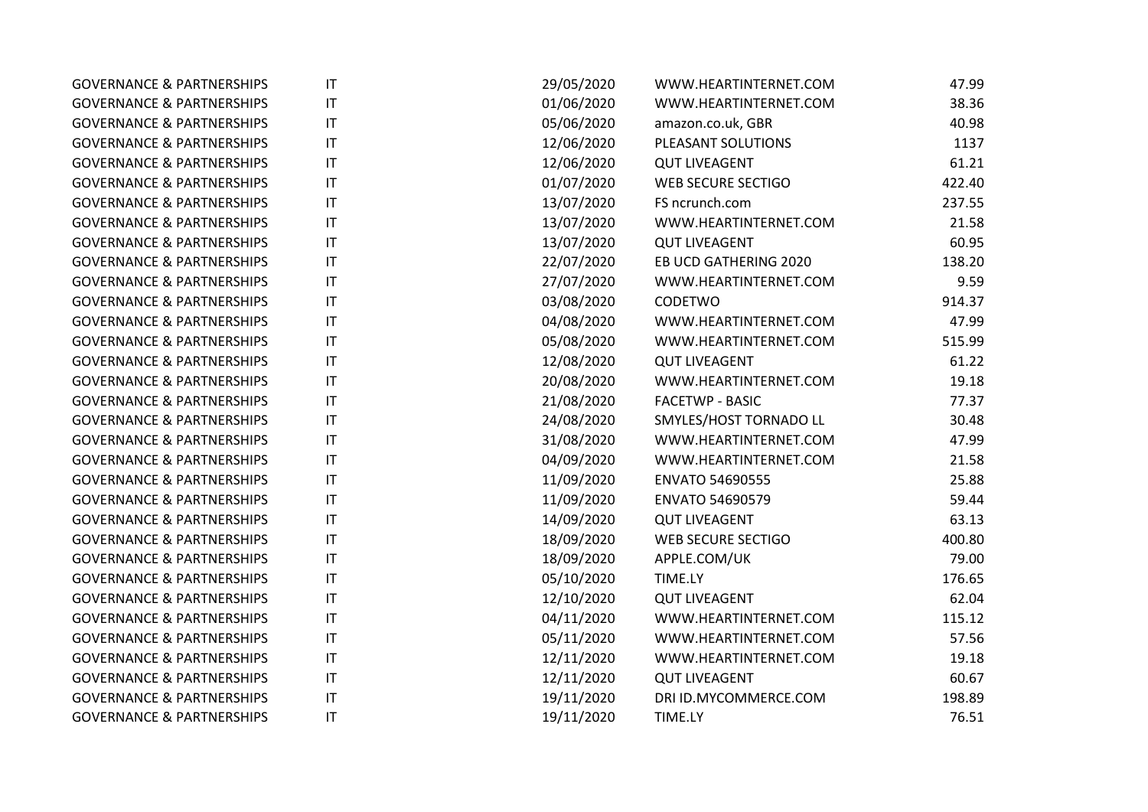| <b>GOVERNANCE &amp; PARTNERSHIPS</b> | $\mathsf{I}\mathsf{T}$ | 29/05/2020 | WWW.HEARTINTERNET.COM     | 47.99  |
|--------------------------------------|------------------------|------------|---------------------------|--------|
| <b>GOVERNANCE &amp; PARTNERSHIPS</b> | $\mathsf{I}\mathsf{T}$ | 01/06/2020 | WWW.HEARTINTERNET.COM     | 38.36  |
| <b>GOVERNANCE &amp; PARTNERSHIPS</b> | $\mathsf{I}\mathsf{T}$ | 05/06/2020 | amazon.co.uk, GBR         | 40.98  |
| <b>GOVERNANCE &amp; PARTNERSHIPS</b> | $\mathsf{I}\mathsf{T}$ | 12/06/2020 | PLEASANT SOLUTIONS        | 1137   |
| <b>GOVERNANCE &amp; PARTNERSHIPS</b> | $\mathsf{I}\mathsf{T}$ | 12/06/2020 | <b>QUT LIVEAGENT</b>      | 61.21  |
| <b>GOVERNANCE &amp; PARTNERSHIPS</b> | $\mathsf{I}\mathsf{T}$ | 01/07/2020 | <b>WEB SECURE SECTIGO</b> | 422.40 |
| <b>GOVERNANCE &amp; PARTNERSHIPS</b> | $\mathsf{I}\mathsf{T}$ | 13/07/2020 | FS ncrunch.com            | 237.55 |
| <b>GOVERNANCE &amp; PARTNERSHIPS</b> | $\mathsf{I}\mathsf{T}$ | 13/07/2020 | WWW.HEARTINTERNET.COM     | 21.58  |
| <b>GOVERNANCE &amp; PARTNERSHIPS</b> | $\mathsf{I}\mathsf{T}$ | 13/07/2020 | <b>QUT LIVEAGENT</b>      | 60.95  |
| <b>GOVERNANCE &amp; PARTNERSHIPS</b> | $\mathsf{I}\mathsf{T}$ | 22/07/2020 | EB UCD GATHERING 2020     | 138.20 |
| <b>GOVERNANCE &amp; PARTNERSHIPS</b> | $\mathsf{I}\mathsf{T}$ | 27/07/2020 | WWW.HEARTINTERNET.COM     | 9.59   |
| <b>GOVERNANCE &amp; PARTNERSHIPS</b> | $\mathsf{I}\mathsf{T}$ | 03/08/2020 | CODETWO                   | 914.37 |
| <b>GOVERNANCE &amp; PARTNERSHIPS</b> | $\mathsf{I}\mathsf{T}$ | 04/08/2020 | WWW.HEARTINTERNET.COM     | 47.99  |
| <b>GOVERNANCE &amp; PARTNERSHIPS</b> | $\mathsf{I}\mathsf{T}$ | 05/08/2020 | WWW.HEARTINTERNET.COM     | 515.99 |
| <b>GOVERNANCE &amp; PARTNERSHIPS</b> | $\mathsf{I}\mathsf{T}$ | 12/08/2020 | <b>QUT LIVEAGENT</b>      | 61.22  |
| <b>GOVERNANCE &amp; PARTNERSHIPS</b> | $\mathsf{I}\mathsf{T}$ | 20/08/2020 | WWW.HEARTINTERNET.COM     | 19.18  |
| <b>GOVERNANCE &amp; PARTNERSHIPS</b> | $\mathsf{I}\mathsf{T}$ | 21/08/2020 | <b>FACETWP - BASIC</b>    | 77.37  |
| <b>GOVERNANCE &amp; PARTNERSHIPS</b> | $\mathsf{I}\mathsf{T}$ | 24/08/2020 | SMYLES/HOST TORNADO LL    | 30.48  |
| <b>GOVERNANCE &amp; PARTNERSHIPS</b> | $\mathsf{I}\mathsf{T}$ | 31/08/2020 | WWW.HEARTINTERNET.COM     | 47.99  |
| <b>GOVERNANCE &amp; PARTNERSHIPS</b> | $\mathsf{I}\mathsf{T}$ | 04/09/2020 | WWW.HEARTINTERNET.COM     | 21.58  |
| <b>GOVERNANCE &amp; PARTNERSHIPS</b> | $\mathsf{I}\mathsf{T}$ | 11/09/2020 | <b>ENVATO 54690555</b>    | 25.88  |
| <b>GOVERNANCE &amp; PARTNERSHIPS</b> | $\mathsf{I}\mathsf{T}$ | 11/09/2020 | <b>ENVATO 54690579</b>    | 59.44  |
| <b>GOVERNANCE &amp; PARTNERSHIPS</b> | $\mathsf{I}\mathsf{T}$ | 14/09/2020 | <b>QUT LIVEAGENT</b>      | 63.13  |
| <b>GOVERNANCE &amp; PARTNERSHIPS</b> | $\mathsf{I}\mathsf{T}$ | 18/09/2020 | WEB SECURE SECTIGO        | 400.80 |
| <b>GOVERNANCE &amp; PARTNERSHIPS</b> | $\mathsf{I}\mathsf{T}$ | 18/09/2020 | APPLE.COM/UK              | 79.00  |
| <b>GOVERNANCE &amp; PARTNERSHIPS</b> | $\mathsf{I}\mathsf{T}$ | 05/10/2020 | TIME.LY                   | 176.65 |
| <b>GOVERNANCE &amp; PARTNERSHIPS</b> | $\mathsf{I}\mathsf{T}$ | 12/10/2020 | <b>QUT LIVEAGENT</b>      | 62.04  |
| <b>GOVERNANCE &amp; PARTNERSHIPS</b> | $\mathsf{I}\mathsf{T}$ | 04/11/2020 | WWW.HEARTINTERNET.COM     | 115.12 |
| <b>GOVERNANCE &amp; PARTNERSHIPS</b> | $\mathsf{I}\mathsf{T}$ | 05/11/2020 | WWW.HEARTINTERNET.COM     | 57.56  |
| <b>GOVERNANCE &amp; PARTNERSHIPS</b> | $\mathsf{I}\mathsf{T}$ | 12/11/2020 | WWW.HEARTINTERNET.COM     | 19.18  |
| <b>GOVERNANCE &amp; PARTNERSHIPS</b> | $\mathsf{I}\mathsf{T}$ | 12/11/2020 | <b>QUT LIVEAGENT</b>      | 60.67  |
| <b>GOVERNANCE &amp; PARTNERSHIPS</b> | $\mathsf{I}\mathsf{T}$ | 19/11/2020 | DRI ID.MYCOMMERCE.COM     | 198.89 |
| <b>GOVERNANCE &amp; PARTNERSHIPS</b> | IT                     | 19/11/2020 | TIME.LY                   | 76.51  |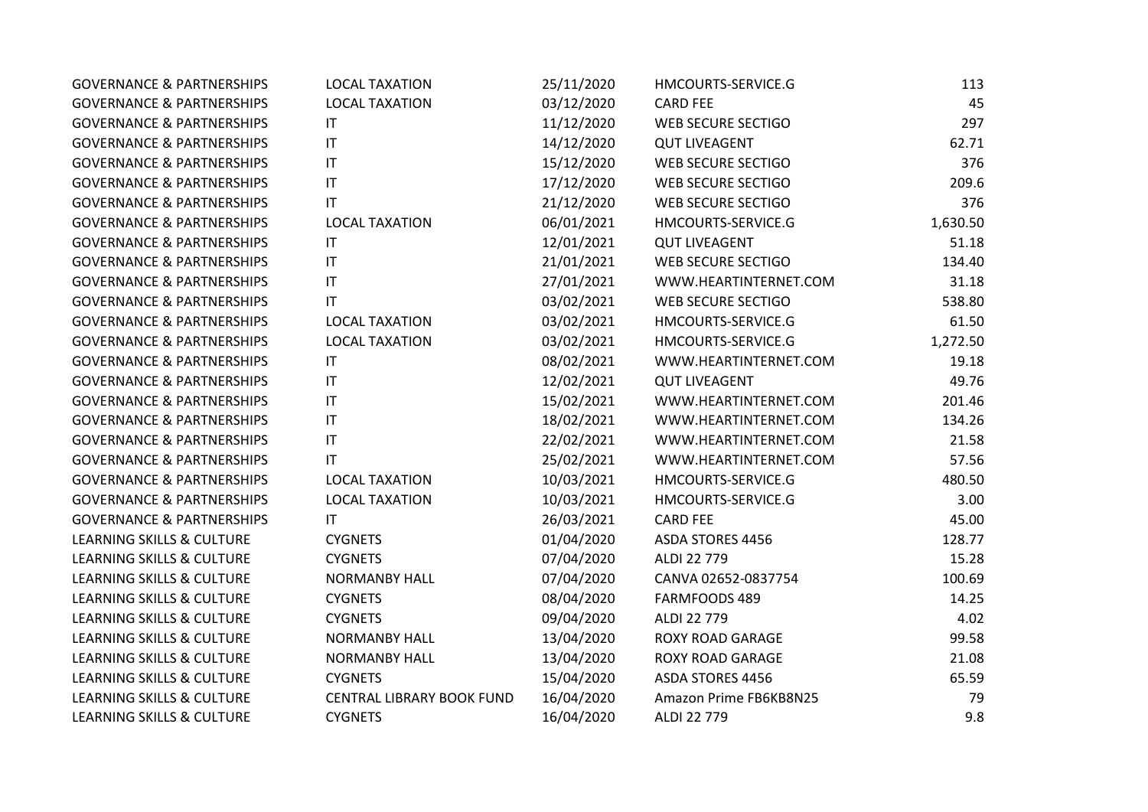| <b>GOVERNANCE &amp; PARTNERSHIPS</b> | <b>LOCAL TAXATION</b>     | 25/11/2020 | HMCOURTS-SERVICE.G        | 113      |
|--------------------------------------|---------------------------|------------|---------------------------|----------|
| <b>GOVERNANCE &amp; PARTNERSHIPS</b> | <b>LOCAL TAXATION</b>     | 03/12/2020 | <b>CARD FEE</b>           | 45       |
| <b>GOVERNANCE &amp; PARTNERSHIPS</b> | IT                        | 11/12/2020 | <b>WEB SECURE SECTIGO</b> | 297      |
| <b>GOVERNANCE &amp; PARTNERSHIPS</b> | $\mathsf{I}\mathsf{T}$    | 14/12/2020 | <b>QUT LIVEAGENT</b>      | 62.71    |
| <b>GOVERNANCE &amp; PARTNERSHIPS</b> | $\mathsf{I}\mathsf{T}$    | 15/12/2020 | <b>WEB SECURE SECTIGO</b> | 376      |
| <b>GOVERNANCE &amp; PARTNERSHIPS</b> | $\mathsf{I}\mathsf{T}$    | 17/12/2020 | <b>WEB SECURE SECTIGO</b> | 209.6    |
| <b>GOVERNANCE &amp; PARTNERSHIPS</b> | IT                        | 21/12/2020 | WEB SECURE SECTIGO        | 376      |
| <b>GOVERNANCE &amp; PARTNERSHIPS</b> | <b>LOCAL TAXATION</b>     | 06/01/2021 | HMCOURTS-SERVICE.G        | 1,630.50 |
| <b>GOVERNANCE &amp; PARTNERSHIPS</b> | ΙT                        | 12/01/2021 | <b>QUT LIVEAGENT</b>      | 51.18    |
| <b>GOVERNANCE &amp; PARTNERSHIPS</b> | $\mathsf{I}\mathsf{T}$    | 21/01/2021 | <b>WEB SECURE SECTIGO</b> | 134.40   |
| <b>GOVERNANCE &amp; PARTNERSHIPS</b> | IT                        | 27/01/2021 | WWW.HEARTINTERNET.COM     | 31.18    |
| <b>GOVERNANCE &amp; PARTNERSHIPS</b> | $\mathsf{I}\mathsf{T}$    | 03/02/2021 | WEB SECURE SECTIGO        | 538.80   |
| <b>GOVERNANCE &amp; PARTNERSHIPS</b> | <b>LOCAL TAXATION</b>     | 03/02/2021 | HMCOURTS-SERVICE.G        | 61.50    |
| <b>GOVERNANCE &amp; PARTNERSHIPS</b> | <b>LOCAL TAXATION</b>     | 03/02/2021 | HMCOURTS-SERVICE.G        | 1,272.50 |
| <b>GOVERNANCE &amp; PARTNERSHIPS</b> | IT                        | 08/02/2021 | WWW.HEARTINTERNET.COM     | 19.18    |
| <b>GOVERNANCE &amp; PARTNERSHIPS</b> | $\mathsf{I}\mathsf{T}$    | 12/02/2021 | <b>QUT LIVEAGENT</b>      | 49.76    |
| <b>GOVERNANCE &amp; PARTNERSHIPS</b> | $\mathsf{I}\mathsf{T}$    | 15/02/2021 | WWW.HEARTINTERNET.COM     | 201.46   |
| <b>GOVERNANCE &amp; PARTNERSHIPS</b> | $\mathsf{I}\mathsf{T}$    | 18/02/2021 | WWW.HEARTINTERNET.COM     | 134.26   |
| <b>GOVERNANCE &amp; PARTNERSHIPS</b> | $\mathsf{I}\mathsf{T}$    | 22/02/2021 | WWW.HEARTINTERNET.COM     | 21.58    |
| <b>GOVERNANCE &amp; PARTNERSHIPS</b> | ΙT                        | 25/02/2021 | WWW.HEARTINTERNET.COM     | 57.56    |
| <b>GOVERNANCE &amp; PARTNERSHIPS</b> | <b>LOCAL TAXATION</b>     | 10/03/2021 | HMCOURTS-SERVICE.G        | 480.50   |
| <b>GOVERNANCE &amp; PARTNERSHIPS</b> | <b>LOCAL TAXATION</b>     | 10/03/2021 | HMCOURTS-SERVICE.G        | 3.00     |
| <b>GOVERNANCE &amp; PARTNERSHIPS</b> | IT                        | 26/03/2021 | <b>CARD FEE</b>           | 45.00    |
| LEARNING SKILLS & CULTURE            | <b>CYGNETS</b>            | 01/04/2020 | ASDA STORES 4456          | 128.77   |
| LEARNING SKILLS & CULTURE            | <b>CYGNETS</b>            | 07/04/2020 | ALDI 22 779               | 15.28    |
| LEARNING SKILLS & CULTURE            | <b>NORMANBY HALL</b>      | 07/04/2020 | CANVA 02652-0837754       | 100.69   |
| LEARNING SKILLS & CULTURE            | <b>CYGNETS</b>            | 08/04/2020 | FARMFOODS 489             | 14.25    |
| LEARNING SKILLS & CULTURE            | <b>CYGNETS</b>            | 09/04/2020 | ALDI 22 779               | 4.02     |
| LEARNING SKILLS & CULTURE            | <b>NORMANBY HALL</b>      | 13/04/2020 | <b>ROXY ROAD GARAGE</b>   | 99.58    |
| LEARNING SKILLS & CULTURE            | <b>NORMANBY HALL</b>      | 13/04/2020 | <b>ROXY ROAD GARAGE</b>   | 21.08    |
| LEARNING SKILLS & CULTURE            | <b>CYGNETS</b>            | 15/04/2020 | ASDA STORES 4456          | 65.59    |
| LEARNING SKILLS & CULTURE            | CENTRAL LIBRARY BOOK FUND | 16/04/2020 | Amazon Prime FB6KB8N25    | 79       |
| LEARNING SKILLS & CULTURE            | <b>CYGNETS</b>            | 16/04/2020 | ALDI 22 779               | 9.8      |
|                                      |                           |            |                           |          |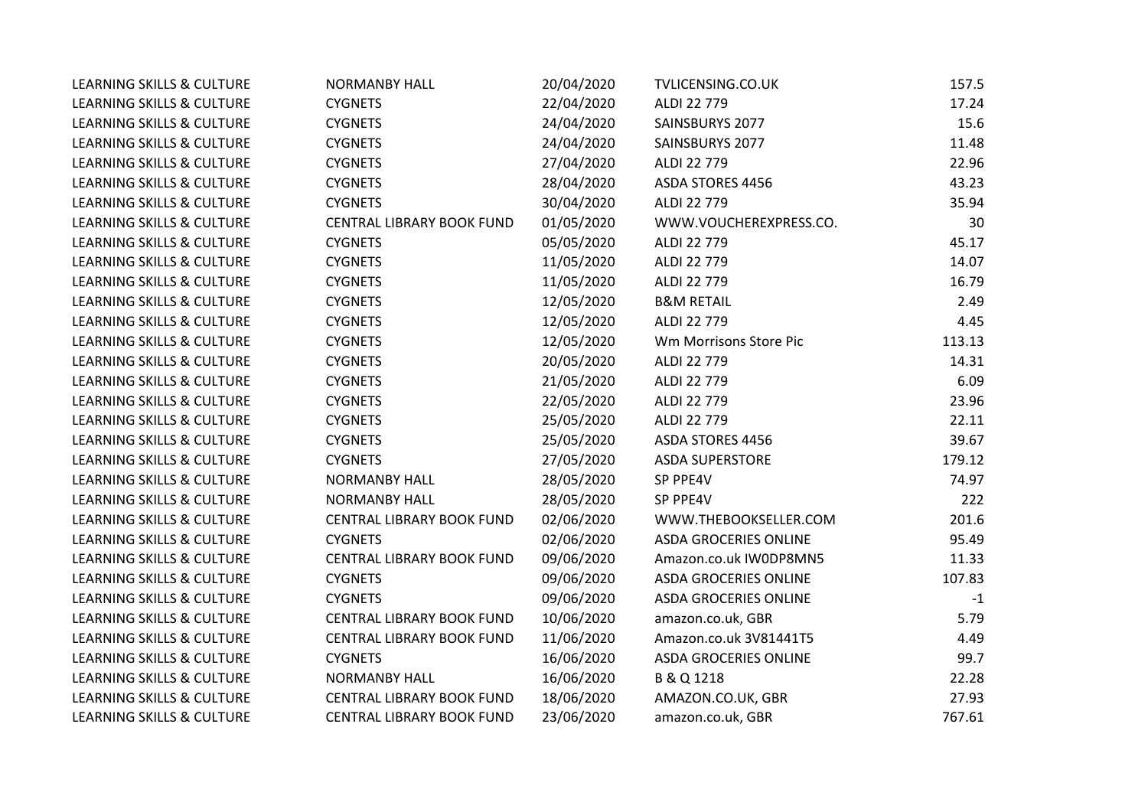| <b>LEARNING SKILLS &amp; CULTURE</b> | <b>NORMANBY HALL</b>      | 20/04/2020 | TVLICENSING.CO.UK            | 157.5  |
|--------------------------------------|---------------------------|------------|------------------------------|--------|
| LEARNING SKILLS & CULTURE            | <b>CYGNETS</b>            | 22/04/2020 | ALDI 22 779                  | 17.24  |
| LEARNING SKILLS & CULTURE            | <b>CYGNETS</b>            | 24/04/2020 | SAINSBURYS 2077              | 15.6   |
| LEARNING SKILLS & CULTURE            | <b>CYGNETS</b>            | 24/04/2020 | SAINSBURYS 2077              | 11.48  |
| LEARNING SKILLS & CULTURE            | <b>CYGNETS</b>            | 27/04/2020 | ALDI 22 779                  | 22.96  |
| LEARNING SKILLS & CULTURE            | <b>CYGNETS</b>            | 28/04/2020 | <b>ASDA STORES 4456</b>      | 43.23  |
| LEARNING SKILLS & CULTURE            | <b>CYGNETS</b>            | 30/04/2020 | ALDI 22 779                  | 35.94  |
| <b>LEARNING SKILLS &amp; CULTURE</b> | CENTRAL LIBRARY BOOK FUND | 01/05/2020 | WWW.VOUCHEREXPRESS.CO.       | 30     |
| LEARNING SKILLS & CULTURE            | <b>CYGNETS</b>            | 05/05/2020 | ALDI 22 779                  | 45.17  |
| <b>LEARNING SKILLS &amp; CULTURE</b> | <b>CYGNETS</b>            | 11/05/2020 | ALDI 22 779                  | 14.07  |
| LEARNING SKILLS & CULTURE            | <b>CYGNETS</b>            | 11/05/2020 | ALDI 22 779                  | 16.79  |
| LEARNING SKILLS & CULTURE            | <b>CYGNETS</b>            | 12/05/2020 | <b>B&amp;M RETAIL</b>        | 2.49   |
| LEARNING SKILLS & CULTURE            | <b>CYGNETS</b>            | 12/05/2020 | ALDI 22 779                  | 4.45   |
| LEARNING SKILLS & CULTURE            | <b>CYGNETS</b>            | 12/05/2020 | Wm Morrisons Store Pic       | 113.13 |
| LEARNING SKILLS & CULTURE            | <b>CYGNETS</b>            | 20/05/2020 | ALDI 22 779                  | 14.31  |
| LEARNING SKILLS & CULTURE            | <b>CYGNETS</b>            | 21/05/2020 | ALDI 22 779                  | 6.09   |
| <b>LEARNING SKILLS &amp; CULTURE</b> | <b>CYGNETS</b>            | 22/05/2020 | ALDI 22 779                  | 23.96  |
| LEARNING SKILLS & CULTURE            | <b>CYGNETS</b>            | 25/05/2020 | ALDI 22 779                  | 22.11  |
| LEARNING SKILLS & CULTURE            | <b>CYGNETS</b>            | 25/05/2020 | <b>ASDA STORES 4456</b>      | 39.67  |
| <b>LEARNING SKILLS &amp; CULTURE</b> | <b>CYGNETS</b>            | 27/05/2020 | <b>ASDA SUPERSTORE</b>       | 179.12 |
| <b>LEARNING SKILLS &amp; CULTURE</b> | <b>NORMANBY HALL</b>      | 28/05/2020 | SP PPE4V                     | 74.97  |
| LEARNING SKILLS & CULTURE            | <b>NORMANBY HALL</b>      | 28/05/2020 | SP PPE4V                     | 222    |
| <b>LEARNING SKILLS &amp; CULTURE</b> | CENTRAL LIBRARY BOOK FUND | 02/06/2020 | WWW.THEBOOKSELLER.COM        | 201.6  |
| <b>LEARNING SKILLS &amp; CULTURE</b> | <b>CYGNETS</b>            | 02/06/2020 | <b>ASDA GROCERIES ONLINE</b> | 95.49  |
| LEARNING SKILLS & CULTURE            | CENTRAL LIBRARY BOOK FUND | 09/06/2020 | Amazon.co.uk IW0DP8MN5       | 11.33  |
| LEARNING SKILLS & CULTURE            | <b>CYGNETS</b>            | 09/06/2020 | <b>ASDA GROCERIES ONLINE</b> | 107.83 |
| <b>LEARNING SKILLS &amp; CULTURE</b> | <b>CYGNETS</b>            | 09/06/2020 | <b>ASDA GROCERIES ONLINE</b> | $-1$   |
| <b>LEARNING SKILLS &amp; CULTURE</b> | CENTRAL LIBRARY BOOK FUND | 10/06/2020 | amazon.co.uk, GBR            | 5.79   |
| LEARNING SKILLS & CULTURE            | CENTRAL LIBRARY BOOK FUND | 11/06/2020 | Amazon.co.uk 3V81441T5       | 4.49   |
| LEARNING SKILLS & CULTURE            | <b>CYGNETS</b>            | 16/06/2020 | <b>ASDA GROCERIES ONLINE</b> | 99.7   |
| LEARNING SKILLS & CULTURE            | <b>NORMANBY HALL</b>      | 16/06/2020 | B & Q 1218                   | 22.28  |
| LEARNING SKILLS & CULTURE            | CENTRAL LIBRARY BOOK FUND | 18/06/2020 | AMAZON.CO.UK, GBR            | 27.93  |
| <b>LEARNING SKILLS &amp; CULTURE</b> | CENTRAL LIBRARY BOOK FUND | 23/06/2020 | amazon.co.uk, GBR            | 767.61 |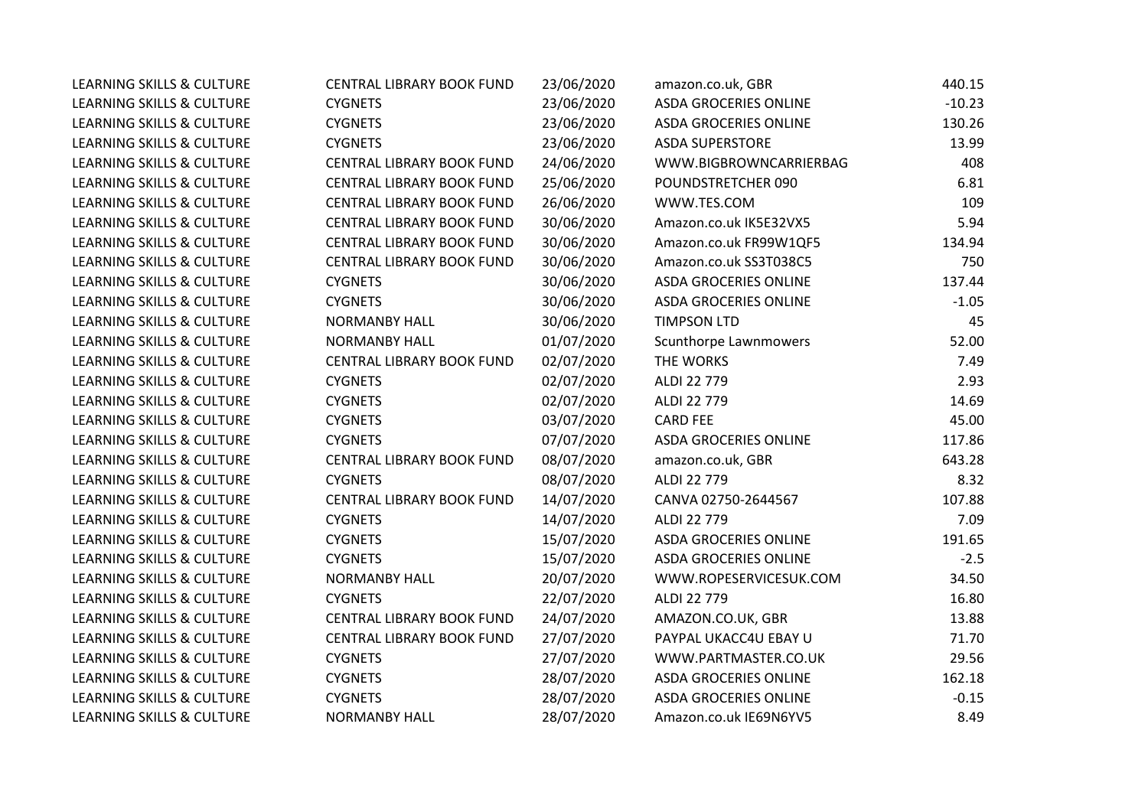| <b>LEARNING SKILLS &amp; CULTURE</b> | <b>CENTRAL LIBRARY BOOK FUND</b> | 23/06/2020 | amazon.co.uk, GBR            | 440.15   |
|--------------------------------------|----------------------------------|------------|------------------------------|----------|
| <b>LEARNING SKILLS &amp; CULTURE</b> | <b>CYGNETS</b>                   | 23/06/2020 | <b>ASDA GROCERIES ONLINE</b> | $-10.23$ |
| <b>LEARNING SKILLS &amp; CULTURE</b> | <b>CYGNETS</b>                   | 23/06/2020 | <b>ASDA GROCERIES ONLINE</b> | 130.26   |
| LEARNING SKILLS & CULTURE            | <b>CYGNETS</b>                   | 23/06/2020 | <b>ASDA SUPERSTORE</b>       | 13.99    |
| <b>LEARNING SKILLS &amp; CULTURE</b> | CENTRAL LIBRARY BOOK FUND        | 24/06/2020 | WWW.BIGBROWNCARRIERBAG       | 408      |
| LEARNING SKILLS & CULTURE            | CENTRAL LIBRARY BOOK FUND        | 25/06/2020 | POUNDSTRETCHER 090           | 6.81     |
| <b>LEARNING SKILLS &amp; CULTURE</b> | CENTRAL LIBRARY BOOK FUND        | 26/06/2020 | WWW.TES.COM                  | 109      |
| <b>LEARNING SKILLS &amp; CULTURE</b> | CENTRAL LIBRARY BOOK FUND        | 30/06/2020 | Amazon.co.uk IK5E32VX5       | 5.94     |
| <b>LEARNING SKILLS &amp; CULTURE</b> | CENTRAL LIBRARY BOOK FUND        | 30/06/2020 | Amazon.co.uk FR99W1QF5       | 134.94   |
| <b>LEARNING SKILLS &amp; CULTURE</b> | CENTRAL LIBRARY BOOK FUND        | 30/06/2020 | Amazon.co.uk SS3T038C5       | 750      |
| <b>LEARNING SKILLS &amp; CULTURE</b> | <b>CYGNETS</b>                   | 30/06/2020 | ASDA GROCERIES ONLINE        | 137.44   |
| <b>LEARNING SKILLS &amp; CULTURE</b> | <b>CYGNETS</b>                   | 30/06/2020 | <b>ASDA GROCERIES ONLINE</b> | $-1.05$  |
| <b>LEARNING SKILLS &amp; CULTURE</b> | <b>NORMANBY HALL</b>             | 30/06/2020 | <b>TIMPSON LTD</b>           | 45       |
| LEARNING SKILLS & CULTURE            | <b>NORMANBY HALL</b>             | 01/07/2020 | Scunthorpe Lawnmowers        | 52.00    |
| LEARNING SKILLS & CULTURE            | CENTRAL LIBRARY BOOK FUND        | 02/07/2020 | THE WORKS                    | 7.49     |
| <b>LEARNING SKILLS &amp; CULTURE</b> | <b>CYGNETS</b>                   | 02/07/2020 | ALDI 22 779                  | 2.93     |
| <b>LEARNING SKILLS &amp; CULTURE</b> | <b>CYGNETS</b>                   | 02/07/2020 | ALDI 22 779                  | 14.69    |
| <b>LEARNING SKILLS &amp; CULTURE</b> | <b>CYGNETS</b>                   | 03/07/2020 | <b>CARD FEE</b>              | 45.00    |
| <b>LEARNING SKILLS &amp; CULTURE</b> | <b>CYGNETS</b>                   | 07/07/2020 | <b>ASDA GROCERIES ONLINE</b> | 117.86   |
| <b>LEARNING SKILLS &amp; CULTURE</b> | CENTRAL LIBRARY BOOK FUND        | 08/07/2020 | amazon.co.uk, GBR            | 643.28   |
| <b>LEARNING SKILLS &amp; CULTURE</b> | <b>CYGNETS</b>                   | 08/07/2020 | ALDI 22 779                  | 8.32     |
| <b>LEARNING SKILLS &amp; CULTURE</b> | CENTRAL LIBRARY BOOK FUND        | 14/07/2020 | CANVA 02750-2644567          | 107.88   |
| <b>LEARNING SKILLS &amp; CULTURE</b> | <b>CYGNETS</b>                   | 14/07/2020 | ALDI 22 779                  | 7.09     |
| <b>LEARNING SKILLS &amp; CULTURE</b> | <b>CYGNETS</b>                   | 15/07/2020 | <b>ASDA GROCERIES ONLINE</b> | 191.65   |
| LEARNING SKILLS & CULTURE            | <b>CYGNETS</b>                   | 15/07/2020 | <b>ASDA GROCERIES ONLINE</b> | $-2.5$   |
| <b>LEARNING SKILLS &amp; CULTURE</b> | <b>NORMANBY HALL</b>             | 20/07/2020 | WWW.ROPESERVICESUK.COM       | 34.50    |
| <b>LEARNING SKILLS &amp; CULTURE</b> | <b>CYGNETS</b>                   | 22/07/2020 | ALDI 22 779                  | 16.80    |
| <b>LEARNING SKILLS &amp; CULTURE</b> | CENTRAL LIBRARY BOOK FUND        | 24/07/2020 | AMAZON.CO.UK, GBR            | 13.88    |
| LEARNING SKILLS & CULTURE            | CENTRAL LIBRARY BOOK FUND        | 27/07/2020 | PAYPAL UKACC4U EBAY U        | 71.70    |
| <b>LEARNING SKILLS &amp; CULTURE</b> | <b>CYGNETS</b>                   | 27/07/2020 | WWW.PARTMASTER.CO.UK         | 29.56    |
| <b>LEARNING SKILLS &amp; CULTURE</b> | <b>CYGNETS</b>                   | 28/07/2020 | <b>ASDA GROCERIES ONLINE</b> | 162.18   |
| <b>LEARNING SKILLS &amp; CULTURE</b> | <b>CYGNETS</b>                   | 28/07/2020 | <b>ASDA GROCERIES ONLINE</b> | $-0.15$  |
| <b>LEARNING SKILLS &amp; CULTURE</b> | <b>NORMANBY HALL</b>             | 28/07/2020 | Amazon.co.uk IE69N6YV5       | 8.49     |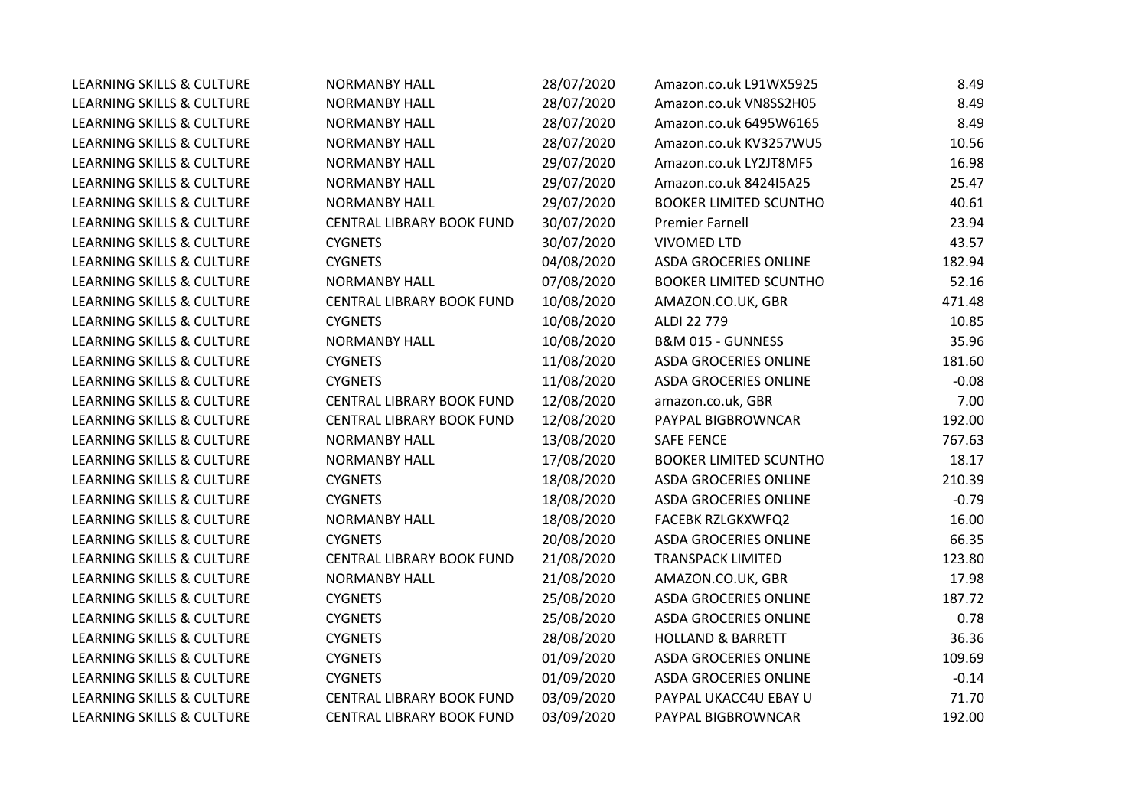| <b>LEARNING SKILLS &amp; CULTURE</b> | <b>NORMANBY HALL</b>             | 28/07/2020 | Amazon.co.uk L91WX5925        | 8.49    |
|--------------------------------------|----------------------------------|------------|-------------------------------|---------|
| <b>LEARNING SKILLS &amp; CULTURE</b> | <b>NORMANBY HALL</b>             | 28/07/2020 | Amazon.co.uk VN8SS2H05        | 8.49    |
| <b>LEARNING SKILLS &amp; CULTURE</b> | <b>NORMANBY HALL</b>             | 28/07/2020 | Amazon.co.uk 6495W6165        | 8.49    |
| LEARNING SKILLS & CULTURE            | <b>NORMANBY HALL</b>             | 28/07/2020 | Amazon.co.uk KV3257WU5        | 10.56   |
| LEARNING SKILLS & CULTURE            | <b>NORMANBY HALL</b>             | 29/07/2020 | Amazon.co.uk LY2JT8MF5        | 16.98   |
| LEARNING SKILLS & CULTURE            | <b>NORMANBY HALL</b>             | 29/07/2020 | Amazon.co.uk 842415A25        | 25.47   |
| LEARNING SKILLS & CULTURE            | <b>NORMANBY HALL</b>             | 29/07/2020 | <b>BOOKER LIMITED SCUNTHO</b> | 40.61   |
| <b>LEARNING SKILLS &amp; CULTURE</b> | <b>CENTRAL LIBRARY BOOK FUND</b> | 30/07/2020 | <b>Premier Farnell</b>        | 23.94   |
| <b>LEARNING SKILLS &amp; CULTURE</b> | <b>CYGNETS</b>                   | 30/07/2020 | <b>VIVOMED LTD</b>            | 43.57   |
| LEARNING SKILLS & CULTURE            | <b>CYGNETS</b>                   | 04/08/2020 | <b>ASDA GROCERIES ONLINE</b>  | 182.94  |
| LEARNING SKILLS & CULTURE            | <b>NORMANBY HALL</b>             | 07/08/2020 | <b>BOOKER LIMITED SCUNTHO</b> | 52.16   |
| LEARNING SKILLS & CULTURE            | CENTRAL LIBRARY BOOK FUND        | 10/08/2020 | AMAZON.CO.UK, GBR             | 471.48  |
| <b>LEARNING SKILLS &amp; CULTURE</b> | <b>CYGNETS</b>                   | 10/08/2020 | ALDI 22 779                   | 10.85   |
| LEARNING SKILLS & CULTURE            | <b>NORMANBY HALL</b>             | 10/08/2020 | B&M 015 - GUNNESS             | 35.96   |
| <b>LEARNING SKILLS &amp; CULTURE</b> | <b>CYGNETS</b>                   | 11/08/2020 | <b>ASDA GROCERIES ONLINE</b>  | 181.60  |
| LEARNING SKILLS & CULTURE            | <b>CYGNETS</b>                   | 11/08/2020 | <b>ASDA GROCERIES ONLINE</b>  | $-0.08$ |
| LEARNING SKILLS & CULTURE            | CENTRAL LIBRARY BOOK FUND        | 12/08/2020 | amazon.co.uk, GBR             | 7.00    |
| LEARNING SKILLS & CULTURE            | CENTRAL LIBRARY BOOK FUND        | 12/08/2020 | PAYPAL BIGBROWNCAR            | 192.00  |
| LEARNING SKILLS & CULTURE            | <b>NORMANBY HALL</b>             | 13/08/2020 | <b>SAFE FENCE</b>             | 767.63  |
| LEARNING SKILLS & CULTURE            | <b>NORMANBY HALL</b>             | 17/08/2020 | <b>BOOKER LIMITED SCUNTHO</b> | 18.17   |
| LEARNING SKILLS & CULTURE            | <b>CYGNETS</b>                   | 18/08/2020 | <b>ASDA GROCERIES ONLINE</b>  | 210.39  |
| LEARNING SKILLS & CULTURE            | <b>CYGNETS</b>                   | 18/08/2020 | <b>ASDA GROCERIES ONLINE</b>  | $-0.79$ |
| <b>LEARNING SKILLS &amp; CULTURE</b> | <b>NORMANBY HALL</b>             | 18/08/2020 | FACEBK RZLGKXWFQ2             | 16.00   |
| <b>LEARNING SKILLS &amp; CULTURE</b> | <b>CYGNETS</b>                   | 20/08/2020 | <b>ASDA GROCERIES ONLINE</b>  | 66.35   |
| LEARNING SKILLS & CULTURE            | CENTRAL LIBRARY BOOK FUND        | 21/08/2020 | <b>TRANSPACK LIMITED</b>      | 123.80  |
| LEARNING SKILLS & CULTURE            | <b>NORMANBY HALL</b>             | 21/08/2020 | AMAZON.CO.UK, GBR             | 17.98   |
| <b>LEARNING SKILLS &amp; CULTURE</b> | <b>CYGNETS</b>                   | 25/08/2020 | <b>ASDA GROCERIES ONLINE</b>  | 187.72  |
| LEARNING SKILLS & CULTURE            | <b>CYGNETS</b>                   | 25/08/2020 | <b>ASDA GROCERIES ONLINE</b>  | 0.78    |
| LEARNING SKILLS & CULTURE            | <b>CYGNETS</b>                   | 28/08/2020 | <b>HOLLAND &amp; BARRETT</b>  | 36.36   |
| LEARNING SKILLS & CULTURE            | <b>CYGNETS</b>                   | 01/09/2020 | <b>ASDA GROCERIES ONLINE</b>  | 109.69  |
| <b>LEARNING SKILLS &amp; CULTURE</b> | <b>CYGNETS</b>                   | 01/09/2020 | <b>ASDA GROCERIES ONLINE</b>  | $-0.14$ |
| LEARNING SKILLS & CULTURE            | <b>CENTRAL LIBRARY BOOK FUND</b> | 03/09/2020 | PAYPAL UKACC4U EBAY U         | 71.70   |
| LEARNING SKILLS & CULTURE            | CENTRAL LIBRARY BOOK FUND        | 03/09/2020 | PAYPAL BIGBROWNCAR            | 192.00  |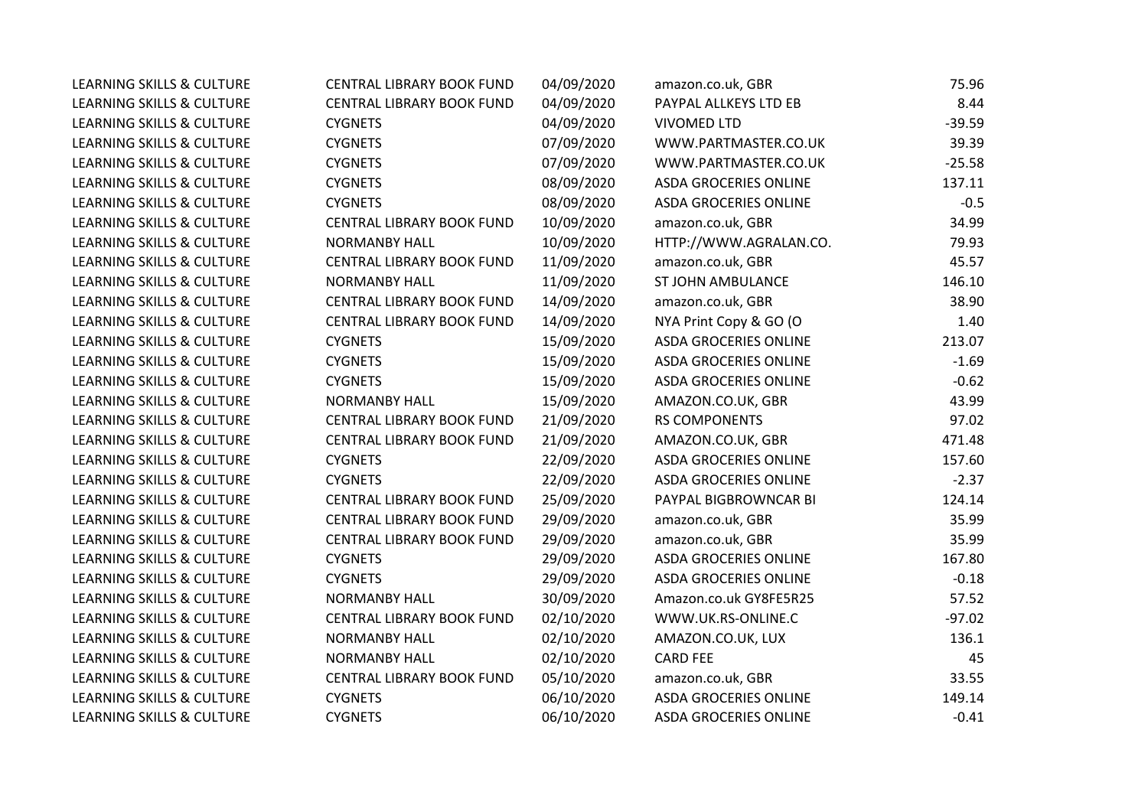| <b>LEARNING SKILLS &amp; CULTURE</b> | <b>CENTRAL LIBRARY BOOK FUND</b> | 04/09/2020 | amazon.co.uk, GBR            | 75.96    |
|--------------------------------------|----------------------------------|------------|------------------------------|----------|
| <b>LEARNING SKILLS &amp; CULTURE</b> | CENTRAL LIBRARY BOOK FUND        | 04/09/2020 | PAYPAL ALLKEYS LTD EB        | 8.44     |
| LEARNING SKILLS & CULTURE            | <b>CYGNETS</b>                   | 04/09/2020 | <b>VIVOMED LTD</b>           | $-39.59$ |
| <b>LEARNING SKILLS &amp; CULTURE</b> | <b>CYGNETS</b>                   | 07/09/2020 | WWW.PARTMASTER.CO.UK         | 39.39    |
| LEARNING SKILLS & CULTURE            | <b>CYGNETS</b>                   | 07/09/2020 | WWW.PARTMASTER.CO.UK         | $-25.58$ |
| <b>LEARNING SKILLS &amp; CULTURE</b> | <b>CYGNETS</b>                   | 08/09/2020 | <b>ASDA GROCERIES ONLINE</b> | 137.11   |
| LEARNING SKILLS & CULTURE            | <b>CYGNETS</b>                   | 08/09/2020 | <b>ASDA GROCERIES ONLINE</b> | $-0.5$   |
| <b>LEARNING SKILLS &amp; CULTURE</b> | <b>CENTRAL LIBRARY BOOK FUND</b> | 10/09/2020 | amazon.co.uk, GBR            | 34.99    |
| <b>LEARNING SKILLS &amp; CULTURE</b> | <b>NORMANBY HALL</b>             | 10/09/2020 | HTTP://WWW.AGRALAN.CO.       | 79.93    |
| LEARNING SKILLS & CULTURE            | CENTRAL LIBRARY BOOK FUND        | 11/09/2020 | amazon.co.uk, GBR            | 45.57    |
| LEARNING SKILLS & CULTURE            | <b>NORMANBY HALL</b>             | 11/09/2020 | ST JOHN AMBULANCE            | 146.10   |
| LEARNING SKILLS & CULTURE            | CENTRAL LIBRARY BOOK FUND        | 14/09/2020 | amazon.co.uk, GBR            | 38.90    |
| <b>LEARNING SKILLS &amp; CULTURE</b> | CENTRAL LIBRARY BOOK FUND        | 14/09/2020 | NYA Print Copy & GO (O       | 1.40     |
| <b>LEARNING SKILLS &amp; CULTURE</b> | <b>CYGNETS</b>                   | 15/09/2020 | <b>ASDA GROCERIES ONLINE</b> | 213.07   |
| <b>LEARNING SKILLS &amp; CULTURE</b> | <b>CYGNETS</b>                   | 15/09/2020 | <b>ASDA GROCERIES ONLINE</b> | $-1.69$  |
| <b>LEARNING SKILLS &amp; CULTURE</b> | <b>CYGNETS</b>                   | 15/09/2020 | <b>ASDA GROCERIES ONLINE</b> | $-0.62$  |
| <b>LEARNING SKILLS &amp; CULTURE</b> | <b>NORMANBY HALL</b>             | 15/09/2020 | AMAZON.CO.UK, GBR            | 43.99    |
| LEARNING SKILLS & CULTURE            | CENTRAL LIBRARY BOOK FUND        | 21/09/2020 | <b>RS COMPONENTS</b>         | 97.02    |
| LEARNING SKILLS & CULTURE            | CENTRAL LIBRARY BOOK FUND        | 21/09/2020 | AMAZON.CO.UK, GBR            | 471.48   |
| LEARNING SKILLS & CULTURE            | <b>CYGNETS</b>                   | 22/09/2020 | <b>ASDA GROCERIES ONLINE</b> | 157.60   |
| LEARNING SKILLS & CULTURE            | <b>CYGNETS</b>                   | 22/09/2020 | <b>ASDA GROCERIES ONLINE</b> | $-2.37$  |
| LEARNING SKILLS & CULTURE            | CENTRAL LIBRARY BOOK FUND        | 25/09/2020 | PAYPAL BIGBROWNCAR BI        | 124.14   |
| <b>LEARNING SKILLS &amp; CULTURE</b> | CENTRAL LIBRARY BOOK FUND        | 29/09/2020 | amazon.co.uk, GBR            | 35.99    |
| <b>LEARNING SKILLS &amp; CULTURE</b> | CENTRAL LIBRARY BOOK FUND        | 29/09/2020 | amazon.co.uk, GBR            | 35.99    |
| LEARNING SKILLS & CULTURE            | <b>CYGNETS</b>                   | 29/09/2020 | <b>ASDA GROCERIES ONLINE</b> | 167.80   |
| <b>LEARNING SKILLS &amp; CULTURE</b> | <b>CYGNETS</b>                   | 29/09/2020 | <b>ASDA GROCERIES ONLINE</b> | $-0.18$  |
| <b>LEARNING SKILLS &amp; CULTURE</b> | <b>NORMANBY HALL</b>             | 30/09/2020 | Amazon.co.uk GY8FE5R25       | 57.52    |
| LEARNING SKILLS & CULTURE            | CENTRAL LIBRARY BOOK FUND        | 02/10/2020 | WWW.UK.RS-ONLINE.C           | $-97.02$ |
| LEARNING SKILLS & CULTURE            | <b>NORMANBY HALL</b>             | 02/10/2020 | AMAZON.CO.UK, LUX            | 136.1    |
| <b>LEARNING SKILLS &amp; CULTURE</b> | <b>NORMANBY HALL</b>             | 02/10/2020 | <b>CARD FEE</b>              | 45       |
| <b>LEARNING SKILLS &amp; CULTURE</b> | CENTRAL LIBRARY BOOK FUND        | 05/10/2020 | amazon.co.uk, GBR            | 33.55    |
| LEARNING SKILLS & CULTURE            | <b>CYGNETS</b>                   | 06/10/2020 | <b>ASDA GROCERIES ONLINE</b> | 149.14   |
| <b>LEARNING SKILLS &amp; CULTURE</b> | <b>CYGNETS</b>                   | 06/10/2020 | <b>ASDA GROCERIES ONLINE</b> | $-0.41$  |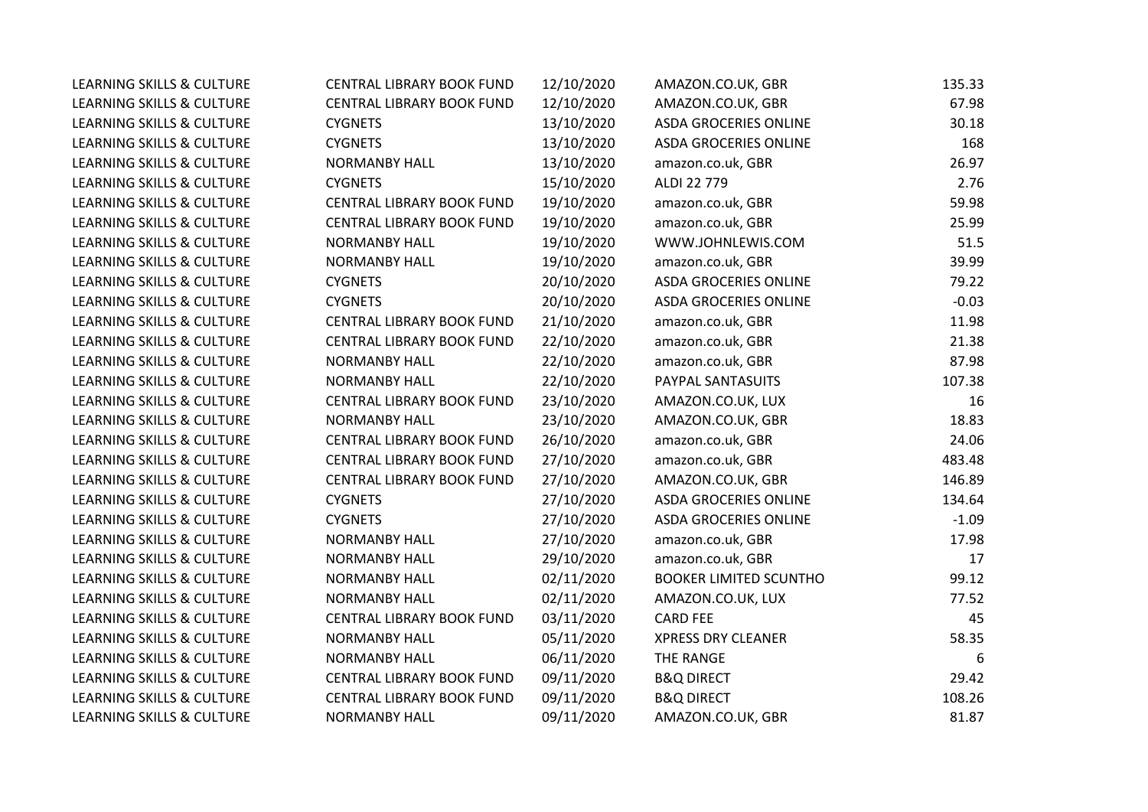| <b>LEARNING SKILLS &amp; CULTURE</b> | CENTRAL LIBRARY BOOK FUND | 12/10/2020 | AMAZON.CO.UK, GBR             | 135.33  |
|--------------------------------------|---------------------------|------------|-------------------------------|---------|
| <b>LEARNING SKILLS &amp; CULTURE</b> | CENTRAL LIBRARY BOOK FUND | 12/10/2020 | AMAZON.CO.UK, GBR             | 67.98   |
| <b>LEARNING SKILLS &amp; CULTURE</b> | <b>CYGNETS</b>            | 13/10/2020 | <b>ASDA GROCERIES ONLINE</b>  | 30.18   |
| LEARNING SKILLS & CULTURE            | <b>CYGNETS</b>            | 13/10/2020 | ASDA GROCERIES ONLINE         | 168     |
| <b>LEARNING SKILLS &amp; CULTURE</b> | <b>NORMANBY HALL</b>      | 13/10/2020 | amazon.co.uk, GBR             | 26.97   |
| <b>LEARNING SKILLS &amp; CULTURE</b> | <b>CYGNETS</b>            | 15/10/2020 | ALDI 22 779                   | 2.76    |
| <b>LEARNING SKILLS &amp; CULTURE</b> | CENTRAL LIBRARY BOOK FUND | 19/10/2020 | amazon.co.uk, GBR             | 59.98   |
| LEARNING SKILLS & CULTURE            | CENTRAL LIBRARY BOOK FUND | 19/10/2020 | amazon.co.uk, GBR             | 25.99   |
| <b>LEARNING SKILLS &amp; CULTURE</b> | <b>NORMANBY HALL</b>      | 19/10/2020 | WWW.JOHNLEWIS.COM             | 51.5    |
| LEARNING SKILLS & CULTURE            | <b>NORMANBY HALL</b>      | 19/10/2020 | amazon.co.uk, GBR             | 39.99   |
| LEARNING SKILLS & CULTURE            | <b>CYGNETS</b>            | 20/10/2020 | <b>ASDA GROCERIES ONLINE</b>  | 79.22   |
| <b>LEARNING SKILLS &amp; CULTURE</b> | <b>CYGNETS</b>            | 20/10/2020 | <b>ASDA GROCERIES ONLINE</b>  | $-0.03$ |
| <b>LEARNING SKILLS &amp; CULTURE</b> | CENTRAL LIBRARY BOOK FUND | 21/10/2020 | amazon.co.uk, GBR             | 11.98   |
| <b>LEARNING SKILLS &amp; CULTURE</b> | CENTRAL LIBRARY BOOK FUND | 22/10/2020 | amazon.co.uk, GBR             | 21.38   |
| LEARNING SKILLS & CULTURE            | <b>NORMANBY HALL</b>      | 22/10/2020 | amazon.co.uk, GBR             | 87.98   |
| LEARNING SKILLS & CULTURE            | <b>NORMANBY HALL</b>      | 22/10/2020 | PAYPAL SANTASUITS             | 107.38  |
| <b>LEARNING SKILLS &amp; CULTURE</b> | CENTRAL LIBRARY BOOK FUND | 23/10/2020 | AMAZON.CO.UK, LUX             | 16      |
| LEARNING SKILLS & CULTURE            | <b>NORMANBY HALL</b>      | 23/10/2020 | AMAZON.CO.UK, GBR             | 18.83   |
| <b>LEARNING SKILLS &amp; CULTURE</b> | CENTRAL LIBRARY BOOK FUND | 26/10/2020 | amazon.co.uk, GBR             | 24.06   |
| <b>LEARNING SKILLS &amp; CULTURE</b> | CENTRAL LIBRARY BOOK FUND | 27/10/2020 | amazon.co.uk, GBR             | 483.48  |
| LEARNING SKILLS & CULTURE            | CENTRAL LIBRARY BOOK FUND | 27/10/2020 | AMAZON.CO.UK, GBR             | 146.89  |
| LEARNING SKILLS & CULTURE            | <b>CYGNETS</b>            | 27/10/2020 | <b>ASDA GROCERIES ONLINE</b>  | 134.64  |
| <b>LEARNING SKILLS &amp; CULTURE</b> | <b>CYGNETS</b>            | 27/10/2020 | <b>ASDA GROCERIES ONLINE</b>  | $-1.09$ |
| <b>LEARNING SKILLS &amp; CULTURE</b> | <b>NORMANBY HALL</b>      | 27/10/2020 | amazon.co.uk, GBR             | 17.98   |
| LEARNING SKILLS & CULTURE            | <b>NORMANBY HALL</b>      | 29/10/2020 | amazon.co.uk, GBR             | 17      |
| LEARNING SKILLS & CULTURE            | <b>NORMANBY HALL</b>      | 02/11/2020 | <b>BOOKER LIMITED SCUNTHO</b> | 99.12   |
| <b>LEARNING SKILLS &amp; CULTURE</b> | <b>NORMANBY HALL</b>      | 02/11/2020 | AMAZON.CO.UK, LUX             | 77.52   |
| <b>LEARNING SKILLS &amp; CULTURE</b> | CENTRAL LIBRARY BOOK FUND | 03/11/2020 | <b>CARD FEE</b>               | 45      |
| <b>LEARNING SKILLS &amp; CULTURE</b> | <b>NORMANBY HALL</b>      | 05/11/2020 | <b>XPRESS DRY CLEANER</b>     | 58.35   |
| <b>LEARNING SKILLS &amp; CULTURE</b> | <b>NORMANBY HALL</b>      | 06/11/2020 | THE RANGE                     | 6       |
| LEARNING SKILLS & CULTURE            | CENTRAL LIBRARY BOOK FUND | 09/11/2020 | <b>B&amp;Q DIRECT</b>         | 29.42   |
| LEARNING SKILLS & CULTURE            | CENTRAL LIBRARY BOOK FUND | 09/11/2020 | <b>B&amp;Q DIRECT</b>         | 108.26  |
| <b>LEARNING SKILLS &amp; CULTURE</b> | <b>NORMANBY HALL</b>      | 09/11/2020 | AMAZON.CO.UK, GBR             | 81.87   |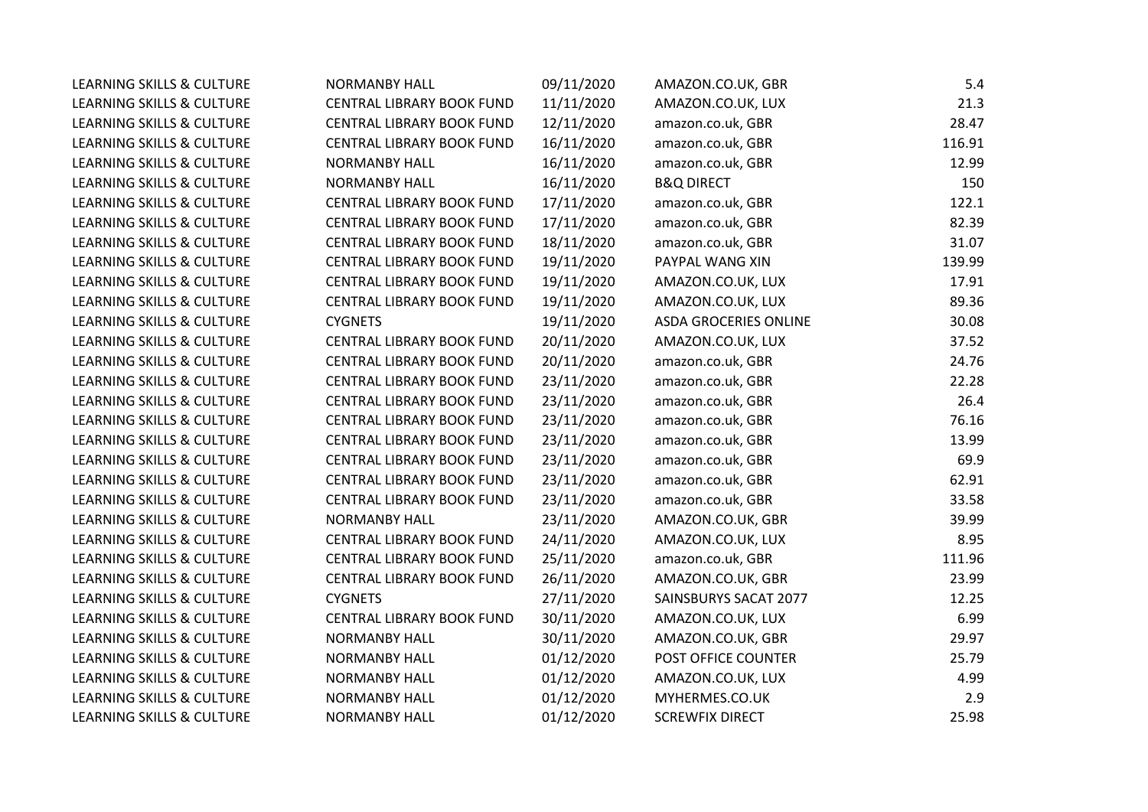| <b>LEARNING SKILLS &amp; CULTURE</b> | <b>NORMANBY HALL</b>             | 09/11/2020 | AMAZON.CO.UK, GBR            | 5.4    |
|--------------------------------------|----------------------------------|------------|------------------------------|--------|
| LEARNING SKILLS & CULTURE            | CENTRAL LIBRARY BOOK FUND        | 11/11/2020 | AMAZON.CO.UK, LUX            | 21.3   |
| LEARNING SKILLS & CULTURE            | CENTRAL LIBRARY BOOK FUND        | 12/11/2020 | amazon.co.uk, GBR            | 28.47  |
| <b>LEARNING SKILLS &amp; CULTURE</b> | CENTRAL LIBRARY BOOK FUND        | 16/11/2020 | amazon.co.uk, GBR            | 116.91 |
| LEARNING SKILLS & CULTURE            | <b>NORMANBY HALL</b>             | 16/11/2020 | amazon.co.uk, GBR            | 12.99  |
| <b>LEARNING SKILLS &amp; CULTURE</b> | <b>NORMANBY HALL</b>             | 16/11/2020 | <b>B&amp;Q DIRECT</b>        | 150    |
| <b>LEARNING SKILLS &amp; CULTURE</b> | CENTRAL LIBRARY BOOK FUND        | 17/11/2020 | amazon.co.uk, GBR            | 122.1  |
| <b>LEARNING SKILLS &amp; CULTURE</b> | CENTRAL LIBRARY BOOK FUND        | 17/11/2020 | amazon.co.uk, GBR            | 82.39  |
| <b>LEARNING SKILLS &amp; CULTURE</b> | CENTRAL LIBRARY BOOK FUND        | 18/11/2020 | amazon.co.uk, GBR            | 31.07  |
| <b>LEARNING SKILLS &amp; CULTURE</b> | CENTRAL LIBRARY BOOK FUND        | 19/11/2020 | PAYPAL WANG XIN              | 139.99 |
| LEARNING SKILLS & CULTURE            | CENTRAL LIBRARY BOOK FUND        | 19/11/2020 | AMAZON.CO.UK, LUX            | 17.91  |
| <b>LEARNING SKILLS &amp; CULTURE</b> | CENTRAL LIBRARY BOOK FUND        | 19/11/2020 | AMAZON.CO.UK, LUX            | 89.36  |
| <b>LEARNING SKILLS &amp; CULTURE</b> | <b>CYGNETS</b>                   | 19/11/2020 | <b>ASDA GROCERIES ONLINE</b> | 30.08  |
| <b>LEARNING SKILLS &amp; CULTURE</b> | CENTRAL LIBRARY BOOK FUND        | 20/11/2020 | AMAZON.CO.UK, LUX            | 37.52  |
| <b>LEARNING SKILLS &amp; CULTURE</b> | CENTRAL LIBRARY BOOK FUND        | 20/11/2020 | amazon.co.uk, GBR            | 24.76  |
| <b>LEARNING SKILLS &amp; CULTURE</b> | CENTRAL LIBRARY BOOK FUND        | 23/11/2020 | amazon.co.uk, GBR            | 22.28  |
| <b>LEARNING SKILLS &amp; CULTURE</b> | CENTRAL LIBRARY BOOK FUND        | 23/11/2020 | amazon.co.uk, GBR            | 26.4   |
| <b>LEARNING SKILLS &amp; CULTURE</b> | CENTRAL LIBRARY BOOK FUND        | 23/11/2020 | amazon.co.uk, GBR            | 76.16  |
| LEARNING SKILLS & CULTURE            | CENTRAL LIBRARY BOOK FUND        | 23/11/2020 | amazon.co.uk, GBR            | 13.99  |
| <b>LEARNING SKILLS &amp; CULTURE</b> | CENTRAL LIBRARY BOOK FUND        | 23/11/2020 | amazon.co.uk, GBR            | 69.9   |
| <b>LEARNING SKILLS &amp; CULTURE</b> | CENTRAL LIBRARY BOOK FUND        | 23/11/2020 | amazon.co.uk, GBR            | 62.91  |
| LEARNING SKILLS & CULTURE            | <b>CENTRAL LIBRARY BOOK FUND</b> | 23/11/2020 | amazon.co.uk, GBR            | 33.58  |
| <b>LEARNING SKILLS &amp; CULTURE</b> | <b>NORMANBY HALL</b>             | 23/11/2020 | AMAZON.CO.UK, GBR            | 39.99  |
| <b>LEARNING SKILLS &amp; CULTURE</b> | CENTRAL LIBRARY BOOK FUND        | 24/11/2020 | AMAZON.CO.UK, LUX            | 8.95   |
| LEARNING SKILLS & CULTURE            | CENTRAL LIBRARY BOOK FUND        | 25/11/2020 | amazon.co.uk, GBR            | 111.96 |
| LEARNING SKILLS & CULTURE            | CENTRAL LIBRARY BOOK FUND        | 26/11/2020 | AMAZON.CO.UK, GBR            | 23.99  |
| <b>LEARNING SKILLS &amp; CULTURE</b> | <b>CYGNETS</b>                   | 27/11/2020 | SAINSBURYS SACAT 2077        | 12.25  |
| LEARNING SKILLS & CULTURE            | CENTRAL LIBRARY BOOK FUND        | 30/11/2020 | AMAZON.CO.UK, LUX            | 6.99   |
| LEARNING SKILLS & CULTURE            | <b>NORMANBY HALL</b>             | 30/11/2020 | AMAZON.CO.UK, GBR            | 29.97  |
| <b>LEARNING SKILLS &amp; CULTURE</b> | <b>NORMANBY HALL</b>             | 01/12/2020 | POST OFFICE COUNTER          | 25.79  |
| LEARNING SKILLS & CULTURE            | NORMANBY HALL                    | 01/12/2020 | AMAZON.CO.UK, LUX            | 4.99   |
| LEARNING SKILLS & CULTURE            | <b>NORMANBY HALL</b>             | 01/12/2020 | MYHERMES.CO.UK               | 2.9    |
| <b>LEARNING SKILLS &amp; CULTURE</b> | <b>NORMANBY HALL</b>             | 01/12/2020 | <b>SCREWFIX DIRECT</b>       | 25.98  |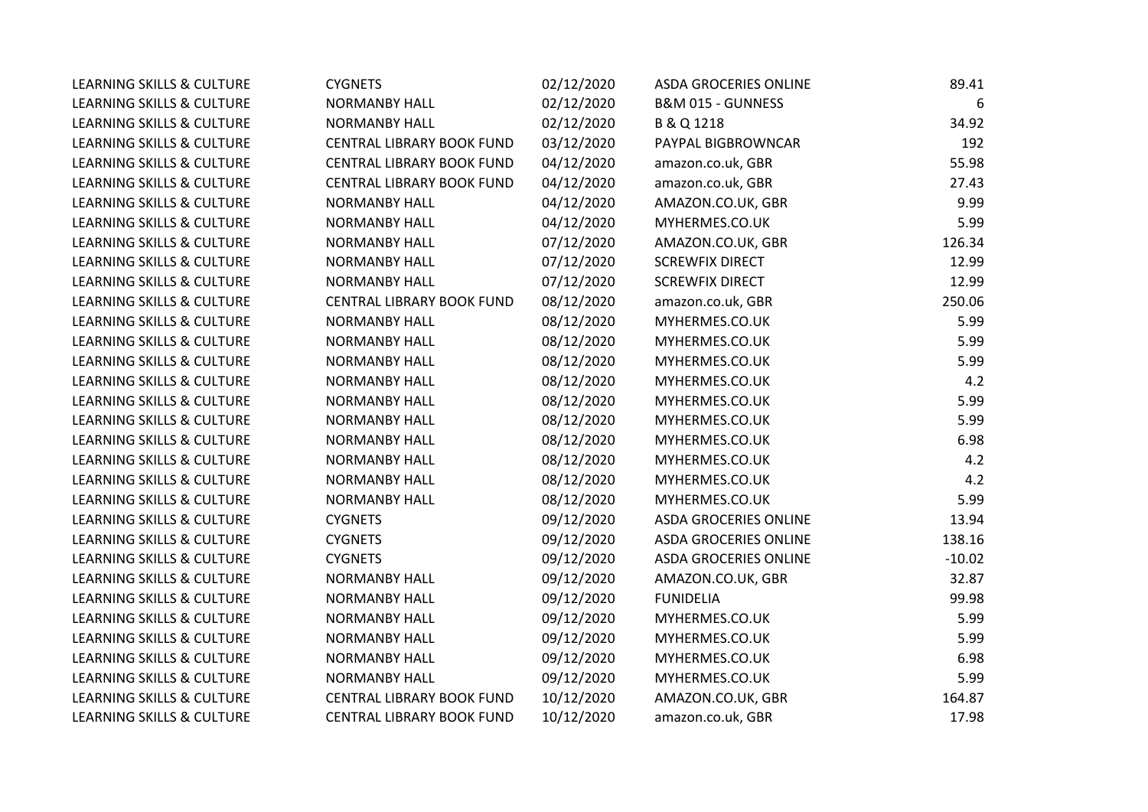| LEARNING SKILLS & CULTURE            | <b>CYGNETS</b>            | 02/12/2020 | ASDA GROCERIES ONLINE        | 89.41    |
|--------------------------------------|---------------------------|------------|------------------------------|----------|
| LEARNING SKILLS & CULTURE            | <b>NORMANBY HALL</b>      | 02/12/2020 | B&M 015 - GUNNESS            | 6        |
| LEARNING SKILLS & CULTURE            | <b>NORMANBY HALL</b>      | 02/12/2020 | B & Q 1218                   | 34.92    |
| LEARNING SKILLS & CULTURE            | CENTRAL LIBRARY BOOK FUND | 03/12/2020 | PAYPAL BIGBROWNCAR           | 192      |
| LEARNING SKILLS & CULTURE            | CENTRAL LIBRARY BOOK FUND | 04/12/2020 | amazon.co.uk, GBR            | 55.98    |
| LEARNING SKILLS & CULTURE            | CENTRAL LIBRARY BOOK FUND | 04/12/2020 | amazon.co.uk, GBR            | 27.43    |
| LEARNING SKILLS & CULTURE            | <b>NORMANBY HALL</b>      | 04/12/2020 | AMAZON.CO.UK, GBR            | 9.99     |
| LEARNING SKILLS & CULTURE            | <b>NORMANBY HALL</b>      | 04/12/2020 | MYHERMES.CO.UK               | 5.99     |
| LEARNING SKILLS & CULTURE            | <b>NORMANBY HALL</b>      | 07/12/2020 | AMAZON.CO.UK, GBR            | 126.34   |
| LEARNING SKILLS & CULTURE            | <b>NORMANBY HALL</b>      | 07/12/2020 | <b>SCREWFIX DIRECT</b>       | 12.99    |
| LEARNING SKILLS & CULTURE            | <b>NORMANBY HALL</b>      | 07/12/2020 | <b>SCREWFIX DIRECT</b>       | 12.99    |
| LEARNING SKILLS & CULTURE            | CENTRAL LIBRARY BOOK FUND | 08/12/2020 | amazon.co.uk, GBR            | 250.06   |
| LEARNING SKILLS & CULTURE            | <b>NORMANBY HALL</b>      | 08/12/2020 | MYHERMES.CO.UK               | 5.99     |
| LEARNING SKILLS & CULTURE            | <b>NORMANBY HALL</b>      | 08/12/2020 | MYHERMES.CO.UK               | 5.99     |
| LEARNING SKILLS & CULTURE            | <b>NORMANBY HALL</b>      | 08/12/2020 | MYHERMES.CO.UK               | 5.99     |
| <b>LEARNING SKILLS &amp; CULTURE</b> | <b>NORMANBY HALL</b>      | 08/12/2020 | MYHERMES.CO.UK               | 4.2      |
| LEARNING SKILLS & CULTURE            | <b>NORMANBY HALL</b>      | 08/12/2020 | MYHERMES.CO.UK               | 5.99     |
| LEARNING SKILLS & CULTURE            | <b>NORMANBY HALL</b>      | 08/12/2020 | MYHERMES.CO.UK               | 5.99     |
| LEARNING SKILLS & CULTURE            | <b>NORMANBY HALL</b>      | 08/12/2020 | MYHERMES.CO.UK               | 6.98     |
| LEARNING SKILLS & CULTURE            | <b>NORMANBY HALL</b>      | 08/12/2020 | MYHERMES.CO.UK               | 4.2      |
| LEARNING SKILLS & CULTURE            | <b>NORMANBY HALL</b>      | 08/12/2020 | MYHERMES.CO.UK               | 4.2      |
| LEARNING SKILLS & CULTURE            | <b>NORMANBY HALL</b>      | 08/12/2020 | MYHERMES.CO.UK               | 5.99     |
| LEARNING SKILLS & CULTURE            | <b>CYGNETS</b>            | 09/12/2020 | <b>ASDA GROCERIES ONLINE</b> | 13.94    |
| LEARNING SKILLS & CULTURE            | <b>CYGNETS</b>            | 09/12/2020 | <b>ASDA GROCERIES ONLINE</b> | 138.16   |
| LEARNING SKILLS & CULTURE            | <b>CYGNETS</b>            | 09/12/2020 | ASDA GROCERIES ONLINE        | $-10.02$ |
| LEARNING SKILLS & CULTURE            | <b>NORMANBY HALL</b>      | 09/12/2020 | AMAZON.CO.UK, GBR            | 32.87    |
| LEARNING SKILLS & CULTURE            | <b>NORMANBY HALL</b>      | 09/12/2020 | <b>FUNIDELIA</b>             | 99.98    |
| LEARNING SKILLS & CULTURE            | <b>NORMANBY HALL</b>      | 09/12/2020 | MYHERMES.CO.UK               | 5.99     |
| LEARNING SKILLS & CULTURE            | <b>NORMANBY HALL</b>      | 09/12/2020 | MYHERMES.CO.UK               | 5.99     |
| LEARNING SKILLS & CULTURE            | <b>NORMANBY HALL</b>      | 09/12/2020 | MYHERMES.CO.UK               | 6.98     |
| LEARNING SKILLS & CULTURE            | <b>NORMANBY HALL</b>      | 09/12/2020 | MYHERMES.CO.UK               | 5.99     |
| LEARNING SKILLS & CULTURE            | CENTRAL LIBRARY BOOK FUND | 10/12/2020 | AMAZON.CO.UK, GBR            | 164.87   |
| LEARNING SKILLS & CULTURE            | CENTRAL LIBRARY BOOK FUND | 10/12/2020 | amazon.co.uk, GBR            | 17.98    |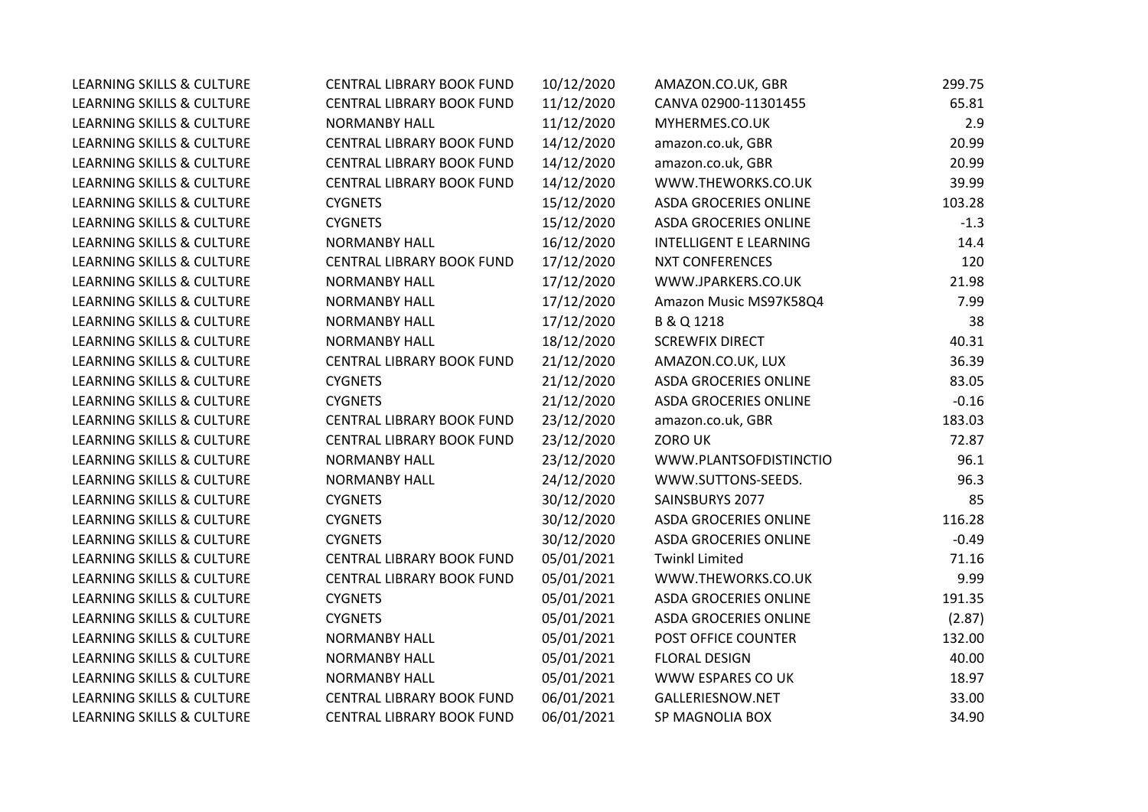| <b>LEARNING SKILLS &amp; CULTURE</b> | <b>CENTRAL LIBRARY BOOK FUND</b> | 10/12/2020 | AMAZON.CO.UK, GBR             | 299.75  |
|--------------------------------------|----------------------------------|------------|-------------------------------|---------|
| LEARNING SKILLS & CULTURE            | CENTRAL LIBRARY BOOK FUND        | 11/12/2020 | CANVA 02900-11301455          | 65.81   |
| <b>LEARNING SKILLS &amp; CULTURE</b> | <b>NORMANBY HALL</b>             | 11/12/2020 | MYHERMES.CO.UK                | 2.9     |
| <b>LEARNING SKILLS &amp; CULTURE</b> | CENTRAL LIBRARY BOOK FUND        | 14/12/2020 | amazon.co.uk, GBR             | 20.99   |
| <b>LEARNING SKILLS &amp; CULTURE</b> | CENTRAL LIBRARY BOOK FUND        | 14/12/2020 | amazon.co.uk, GBR             | 20.99   |
| LEARNING SKILLS & CULTURE            | CENTRAL LIBRARY BOOK FUND        | 14/12/2020 | WWW.THEWORKS.CO.UK            | 39.99   |
| <b>LEARNING SKILLS &amp; CULTURE</b> | <b>CYGNETS</b>                   | 15/12/2020 | ASDA GROCERIES ONLINE         | 103.28  |
| <b>LEARNING SKILLS &amp; CULTURE</b> | <b>CYGNETS</b>                   | 15/12/2020 | ASDA GROCERIES ONLINE         | $-1.3$  |
| <b>LEARNING SKILLS &amp; CULTURE</b> | <b>NORMANBY HALL</b>             | 16/12/2020 | <b>INTELLIGENT E LEARNING</b> | 14.4    |
| <b>LEARNING SKILLS &amp; CULTURE</b> | CENTRAL LIBRARY BOOK FUND        | 17/12/2020 | <b>NXT CONFERENCES</b>        | 120     |
| <b>LEARNING SKILLS &amp; CULTURE</b> | <b>NORMANBY HALL</b>             | 17/12/2020 | WWW.JPARKERS.CO.UK            | 21.98   |
| LEARNING SKILLS & CULTURE            | <b>NORMANBY HALL</b>             | 17/12/2020 | Amazon Music MS97K58Q4        | 7.99    |
| <b>LEARNING SKILLS &amp; CULTURE</b> | <b>NORMANBY HALL</b>             | 17/12/2020 | B & Q 1218                    | 38      |
| LEARNING SKILLS & CULTURE            | <b>NORMANBY HALL</b>             | 18/12/2020 | <b>SCREWFIX DIRECT</b>        | 40.31   |
| <b>LEARNING SKILLS &amp; CULTURE</b> | CENTRAL LIBRARY BOOK FUND        | 21/12/2020 | AMAZON.CO.UK, LUX             | 36.39   |
| <b>LEARNING SKILLS &amp; CULTURE</b> | <b>CYGNETS</b>                   | 21/12/2020 | <b>ASDA GROCERIES ONLINE</b>  | 83.05   |
| <b>LEARNING SKILLS &amp; CULTURE</b> | <b>CYGNETS</b>                   | 21/12/2020 | <b>ASDA GROCERIES ONLINE</b>  | $-0.16$ |
| LEARNING SKILLS & CULTURE            | CENTRAL LIBRARY BOOK FUND        | 23/12/2020 | amazon.co.uk, GBR             | 183.03  |
| <b>LEARNING SKILLS &amp; CULTURE</b> | CENTRAL LIBRARY BOOK FUND        | 23/12/2020 | ZORO UK                       | 72.87   |
| <b>LEARNING SKILLS &amp; CULTURE</b> | <b>NORMANBY HALL</b>             | 23/12/2020 | WWW.PLANTSOFDISTINCTIO        | 96.1    |
| <b>LEARNING SKILLS &amp; CULTURE</b> | <b>NORMANBY HALL</b>             | 24/12/2020 | WWW.SUTTONS-SEEDS.            | 96.3    |
| <b>LEARNING SKILLS &amp; CULTURE</b> | <b>CYGNETS</b>                   | 30/12/2020 | SAINSBURYS 2077               | 85      |
| <b>LEARNING SKILLS &amp; CULTURE</b> | <b>CYGNETS</b>                   | 30/12/2020 | <b>ASDA GROCERIES ONLINE</b>  | 116.28  |
| <b>LEARNING SKILLS &amp; CULTURE</b> | <b>CYGNETS</b>                   | 30/12/2020 | <b>ASDA GROCERIES ONLINE</b>  | $-0.49$ |
| LEARNING SKILLS & CULTURE            | <b>CENTRAL LIBRARY BOOK FUND</b> | 05/01/2021 | <b>Twinkl Limited</b>         | 71.16   |
| LEARNING SKILLS & CULTURE            | CENTRAL LIBRARY BOOK FUND        | 05/01/2021 | WWW.THEWORKS.CO.UK            | 9.99    |
| <b>LEARNING SKILLS &amp; CULTURE</b> | <b>CYGNETS</b>                   | 05/01/2021 | <b>ASDA GROCERIES ONLINE</b>  | 191.35  |
| <b>LEARNING SKILLS &amp; CULTURE</b> | <b>CYGNETS</b>                   | 05/01/2021 | <b>ASDA GROCERIES ONLINE</b>  | (2.87)  |
| <b>LEARNING SKILLS &amp; CULTURE</b> | <b>NORMANBY HALL</b>             | 05/01/2021 | POST OFFICE COUNTER           | 132.00  |
| LEARNING SKILLS & CULTURE            | <b>NORMANBY HALL</b>             | 05/01/2021 | <b>FLORAL DESIGN</b>          | 40.00   |
| <b>LEARNING SKILLS &amp; CULTURE</b> | <b>NORMANBY HALL</b>             | 05/01/2021 | WWW ESPARES CO UK             | 18.97   |
| <b>LEARNING SKILLS &amp; CULTURE</b> | CENTRAL LIBRARY BOOK FUND        | 06/01/2021 | GALLERIESNOW.NET              | 33.00   |
| <b>LEARNING SKILLS &amp; CULTURE</b> | CENTRAL LIBRARY BOOK FUND        | 06/01/2021 | SP MAGNOLIA BOX               | 34.90   |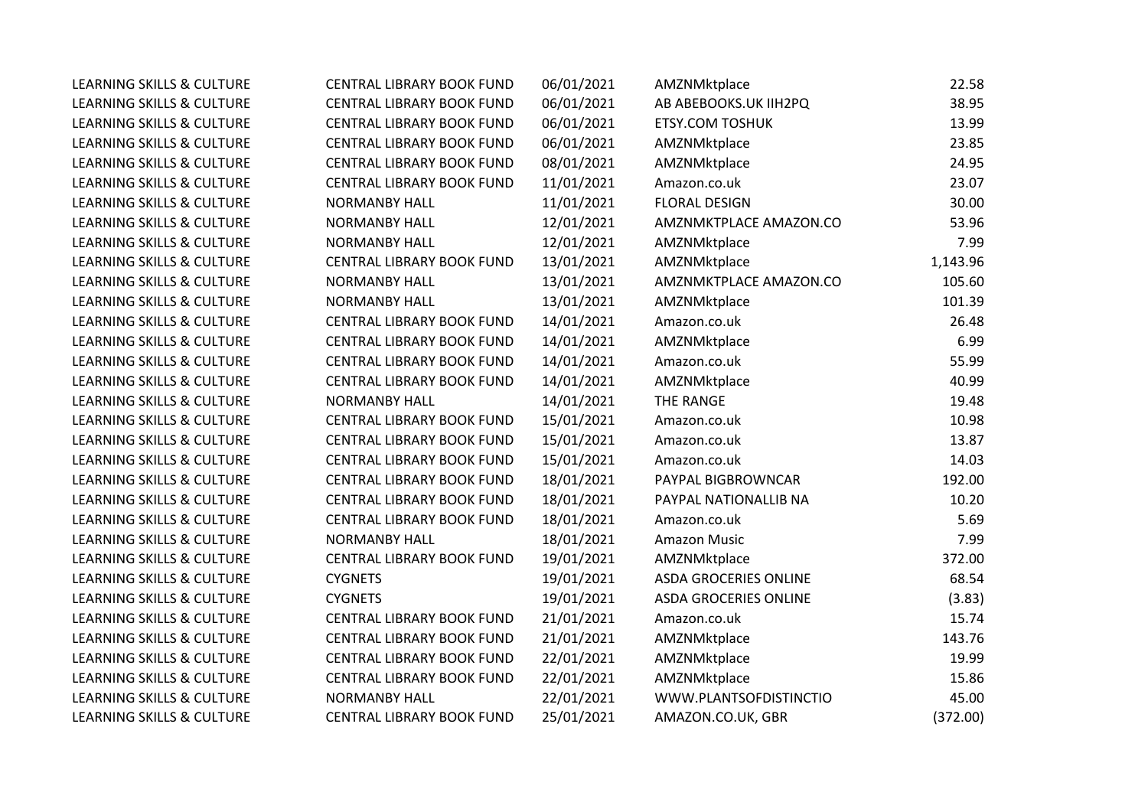| <b>LEARNING SKILLS &amp; CULTURE</b> | <b>CENTRAL LIBRARY BOOK FUND</b> | 06/01/2021 | AMZNMktplace                 | 22.58    |
|--------------------------------------|----------------------------------|------------|------------------------------|----------|
| <b>LEARNING SKILLS &amp; CULTURE</b> | CENTRAL LIBRARY BOOK FUND        | 06/01/2021 | AB ABEBOOKS.UK IIH2PQ        | 38.95    |
| <b>LEARNING SKILLS &amp; CULTURE</b> | CENTRAL LIBRARY BOOK FUND        | 06/01/2021 | <b>ETSY.COM TOSHUK</b>       | 13.99    |
| <b>LEARNING SKILLS &amp; CULTURE</b> | CENTRAL LIBRARY BOOK FUND        | 06/01/2021 | AMZNMktplace                 | 23.85    |
| <b>LEARNING SKILLS &amp; CULTURE</b> | CENTRAL LIBRARY BOOK FUND        | 08/01/2021 | AMZNMktplace                 | 24.95    |
| <b>LEARNING SKILLS &amp; CULTURE</b> | CENTRAL LIBRARY BOOK FUND        | 11/01/2021 | Amazon.co.uk                 | 23.07    |
| <b>LEARNING SKILLS &amp; CULTURE</b> | <b>NORMANBY HALL</b>             | 11/01/2021 | <b>FLORAL DESIGN</b>         | 30.00    |
| LEARNING SKILLS & CULTURE            | <b>NORMANBY HALL</b>             | 12/01/2021 | AMZNMKTPLACE AMAZON.CO       | 53.96    |
| <b>LEARNING SKILLS &amp; CULTURE</b> | <b>NORMANBY HALL</b>             | 12/01/2021 | AMZNMktplace                 | 7.99     |
| <b>LEARNING SKILLS &amp; CULTURE</b> | CENTRAL LIBRARY BOOK FUND        | 13/01/2021 | AMZNMktplace                 | 1,143.96 |
| <b>LEARNING SKILLS &amp; CULTURE</b> | <b>NORMANBY HALL</b>             | 13/01/2021 | AMZNMKTPLACE AMAZON.CO       | 105.60   |
| <b>LEARNING SKILLS &amp; CULTURE</b> | <b>NORMANBY HALL</b>             | 13/01/2021 | AMZNMktplace                 | 101.39   |
| <b>LEARNING SKILLS &amp; CULTURE</b> | CENTRAL LIBRARY BOOK FUND        | 14/01/2021 | Amazon.co.uk                 | 26.48    |
| <b>LEARNING SKILLS &amp; CULTURE</b> | CENTRAL LIBRARY BOOK FUND        | 14/01/2021 | AMZNMktplace                 | 6.99     |
| <b>LEARNING SKILLS &amp; CULTURE</b> | CENTRAL LIBRARY BOOK FUND        | 14/01/2021 | Amazon.co.uk                 | 55.99    |
| <b>LEARNING SKILLS &amp; CULTURE</b> | CENTRAL LIBRARY BOOK FUND        | 14/01/2021 | AMZNMktplace                 | 40.99    |
| <b>LEARNING SKILLS &amp; CULTURE</b> | <b>NORMANBY HALL</b>             | 14/01/2021 | THE RANGE                    | 19.48    |
| <b>LEARNING SKILLS &amp; CULTURE</b> | CENTRAL LIBRARY BOOK FUND        | 15/01/2021 | Amazon.co.uk                 | 10.98    |
| LEARNING SKILLS & CULTURE            | CENTRAL LIBRARY BOOK FUND        | 15/01/2021 | Amazon.co.uk                 | 13.87    |
| <b>LEARNING SKILLS &amp; CULTURE</b> | CENTRAL LIBRARY BOOK FUND        | 15/01/2021 | Amazon.co.uk                 | 14.03    |
| <b>LEARNING SKILLS &amp; CULTURE</b> | CENTRAL LIBRARY BOOK FUND        | 18/01/2021 | PAYPAL BIGBROWNCAR           | 192.00   |
| <b>LEARNING SKILLS &amp; CULTURE</b> | CENTRAL LIBRARY BOOK FUND        | 18/01/2021 | PAYPAL NATIONALLIB NA        | 10.20    |
| <b>LEARNING SKILLS &amp; CULTURE</b> | CENTRAL LIBRARY BOOK FUND        | 18/01/2021 | Amazon.co.uk                 | 5.69     |
| <b>LEARNING SKILLS &amp; CULTURE</b> | <b>NORMANBY HALL</b>             | 18/01/2021 | <b>Amazon Music</b>          | 7.99     |
| LEARNING SKILLS & CULTURE            | CENTRAL LIBRARY BOOK FUND        | 19/01/2021 | AMZNMktplace                 | 372.00   |
| LEARNING SKILLS & CULTURE            | <b>CYGNETS</b>                   | 19/01/2021 | ASDA GROCERIES ONLINE        | 68.54    |
| <b>LEARNING SKILLS &amp; CULTURE</b> | <b>CYGNETS</b>                   | 19/01/2021 | <b>ASDA GROCERIES ONLINE</b> | (3.83)   |
| LEARNING SKILLS & CULTURE            | CENTRAL LIBRARY BOOK FUND        | 21/01/2021 | Amazon.co.uk                 | 15.74    |
| LEARNING SKILLS & CULTURE            | CENTRAL LIBRARY BOOK FUND        | 21/01/2021 | AMZNMktplace                 | 143.76   |
| <b>LEARNING SKILLS &amp; CULTURE</b> | CENTRAL LIBRARY BOOK FUND        | 22/01/2021 | AMZNMktplace                 | 19.99    |
| LEARNING SKILLS & CULTURE            | CENTRAL LIBRARY BOOK FUND        | 22/01/2021 | AMZNMktplace                 | 15.86    |
| LEARNING SKILLS & CULTURE            | <b>NORMANBY HALL</b>             | 22/01/2021 | WWW.PLANTSOFDISTINCTIO       | 45.00    |
| <b>LEARNING SKILLS &amp; CULTURE</b> | CENTRAL LIBRARY BOOK FUND        | 25/01/2021 | AMAZON.CO.UK, GBR            | (372.00) |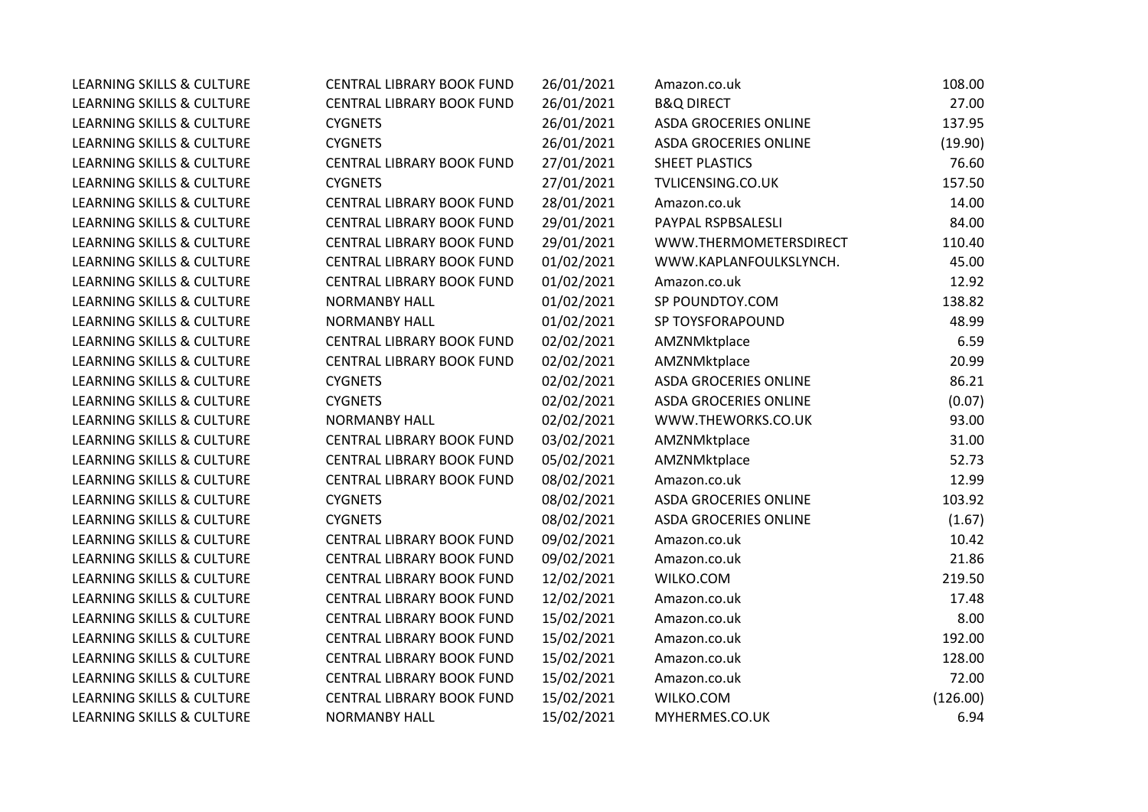| LEARNING SKILLS & CULTURE            | <b>CENTRAL LIBRARY BOOK FUND</b> | 26/01/2021 | Amazon.co.uk                 | 108.00   |
|--------------------------------------|----------------------------------|------------|------------------------------|----------|
| LEARNING SKILLS & CULTURE            | CENTRAL LIBRARY BOOK FUND        | 26/01/2021 | <b>B&amp;Q DIRECT</b>        | 27.00    |
| LEARNING SKILLS & CULTURE            | <b>CYGNETS</b>                   | 26/01/2021 | <b>ASDA GROCERIES ONLINE</b> | 137.95   |
| LEARNING SKILLS & CULTURE            | <b>CYGNETS</b>                   | 26/01/2021 | <b>ASDA GROCERIES ONLINE</b> | (19.90)  |
| LEARNING SKILLS & CULTURE            | CENTRAL LIBRARY BOOK FUND        | 27/01/2021 | SHEET PLASTICS               | 76.60    |
| LEARNING SKILLS & CULTURE            | <b>CYGNETS</b>                   | 27/01/2021 | TVLICENSING.CO.UK            | 157.50   |
| <b>LEARNING SKILLS &amp; CULTURE</b> | CENTRAL LIBRARY BOOK FUND        | 28/01/2021 | Amazon.co.uk                 | 14.00    |
| LEARNING SKILLS & CULTURE            | CENTRAL LIBRARY BOOK FUND        | 29/01/2021 | PAYPAL RSPBSALESLI           | 84.00    |
| LEARNING SKILLS & CULTURE            | CENTRAL LIBRARY BOOK FUND        | 29/01/2021 | WWW.THERMOMETERSDIRECT       | 110.40   |
| <b>LEARNING SKILLS &amp; CULTURE</b> | CENTRAL LIBRARY BOOK FUND        | 01/02/2021 | WWW.KAPLANFOULKSLYNCH.       | 45.00    |
| LEARNING SKILLS & CULTURE            | CENTRAL LIBRARY BOOK FUND        | 01/02/2021 | Amazon.co.uk                 | 12.92    |
| LEARNING SKILLS & CULTURE            | NORMANBY HALL                    | 01/02/2021 | SP POUNDTOY.COM              | 138.82   |
| LEARNING SKILLS & CULTURE            | <b>NORMANBY HALL</b>             | 01/02/2021 | SP TOYSFORAPOUND             | 48.99    |
| LEARNING SKILLS & CULTURE            | CENTRAL LIBRARY BOOK FUND        | 02/02/2021 | AMZNMktplace                 | 6.59     |
| LEARNING SKILLS & CULTURE            | CENTRAL LIBRARY BOOK FUND        | 02/02/2021 | AMZNMktplace                 | 20.99    |
| LEARNING SKILLS & CULTURE            | <b>CYGNETS</b>                   | 02/02/2021 | <b>ASDA GROCERIES ONLINE</b> | 86.21    |
| <b>LEARNING SKILLS &amp; CULTURE</b> | <b>CYGNETS</b>                   | 02/02/2021 | <b>ASDA GROCERIES ONLINE</b> | (0.07)   |
| LEARNING SKILLS & CULTURE            | <b>NORMANBY HALL</b>             | 02/02/2021 | WWW.THEWORKS.CO.UK           | 93.00    |
| LEARNING SKILLS & CULTURE            | CENTRAL LIBRARY BOOK FUND        | 03/02/2021 | AMZNMktplace                 | 31.00    |
| <b>LEARNING SKILLS &amp; CULTURE</b> | <b>CENTRAL LIBRARY BOOK FUND</b> | 05/02/2021 | AMZNMktplace                 | 52.73    |
| LEARNING SKILLS & CULTURE            | CENTRAL LIBRARY BOOK FUND        | 08/02/2021 | Amazon.co.uk                 | 12.99    |
| LEARNING SKILLS & CULTURE            | <b>CYGNETS</b>                   | 08/02/2021 | ASDA GROCERIES ONLINE        | 103.92   |
| LEARNING SKILLS & CULTURE            | <b>CYGNETS</b>                   | 08/02/2021 | <b>ASDA GROCERIES ONLINE</b> | (1.67)   |
| <b>LEARNING SKILLS &amp; CULTURE</b> | <b>CENTRAL LIBRARY BOOK FUND</b> | 09/02/2021 | Amazon.co.uk                 | 10.42    |
| LEARNING SKILLS & CULTURE            | CENTRAL LIBRARY BOOK FUND        | 09/02/2021 | Amazon.co.uk                 | 21.86    |
| LEARNING SKILLS & CULTURE            | CENTRAL LIBRARY BOOK FUND        | 12/02/2021 | WILKO.COM                    | 219.50   |
| LEARNING SKILLS & CULTURE            | CENTRAL LIBRARY BOOK FUND        | 12/02/2021 | Amazon.co.uk                 | 17.48    |
| LEARNING SKILLS & CULTURE            | CENTRAL LIBRARY BOOK FUND        | 15/02/2021 | Amazon.co.uk                 | 8.00     |
| LEARNING SKILLS & CULTURE            | CENTRAL LIBRARY BOOK FUND        | 15/02/2021 | Amazon.co.uk                 | 192.00   |
| LEARNING SKILLS & CULTURE            | CENTRAL LIBRARY BOOK FUND        | 15/02/2021 | Amazon.co.uk                 | 128.00   |
| LEARNING SKILLS & CULTURE            | CENTRAL LIBRARY BOOK FUND        | 15/02/2021 | Amazon.co.uk                 | 72.00    |
| LEARNING SKILLS & CULTURE            | CENTRAL LIBRARY BOOK FUND        | 15/02/2021 | WILKO.COM                    | (126.00) |
| LEARNING SKILLS & CULTURE            | <b>NORMANBY HALL</b>             | 15/02/2021 | MYHERMES.CO.UK               | 6.94     |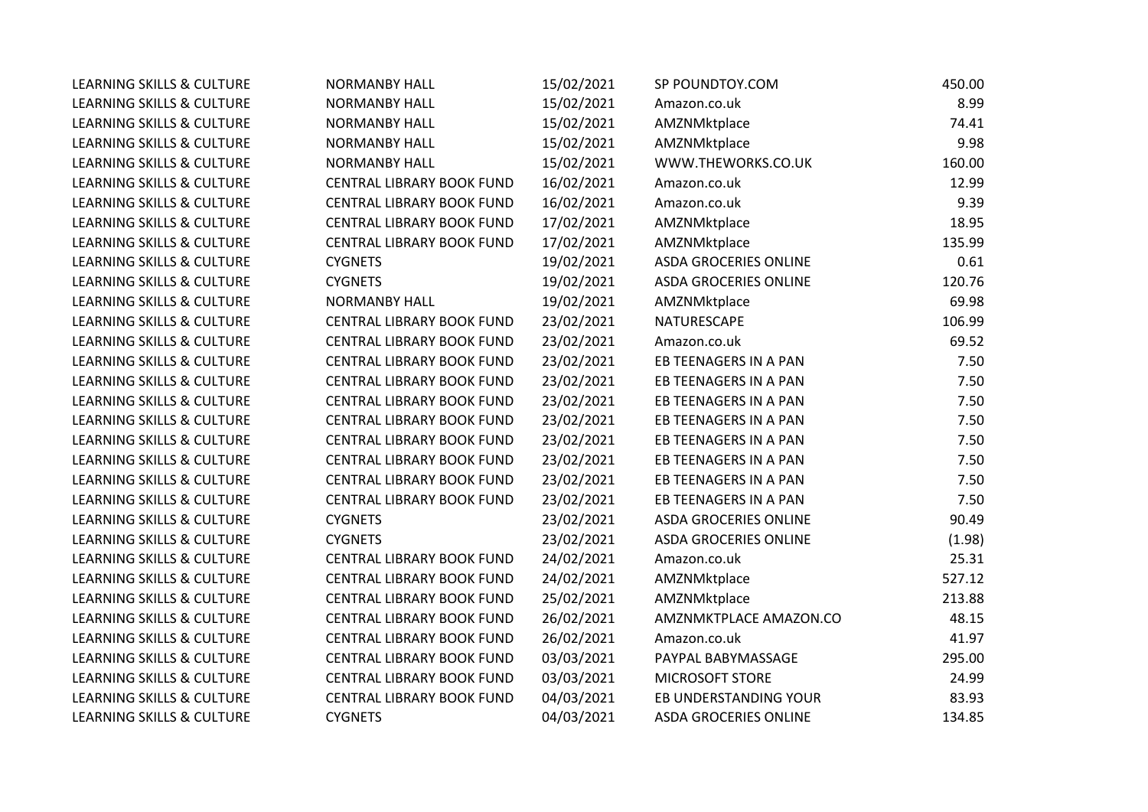| <b>LEARNING SKILLS &amp; CULTURE</b> | <b>NORMANBY HALL</b>      | 15/02/2021 | SP POUNDTOY.COM              | 450.00 |
|--------------------------------------|---------------------------|------------|------------------------------|--------|
| LEARNING SKILLS & CULTURE            | <b>NORMANBY HALL</b>      | 15/02/2021 | Amazon.co.uk                 | 8.99   |
| LEARNING SKILLS & CULTURE            | <b>NORMANBY HALL</b>      | 15/02/2021 | AMZNMktplace                 | 74.41  |
| LEARNING SKILLS & CULTURE            | <b>NORMANBY HALL</b>      | 15/02/2021 | AMZNMktplace                 | 9.98   |
| LEARNING SKILLS & CULTURE            | <b>NORMANBY HALL</b>      | 15/02/2021 | WWW.THEWORKS.CO.UK           | 160.00 |
| LEARNING SKILLS & CULTURE            | CENTRAL LIBRARY BOOK FUND | 16/02/2021 | Amazon.co.uk                 | 12.99  |
| LEARNING SKILLS & CULTURE            | CENTRAL LIBRARY BOOK FUND | 16/02/2021 | Amazon.co.uk                 | 9.39   |
| LEARNING SKILLS & CULTURE            | CENTRAL LIBRARY BOOK FUND | 17/02/2021 | AMZNMktplace                 | 18.95  |
| LEARNING SKILLS & CULTURE            | CENTRAL LIBRARY BOOK FUND | 17/02/2021 | AMZNMktplace                 | 135.99 |
| LEARNING SKILLS & CULTURE            | <b>CYGNETS</b>            | 19/02/2021 | <b>ASDA GROCERIES ONLINE</b> | 0.61   |
| LEARNING SKILLS & CULTURE            | <b>CYGNETS</b>            | 19/02/2021 | <b>ASDA GROCERIES ONLINE</b> | 120.76 |
| LEARNING SKILLS & CULTURE            | <b>NORMANBY HALL</b>      | 19/02/2021 | AMZNMktplace                 | 69.98  |
| LEARNING SKILLS & CULTURE            | CENTRAL LIBRARY BOOK FUND | 23/02/2021 | NATURESCAPE                  | 106.99 |
| LEARNING SKILLS & CULTURE            | CENTRAL LIBRARY BOOK FUND | 23/02/2021 | Amazon.co.uk                 | 69.52  |
| LEARNING SKILLS & CULTURE            | CENTRAL LIBRARY BOOK FUND | 23/02/2021 | EB TEENAGERS IN A PAN        | 7.50   |
| LEARNING SKILLS & CULTURE            | CENTRAL LIBRARY BOOK FUND | 23/02/2021 | EB TEENAGERS IN A PAN        | 7.50   |
| <b>LEARNING SKILLS &amp; CULTURE</b> | CENTRAL LIBRARY BOOK FUND | 23/02/2021 | EB TEENAGERS IN A PAN        | 7.50   |
| LEARNING SKILLS & CULTURE            | CENTRAL LIBRARY BOOK FUND | 23/02/2021 | EB TEENAGERS IN A PAN        | 7.50   |
| LEARNING SKILLS & CULTURE            | CENTRAL LIBRARY BOOK FUND | 23/02/2021 | EB TEENAGERS IN A PAN        | 7.50   |
| LEARNING SKILLS & CULTURE            | CENTRAL LIBRARY BOOK FUND | 23/02/2021 | EB TEENAGERS IN A PAN        | 7.50   |
| LEARNING SKILLS & CULTURE            | CENTRAL LIBRARY BOOK FUND | 23/02/2021 | EB TEENAGERS IN A PAN        | 7.50   |
| LEARNING SKILLS & CULTURE            | CENTRAL LIBRARY BOOK FUND | 23/02/2021 | EB TEENAGERS IN A PAN        | 7.50   |
| <b>LEARNING SKILLS &amp; CULTURE</b> | <b>CYGNETS</b>            | 23/02/2021 | <b>ASDA GROCERIES ONLINE</b> | 90.49  |
| LEARNING SKILLS & CULTURE            | <b>CYGNETS</b>            | 23/02/2021 | <b>ASDA GROCERIES ONLINE</b> | (1.98) |
| LEARNING SKILLS & CULTURE            | CENTRAL LIBRARY BOOK FUND | 24/02/2021 | Amazon.co.uk                 | 25.31  |
| LEARNING SKILLS & CULTURE            | CENTRAL LIBRARY BOOK FUND | 24/02/2021 | AMZNMktplace                 | 527.12 |
| LEARNING SKILLS & CULTURE            | CENTRAL LIBRARY BOOK FUND | 25/02/2021 | AMZNMktplace                 | 213.88 |
| LEARNING SKILLS & CULTURE            | CENTRAL LIBRARY BOOK FUND | 26/02/2021 | AMZNMKTPLACE AMAZON.CO       | 48.15  |
| LEARNING SKILLS & CULTURE            | CENTRAL LIBRARY BOOK FUND | 26/02/2021 | Amazon.co.uk                 | 41.97  |
| LEARNING SKILLS & CULTURE            | CENTRAL LIBRARY BOOK FUND | 03/03/2021 | PAYPAL BABYMASSAGE           | 295.00 |
| LEARNING SKILLS & CULTURE            | CENTRAL LIBRARY BOOK FUND | 03/03/2021 | MICROSOFT STORE              | 24.99  |
| LEARNING SKILLS & CULTURE            | CENTRAL LIBRARY BOOK FUND | 04/03/2021 | EB UNDERSTANDING YOUR        | 83.93  |
| LEARNING SKILLS & CULTURE            | <b>CYGNETS</b>            | 04/03/2021 | <b>ASDA GROCERIES ONLINE</b> | 134.85 |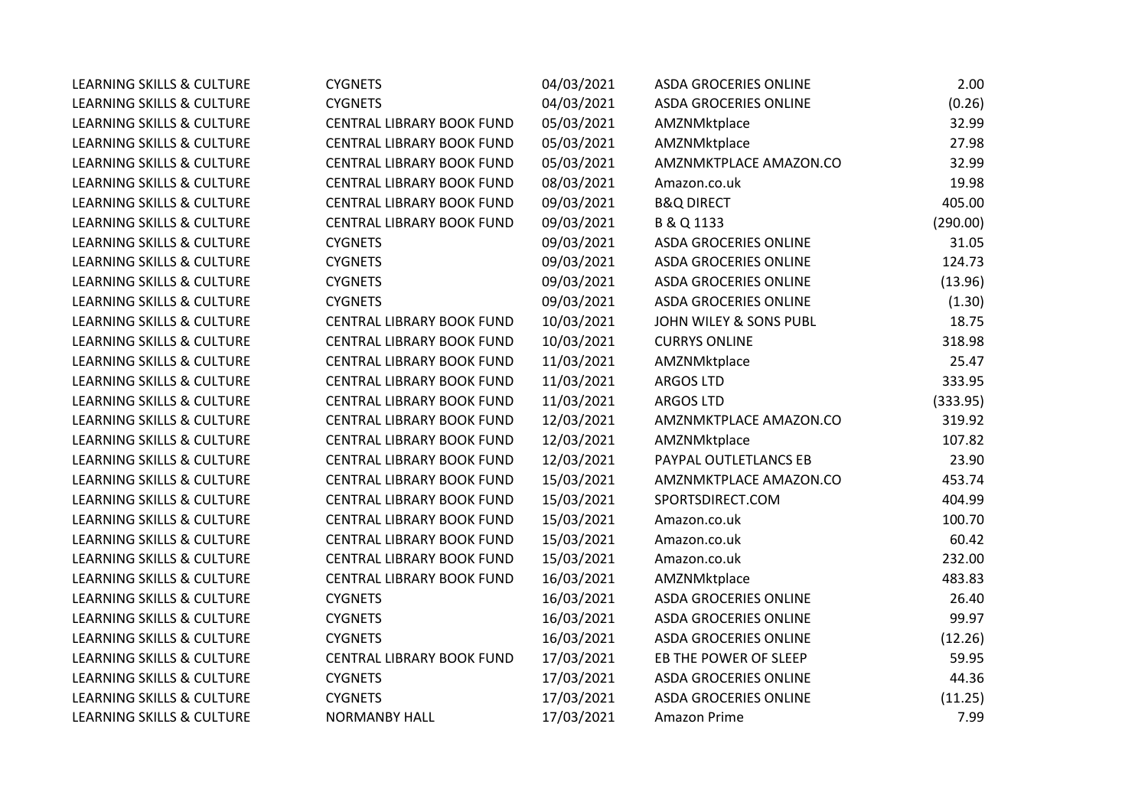| <b>LEARNING SKILLS &amp; CULTURE</b> | <b>CYGNETS</b>            | 04/03/2021 | <b>ASDA GROCERIES ONLINE</b> | 2.00     |
|--------------------------------------|---------------------------|------------|------------------------------|----------|
| LEARNING SKILLS & CULTURE            | <b>CYGNETS</b>            | 04/03/2021 | <b>ASDA GROCERIES ONLINE</b> | (0.26)   |
| LEARNING SKILLS & CULTURE            | CENTRAL LIBRARY BOOK FUND | 05/03/2021 | AMZNMktplace                 | 32.99    |
| <b>LEARNING SKILLS &amp; CULTURE</b> | CENTRAL LIBRARY BOOK FUND | 05/03/2021 | AMZNMktplace                 | 27.98    |
| <b>LEARNING SKILLS &amp; CULTURE</b> | CENTRAL LIBRARY BOOK FUND | 05/03/2021 | AMZNMKTPLACE AMAZON.CO       | 32.99    |
| LEARNING SKILLS & CULTURE            | CENTRAL LIBRARY BOOK FUND | 08/03/2021 | Amazon.co.uk                 | 19.98    |
| LEARNING SKILLS & CULTURE            | CENTRAL LIBRARY BOOK FUND | 09/03/2021 | <b>B&amp;Q DIRECT</b>        | 405.00   |
| <b>LEARNING SKILLS &amp; CULTURE</b> | CENTRAL LIBRARY BOOK FUND | 09/03/2021 | B & Q 1133                   | (290.00) |
| LEARNING SKILLS & CULTURE            | <b>CYGNETS</b>            | 09/03/2021 | <b>ASDA GROCERIES ONLINE</b> | 31.05    |
| LEARNING SKILLS & CULTURE            | <b>CYGNETS</b>            | 09/03/2021 | <b>ASDA GROCERIES ONLINE</b> | 124.73   |
| LEARNING SKILLS & CULTURE            | <b>CYGNETS</b>            | 09/03/2021 | <b>ASDA GROCERIES ONLINE</b> | (13.96)  |
| LEARNING SKILLS & CULTURE            | <b>CYGNETS</b>            | 09/03/2021 | <b>ASDA GROCERIES ONLINE</b> | (1.30)   |
| <b>LEARNING SKILLS &amp; CULTURE</b> | CENTRAL LIBRARY BOOK FUND | 10/03/2021 | JOHN WILEY & SONS PUBL       | 18.75    |
| LEARNING SKILLS & CULTURE            | CENTRAL LIBRARY BOOK FUND | 10/03/2021 | <b>CURRYS ONLINE</b>         | 318.98   |
| LEARNING SKILLS & CULTURE            | CENTRAL LIBRARY BOOK FUND | 11/03/2021 | AMZNMktplace                 | 25.47    |
| <b>LEARNING SKILLS &amp; CULTURE</b> | CENTRAL LIBRARY BOOK FUND | 11/03/2021 | <b>ARGOS LTD</b>             | 333.95   |
| <b>LEARNING SKILLS &amp; CULTURE</b> | CENTRAL LIBRARY BOOK FUND | 11/03/2021 | <b>ARGOS LTD</b>             | (333.95) |
| LEARNING SKILLS & CULTURE            | CENTRAL LIBRARY BOOK FUND | 12/03/2021 | AMZNMKTPLACE AMAZON.CO       | 319.92   |
| <b>LEARNING SKILLS &amp; CULTURE</b> | CENTRAL LIBRARY BOOK FUND | 12/03/2021 | AMZNMktplace                 | 107.82   |
| LEARNING SKILLS & CULTURE            | CENTRAL LIBRARY BOOK FUND | 12/03/2021 | PAYPAL OUTLETLANCS EB        | 23.90    |
| LEARNING SKILLS & CULTURE            | CENTRAL LIBRARY BOOK FUND | 15/03/2021 | AMZNMKTPLACE AMAZON.CO       | 453.74   |
| LEARNING SKILLS & CULTURE            | CENTRAL LIBRARY BOOK FUND | 15/03/2021 | SPORTSDIRECT.COM             | 404.99   |
| <b>LEARNING SKILLS &amp; CULTURE</b> | CENTRAL LIBRARY BOOK FUND | 15/03/2021 | Amazon.co.uk                 | 100.70   |
| <b>LEARNING SKILLS &amp; CULTURE</b> | CENTRAL LIBRARY BOOK FUND | 15/03/2021 | Amazon.co.uk                 | 60.42    |
| LEARNING SKILLS & CULTURE            | CENTRAL LIBRARY BOOK FUND | 15/03/2021 | Amazon.co.uk                 | 232.00   |
| LEARNING SKILLS & CULTURE            | CENTRAL LIBRARY BOOK FUND | 16/03/2021 | AMZNMktplace                 | 483.83   |
| <b>LEARNING SKILLS &amp; CULTURE</b> | <b>CYGNETS</b>            | 16/03/2021 | <b>ASDA GROCERIES ONLINE</b> | 26.40    |
| LEARNING SKILLS & CULTURE            | <b>CYGNETS</b>            | 16/03/2021 | <b>ASDA GROCERIES ONLINE</b> | 99.97    |
| LEARNING SKILLS & CULTURE            | <b>CYGNETS</b>            | 16/03/2021 | <b>ASDA GROCERIES ONLINE</b> | (12.26)  |
| <b>LEARNING SKILLS &amp; CULTURE</b> | CENTRAL LIBRARY BOOK FUND | 17/03/2021 | EB THE POWER OF SLEEP        | 59.95    |
| LEARNING SKILLS & CULTURE            | <b>CYGNETS</b>            | 17/03/2021 | <b>ASDA GROCERIES ONLINE</b> | 44.36    |
| LEARNING SKILLS & CULTURE            | <b>CYGNETS</b>            | 17/03/2021 | <b>ASDA GROCERIES ONLINE</b> | (11.25)  |
| LEARNING SKILLS & CULTURE            | <b>NORMANBY HALL</b>      | 17/03/2021 | Amazon Prime                 | 7.99     |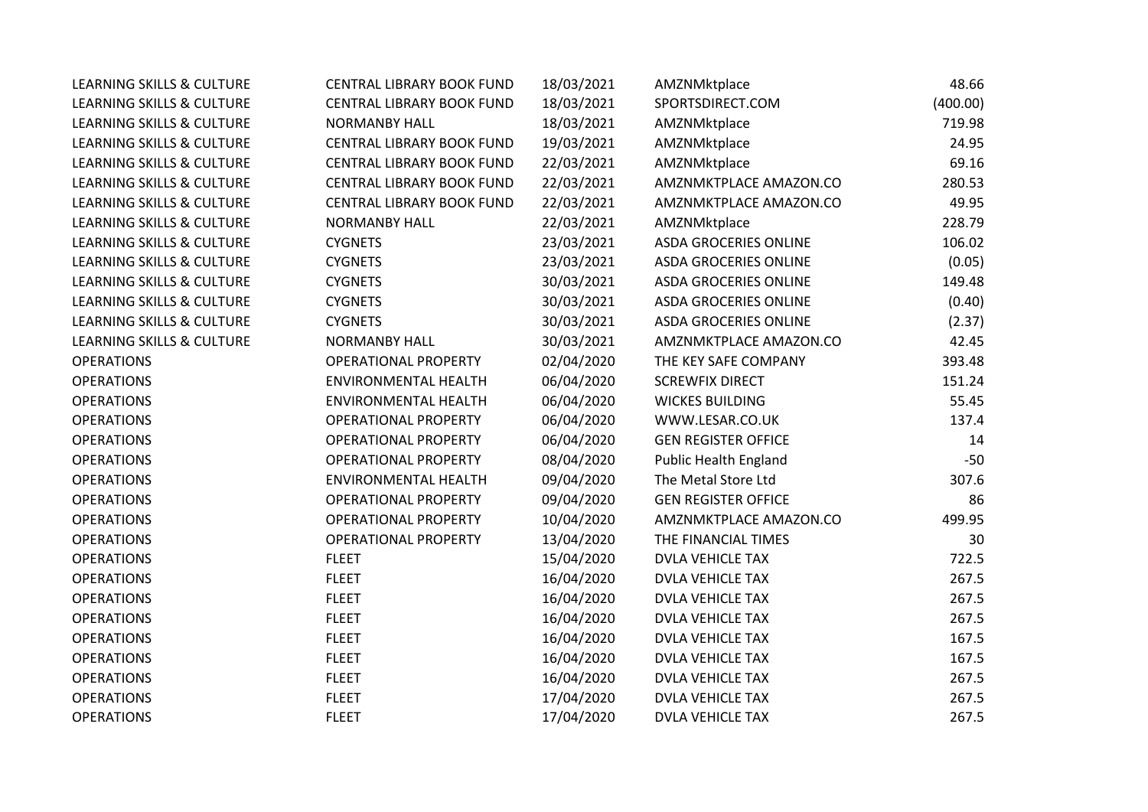| <b>LEARNING SKILLS &amp; CULTURE</b> | CENTRAL LIBRARY BOOK FUND   | 18/03/2021 | AMZNMktplace                 | 48.66    |
|--------------------------------------|-----------------------------|------------|------------------------------|----------|
| <b>LEARNING SKILLS &amp; CULTURE</b> | CENTRAL LIBRARY BOOK FUND   | 18/03/2021 | SPORTSDIRECT.COM             | (400.00) |
| LEARNING SKILLS & CULTURE            | <b>NORMANBY HALL</b>        | 18/03/2021 | AMZNMktplace                 | 719.98   |
| LEARNING SKILLS & CULTURE            | CENTRAL LIBRARY BOOK FUND   | 19/03/2021 | AMZNMktplace                 | 24.95    |
| LEARNING SKILLS & CULTURE            | CENTRAL LIBRARY BOOK FUND   | 22/03/2021 | AMZNMktplace                 | 69.16    |
| LEARNING SKILLS & CULTURE            | CENTRAL LIBRARY BOOK FUND   | 22/03/2021 | AMZNMKTPLACE AMAZON.CO       | 280.53   |
| LEARNING SKILLS & CULTURE            | CENTRAL LIBRARY BOOK FUND   | 22/03/2021 | AMZNMKTPLACE AMAZON.CO       | 49.95    |
| <b>LEARNING SKILLS &amp; CULTURE</b> | <b>NORMANBY HALL</b>        | 22/03/2021 | AMZNMktplace                 | 228.79   |
| <b>LEARNING SKILLS &amp; CULTURE</b> | <b>CYGNETS</b>              | 23/03/2021 | <b>ASDA GROCERIES ONLINE</b> | 106.02   |
| LEARNING SKILLS & CULTURE            | <b>CYGNETS</b>              | 23/03/2021 | <b>ASDA GROCERIES ONLINE</b> | (0.05)   |
| LEARNING SKILLS & CULTURE            | <b>CYGNETS</b>              | 30/03/2021 | ASDA GROCERIES ONLINE        | 149.48   |
| LEARNING SKILLS & CULTURE            | <b>CYGNETS</b>              | 30/03/2021 | <b>ASDA GROCERIES ONLINE</b> | (0.40)   |
| <b>LEARNING SKILLS &amp; CULTURE</b> | <b>CYGNETS</b>              | 30/03/2021 | <b>ASDA GROCERIES ONLINE</b> | (2.37)   |
| LEARNING SKILLS & CULTURE            | <b>NORMANBY HALL</b>        | 30/03/2021 | AMZNMKTPLACE AMAZON.CO       | 42.45    |
| <b>OPERATIONS</b>                    | <b>OPERATIONAL PROPERTY</b> | 02/04/2020 | THE KEY SAFE COMPANY         | 393.48   |
| <b>OPERATIONS</b>                    | <b>ENVIRONMENTAL HEALTH</b> | 06/04/2020 | <b>SCREWFIX DIRECT</b>       | 151.24   |
| <b>OPERATIONS</b>                    | <b>ENVIRONMENTAL HEALTH</b> | 06/04/2020 | <b>WICKES BUILDING</b>       | 55.45    |
| <b>OPERATIONS</b>                    | OPERATIONAL PROPERTY        | 06/04/2020 | WWW.LESAR.CO.UK              | 137.4    |
| <b>OPERATIONS</b>                    | <b>OPERATIONAL PROPERTY</b> | 06/04/2020 | <b>GEN REGISTER OFFICE</b>   | 14       |
| <b>OPERATIONS</b>                    | <b>OPERATIONAL PROPERTY</b> | 08/04/2020 | <b>Public Health England</b> | $-50$    |
| <b>OPERATIONS</b>                    | <b>ENVIRONMENTAL HEALTH</b> | 09/04/2020 | The Metal Store Ltd          | 307.6    |
| <b>OPERATIONS</b>                    | <b>OPERATIONAL PROPERTY</b> | 09/04/2020 | <b>GEN REGISTER OFFICE</b>   | 86       |
| <b>OPERATIONS</b>                    | <b>OPERATIONAL PROPERTY</b> | 10/04/2020 | AMZNMKTPLACE AMAZON.CO       | 499.95   |
| <b>OPERATIONS</b>                    | <b>OPERATIONAL PROPERTY</b> | 13/04/2020 | THE FINANCIAL TIMES          | 30       |
| <b>OPERATIONS</b>                    | <b>FLEET</b>                | 15/04/2020 | <b>DVLA VEHICLE TAX</b>      | 722.5    |
| <b>OPERATIONS</b>                    | <b>FLEET</b>                | 16/04/2020 | <b>DVLA VEHICLE TAX</b>      | 267.5    |
| <b>OPERATIONS</b>                    | <b>FLEET</b>                | 16/04/2020 | <b>DVLA VEHICLE TAX</b>      | 267.5    |
| <b>OPERATIONS</b>                    | <b>FLEET</b>                | 16/04/2020 | <b>DVLA VEHICLE TAX</b>      | 267.5    |
| <b>OPERATIONS</b>                    | <b>FLEET</b>                | 16/04/2020 | <b>DVLA VEHICLE TAX</b>      | 167.5    |
| <b>OPERATIONS</b>                    | <b>FLEET</b>                | 16/04/2020 | <b>DVLA VEHICLE TAX</b>      | 167.5    |
| <b>OPERATIONS</b>                    | <b>FLEET</b>                | 16/04/2020 | <b>DVLA VEHICLE TAX</b>      | 267.5    |
| <b>OPERATIONS</b>                    | <b>FLEET</b>                | 17/04/2020 | <b>DVLA VEHICLE TAX</b>      | 267.5    |
| <b>OPERATIONS</b>                    | <b>FLEET</b>                | 17/04/2020 | <b>DVLA VEHICLE TAX</b>      | 267.5    |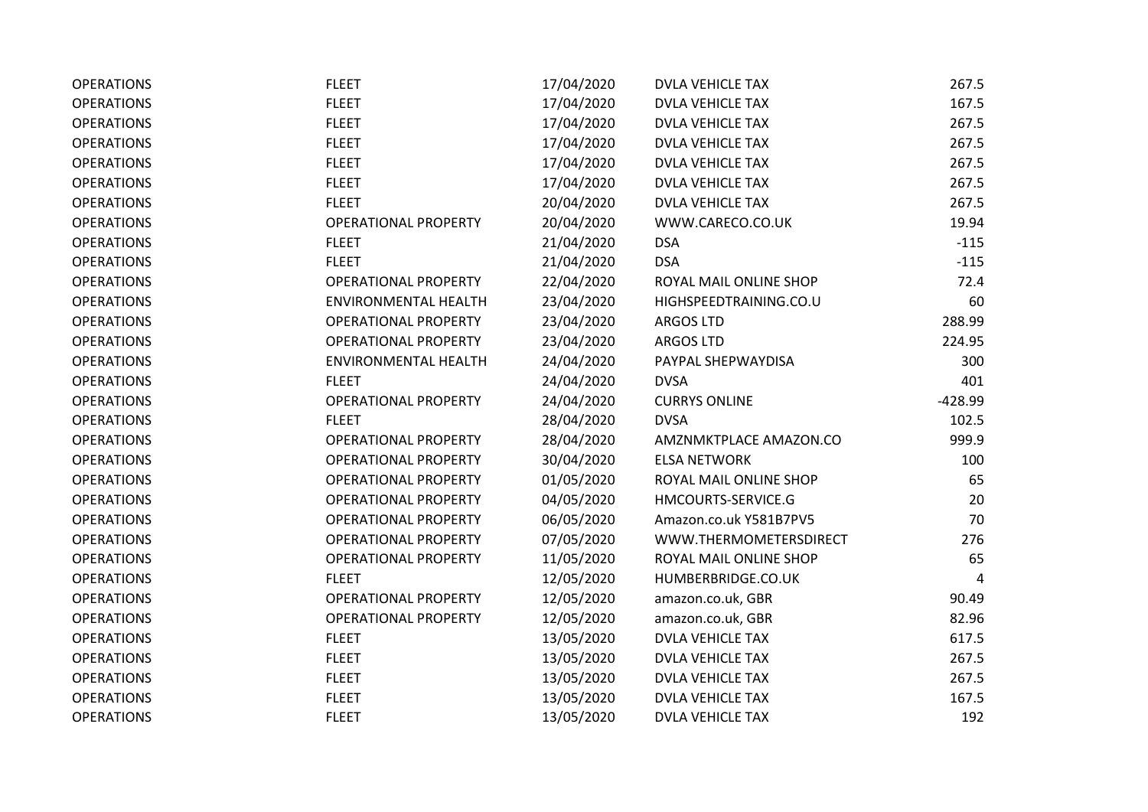| <b>OPERATIONS</b> | <b>FLEET</b>                | 17/04/2020 | <b>DVLA VEHICLE TAX</b> | 267.5     |
|-------------------|-----------------------------|------------|-------------------------|-----------|
| <b>OPERATIONS</b> | <b>FLEET</b>                | 17/04/2020 | <b>DVLA VEHICLE TAX</b> | 167.5     |
| <b>OPERATIONS</b> | <b>FLEET</b>                | 17/04/2020 | <b>DVLA VEHICLE TAX</b> | 267.5     |
| <b>OPERATIONS</b> | <b>FLEET</b>                | 17/04/2020 | <b>DVLA VEHICLE TAX</b> | 267.5     |
| <b>OPERATIONS</b> | <b>FLEET</b>                | 17/04/2020 | <b>DVLA VEHICLE TAX</b> | 267.5     |
| <b>OPERATIONS</b> | <b>FLEET</b>                | 17/04/2020 | <b>DVLA VEHICLE TAX</b> | 267.5     |
| <b>OPERATIONS</b> | <b>FLEET</b>                | 20/04/2020 | <b>DVLA VEHICLE TAX</b> | 267.5     |
| <b>OPERATIONS</b> | <b>OPERATIONAL PROPERTY</b> | 20/04/2020 | WWW.CARECO.CO.UK        | 19.94     |
| <b>OPERATIONS</b> | <b>FLEET</b>                | 21/04/2020 | <b>DSA</b>              | $-115$    |
| <b>OPERATIONS</b> | <b>FLEET</b>                | 21/04/2020 | <b>DSA</b>              | $-115$    |
| <b>OPERATIONS</b> | <b>OPERATIONAL PROPERTY</b> | 22/04/2020 | ROYAL MAIL ONLINE SHOP  | 72.4      |
| <b>OPERATIONS</b> | <b>ENVIRONMENTAL HEALTH</b> | 23/04/2020 | HIGHSPEEDTRAINING.CO.U  | 60        |
| <b>OPERATIONS</b> | <b>OPERATIONAL PROPERTY</b> | 23/04/2020 | <b>ARGOS LTD</b>        | 288.99    |
| <b>OPERATIONS</b> | <b>OPERATIONAL PROPERTY</b> | 23/04/2020 | <b>ARGOS LTD</b>        | 224.95    |
| <b>OPERATIONS</b> | <b>ENVIRONMENTAL HEALTH</b> | 24/04/2020 | PAYPAL SHEPWAYDISA      | 300       |
| <b>OPERATIONS</b> | <b>FLEET</b>                | 24/04/2020 | <b>DVSA</b>             | 401       |
| <b>OPERATIONS</b> | <b>OPERATIONAL PROPERTY</b> | 24/04/2020 | <b>CURRYS ONLINE</b>    | $-428.99$ |
| <b>OPERATIONS</b> | <b>FLEET</b>                | 28/04/2020 | <b>DVSA</b>             | 102.5     |
| <b>OPERATIONS</b> | <b>OPERATIONAL PROPERTY</b> | 28/04/2020 | AMZNMKTPLACE AMAZON.CO  | 999.9     |
| <b>OPERATIONS</b> | <b>OPERATIONAL PROPERTY</b> | 30/04/2020 | <b>ELSA NETWORK</b>     | 100       |
| <b>OPERATIONS</b> | <b>OPERATIONAL PROPERTY</b> | 01/05/2020 | ROYAL MAIL ONLINE SHOP  | 65        |
| <b>OPERATIONS</b> | <b>OPERATIONAL PROPERTY</b> | 04/05/2020 | HMCOURTS-SERVICE.G      | 20        |
| <b>OPERATIONS</b> | <b>OPERATIONAL PROPERTY</b> | 06/05/2020 | Amazon.co.uk Y581B7PV5  | 70        |
| <b>OPERATIONS</b> | <b>OPERATIONAL PROPERTY</b> | 07/05/2020 | WWW.THERMOMETERSDIRECT  | 276       |
| <b>OPERATIONS</b> | <b>OPERATIONAL PROPERTY</b> | 11/05/2020 | ROYAL MAIL ONLINE SHOP  | 65        |
| <b>OPERATIONS</b> | <b>FLEET</b>                | 12/05/2020 | HUMBERBRIDGE.CO.UK      | 4         |
| <b>OPERATIONS</b> | <b>OPERATIONAL PROPERTY</b> | 12/05/2020 | amazon.co.uk, GBR       | 90.49     |
| <b>OPERATIONS</b> | <b>OPERATIONAL PROPERTY</b> | 12/05/2020 | amazon.co.uk, GBR       | 82.96     |
| <b>OPERATIONS</b> | <b>FLEET</b>                | 13/05/2020 | <b>DVLA VEHICLE TAX</b> | 617.5     |
| <b>OPERATIONS</b> | <b>FLEET</b>                | 13/05/2020 | <b>DVLA VEHICLE TAX</b> | 267.5     |
| <b>OPERATIONS</b> | <b>FLEET</b>                | 13/05/2020 | <b>DVLA VEHICLE TAX</b> | 267.5     |
| <b>OPERATIONS</b> | <b>FLEET</b>                | 13/05/2020 | <b>DVLA VEHICLE TAX</b> | 167.5     |
| <b>OPERATIONS</b> | <b>FLEET</b>                | 13/05/2020 | <b>DVLA VEHICLE TAX</b> | 192       |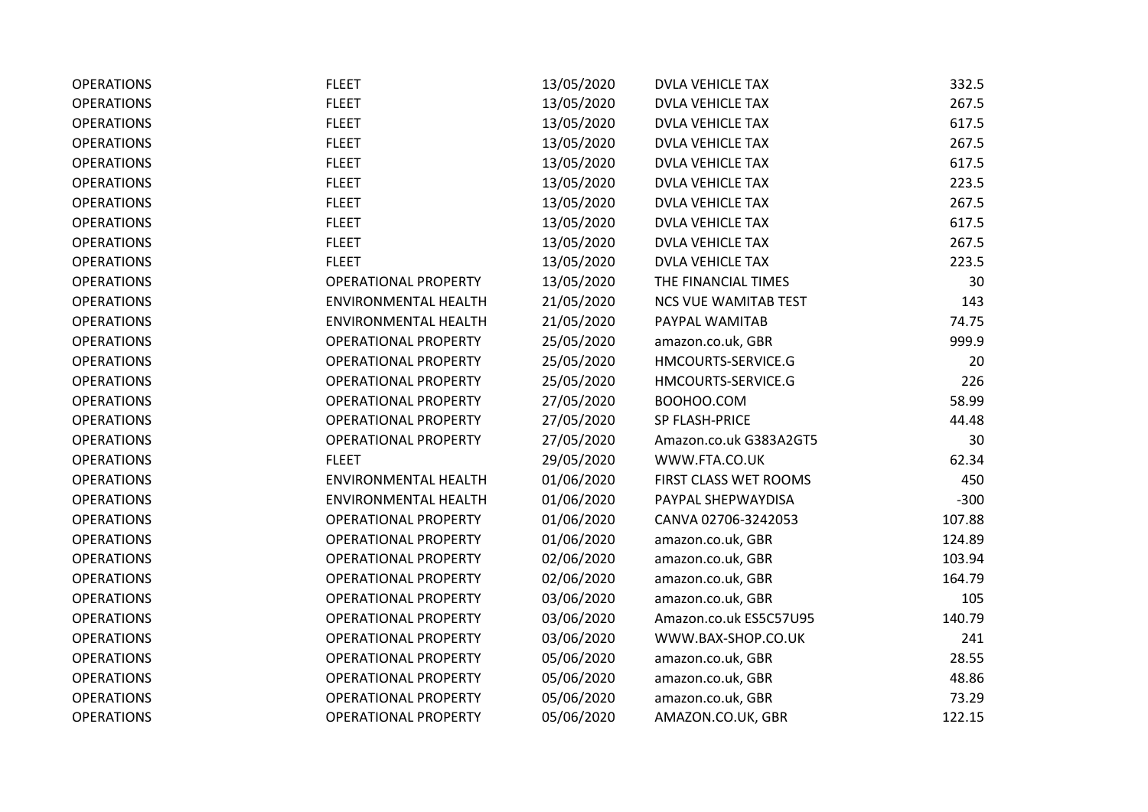| <b>OPERATIONS</b> | <b>FLEET</b>                | 13/05/2020 | <b>DVLA VEHICLE TAX</b>     | 332.5  |
|-------------------|-----------------------------|------------|-----------------------------|--------|
| <b>OPERATIONS</b> | <b>FLEET</b>                | 13/05/2020 | <b>DVLA VEHICLE TAX</b>     | 267.5  |
| <b>OPERATIONS</b> | <b>FLEET</b>                | 13/05/2020 | <b>DVLA VEHICLE TAX</b>     | 617.5  |
| <b>OPERATIONS</b> | <b>FLEET</b>                | 13/05/2020 | <b>DVLA VEHICLE TAX</b>     | 267.5  |
| <b>OPERATIONS</b> | <b>FLEET</b>                | 13/05/2020 | <b>DVLA VEHICLE TAX</b>     | 617.5  |
| <b>OPERATIONS</b> | <b>FLEET</b>                | 13/05/2020 | <b>DVLA VEHICLE TAX</b>     | 223.5  |
| <b>OPERATIONS</b> | <b>FLEET</b>                | 13/05/2020 | <b>DVLA VEHICLE TAX</b>     | 267.5  |
| <b>OPERATIONS</b> | <b>FLEET</b>                | 13/05/2020 | <b>DVLA VEHICLE TAX</b>     | 617.5  |
| <b>OPERATIONS</b> | <b>FLEET</b>                | 13/05/2020 | <b>DVLA VEHICLE TAX</b>     | 267.5  |
| <b>OPERATIONS</b> | <b>FLEET</b>                | 13/05/2020 | <b>DVLA VEHICLE TAX</b>     | 223.5  |
| <b>OPERATIONS</b> | <b>OPERATIONAL PROPERTY</b> | 13/05/2020 | THE FINANCIAL TIMES         | 30     |
| <b>OPERATIONS</b> | <b>ENVIRONMENTAL HEALTH</b> | 21/05/2020 | <b>NCS VUE WAMITAB TEST</b> | 143    |
| <b>OPERATIONS</b> | <b>ENVIRONMENTAL HEALTH</b> | 21/05/2020 | PAYPAL WAMITAB              | 74.75  |
| <b>OPERATIONS</b> | <b>OPERATIONAL PROPERTY</b> | 25/05/2020 | amazon.co.uk, GBR           | 999.9  |
| <b>OPERATIONS</b> | <b>OPERATIONAL PROPERTY</b> | 25/05/2020 | HMCOURTS-SERVICE.G          | 20     |
| <b>OPERATIONS</b> | <b>OPERATIONAL PROPERTY</b> | 25/05/2020 | HMCOURTS-SERVICE.G          | 226    |
| <b>OPERATIONS</b> | <b>OPERATIONAL PROPERTY</b> | 27/05/2020 | BOOHOO.COM                  | 58.99  |
| <b>OPERATIONS</b> | <b>OPERATIONAL PROPERTY</b> | 27/05/2020 | SP FLASH-PRICE              | 44.48  |
| <b>OPERATIONS</b> | <b>OPERATIONAL PROPERTY</b> | 27/05/2020 | Amazon.co.uk G383A2GT5      | 30     |
| <b>OPERATIONS</b> | <b>FLEET</b>                | 29/05/2020 | WWW.FTA.CO.UK               | 62.34  |
| <b>OPERATIONS</b> | <b>ENVIRONMENTAL HEALTH</b> | 01/06/2020 | FIRST CLASS WET ROOMS       | 450    |
| <b>OPERATIONS</b> | ENVIRONMENTAL HEALTH        | 01/06/2020 | PAYPAL SHEPWAYDISA          | $-300$ |
| <b>OPERATIONS</b> | <b>OPERATIONAL PROPERTY</b> | 01/06/2020 | CANVA 02706-3242053         | 107.88 |
| <b>OPERATIONS</b> | <b>OPERATIONAL PROPERTY</b> | 01/06/2020 | amazon.co.uk, GBR           | 124.89 |
| <b>OPERATIONS</b> | <b>OPERATIONAL PROPERTY</b> | 02/06/2020 | amazon.co.uk, GBR           | 103.94 |
| <b>OPERATIONS</b> | <b>OPERATIONAL PROPERTY</b> | 02/06/2020 | amazon.co.uk, GBR           | 164.79 |
| <b>OPERATIONS</b> | <b>OPERATIONAL PROPERTY</b> | 03/06/2020 | amazon.co.uk, GBR           | 105    |
| <b>OPERATIONS</b> | <b>OPERATIONAL PROPERTY</b> | 03/06/2020 | Amazon.co.uk ES5C57U95      | 140.79 |
| <b>OPERATIONS</b> | <b>OPERATIONAL PROPERTY</b> | 03/06/2020 | WWW.BAX-SHOP.CO.UK          | 241    |
| <b>OPERATIONS</b> | <b>OPERATIONAL PROPERTY</b> | 05/06/2020 | amazon.co.uk, GBR           | 28.55  |
| <b>OPERATIONS</b> | <b>OPERATIONAL PROPERTY</b> | 05/06/2020 | amazon.co.uk, GBR           | 48.86  |
| <b>OPERATIONS</b> | <b>OPERATIONAL PROPERTY</b> | 05/06/2020 | amazon.co.uk, GBR           | 73.29  |
| <b>OPERATIONS</b> | <b>OPERATIONAL PROPERTY</b> | 05/06/2020 | AMAZON.CO.UK, GBR           | 122.15 |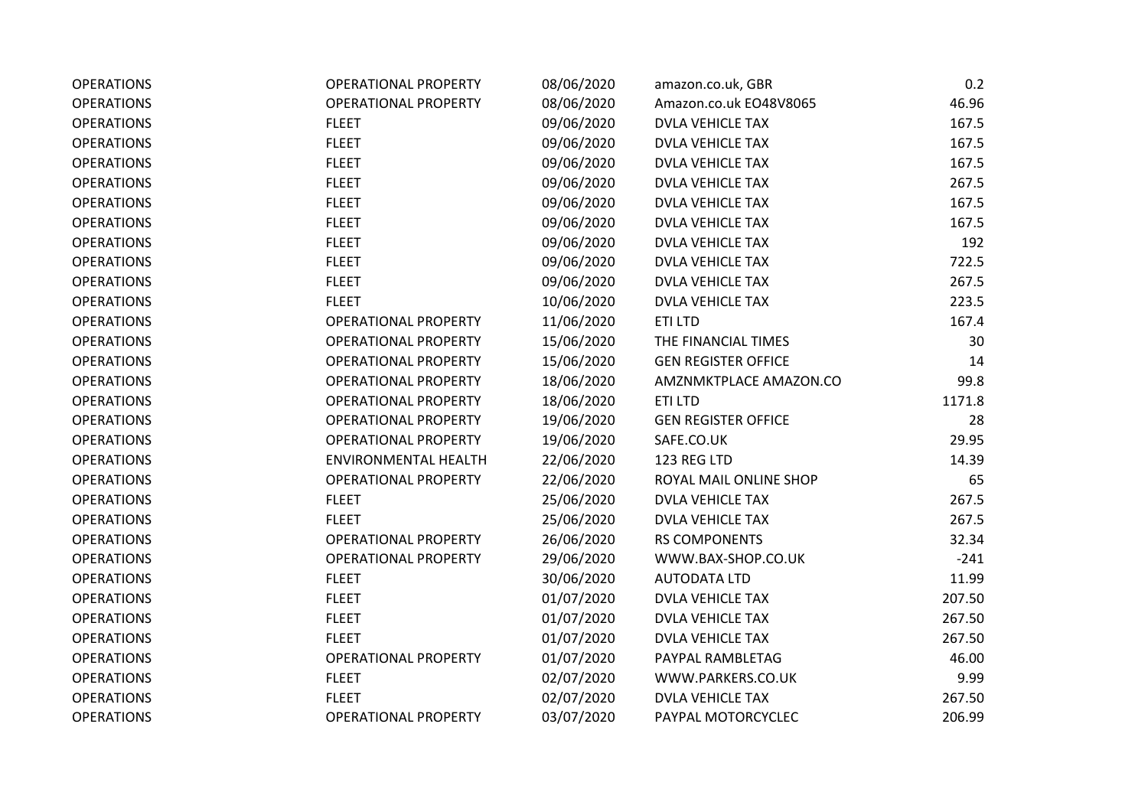| <b>OPERATIONS</b> | <b>OPERATIONAL PROPERTY</b> | 08/06/2020 | amazon.co.uk, GBR          | 0.2    |
|-------------------|-----------------------------|------------|----------------------------|--------|
| <b>OPERATIONS</b> | <b>OPERATIONAL PROPERTY</b> | 08/06/2020 | Amazon.co.uk EO48V8065     | 46.96  |
| <b>OPERATIONS</b> | <b>FLEET</b>                | 09/06/2020 | <b>DVLA VEHICLE TAX</b>    | 167.5  |
| <b>OPERATIONS</b> | <b>FLEET</b>                | 09/06/2020 | <b>DVLA VEHICLE TAX</b>    | 167.5  |
| <b>OPERATIONS</b> | <b>FLEET</b>                | 09/06/2020 | <b>DVLA VEHICLE TAX</b>    | 167.5  |
| <b>OPERATIONS</b> | <b>FLEET</b>                | 09/06/2020 | <b>DVLA VEHICLE TAX</b>    | 267.5  |
| <b>OPERATIONS</b> | <b>FLEET</b>                | 09/06/2020 | <b>DVLA VEHICLE TAX</b>    | 167.5  |
| <b>OPERATIONS</b> | <b>FLEET</b>                | 09/06/2020 | <b>DVLA VEHICLE TAX</b>    | 167.5  |
| <b>OPERATIONS</b> | <b>FLEET</b>                | 09/06/2020 | <b>DVLA VEHICLE TAX</b>    | 192    |
| <b>OPERATIONS</b> | <b>FLEET</b>                | 09/06/2020 | <b>DVLA VEHICLE TAX</b>    | 722.5  |
| <b>OPERATIONS</b> | <b>FLEET</b>                | 09/06/2020 | <b>DVLA VEHICLE TAX</b>    | 267.5  |
| <b>OPERATIONS</b> | <b>FLEET</b>                | 10/06/2020 | <b>DVLA VEHICLE TAX</b>    | 223.5  |
| <b>OPERATIONS</b> | <b>OPERATIONAL PROPERTY</b> | 11/06/2020 | ETI LTD                    | 167.4  |
| <b>OPERATIONS</b> | <b>OPERATIONAL PROPERTY</b> | 15/06/2020 | THE FINANCIAL TIMES        | 30     |
| <b>OPERATIONS</b> | <b>OPERATIONAL PROPERTY</b> | 15/06/2020 | <b>GEN REGISTER OFFICE</b> | 14     |
| <b>OPERATIONS</b> | <b>OPERATIONAL PROPERTY</b> | 18/06/2020 | AMZNMKTPLACE AMAZON.CO     | 99.8   |
| <b>OPERATIONS</b> | <b>OPERATIONAL PROPERTY</b> | 18/06/2020 | <b>ETILTD</b>              | 1171.8 |
| <b>OPERATIONS</b> | <b>OPERATIONAL PROPERTY</b> | 19/06/2020 | <b>GEN REGISTER OFFICE</b> | 28     |
| <b>OPERATIONS</b> | <b>OPERATIONAL PROPERTY</b> | 19/06/2020 | SAFE.CO.UK                 | 29.95  |
| <b>OPERATIONS</b> | <b>ENVIRONMENTAL HEALTH</b> | 22/06/2020 | 123 REG LTD                | 14.39  |
| <b>OPERATIONS</b> | <b>OPERATIONAL PROPERTY</b> | 22/06/2020 | ROYAL MAIL ONLINE SHOP     | 65     |
| <b>OPERATIONS</b> | <b>FLEET</b>                | 25/06/2020 | <b>DVLA VEHICLE TAX</b>    | 267.5  |
| <b>OPERATIONS</b> | <b>FLEET</b>                | 25/06/2020 | <b>DVLA VEHICLE TAX</b>    | 267.5  |
| <b>OPERATIONS</b> | <b>OPERATIONAL PROPERTY</b> | 26/06/2020 | <b>RS COMPONENTS</b>       | 32.34  |
| <b>OPERATIONS</b> | <b>OPERATIONAL PROPERTY</b> | 29/06/2020 | WWW.BAX-SHOP.CO.UK         | $-241$ |
| <b>OPERATIONS</b> | <b>FLEET</b>                | 30/06/2020 | <b>AUTODATA LTD</b>        | 11.99  |
| <b>OPERATIONS</b> | <b>FLEET</b>                | 01/07/2020 | <b>DVLA VEHICLE TAX</b>    | 207.50 |
| <b>OPERATIONS</b> | <b>FLEET</b>                | 01/07/2020 | <b>DVLA VEHICLE TAX</b>    | 267.50 |
| <b>OPERATIONS</b> | <b>FLEET</b>                | 01/07/2020 | <b>DVLA VEHICLE TAX</b>    | 267.50 |
| <b>OPERATIONS</b> | <b>OPERATIONAL PROPERTY</b> | 01/07/2020 | PAYPAL RAMBLETAG           | 46.00  |
| <b>OPERATIONS</b> | <b>FLEET</b>                | 02/07/2020 | WWW.PARKERS.CO.UK          | 9.99   |
| <b>OPERATIONS</b> | <b>FLEET</b>                | 02/07/2020 | <b>DVLA VEHICLE TAX</b>    | 267.50 |
| <b>OPERATIONS</b> | <b>OPERATIONAL PROPERTY</b> | 03/07/2020 | PAYPAL MOTORCYCLEC         | 206.99 |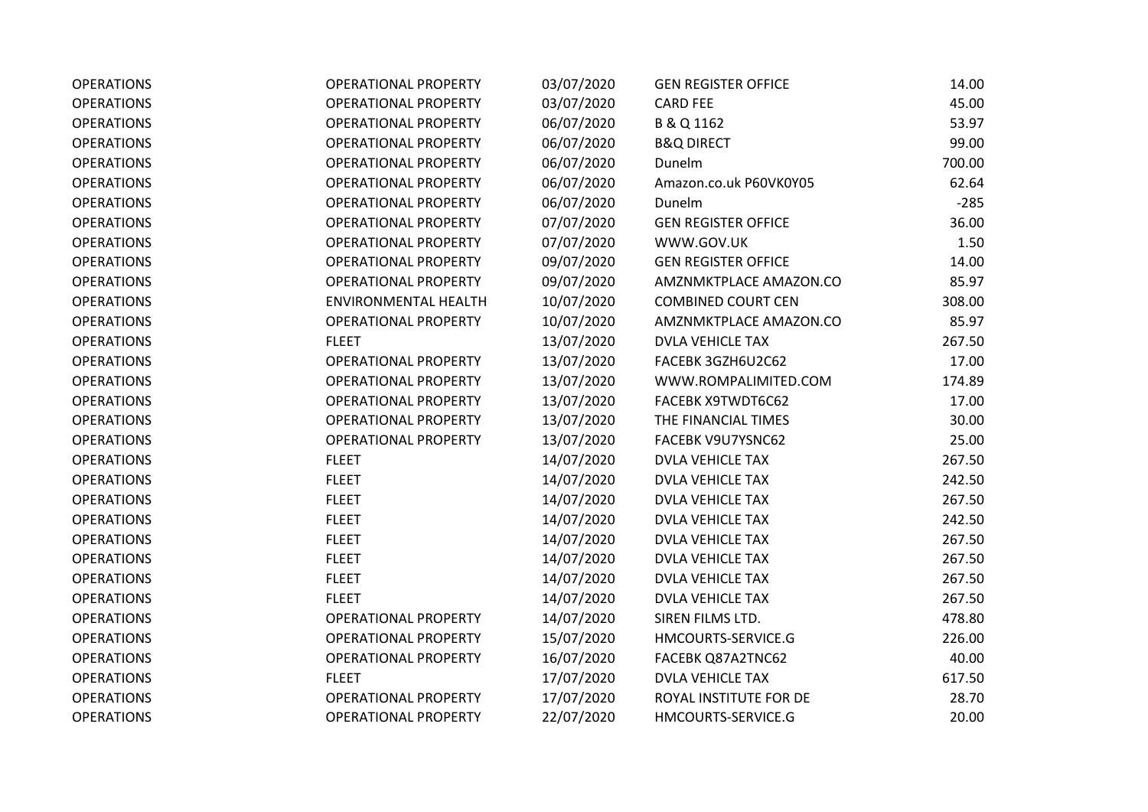| <b>OPERATIONS</b> | <b>OPERATIONAL PROPERTY</b> | 03/07/2020 | <b>GEN REGISTER OFFICE</b> | 14.00  |
|-------------------|-----------------------------|------------|----------------------------|--------|
| <b>OPERATIONS</b> | <b>OPERATIONAL PROPERTY</b> | 03/07/2020 | <b>CARD FEE</b>            | 45.00  |
| <b>OPERATIONS</b> | <b>OPERATIONAL PROPERTY</b> | 06/07/2020 | B & Q 1162                 | 53.97  |
| <b>OPERATIONS</b> | <b>OPERATIONAL PROPERTY</b> | 06/07/2020 | <b>B&amp;Q DIRECT</b>      | 99.00  |
| <b>OPERATIONS</b> | <b>OPERATIONAL PROPERTY</b> | 06/07/2020 | Dunelm                     | 700.00 |
| <b>OPERATIONS</b> | <b>OPERATIONAL PROPERTY</b> | 06/07/2020 | Amazon.co.uk P60VK0Y05     | 62.64  |
| <b>OPERATIONS</b> | <b>OPERATIONAL PROPERTY</b> | 06/07/2020 | Dunelm                     | $-285$ |
| <b>OPERATIONS</b> | <b>OPERATIONAL PROPERTY</b> | 07/07/2020 | <b>GEN REGISTER OFFICE</b> | 36.00  |
| <b>OPERATIONS</b> | <b>OPERATIONAL PROPERTY</b> | 07/07/2020 | WWW.GOV.UK                 | 1.50   |
| <b>OPERATIONS</b> | <b>OPERATIONAL PROPERTY</b> | 09/07/2020 | <b>GEN REGISTER OFFICE</b> | 14.00  |
| <b>OPERATIONS</b> | <b>OPERATIONAL PROPERTY</b> | 09/07/2020 | AMZNMKTPLACE AMAZON.CO     | 85.97  |
| <b>OPERATIONS</b> | <b>ENVIRONMENTAL HEALTH</b> | 10/07/2020 | <b>COMBINED COURT CEN</b>  | 308.00 |
| <b>OPERATIONS</b> | <b>OPERATIONAL PROPERTY</b> | 10/07/2020 | AMZNMKTPLACE AMAZON.CO     | 85.97  |
| <b>OPERATIONS</b> | <b>FLEET</b>                | 13/07/2020 | <b>DVLA VEHICLE TAX</b>    | 267.50 |
| <b>OPERATIONS</b> | <b>OPERATIONAL PROPERTY</b> | 13/07/2020 | FACEBK 3GZH6U2C62          | 17.00  |
| <b>OPERATIONS</b> | <b>OPERATIONAL PROPERTY</b> | 13/07/2020 | WWW.ROMPALIMITED.COM       | 174.89 |
| <b>OPERATIONS</b> | <b>OPERATIONAL PROPERTY</b> | 13/07/2020 | FACEBK X9TWDT6C62          | 17.00  |
| <b>OPERATIONS</b> | <b>OPERATIONAL PROPERTY</b> | 13/07/2020 | THE FINANCIAL TIMES        | 30.00  |
| <b>OPERATIONS</b> | <b>OPERATIONAL PROPERTY</b> | 13/07/2020 | FACEBK V9U7YSNC62          | 25.00  |
| <b>OPERATIONS</b> | <b>FLEET</b>                | 14/07/2020 | <b>DVLA VEHICLE TAX</b>    | 267.50 |
| <b>OPERATIONS</b> | <b>FLEET</b>                | 14/07/2020 | <b>DVLA VEHICLE TAX</b>    | 242.50 |
| <b>OPERATIONS</b> | <b>FLEET</b>                | 14/07/2020 | <b>DVLA VEHICLE TAX</b>    | 267.50 |
| <b>OPERATIONS</b> | <b>FLEET</b>                | 14/07/2020 | <b>DVLA VEHICLE TAX</b>    | 242.50 |
| <b>OPERATIONS</b> | <b>FLEET</b>                | 14/07/2020 | <b>DVLA VEHICLE TAX</b>    | 267.50 |
| <b>OPERATIONS</b> | <b>FLEET</b>                | 14/07/2020 | <b>DVLA VEHICLE TAX</b>    | 267.50 |
| <b>OPERATIONS</b> | <b>FLEET</b>                | 14/07/2020 | DVLA VEHICLE TAX           | 267.50 |
| <b>OPERATIONS</b> | <b>FLEET</b>                | 14/07/2020 | <b>DVLA VEHICLE TAX</b>    | 267.50 |
| <b>OPERATIONS</b> | <b>OPERATIONAL PROPERTY</b> | 14/07/2020 | SIREN FILMS LTD.           | 478.80 |
| <b>OPERATIONS</b> | OPERATIONAL PROPERTY        | 15/07/2020 | HMCOURTS-SERVICE.G         | 226.00 |
| <b>OPERATIONS</b> | <b>OPERATIONAL PROPERTY</b> | 16/07/2020 | FACEBK Q87A2TNC62          | 40.00  |
| <b>OPERATIONS</b> | <b>FLEET</b>                | 17/07/2020 | <b>DVLA VEHICLE TAX</b>    | 617.50 |
| <b>OPERATIONS</b> | <b>OPERATIONAL PROPERTY</b> | 17/07/2020 | ROYAL INSTITUTE FOR DE     | 28.70  |
| <b>OPERATIONS</b> | <b>OPERATIONAL PROPERTY</b> | 22/07/2020 | HMCOURTS-SERVICE.G         | 20.00  |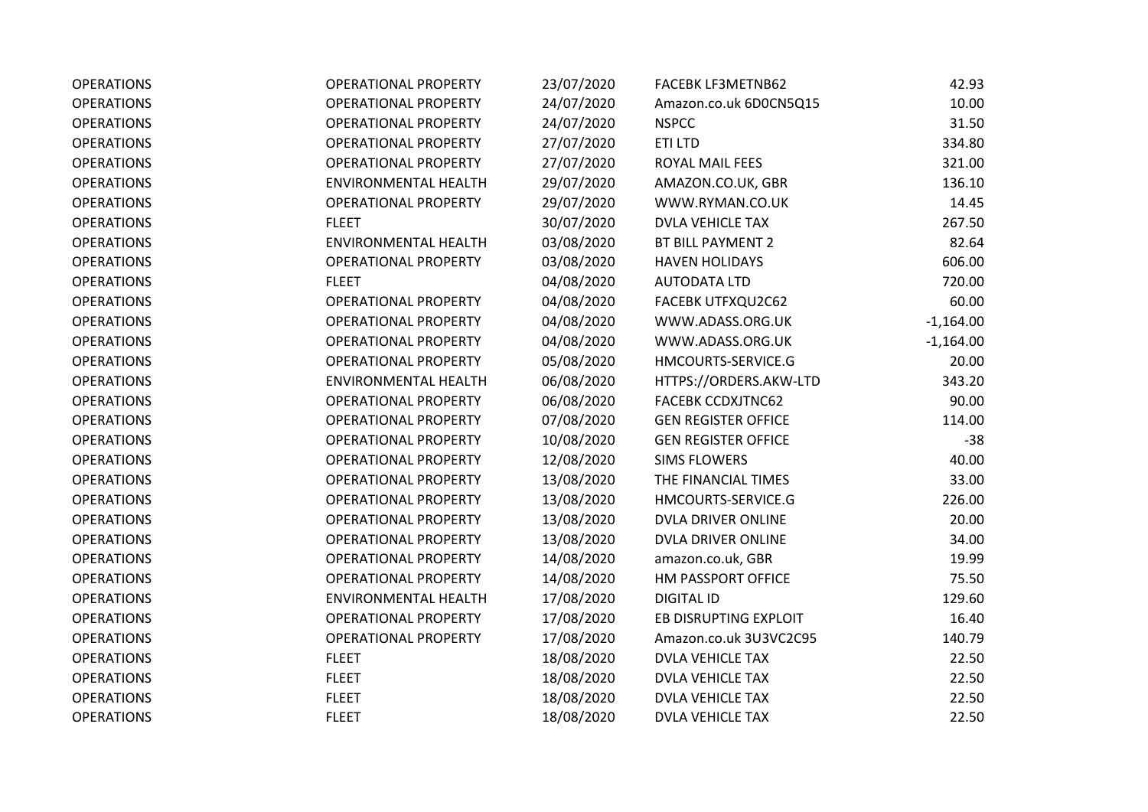| <b>OPERATIONS</b> | <b>OPERATIONAL PROPERTY</b> | 23/07/2020 | <b>FACEBK LF3METNB62</b>   | 42.93       |
|-------------------|-----------------------------|------------|----------------------------|-------------|
| <b>OPERATIONS</b> | <b>OPERATIONAL PROPERTY</b> | 24/07/2020 | Amazon.co.uk 6D0CN5Q15     | 10.00       |
| <b>OPERATIONS</b> | <b>OPERATIONAL PROPERTY</b> | 24/07/2020 | <b>NSPCC</b>               | 31.50       |
| <b>OPERATIONS</b> | <b>OPERATIONAL PROPERTY</b> | 27/07/2020 | ETI LTD                    | 334.80      |
| <b>OPERATIONS</b> | <b>OPERATIONAL PROPERTY</b> | 27/07/2020 | ROYAL MAIL FEES            | 321.00      |
| <b>OPERATIONS</b> | <b>ENVIRONMENTAL HEALTH</b> | 29/07/2020 | AMAZON.CO.UK, GBR          | 136.10      |
| <b>OPERATIONS</b> | <b>OPERATIONAL PROPERTY</b> | 29/07/2020 | WWW.RYMAN.CO.UK            | 14.45       |
| <b>OPERATIONS</b> | <b>FLEET</b>                | 30/07/2020 | <b>DVLA VEHICLE TAX</b>    | 267.50      |
| <b>OPERATIONS</b> | ENVIRONMENTAL HEALTH        | 03/08/2020 | BT BILL PAYMENT 2          | 82.64       |
| <b>OPERATIONS</b> | <b>OPERATIONAL PROPERTY</b> | 03/08/2020 | <b>HAVEN HOLIDAYS</b>      | 606.00      |
| <b>OPERATIONS</b> | <b>FLEET</b>                | 04/08/2020 | <b>AUTODATA LTD</b>        | 720.00      |
| <b>OPERATIONS</b> | <b>OPERATIONAL PROPERTY</b> | 04/08/2020 | FACEBK UTFXQU2C62          | 60.00       |
| <b>OPERATIONS</b> | <b>OPERATIONAL PROPERTY</b> | 04/08/2020 | WWW.ADASS.ORG.UK           | $-1,164.00$ |
| <b>OPERATIONS</b> | <b>OPERATIONAL PROPERTY</b> | 04/08/2020 | WWW.ADASS.ORG.UK           | $-1,164.00$ |
| <b>OPERATIONS</b> | <b>OPERATIONAL PROPERTY</b> | 05/08/2020 | HMCOURTS-SERVICE.G         | 20.00       |
| <b>OPERATIONS</b> | <b>ENVIRONMENTAL HEALTH</b> | 06/08/2020 | HTTPS://ORDERS.AKW-LTD     | 343.20      |
| <b>OPERATIONS</b> | <b>OPERATIONAL PROPERTY</b> | 06/08/2020 | <b>FACEBK CCDXJTNC62</b>   | 90.00       |
| <b>OPERATIONS</b> | <b>OPERATIONAL PROPERTY</b> | 07/08/2020 | <b>GEN REGISTER OFFICE</b> | 114.00      |
| <b>OPERATIONS</b> | <b>OPERATIONAL PROPERTY</b> | 10/08/2020 | <b>GEN REGISTER OFFICE</b> | $-38$       |
| <b>OPERATIONS</b> | <b>OPERATIONAL PROPERTY</b> | 12/08/2020 | <b>SIMS FLOWERS</b>        | 40.00       |
| <b>OPERATIONS</b> | <b>OPERATIONAL PROPERTY</b> | 13/08/2020 | THE FINANCIAL TIMES        | 33.00       |
| <b>OPERATIONS</b> | <b>OPERATIONAL PROPERTY</b> | 13/08/2020 | HMCOURTS-SERVICE.G         | 226.00      |
| <b>OPERATIONS</b> | <b>OPERATIONAL PROPERTY</b> | 13/08/2020 | DVLA DRIVER ONLINE         | 20.00       |
| <b>OPERATIONS</b> | <b>OPERATIONAL PROPERTY</b> | 13/08/2020 | DVLA DRIVER ONLINE         | 34.00       |
| <b>OPERATIONS</b> | <b>OPERATIONAL PROPERTY</b> | 14/08/2020 | amazon.co.uk, GBR          | 19.99       |
| <b>OPERATIONS</b> | <b>OPERATIONAL PROPERTY</b> | 14/08/2020 | HM PASSPORT OFFICE         | 75.50       |
| <b>OPERATIONS</b> | <b>ENVIRONMENTAL HEALTH</b> | 17/08/2020 | <b>DIGITAL ID</b>          | 129.60      |
| <b>OPERATIONS</b> | <b>OPERATIONAL PROPERTY</b> | 17/08/2020 | EB DISRUPTING EXPLOIT      | 16.40       |
| <b>OPERATIONS</b> | <b>OPERATIONAL PROPERTY</b> | 17/08/2020 | Amazon.co.uk 3U3VC2C95     | 140.79      |
| <b>OPERATIONS</b> | <b>FLEET</b>                | 18/08/2020 | DVLA VEHICLE TAX           | 22.50       |
| <b>OPERATIONS</b> | <b>FLEET</b>                | 18/08/2020 | <b>DVLA VEHICLE TAX</b>    | 22.50       |
| <b>OPERATIONS</b> | <b>FLEET</b>                | 18/08/2020 | <b>DVLA VEHICLE TAX</b>    | 22.50       |
| <b>OPERATIONS</b> | <b>FLEET</b>                | 18/08/2020 | <b>DVLA VEHICLE TAX</b>    | 22.50       |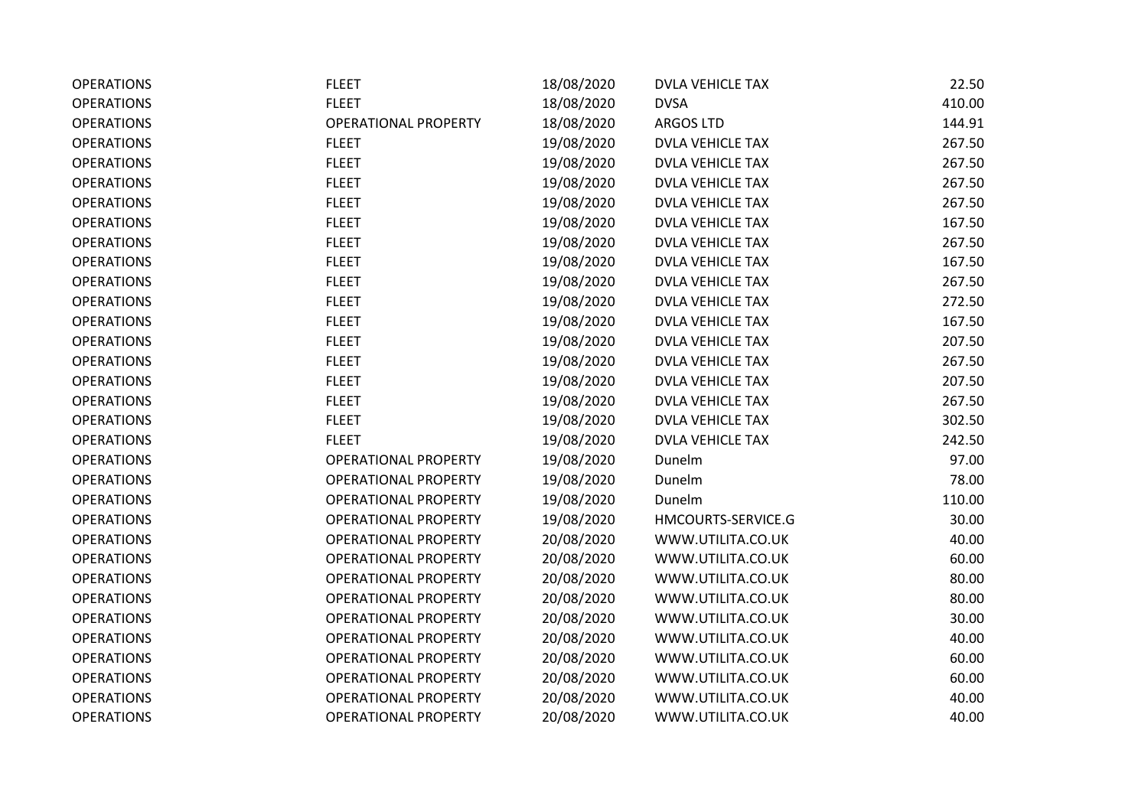| <b>OPERATIONS</b> | <b>FLEET</b>                | 18/08/2020 | <b>DVLA VEHICLE TAX</b> | 22.50  |
|-------------------|-----------------------------|------------|-------------------------|--------|
| <b>OPERATIONS</b> | <b>FLEET</b>                | 18/08/2020 | <b>DVSA</b>             | 410.00 |
| <b>OPERATIONS</b> | <b>OPERATIONAL PROPERTY</b> | 18/08/2020 | <b>ARGOS LTD</b>        | 144.91 |
| <b>OPERATIONS</b> | <b>FLEET</b>                | 19/08/2020 | <b>DVLA VEHICLE TAX</b> | 267.50 |
| <b>OPERATIONS</b> | <b>FLEET</b>                | 19/08/2020 | <b>DVLA VEHICLE TAX</b> | 267.50 |
| <b>OPERATIONS</b> | <b>FLEET</b>                | 19/08/2020 | <b>DVLA VEHICLE TAX</b> | 267.50 |
| <b>OPERATIONS</b> | <b>FLEET</b>                | 19/08/2020 | <b>DVLA VEHICLE TAX</b> | 267.50 |
| <b>OPERATIONS</b> | <b>FLEET</b>                | 19/08/2020 | <b>DVLA VEHICLE TAX</b> | 167.50 |
| <b>OPERATIONS</b> | <b>FLEET</b>                | 19/08/2020 | <b>DVLA VEHICLE TAX</b> | 267.50 |
| <b>OPERATIONS</b> | <b>FLEET</b>                | 19/08/2020 | <b>DVLA VEHICLE TAX</b> | 167.50 |
| <b>OPERATIONS</b> | <b>FLEET</b>                | 19/08/2020 | <b>DVLA VEHICLE TAX</b> | 267.50 |
| <b>OPERATIONS</b> | <b>FLEET</b>                | 19/08/2020 | <b>DVLA VEHICLE TAX</b> | 272.50 |
| <b>OPERATIONS</b> | <b>FLEET</b>                | 19/08/2020 | <b>DVLA VEHICLE TAX</b> | 167.50 |
| <b>OPERATIONS</b> | <b>FLEET</b>                | 19/08/2020 | <b>DVLA VEHICLE TAX</b> | 207.50 |
| <b>OPERATIONS</b> | <b>FLEET</b>                | 19/08/2020 | <b>DVLA VEHICLE TAX</b> | 267.50 |
| <b>OPERATIONS</b> | <b>FLEET</b>                | 19/08/2020 | <b>DVLA VEHICLE TAX</b> | 207.50 |
| <b>OPERATIONS</b> | <b>FLEET</b>                | 19/08/2020 | <b>DVLA VEHICLE TAX</b> | 267.50 |
| <b>OPERATIONS</b> | <b>FLEET</b>                | 19/08/2020 | <b>DVLA VEHICLE TAX</b> | 302.50 |
| <b>OPERATIONS</b> | <b>FLEET</b>                | 19/08/2020 | <b>DVLA VEHICLE TAX</b> | 242.50 |
| <b>OPERATIONS</b> | <b>OPERATIONAL PROPERTY</b> | 19/08/2020 | Dunelm                  | 97.00  |
| <b>OPERATIONS</b> | <b>OPERATIONAL PROPERTY</b> | 19/08/2020 | Dunelm                  | 78.00  |
| <b>OPERATIONS</b> | <b>OPERATIONAL PROPERTY</b> | 19/08/2020 | Dunelm                  | 110.00 |
| <b>OPERATIONS</b> | <b>OPERATIONAL PROPERTY</b> | 19/08/2020 | HMCOURTS-SERVICE.G      | 30.00  |
| <b>OPERATIONS</b> | <b>OPERATIONAL PROPERTY</b> | 20/08/2020 | WWW.UTILITA.CO.UK       | 40.00  |
| <b>OPERATIONS</b> | <b>OPERATIONAL PROPERTY</b> | 20/08/2020 | WWW.UTILITA.CO.UK       | 60.00  |
| <b>OPERATIONS</b> | <b>OPERATIONAL PROPERTY</b> | 20/08/2020 | WWW.UTILITA.CO.UK       | 80.00  |
| <b>OPERATIONS</b> | <b>OPERATIONAL PROPERTY</b> | 20/08/2020 | WWW.UTILITA.CO.UK       | 80.00  |
| <b>OPERATIONS</b> | <b>OPERATIONAL PROPERTY</b> | 20/08/2020 | WWW.UTILITA.CO.UK       | 30.00  |
| <b>OPERATIONS</b> | <b>OPERATIONAL PROPERTY</b> | 20/08/2020 | WWW.UTILITA.CO.UK       | 40.00  |
| <b>OPERATIONS</b> | <b>OPERATIONAL PROPERTY</b> | 20/08/2020 | WWW.UTILITA.CO.UK       | 60.00  |
| <b>OPERATIONS</b> | <b>OPERATIONAL PROPERTY</b> | 20/08/2020 | WWW.UTILITA.CO.UK       | 60.00  |
| <b>OPERATIONS</b> | <b>OPERATIONAL PROPERTY</b> | 20/08/2020 | WWW.UTILITA.CO.UK       | 40.00  |
| <b>OPERATIONS</b> | <b>OPERATIONAL PROPERTY</b> | 20/08/2020 | WWW.UTILITA.CO.UK       | 40.00  |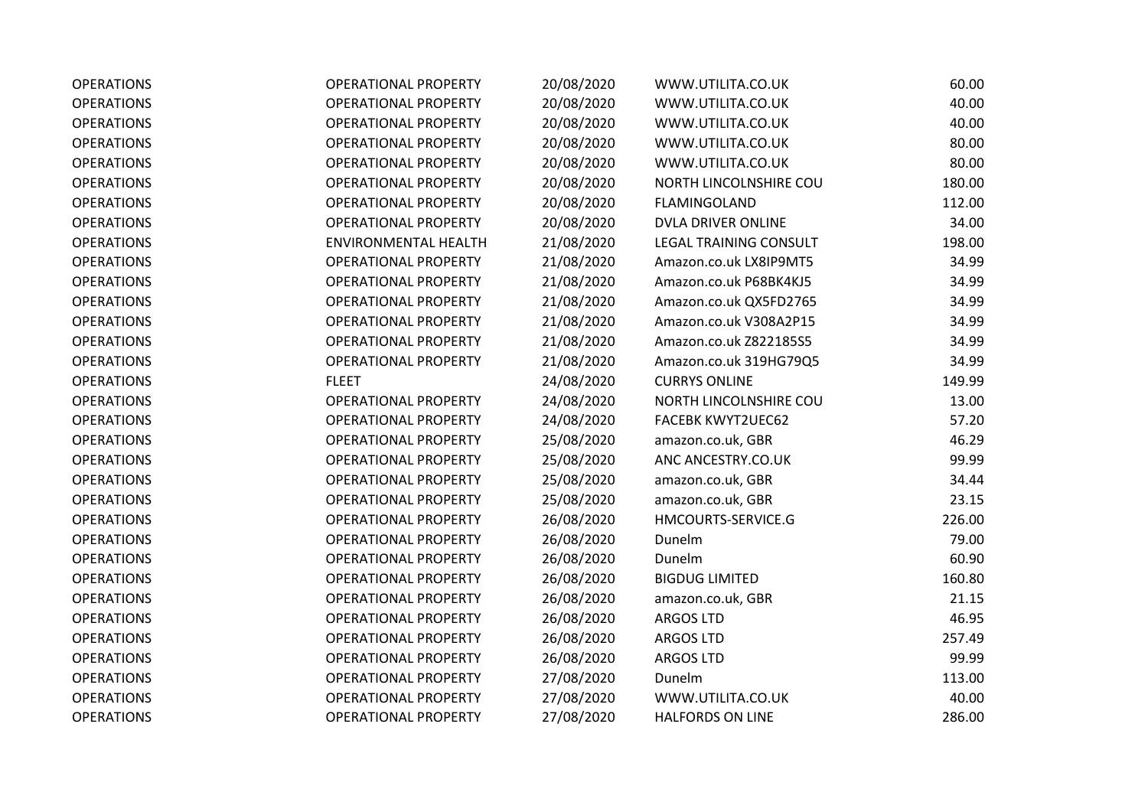| <b>OPERATIONS</b> | <b>OPERATIONAL PROPERTY</b> | 20/08/2020 | WWW.UTILITA.CO.UK             | 60.00  |
|-------------------|-----------------------------|------------|-------------------------------|--------|
| <b>OPERATIONS</b> | <b>OPERATIONAL PROPERTY</b> | 20/08/2020 | WWW.UTILITA.CO.UK             | 40.00  |
| <b>OPERATIONS</b> | <b>OPERATIONAL PROPERTY</b> | 20/08/2020 | WWW.UTILITA.CO.UK             | 40.00  |
| <b>OPERATIONS</b> | <b>OPERATIONAL PROPERTY</b> | 20/08/2020 | WWW.UTILITA.CO.UK             | 80.00  |
| <b>OPERATIONS</b> | <b>OPERATIONAL PROPERTY</b> | 20/08/2020 | WWW.UTILITA.CO.UK             | 80.00  |
| <b>OPERATIONS</b> | <b>OPERATIONAL PROPERTY</b> | 20/08/2020 | NORTH LINCOLNSHIRE COU        | 180.00 |
| <b>OPERATIONS</b> | <b>OPERATIONAL PROPERTY</b> | 20/08/2020 | FLAMINGOLAND                  | 112.00 |
| <b>OPERATIONS</b> | <b>OPERATIONAL PROPERTY</b> | 20/08/2020 | DVLA DRIVER ONLINE            | 34.00  |
| <b>OPERATIONS</b> | <b>ENVIRONMENTAL HEALTH</b> | 21/08/2020 | <b>LEGAL TRAINING CONSULT</b> | 198.00 |
| <b>OPERATIONS</b> | <b>OPERATIONAL PROPERTY</b> | 21/08/2020 | Amazon.co.uk LX8IP9MT5        | 34.99  |
| <b>OPERATIONS</b> | <b>OPERATIONAL PROPERTY</b> | 21/08/2020 | Amazon.co.uk P68BK4KJ5        | 34.99  |
| <b>OPERATIONS</b> | <b>OPERATIONAL PROPERTY</b> | 21/08/2020 | Amazon.co.uk QX5FD2765        | 34.99  |
| <b>OPERATIONS</b> | <b>OPERATIONAL PROPERTY</b> | 21/08/2020 | Amazon.co.uk V308A2P15        | 34.99  |
| <b>OPERATIONS</b> | <b>OPERATIONAL PROPERTY</b> | 21/08/2020 | Amazon.co.uk Z822185S5        | 34.99  |
| <b>OPERATIONS</b> | <b>OPERATIONAL PROPERTY</b> | 21/08/2020 | Amazon.co.uk 319HG79Q5        | 34.99  |
| <b>OPERATIONS</b> | <b>FLEET</b>                | 24/08/2020 | <b>CURRYS ONLINE</b>          | 149.99 |
| <b>OPERATIONS</b> | <b>OPERATIONAL PROPERTY</b> | 24/08/2020 | NORTH LINCOLNSHIRE COU        | 13.00  |
| <b>OPERATIONS</b> | <b>OPERATIONAL PROPERTY</b> | 24/08/2020 | <b>FACEBK KWYT2UEC62</b>      | 57.20  |
| <b>OPERATIONS</b> | <b>OPERATIONAL PROPERTY</b> | 25/08/2020 | amazon.co.uk, GBR             | 46.29  |
| <b>OPERATIONS</b> | <b>OPERATIONAL PROPERTY</b> | 25/08/2020 | ANC ANCESTRY.CO.UK            | 99.99  |
| <b>OPERATIONS</b> | <b>OPERATIONAL PROPERTY</b> | 25/08/2020 | amazon.co.uk, GBR             | 34.44  |
| <b>OPERATIONS</b> | <b>OPERATIONAL PROPERTY</b> | 25/08/2020 | amazon.co.uk, GBR             | 23.15  |
| <b>OPERATIONS</b> | <b>OPERATIONAL PROPERTY</b> | 26/08/2020 | HMCOURTS-SERVICE.G            | 226.00 |
| <b>OPERATIONS</b> | <b>OPERATIONAL PROPERTY</b> | 26/08/2020 | Dunelm                        | 79.00  |
| <b>OPERATIONS</b> | <b>OPERATIONAL PROPERTY</b> | 26/08/2020 | Dunelm                        | 60.90  |
| <b>OPERATIONS</b> | <b>OPERATIONAL PROPERTY</b> | 26/08/2020 | <b>BIGDUG LIMITED</b>         | 160.80 |
| <b>OPERATIONS</b> | <b>OPERATIONAL PROPERTY</b> | 26/08/2020 | amazon.co.uk, GBR             | 21.15  |
| <b>OPERATIONS</b> | <b>OPERATIONAL PROPERTY</b> | 26/08/2020 | <b>ARGOS LTD</b>              | 46.95  |
| <b>OPERATIONS</b> | <b>OPERATIONAL PROPERTY</b> | 26/08/2020 | <b>ARGOS LTD</b>              | 257.49 |
| <b>OPERATIONS</b> | <b>OPERATIONAL PROPERTY</b> | 26/08/2020 | <b>ARGOS LTD</b>              | 99.99  |
| <b>OPERATIONS</b> | <b>OPERATIONAL PROPERTY</b> | 27/08/2020 | Dunelm                        | 113.00 |
| <b>OPERATIONS</b> | <b>OPERATIONAL PROPERTY</b> | 27/08/2020 | WWW.UTILITA.CO.UK             | 40.00  |
| <b>OPERATIONS</b> | <b>OPERATIONAL PROPERTY</b> | 27/08/2020 | <b>HALFORDS ON LINE</b>       | 286.00 |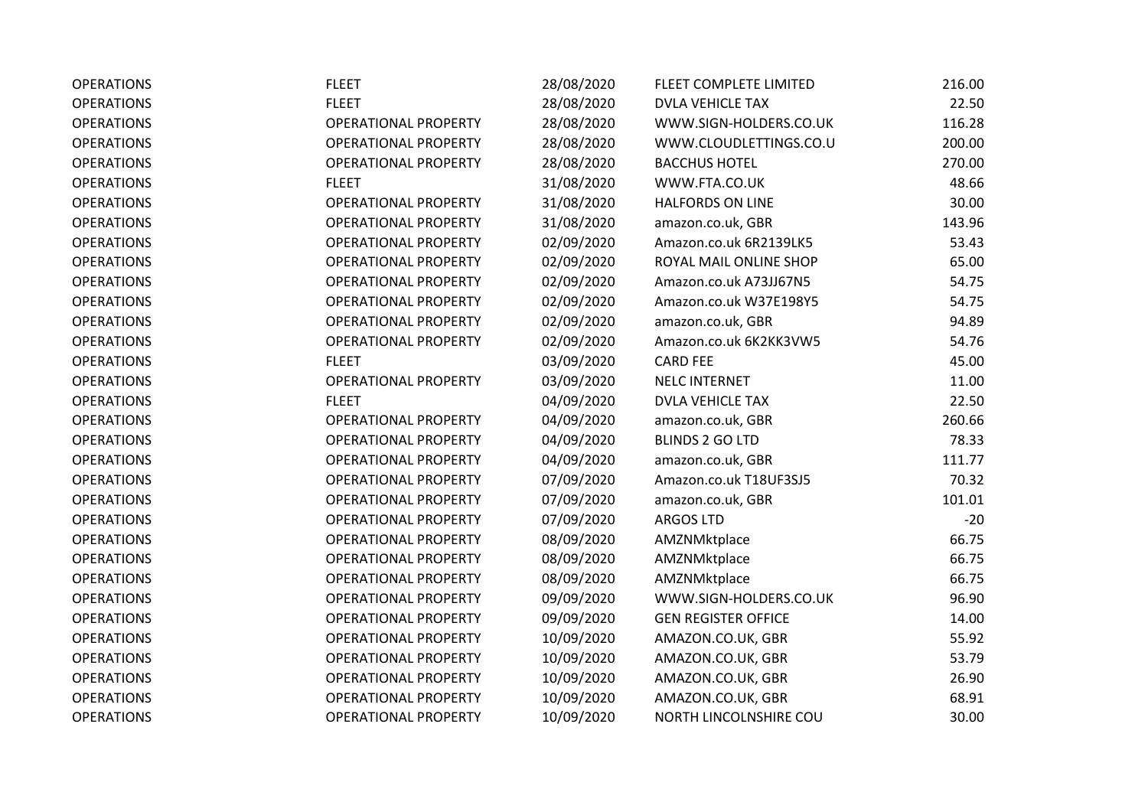| <b>OPERATIONS</b> | <b>FLEET</b>                | 28/08/2020 | FLEET COMPLETE LIMITED     | 216.00 |
|-------------------|-----------------------------|------------|----------------------------|--------|
| <b>OPERATIONS</b> | <b>FLEET</b>                | 28/08/2020 | <b>DVLA VEHICLE TAX</b>    | 22.50  |
| <b>OPERATIONS</b> | <b>OPERATIONAL PROPERTY</b> | 28/08/2020 | WWW.SIGN-HOLDERS.CO.UK     | 116.28 |
| <b>OPERATIONS</b> | <b>OPERATIONAL PROPERTY</b> | 28/08/2020 | WWW.CLOUDLETTINGS.CO.U     | 200.00 |
| <b>OPERATIONS</b> | <b>OPERATIONAL PROPERTY</b> | 28/08/2020 | <b>BACCHUS HOTEL</b>       | 270.00 |
| <b>OPERATIONS</b> | <b>FLEET</b>                | 31/08/2020 | WWW.FTA.CO.UK              | 48.66  |
| <b>OPERATIONS</b> | <b>OPERATIONAL PROPERTY</b> | 31/08/2020 | <b>HALFORDS ON LINE</b>    | 30.00  |
| <b>OPERATIONS</b> | <b>OPERATIONAL PROPERTY</b> | 31/08/2020 | amazon.co.uk, GBR          | 143.96 |
| <b>OPERATIONS</b> | <b>OPERATIONAL PROPERTY</b> | 02/09/2020 | Amazon.co.uk 6R2139LK5     | 53.43  |
| <b>OPERATIONS</b> | <b>OPERATIONAL PROPERTY</b> | 02/09/2020 | ROYAL MAIL ONLINE SHOP     | 65.00  |
| <b>OPERATIONS</b> | <b>OPERATIONAL PROPERTY</b> | 02/09/2020 | Amazon.co.uk A73JJ67N5     | 54.75  |
| <b>OPERATIONS</b> | <b>OPERATIONAL PROPERTY</b> | 02/09/2020 | Amazon.co.uk W37E198Y5     | 54.75  |
| <b>OPERATIONS</b> | <b>OPERATIONAL PROPERTY</b> | 02/09/2020 | amazon.co.uk, GBR          | 94.89  |
| <b>OPERATIONS</b> | <b>OPERATIONAL PROPERTY</b> | 02/09/2020 | Amazon.co.uk 6K2KK3VW5     | 54.76  |
| <b>OPERATIONS</b> | <b>FLEET</b>                | 03/09/2020 | <b>CARD FEE</b>            | 45.00  |
| <b>OPERATIONS</b> | <b>OPERATIONAL PROPERTY</b> | 03/09/2020 | <b>NELC INTERNET</b>       | 11.00  |
| <b>OPERATIONS</b> | <b>FLEET</b>                | 04/09/2020 | <b>DVLA VEHICLE TAX</b>    | 22.50  |
| <b>OPERATIONS</b> | <b>OPERATIONAL PROPERTY</b> | 04/09/2020 | amazon.co.uk, GBR          | 260.66 |
| <b>OPERATIONS</b> | <b>OPERATIONAL PROPERTY</b> | 04/09/2020 | <b>BLINDS 2 GO LTD</b>     | 78.33  |
| <b>OPERATIONS</b> | <b>OPERATIONAL PROPERTY</b> | 04/09/2020 | amazon.co.uk, GBR          | 111.77 |
| <b>OPERATIONS</b> | <b>OPERATIONAL PROPERTY</b> | 07/09/2020 | Amazon.co.uk T18UF3SJ5     | 70.32  |
| <b>OPERATIONS</b> | <b>OPERATIONAL PROPERTY</b> | 07/09/2020 | amazon.co.uk, GBR          | 101.01 |
| <b>OPERATIONS</b> | <b>OPERATIONAL PROPERTY</b> | 07/09/2020 | <b>ARGOS LTD</b>           | $-20$  |
| <b>OPERATIONS</b> | <b>OPERATIONAL PROPERTY</b> | 08/09/2020 | AMZNMktplace               | 66.75  |
| <b>OPERATIONS</b> | <b>OPERATIONAL PROPERTY</b> | 08/09/2020 | AMZNMktplace               | 66.75  |
| <b>OPERATIONS</b> | <b>OPERATIONAL PROPERTY</b> | 08/09/2020 | AMZNMktplace               | 66.75  |
| <b>OPERATIONS</b> | <b>OPERATIONAL PROPERTY</b> | 09/09/2020 | WWW.SIGN-HOLDERS.CO.UK     | 96.90  |
| <b>OPERATIONS</b> | <b>OPERATIONAL PROPERTY</b> | 09/09/2020 | <b>GEN REGISTER OFFICE</b> | 14.00  |
| <b>OPERATIONS</b> | <b>OPERATIONAL PROPERTY</b> | 10/09/2020 | AMAZON.CO.UK, GBR          | 55.92  |
| <b>OPERATIONS</b> | <b>OPERATIONAL PROPERTY</b> | 10/09/2020 | AMAZON.CO.UK, GBR          | 53.79  |
| <b>OPERATIONS</b> | <b>OPERATIONAL PROPERTY</b> | 10/09/2020 | AMAZON.CO.UK, GBR          | 26.90  |
| <b>OPERATIONS</b> | <b>OPERATIONAL PROPERTY</b> | 10/09/2020 | AMAZON.CO.UK, GBR          | 68.91  |
| <b>OPERATIONS</b> | <b>OPERATIONAL PROPERTY</b> | 10/09/2020 | NORTH LINCOLNSHIRE COU     | 30.00  |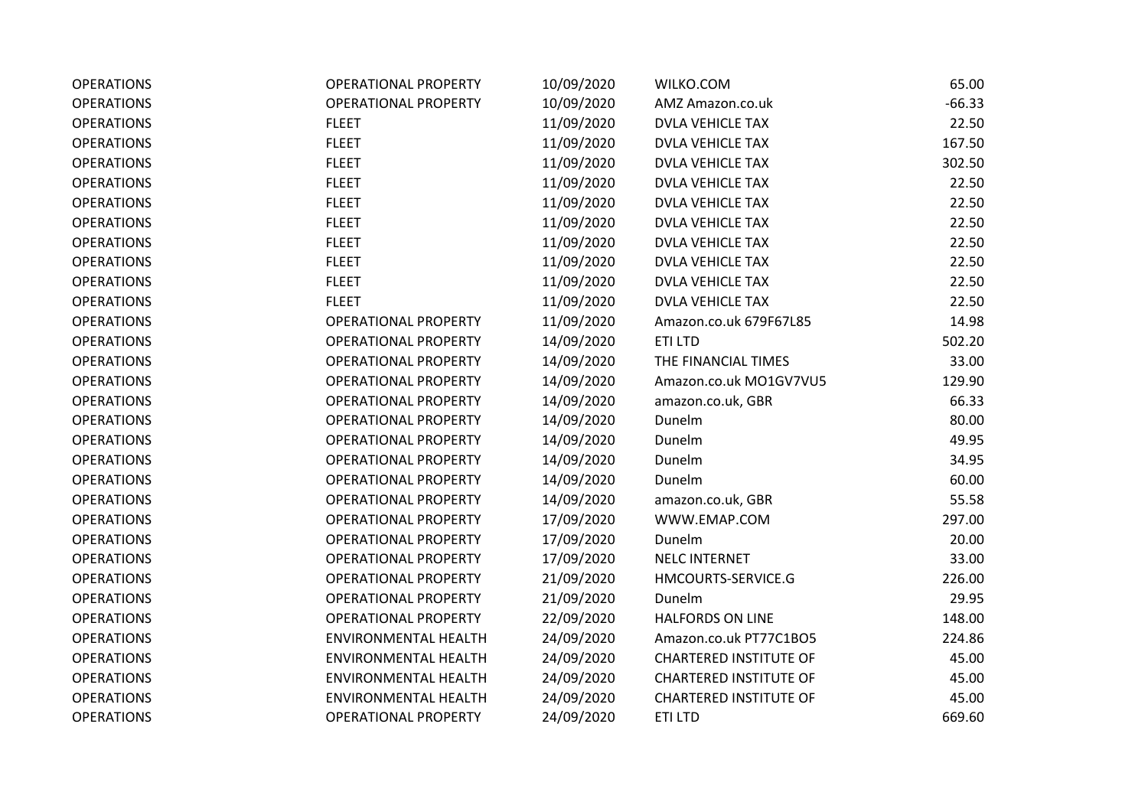| <b>OPERATIONS</b> | <b>OPERATIONAL PROPERTY</b> | 10/09/2020 | WILKO.COM                     | 65.00    |
|-------------------|-----------------------------|------------|-------------------------------|----------|
| <b>OPERATIONS</b> | <b>OPERATIONAL PROPERTY</b> | 10/09/2020 | AMZ Amazon.co.uk              | $-66.33$ |
| <b>OPERATIONS</b> | <b>FLEET</b>                | 11/09/2020 | <b>DVLA VEHICLE TAX</b>       | 22.50    |
| <b>OPERATIONS</b> | <b>FLEET</b>                | 11/09/2020 | DVLA VEHICLE TAX              | 167.50   |
| <b>OPERATIONS</b> | <b>FLEET</b>                | 11/09/2020 | <b>DVLA VEHICLE TAX</b>       | 302.50   |
| <b>OPERATIONS</b> | <b>FLEET</b>                | 11/09/2020 | <b>DVLA VEHICLE TAX</b>       | 22.50    |
| <b>OPERATIONS</b> | <b>FLEET</b>                | 11/09/2020 | <b>DVLA VEHICLE TAX</b>       | 22.50    |
| <b>OPERATIONS</b> | <b>FLEET</b>                | 11/09/2020 | <b>DVLA VEHICLE TAX</b>       | 22.50    |
| <b>OPERATIONS</b> | <b>FLEET</b>                | 11/09/2020 | <b>DVLA VEHICLE TAX</b>       | 22.50    |
| <b>OPERATIONS</b> | <b>FLEET</b>                | 11/09/2020 | <b>DVLA VEHICLE TAX</b>       | 22.50    |
| <b>OPERATIONS</b> | <b>FLEET</b>                | 11/09/2020 | <b>DVLA VEHICLE TAX</b>       | 22.50    |
| <b>OPERATIONS</b> | <b>FLEET</b>                | 11/09/2020 | <b>DVLA VEHICLE TAX</b>       | 22.50    |
| <b>OPERATIONS</b> | <b>OPERATIONAL PROPERTY</b> | 11/09/2020 | Amazon.co.uk 679F67L85        | 14.98    |
| <b>OPERATIONS</b> | <b>OPERATIONAL PROPERTY</b> | 14/09/2020 | ETI LTD                       | 502.20   |
| <b>OPERATIONS</b> | <b>OPERATIONAL PROPERTY</b> | 14/09/2020 | THE FINANCIAL TIMES           | 33.00    |
| <b>OPERATIONS</b> | <b>OPERATIONAL PROPERTY</b> | 14/09/2020 | Amazon.co.uk MO1GV7VU5        | 129.90   |
| <b>OPERATIONS</b> | <b>OPERATIONAL PROPERTY</b> | 14/09/2020 | amazon.co.uk, GBR             | 66.33    |
| <b>OPERATIONS</b> | <b>OPERATIONAL PROPERTY</b> | 14/09/2020 | Dunelm                        | 80.00    |
| <b>OPERATIONS</b> | <b>OPERATIONAL PROPERTY</b> | 14/09/2020 | Dunelm                        | 49.95    |
| <b>OPERATIONS</b> | <b>OPERATIONAL PROPERTY</b> | 14/09/2020 | Dunelm                        | 34.95    |
| <b>OPERATIONS</b> | <b>OPERATIONAL PROPERTY</b> | 14/09/2020 | Dunelm                        | 60.00    |
| <b>OPERATIONS</b> | <b>OPERATIONAL PROPERTY</b> | 14/09/2020 | amazon.co.uk, GBR             | 55.58    |
| <b>OPERATIONS</b> | <b>OPERATIONAL PROPERTY</b> | 17/09/2020 | WWW.EMAP.COM                  | 297.00   |
| <b>OPERATIONS</b> | <b>OPERATIONAL PROPERTY</b> | 17/09/2020 | Dunelm                        | 20.00    |
| <b>OPERATIONS</b> | <b>OPERATIONAL PROPERTY</b> | 17/09/2020 | NELC INTERNET                 | 33.00    |
| <b>OPERATIONS</b> | <b>OPERATIONAL PROPERTY</b> | 21/09/2020 | HMCOURTS-SERVICE.G            | 226.00   |
| <b>OPERATIONS</b> | <b>OPERATIONAL PROPERTY</b> | 21/09/2020 | Dunelm                        | 29.95    |
| <b>OPERATIONS</b> | <b>OPERATIONAL PROPERTY</b> | 22/09/2020 | <b>HALFORDS ON LINE</b>       | 148.00   |
| <b>OPERATIONS</b> | <b>ENVIRONMENTAL HEALTH</b> | 24/09/2020 | Amazon.co.uk PT77C1BO5        | 224.86   |
| <b>OPERATIONS</b> | <b>ENVIRONMENTAL HEALTH</b> | 24/09/2020 | <b>CHARTERED INSTITUTE OF</b> | 45.00    |
| <b>OPERATIONS</b> | <b>ENVIRONMENTAL HEALTH</b> | 24/09/2020 | <b>CHARTERED INSTITUTE OF</b> | 45.00    |
| <b>OPERATIONS</b> | ENVIRONMENTAL HEALTH        | 24/09/2020 | <b>CHARTERED INSTITUTE OF</b> | 45.00    |
| <b>OPERATIONS</b> | <b>OPERATIONAL PROPERTY</b> | 24/09/2020 | <b>ETILTD</b>                 | 669.60   |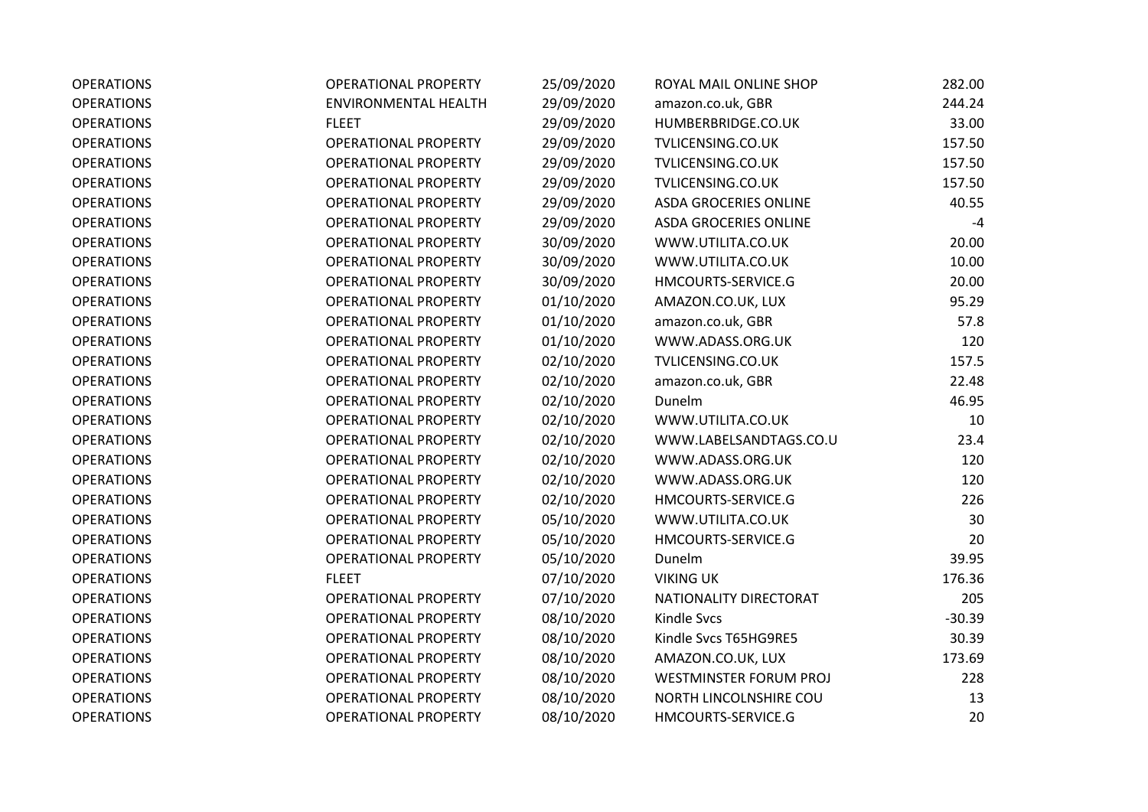| <b>OPERATIONS</b> | <b>OPERATIONAL PROPERTY</b> | 25/09/2020 | ROYAL MAIL ONLINE SHOP        | 282.00   |
|-------------------|-----------------------------|------------|-------------------------------|----------|
| <b>OPERATIONS</b> | <b>ENVIRONMENTAL HEALTH</b> | 29/09/2020 | amazon.co.uk, GBR             | 244.24   |
| <b>OPERATIONS</b> | <b>FLEET</b>                | 29/09/2020 | HUMBERBRIDGE.CO.UK            | 33.00    |
| <b>OPERATIONS</b> | OPERATIONAL PROPERTY        | 29/09/2020 | TVLICENSING.CO.UK             | 157.50   |
| <b>OPERATIONS</b> | <b>OPERATIONAL PROPERTY</b> | 29/09/2020 | TVLICENSING.CO.UK             | 157.50   |
| <b>OPERATIONS</b> | <b>OPERATIONAL PROPERTY</b> | 29/09/2020 | TVLICENSING.CO.UK             | 157.50   |
| <b>OPERATIONS</b> | <b>OPERATIONAL PROPERTY</b> | 29/09/2020 | <b>ASDA GROCERIES ONLINE</b>  | 40.55    |
| <b>OPERATIONS</b> | <b>OPERATIONAL PROPERTY</b> | 29/09/2020 | <b>ASDA GROCERIES ONLINE</b>  | $-4$     |
| <b>OPERATIONS</b> | <b>OPERATIONAL PROPERTY</b> | 30/09/2020 | WWW.UTILITA.CO.UK             | 20.00    |
| <b>OPERATIONS</b> | <b>OPERATIONAL PROPERTY</b> | 30/09/2020 | WWW.UTILITA.CO.UK             | 10.00    |
| <b>OPERATIONS</b> | <b>OPERATIONAL PROPERTY</b> | 30/09/2020 | HMCOURTS-SERVICE.G            | 20.00    |
| <b>OPERATIONS</b> | <b>OPERATIONAL PROPERTY</b> | 01/10/2020 | AMAZON.CO.UK, LUX             | 95.29    |
| <b>OPERATIONS</b> | <b>OPERATIONAL PROPERTY</b> | 01/10/2020 | amazon.co.uk, GBR             | 57.8     |
| <b>OPERATIONS</b> | <b>OPERATIONAL PROPERTY</b> | 01/10/2020 | WWW.ADASS.ORG.UK              | 120      |
| <b>OPERATIONS</b> | <b>OPERATIONAL PROPERTY</b> | 02/10/2020 | TVLICENSING.CO.UK             | 157.5    |
| <b>OPERATIONS</b> | <b>OPERATIONAL PROPERTY</b> | 02/10/2020 | amazon.co.uk, GBR             | 22.48    |
| <b>OPERATIONS</b> | <b>OPERATIONAL PROPERTY</b> | 02/10/2020 | Dunelm                        | 46.95    |
| <b>OPERATIONS</b> | <b>OPERATIONAL PROPERTY</b> | 02/10/2020 | WWW.UTILITA.CO.UK             | 10       |
| <b>OPERATIONS</b> | <b>OPERATIONAL PROPERTY</b> | 02/10/2020 | WWW.LABELSANDTAGS.CO.U        | 23.4     |
| <b>OPERATIONS</b> | <b>OPERATIONAL PROPERTY</b> | 02/10/2020 | WWW.ADASS.ORG.UK              | 120      |
| <b>OPERATIONS</b> | <b>OPERATIONAL PROPERTY</b> | 02/10/2020 | WWW.ADASS.ORG.UK              | 120      |
| <b>OPERATIONS</b> | <b>OPERATIONAL PROPERTY</b> | 02/10/2020 | HMCOURTS-SERVICE.G            | 226      |
| <b>OPERATIONS</b> | <b>OPERATIONAL PROPERTY</b> | 05/10/2020 | WWW.UTILITA.CO.UK             | 30       |
| <b>OPERATIONS</b> | <b>OPERATIONAL PROPERTY</b> | 05/10/2020 | HMCOURTS-SERVICE.G            | 20       |
| <b>OPERATIONS</b> | <b>OPERATIONAL PROPERTY</b> | 05/10/2020 | Dunelm                        | 39.95    |
| <b>OPERATIONS</b> | <b>FLEET</b>                | 07/10/2020 | <b>VIKING UK</b>              | 176.36   |
| <b>OPERATIONS</b> | <b>OPERATIONAL PROPERTY</b> | 07/10/2020 | NATIONALITY DIRECTORAT        | 205      |
| <b>OPERATIONS</b> | <b>OPERATIONAL PROPERTY</b> | 08/10/2020 | <b>Kindle Svcs</b>            | $-30.39$ |
| <b>OPERATIONS</b> | <b>OPERATIONAL PROPERTY</b> | 08/10/2020 | Kindle Svcs T65HG9RE5         | 30.39    |
| <b>OPERATIONS</b> | <b>OPERATIONAL PROPERTY</b> | 08/10/2020 | AMAZON.CO.UK, LUX             | 173.69   |
| <b>OPERATIONS</b> | <b>OPERATIONAL PROPERTY</b> | 08/10/2020 | <b>WESTMINSTER FORUM PROJ</b> | 228      |
| <b>OPERATIONS</b> | <b>OPERATIONAL PROPERTY</b> | 08/10/2020 | NORTH LINCOLNSHIRE COU        | 13       |
| <b>OPERATIONS</b> | <b>OPERATIONAL PROPERTY</b> | 08/10/2020 | HMCOURTS-SERVICE.G            | 20       |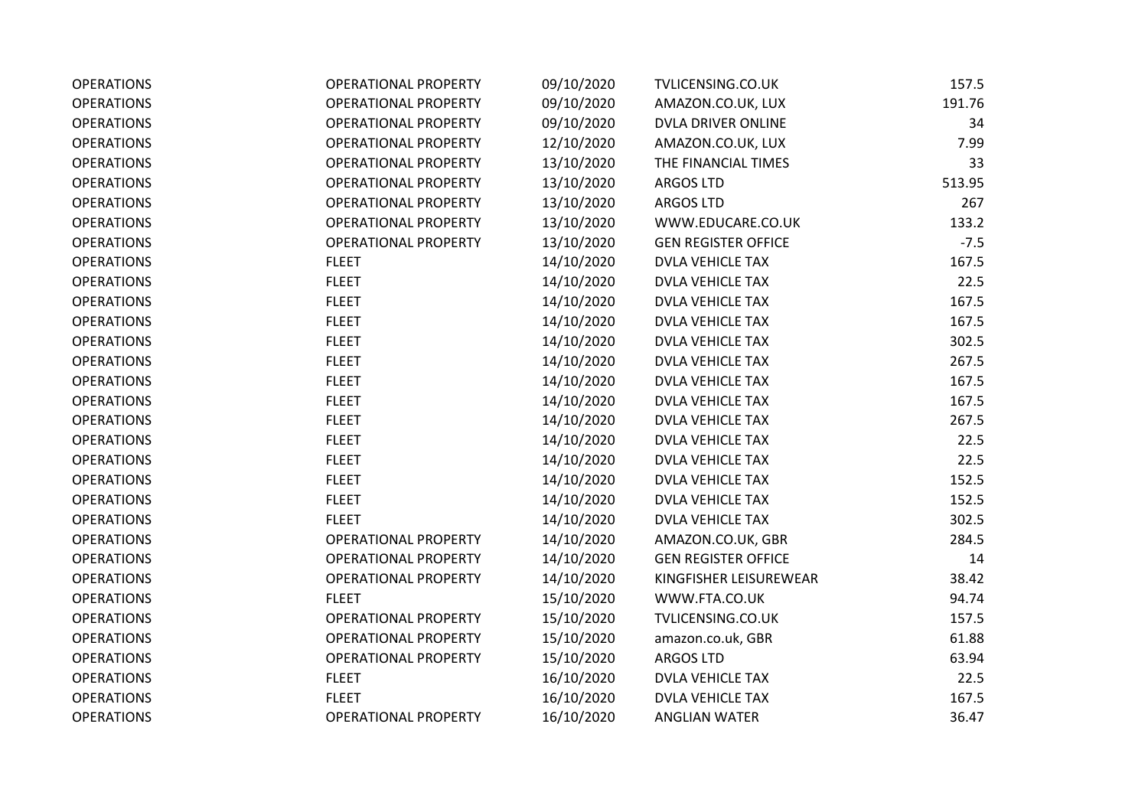| <b>OPERATIONS</b> | <b>OPERATIONAL PROPERTY</b> | 09/10/2020 | TVLICENSING.CO.UK          | 157.5  |
|-------------------|-----------------------------|------------|----------------------------|--------|
| <b>OPERATIONS</b> | <b>OPERATIONAL PROPERTY</b> | 09/10/2020 | AMAZON.CO.UK, LUX          | 191.76 |
| <b>OPERATIONS</b> | <b>OPERATIONAL PROPERTY</b> | 09/10/2020 | DVLA DRIVER ONLINE         | 34     |
| <b>OPERATIONS</b> | <b>OPERATIONAL PROPERTY</b> | 12/10/2020 | AMAZON.CO.UK, LUX          | 7.99   |
| <b>OPERATIONS</b> | <b>OPERATIONAL PROPERTY</b> | 13/10/2020 | THE FINANCIAL TIMES        | 33     |
| <b>OPERATIONS</b> | <b>OPERATIONAL PROPERTY</b> | 13/10/2020 | <b>ARGOS LTD</b>           | 513.95 |
| <b>OPERATIONS</b> | <b>OPERATIONAL PROPERTY</b> | 13/10/2020 | <b>ARGOS LTD</b>           | 267    |
| <b>OPERATIONS</b> | <b>OPERATIONAL PROPERTY</b> | 13/10/2020 | WWW.EDUCARE.CO.UK          | 133.2  |
| <b>OPERATIONS</b> | <b>OPERATIONAL PROPERTY</b> | 13/10/2020 | <b>GEN REGISTER OFFICE</b> | $-7.5$ |
| <b>OPERATIONS</b> | <b>FLEET</b>                | 14/10/2020 | <b>DVLA VEHICLE TAX</b>    | 167.5  |
| <b>OPERATIONS</b> | <b>FLEET</b>                | 14/10/2020 | DVLA VEHICLE TAX           | 22.5   |
| <b>OPERATIONS</b> | <b>FLEET</b>                | 14/10/2020 | <b>DVLA VEHICLE TAX</b>    | 167.5  |
| <b>OPERATIONS</b> | <b>FLEET</b>                | 14/10/2020 | <b>DVLA VEHICLE TAX</b>    | 167.5  |
| <b>OPERATIONS</b> | <b>FLEET</b>                | 14/10/2020 | <b>DVLA VEHICLE TAX</b>    | 302.5  |
| <b>OPERATIONS</b> | <b>FLEET</b>                | 14/10/2020 | <b>DVLA VEHICLE TAX</b>    | 267.5  |
| <b>OPERATIONS</b> | <b>FLEET</b>                | 14/10/2020 | <b>DVLA VEHICLE TAX</b>    | 167.5  |
| <b>OPERATIONS</b> | <b>FLEET</b>                | 14/10/2020 | <b>DVLA VEHICLE TAX</b>    | 167.5  |
| <b>OPERATIONS</b> | <b>FLEET</b>                | 14/10/2020 | DVLA VEHICLE TAX           | 267.5  |
| <b>OPERATIONS</b> | <b>FLEET</b>                | 14/10/2020 | <b>DVLA VEHICLE TAX</b>    | 22.5   |
| <b>OPERATIONS</b> | <b>FLEET</b>                | 14/10/2020 | <b>DVLA VEHICLE TAX</b>    | 22.5   |
| <b>OPERATIONS</b> | <b>FLEET</b>                | 14/10/2020 | <b>DVLA VEHICLE TAX</b>    | 152.5  |
| <b>OPERATIONS</b> | <b>FLEET</b>                | 14/10/2020 | <b>DVLA VEHICLE TAX</b>    | 152.5  |
| <b>OPERATIONS</b> | <b>FLEET</b>                | 14/10/2020 | <b>DVLA VEHICLE TAX</b>    | 302.5  |
| <b>OPERATIONS</b> | <b>OPERATIONAL PROPERTY</b> | 14/10/2020 | AMAZON.CO.UK, GBR          | 284.5  |
| <b>OPERATIONS</b> | <b>OPERATIONAL PROPERTY</b> | 14/10/2020 | <b>GEN REGISTER OFFICE</b> | 14     |
| <b>OPERATIONS</b> | <b>OPERATIONAL PROPERTY</b> | 14/10/2020 | KINGFISHER LEISUREWEAR     | 38.42  |
| <b>OPERATIONS</b> | <b>FLEET</b>                | 15/10/2020 | WWW.FTA.CO.UK              | 94.74  |
| <b>OPERATIONS</b> | <b>OPERATIONAL PROPERTY</b> | 15/10/2020 | TVLICENSING.CO.UK          | 157.5  |
| <b>OPERATIONS</b> | <b>OPERATIONAL PROPERTY</b> | 15/10/2020 | amazon.co.uk, GBR          | 61.88  |
| <b>OPERATIONS</b> | <b>OPERATIONAL PROPERTY</b> | 15/10/2020 | <b>ARGOS LTD</b>           | 63.94  |
| <b>OPERATIONS</b> | <b>FLEET</b>                | 16/10/2020 | <b>DVLA VEHICLE TAX</b>    | 22.5   |
| <b>OPERATIONS</b> | <b>FLEET</b>                | 16/10/2020 | <b>DVLA VEHICLE TAX</b>    | 167.5  |
| <b>OPERATIONS</b> | <b>OPERATIONAL PROPERTY</b> | 16/10/2020 | <b>ANGLIAN WATER</b>       | 36.47  |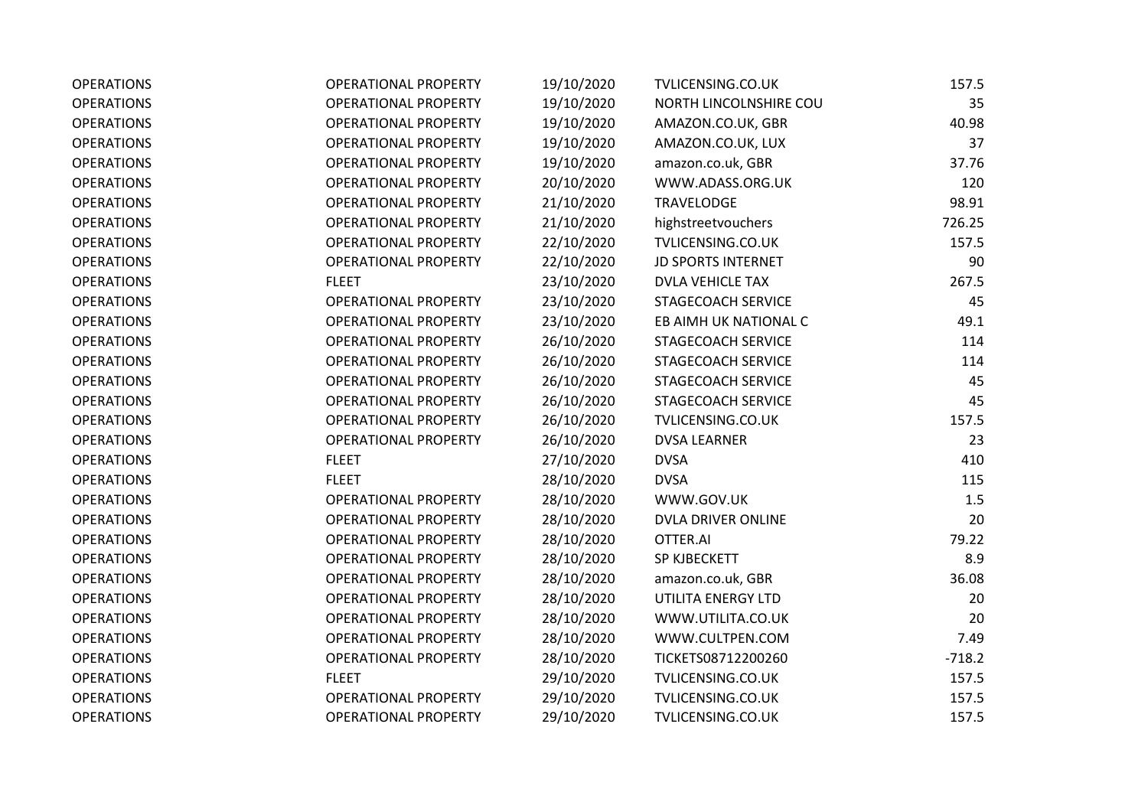| <b>OPERATIONS</b> | <b>OPERATIONAL PROPERTY</b> | 19/10/2020 | TVLICENSING.CO.UK         | 157.5    |
|-------------------|-----------------------------|------------|---------------------------|----------|
| <b>OPERATIONS</b> | <b>OPERATIONAL PROPERTY</b> | 19/10/2020 | NORTH LINCOLNSHIRE COU    | 35       |
| <b>OPERATIONS</b> | <b>OPERATIONAL PROPERTY</b> | 19/10/2020 | AMAZON.CO.UK, GBR         | 40.98    |
| <b>OPERATIONS</b> | <b>OPERATIONAL PROPERTY</b> | 19/10/2020 | AMAZON.CO.UK, LUX         | 37       |
| <b>OPERATIONS</b> | <b>OPERATIONAL PROPERTY</b> | 19/10/2020 | amazon.co.uk, GBR         | 37.76    |
| <b>OPERATIONS</b> | <b>OPERATIONAL PROPERTY</b> | 20/10/2020 | WWW.ADASS.ORG.UK          | 120      |
| <b>OPERATIONS</b> | <b>OPERATIONAL PROPERTY</b> | 21/10/2020 | <b>TRAVELODGE</b>         | 98.91    |
| <b>OPERATIONS</b> | <b>OPERATIONAL PROPERTY</b> | 21/10/2020 | highstreetvouchers        | 726.25   |
| <b>OPERATIONS</b> | <b>OPERATIONAL PROPERTY</b> | 22/10/2020 | TVLICENSING.CO.UK         | 157.5    |
| <b>OPERATIONS</b> | <b>OPERATIONAL PROPERTY</b> | 22/10/2020 | <b>JD SPORTS INTERNET</b> | 90       |
| <b>OPERATIONS</b> | <b>FLEET</b>                | 23/10/2020 | <b>DVLA VEHICLE TAX</b>   | 267.5    |
| <b>OPERATIONS</b> | <b>OPERATIONAL PROPERTY</b> | 23/10/2020 | STAGECOACH SERVICE        | 45       |
| <b>OPERATIONS</b> | <b>OPERATIONAL PROPERTY</b> | 23/10/2020 | EB AIMH UK NATIONAL C     | 49.1     |
| <b>OPERATIONS</b> | <b>OPERATIONAL PROPERTY</b> | 26/10/2020 | STAGECOACH SERVICE        | 114      |
| <b>OPERATIONS</b> | <b>OPERATIONAL PROPERTY</b> | 26/10/2020 | STAGECOACH SERVICE        | 114      |
| <b>OPERATIONS</b> | <b>OPERATIONAL PROPERTY</b> | 26/10/2020 | STAGECOACH SERVICE        | 45       |
| <b>OPERATIONS</b> | <b>OPERATIONAL PROPERTY</b> | 26/10/2020 | STAGECOACH SERVICE        | 45       |
| <b>OPERATIONS</b> | <b>OPERATIONAL PROPERTY</b> | 26/10/2020 | TVLICENSING.CO.UK         | 157.5    |
| <b>OPERATIONS</b> | <b>OPERATIONAL PROPERTY</b> | 26/10/2020 | <b>DVSA LEARNER</b>       | 23       |
| <b>OPERATIONS</b> | <b>FLEET</b>                | 27/10/2020 | <b>DVSA</b>               | 410      |
| <b>OPERATIONS</b> | <b>FLEET</b>                | 28/10/2020 | <b>DVSA</b>               | 115      |
| <b>OPERATIONS</b> | <b>OPERATIONAL PROPERTY</b> | 28/10/2020 | WWW.GOV.UK                | 1.5      |
| <b>OPERATIONS</b> | <b>OPERATIONAL PROPERTY</b> | 28/10/2020 | DVLA DRIVER ONLINE        | 20       |
| <b>OPERATIONS</b> | <b>OPERATIONAL PROPERTY</b> | 28/10/2020 | OTTER.AI                  | 79.22    |
| <b>OPERATIONS</b> | <b>OPERATIONAL PROPERTY</b> | 28/10/2020 | SP KJBECKETT              | 8.9      |
| <b>OPERATIONS</b> | <b>OPERATIONAL PROPERTY</b> | 28/10/2020 | amazon.co.uk, GBR         | 36.08    |
| <b>OPERATIONS</b> | <b>OPERATIONAL PROPERTY</b> | 28/10/2020 | UTILITA ENERGY LTD        | 20       |
| <b>OPERATIONS</b> | <b>OPERATIONAL PROPERTY</b> | 28/10/2020 | WWW.UTILITA.CO.UK         | 20       |
| <b>OPERATIONS</b> | <b>OPERATIONAL PROPERTY</b> | 28/10/2020 | WWW.CULTPEN.COM           | 7.49     |
| <b>OPERATIONS</b> | <b>OPERATIONAL PROPERTY</b> | 28/10/2020 | TICKETS08712200260        | $-718.2$ |
| <b>OPERATIONS</b> | <b>FLEET</b>                | 29/10/2020 | TVLICENSING.CO.UK         | 157.5    |
| <b>OPERATIONS</b> | <b>OPERATIONAL PROPERTY</b> | 29/10/2020 | TVLICENSING.CO.UK         | 157.5    |
| <b>OPERATIONS</b> | <b>OPERATIONAL PROPERTY</b> | 29/10/2020 | TVLICENSING.CO.UK         | 157.5    |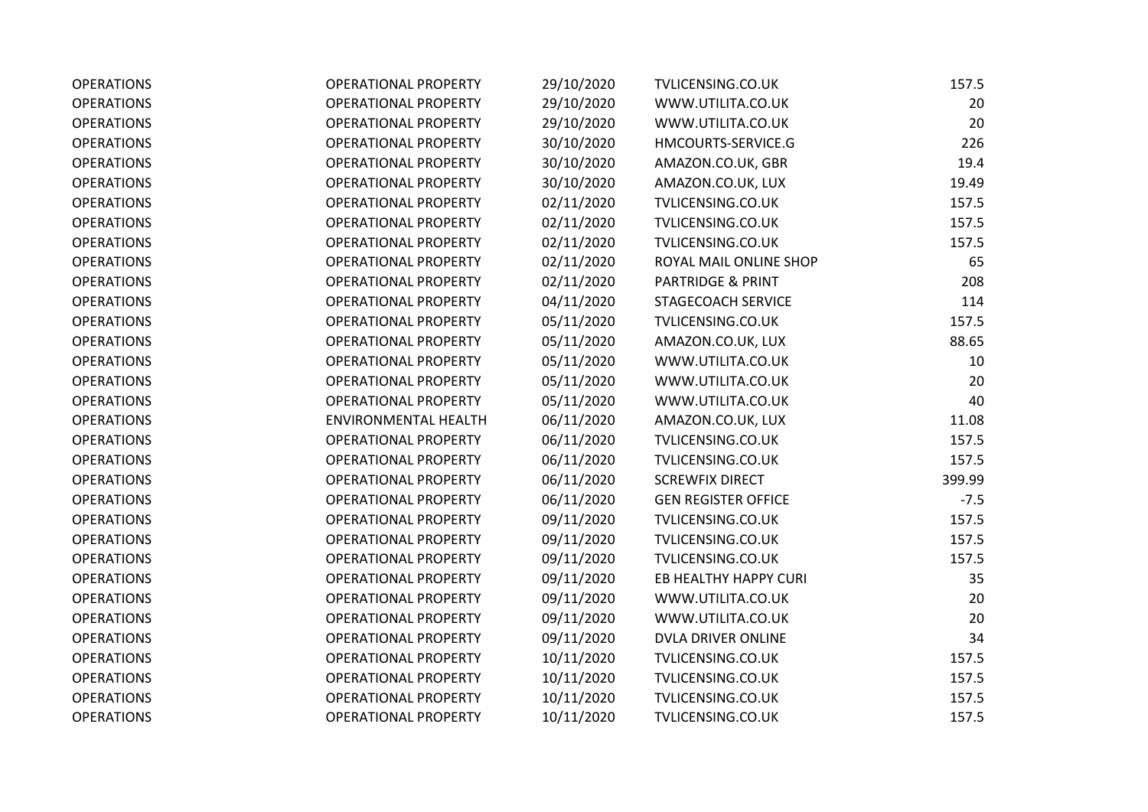| <b>OPERATIONS</b> | <b>OPERATIONAL PROPERTY</b> | 29/10/2020 | TVLICENSING.CO.UK            | 157.5  |
|-------------------|-----------------------------|------------|------------------------------|--------|
| <b>OPERATIONS</b> | <b>OPERATIONAL PROPERTY</b> | 29/10/2020 | WWW.UTILITA.CO.UK            | 20     |
| <b>OPERATIONS</b> | <b>OPERATIONAL PROPERTY</b> | 29/10/2020 | WWW.UTILITA.CO.UK            | 20     |
| <b>OPERATIONS</b> | <b>OPERATIONAL PROPERTY</b> | 30/10/2020 | HMCOURTS-SERVICE.G           | 226    |
| <b>OPERATIONS</b> | <b>OPERATIONAL PROPERTY</b> | 30/10/2020 | AMAZON.CO.UK, GBR            | 19.4   |
| <b>OPERATIONS</b> | <b>OPERATIONAL PROPERTY</b> | 30/10/2020 | AMAZON.CO.UK, LUX            | 19.49  |
| <b>OPERATIONS</b> | <b>OPERATIONAL PROPERTY</b> | 02/11/2020 | TVLICENSING.CO.UK            | 157.5  |
| <b>OPERATIONS</b> | <b>OPERATIONAL PROPERTY</b> | 02/11/2020 | TVLICENSING.CO.UK            | 157.5  |
| <b>OPERATIONS</b> | <b>OPERATIONAL PROPERTY</b> | 02/11/2020 | TVLICENSING.CO.UK            | 157.5  |
| <b>OPERATIONS</b> | <b>OPERATIONAL PROPERTY</b> | 02/11/2020 | ROYAL MAIL ONLINE SHOP       | 65     |
| <b>OPERATIONS</b> | <b>OPERATIONAL PROPERTY</b> | 02/11/2020 | <b>PARTRIDGE &amp; PRINT</b> | 208    |
| <b>OPERATIONS</b> | <b>OPERATIONAL PROPERTY</b> | 04/11/2020 | STAGECOACH SERVICE           | 114    |
| <b>OPERATIONS</b> | OPERATIONAL PROPERTY        | 05/11/2020 | TVLICENSING.CO.UK            | 157.5  |
| <b>OPERATIONS</b> | <b>OPERATIONAL PROPERTY</b> | 05/11/2020 | AMAZON.CO.UK, LUX            | 88.65  |
| <b>OPERATIONS</b> | <b>OPERATIONAL PROPERTY</b> | 05/11/2020 | WWW.UTILITA.CO.UK            | 10     |
| <b>OPERATIONS</b> | <b>OPERATIONAL PROPERTY</b> | 05/11/2020 | WWW.UTILITA.CO.UK            | 20     |
| <b>OPERATIONS</b> | <b>OPERATIONAL PROPERTY</b> | 05/11/2020 | WWW.UTILITA.CO.UK            | 40     |
| <b>OPERATIONS</b> | <b>ENVIRONMENTAL HEALTH</b> | 06/11/2020 | AMAZON.CO.UK, LUX            | 11.08  |
| <b>OPERATIONS</b> | <b>OPERATIONAL PROPERTY</b> | 06/11/2020 | TVLICENSING.CO.UK            | 157.5  |
| <b>OPERATIONS</b> | <b>OPERATIONAL PROPERTY</b> | 06/11/2020 | TVLICENSING.CO.UK            | 157.5  |
| <b>OPERATIONS</b> | <b>OPERATIONAL PROPERTY</b> | 06/11/2020 | <b>SCREWFIX DIRECT</b>       | 399.99 |
| <b>OPERATIONS</b> | <b>OPERATIONAL PROPERTY</b> | 06/11/2020 | <b>GEN REGISTER OFFICE</b>   | $-7.5$ |
| <b>OPERATIONS</b> | <b>OPERATIONAL PROPERTY</b> | 09/11/2020 | TVLICENSING.CO.UK            | 157.5  |
| <b>OPERATIONS</b> | <b>OPERATIONAL PROPERTY</b> | 09/11/2020 | TVLICENSING.CO.UK            | 157.5  |
| <b>OPERATIONS</b> | <b>OPERATIONAL PROPERTY</b> | 09/11/2020 | TVLICENSING.CO.UK            | 157.5  |
| <b>OPERATIONS</b> | <b>OPERATIONAL PROPERTY</b> | 09/11/2020 | EB HEALTHY HAPPY CURI        | 35     |
| <b>OPERATIONS</b> | <b>OPERATIONAL PROPERTY</b> | 09/11/2020 | WWW.UTILITA.CO.UK            | 20     |
| <b>OPERATIONS</b> | <b>OPERATIONAL PROPERTY</b> | 09/11/2020 | WWW.UTILITA.CO.UK            | 20     |
| <b>OPERATIONS</b> | <b>OPERATIONAL PROPERTY</b> | 09/11/2020 | DVLA DRIVER ONLINE           | 34     |
| <b>OPERATIONS</b> | <b>OPERATIONAL PROPERTY</b> | 10/11/2020 | TVLICENSING.CO.UK            | 157.5  |
| <b>OPERATIONS</b> | <b>OPERATIONAL PROPERTY</b> | 10/11/2020 | TVLICENSING.CO.UK            | 157.5  |
| <b>OPERATIONS</b> | OPERATIONAL PROPERTY        | 10/11/2020 | TVLICENSING.CO.UK            | 157.5  |
| <b>OPERATIONS</b> | <b>OPERATIONAL PROPERTY</b> | 10/11/2020 | TVLICENSING.CO.UK            | 157.5  |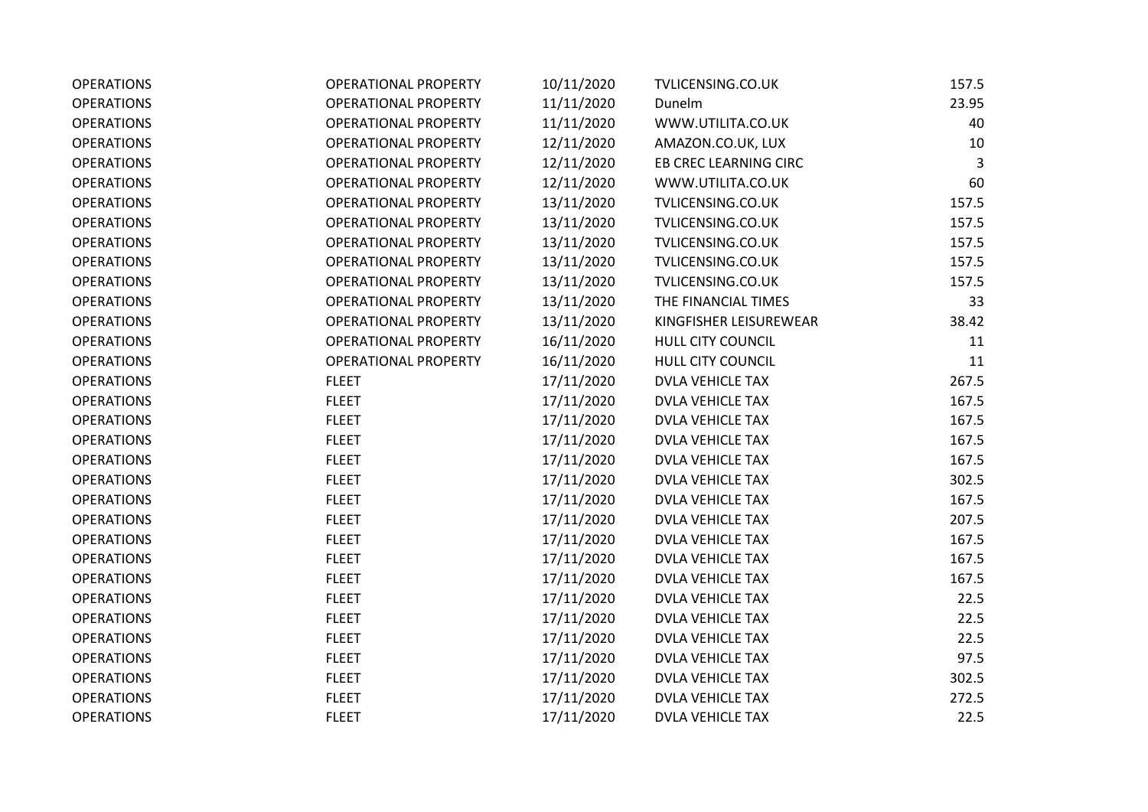| <b>OPERATIONS</b> | <b>OPERATIONAL PROPERTY</b> | 10/11/2020 | TVLICENSING.CO.UK       | 157.5 |
|-------------------|-----------------------------|------------|-------------------------|-------|
| <b>OPERATIONS</b> | <b>OPERATIONAL PROPERTY</b> | 11/11/2020 | Dunelm                  | 23.95 |
| <b>OPERATIONS</b> | <b>OPERATIONAL PROPERTY</b> | 11/11/2020 | WWW.UTILITA.CO.UK       | 40    |
| <b>OPERATIONS</b> | <b>OPERATIONAL PROPERTY</b> | 12/11/2020 | AMAZON.CO.UK, LUX       | 10    |
| <b>OPERATIONS</b> | <b>OPERATIONAL PROPERTY</b> | 12/11/2020 | EB CREC LEARNING CIRC   | 3     |
| <b>OPERATIONS</b> | <b>OPERATIONAL PROPERTY</b> | 12/11/2020 | WWW.UTILITA.CO.UK       | 60    |
| <b>OPERATIONS</b> | <b>OPERATIONAL PROPERTY</b> | 13/11/2020 | TVLICENSING.CO.UK       | 157.5 |
| <b>OPERATIONS</b> | <b>OPERATIONAL PROPERTY</b> | 13/11/2020 | TVLICENSING.CO.UK       | 157.5 |
| <b>OPERATIONS</b> | <b>OPERATIONAL PROPERTY</b> | 13/11/2020 | TVLICENSING.CO.UK       | 157.5 |
| <b>OPERATIONS</b> | <b>OPERATIONAL PROPERTY</b> | 13/11/2020 | TVLICENSING.CO.UK       | 157.5 |
| <b>OPERATIONS</b> | <b>OPERATIONAL PROPERTY</b> | 13/11/2020 | TVLICENSING.CO.UK       | 157.5 |
| <b>OPERATIONS</b> | <b>OPERATIONAL PROPERTY</b> | 13/11/2020 | THE FINANCIAL TIMES     | 33    |
| <b>OPERATIONS</b> | <b>OPERATIONAL PROPERTY</b> | 13/11/2020 | KINGFISHER LEISUREWEAR  | 38.42 |
| <b>OPERATIONS</b> | <b>OPERATIONAL PROPERTY</b> | 16/11/2020 | HULL CITY COUNCIL       | 11    |
| <b>OPERATIONS</b> | <b>OPERATIONAL PROPERTY</b> | 16/11/2020 | HULL CITY COUNCIL       | 11    |
| <b>OPERATIONS</b> | <b>FLEET</b>                | 17/11/2020 | <b>DVLA VEHICLE TAX</b> | 267.5 |
| <b>OPERATIONS</b> | <b>FLEET</b>                | 17/11/2020 | <b>DVLA VEHICLE TAX</b> | 167.5 |
| <b>OPERATIONS</b> | <b>FLEET</b>                | 17/11/2020 | <b>DVLA VEHICLE TAX</b> | 167.5 |
| <b>OPERATIONS</b> | <b>FLEET</b>                | 17/11/2020 | <b>DVLA VEHICLE TAX</b> | 167.5 |
| <b>OPERATIONS</b> | <b>FLEET</b>                | 17/11/2020 | <b>DVLA VEHICLE TAX</b> | 167.5 |
| <b>OPERATIONS</b> | <b>FLEET</b>                | 17/11/2020 | <b>DVLA VEHICLE TAX</b> | 302.5 |
| <b>OPERATIONS</b> | <b>FLEET</b>                | 17/11/2020 | <b>DVLA VEHICLE TAX</b> | 167.5 |
| <b>OPERATIONS</b> | <b>FLEET</b>                | 17/11/2020 | <b>DVLA VEHICLE TAX</b> | 207.5 |
| <b>OPERATIONS</b> | <b>FLEET</b>                | 17/11/2020 | <b>DVLA VEHICLE TAX</b> | 167.5 |
| <b>OPERATIONS</b> | <b>FLEET</b>                | 17/11/2020 | <b>DVLA VEHICLE TAX</b> | 167.5 |
| <b>OPERATIONS</b> | <b>FLEET</b>                | 17/11/2020 | <b>DVLA VEHICLE TAX</b> | 167.5 |
| <b>OPERATIONS</b> | <b>FLEET</b>                | 17/11/2020 | <b>DVLA VEHICLE TAX</b> | 22.5  |
| <b>OPERATIONS</b> | <b>FLEET</b>                | 17/11/2020 | <b>DVLA VEHICLE TAX</b> | 22.5  |
| <b>OPERATIONS</b> | <b>FLEET</b>                | 17/11/2020 | <b>DVLA VEHICLE TAX</b> | 22.5  |
| <b>OPERATIONS</b> | <b>FLEET</b>                | 17/11/2020 | <b>DVLA VEHICLE TAX</b> | 97.5  |
| <b>OPERATIONS</b> | <b>FLEET</b>                | 17/11/2020 | <b>DVLA VEHICLE TAX</b> | 302.5 |
| <b>OPERATIONS</b> | <b>FLEET</b>                | 17/11/2020 | <b>DVLA VEHICLE TAX</b> | 272.5 |
| <b>OPERATIONS</b> | <b>FLEET</b>                | 17/11/2020 | <b>DVLA VEHICLE TAX</b> | 22.5  |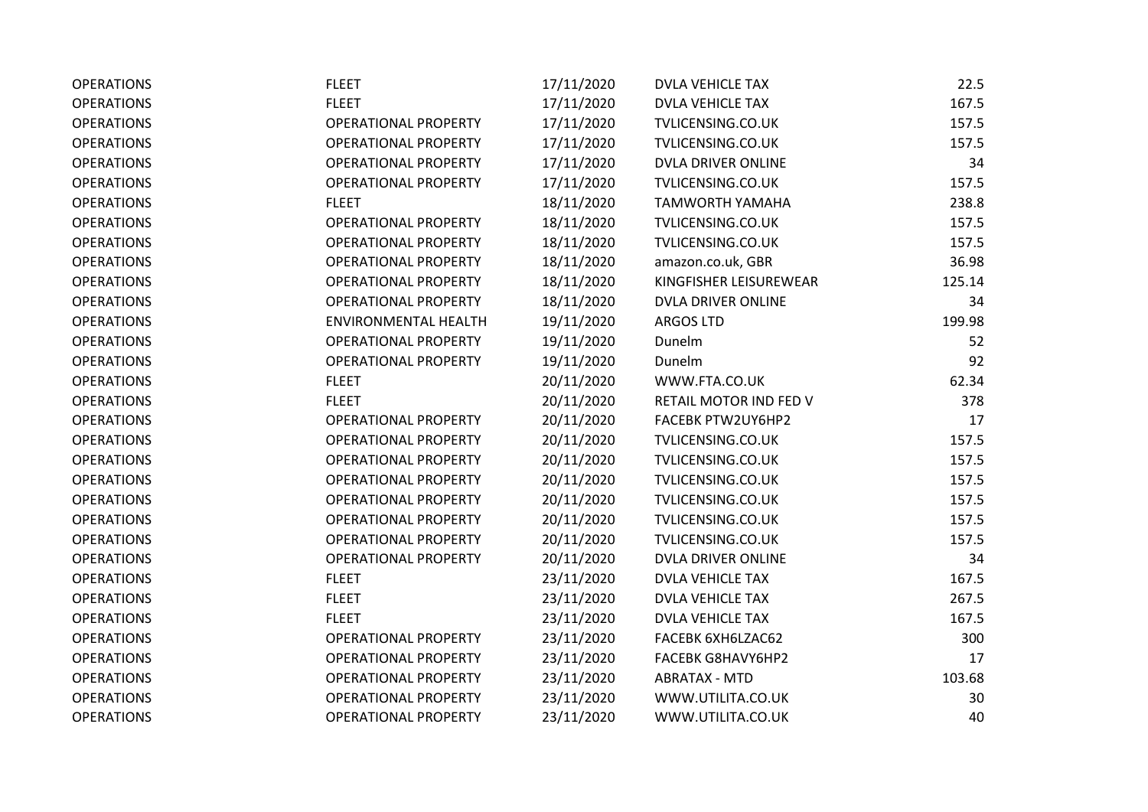| <b>OPERATIONS</b> | <b>FLEET</b>                | 17/11/2020 | <b>DVLA VEHICLE TAX</b> | 22.5   |
|-------------------|-----------------------------|------------|-------------------------|--------|
| <b>OPERATIONS</b> | <b>FLEET</b>                | 17/11/2020 | <b>DVLA VEHICLE TAX</b> | 167.5  |
| <b>OPERATIONS</b> | <b>OPERATIONAL PROPERTY</b> | 17/11/2020 | TVLICENSING.CO.UK       | 157.5  |
| <b>OPERATIONS</b> | <b>OPERATIONAL PROPERTY</b> | 17/11/2020 | TVLICENSING.CO.UK       | 157.5  |
| <b>OPERATIONS</b> | <b>OPERATIONAL PROPERTY</b> | 17/11/2020 | DVLA DRIVER ONLINE      | 34     |
| <b>OPERATIONS</b> | <b>OPERATIONAL PROPERTY</b> | 17/11/2020 | TVLICENSING.CO.UK       | 157.5  |
| <b>OPERATIONS</b> | <b>FLEET</b>                | 18/11/2020 | <b>TAMWORTH YAMAHA</b>  | 238.8  |
| <b>OPERATIONS</b> | <b>OPERATIONAL PROPERTY</b> | 18/11/2020 | TVLICENSING.CO.UK       | 157.5  |
| <b>OPERATIONS</b> | <b>OPERATIONAL PROPERTY</b> | 18/11/2020 | TVLICENSING.CO.UK       | 157.5  |
| <b>OPERATIONS</b> | <b>OPERATIONAL PROPERTY</b> | 18/11/2020 | amazon.co.uk, GBR       | 36.98  |
| <b>OPERATIONS</b> | <b>OPERATIONAL PROPERTY</b> | 18/11/2020 | KINGFISHER LEISUREWEAR  | 125.14 |
| <b>OPERATIONS</b> | <b>OPERATIONAL PROPERTY</b> | 18/11/2020 | DVLA DRIVER ONLINE      | 34     |
| <b>OPERATIONS</b> | <b>ENVIRONMENTAL HEALTH</b> | 19/11/2020 | <b>ARGOS LTD</b>        | 199.98 |
| <b>OPERATIONS</b> | <b>OPERATIONAL PROPERTY</b> | 19/11/2020 | Dunelm                  | 52     |
| <b>OPERATIONS</b> | <b>OPERATIONAL PROPERTY</b> | 19/11/2020 | Dunelm                  | 92     |
| <b>OPERATIONS</b> | <b>FLEET</b>                | 20/11/2020 | WWW.FTA.CO.UK           | 62.34  |
| <b>OPERATIONS</b> | <b>FLEET</b>                | 20/11/2020 | RETAIL MOTOR IND FED V  | 378    |
| <b>OPERATIONS</b> | <b>OPERATIONAL PROPERTY</b> | 20/11/2020 | FACEBK PTW2UY6HP2       | 17     |
| <b>OPERATIONS</b> | <b>OPERATIONAL PROPERTY</b> | 20/11/2020 | TVLICENSING.CO.UK       | 157.5  |
| <b>OPERATIONS</b> | <b>OPERATIONAL PROPERTY</b> | 20/11/2020 | TVLICENSING.CO.UK       | 157.5  |
| <b>OPERATIONS</b> | <b>OPERATIONAL PROPERTY</b> | 20/11/2020 | TVLICENSING.CO.UK       | 157.5  |
| <b>OPERATIONS</b> | <b>OPERATIONAL PROPERTY</b> | 20/11/2020 | TVLICENSING.CO.UK       | 157.5  |
| <b>OPERATIONS</b> | <b>OPERATIONAL PROPERTY</b> | 20/11/2020 | TVLICENSING.CO.UK       | 157.5  |
| <b>OPERATIONS</b> | <b>OPERATIONAL PROPERTY</b> | 20/11/2020 | TVLICENSING.CO.UK       | 157.5  |
| <b>OPERATIONS</b> | <b>OPERATIONAL PROPERTY</b> | 20/11/2020 | DVLA DRIVER ONLINE      | 34     |
| <b>OPERATIONS</b> | <b>FLEET</b>                | 23/11/2020 | <b>DVLA VEHICLE TAX</b> | 167.5  |
| <b>OPERATIONS</b> | <b>FLEET</b>                | 23/11/2020 | <b>DVLA VEHICLE TAX</b> | 267.5  |
| <b>OPERATIONS</b> | <b>FLEET</b>                | 23/11/2020 | <b>DVLA VEHICLE TAX</b> | 167.5  |
| <b>OPERATIONS</b> | <b>OPERATIONAL PROPERTY</b> | 23/11/2020 | FACEBK 6XH6LZAC62       | 300    |
| <b>OPERATIONS</b> | <b>OPERATIONAL PROPERTY</b> | 23/11/2020 | FACEBK G8HAVY6HP2       | 17     |
| <b>OPERATIONS</b> | <b>OPERATIONAL PROPERTY</b> | 23/11/2020 | <b>ABRATAX - MTD</b>    | 103.68 |
| <b>OPERATIONS</b> | <b>OPERATIONAL PROPERTY</b> | 23/11/2020 | WWW.UTILITA.CO.UK       | 30     |
| <b>OPERATIONS</b> | <b>OPERATIONAL PROPERTY</b> | 23/11/2020 | WWW.UTILITA.CO.UK       | 40     |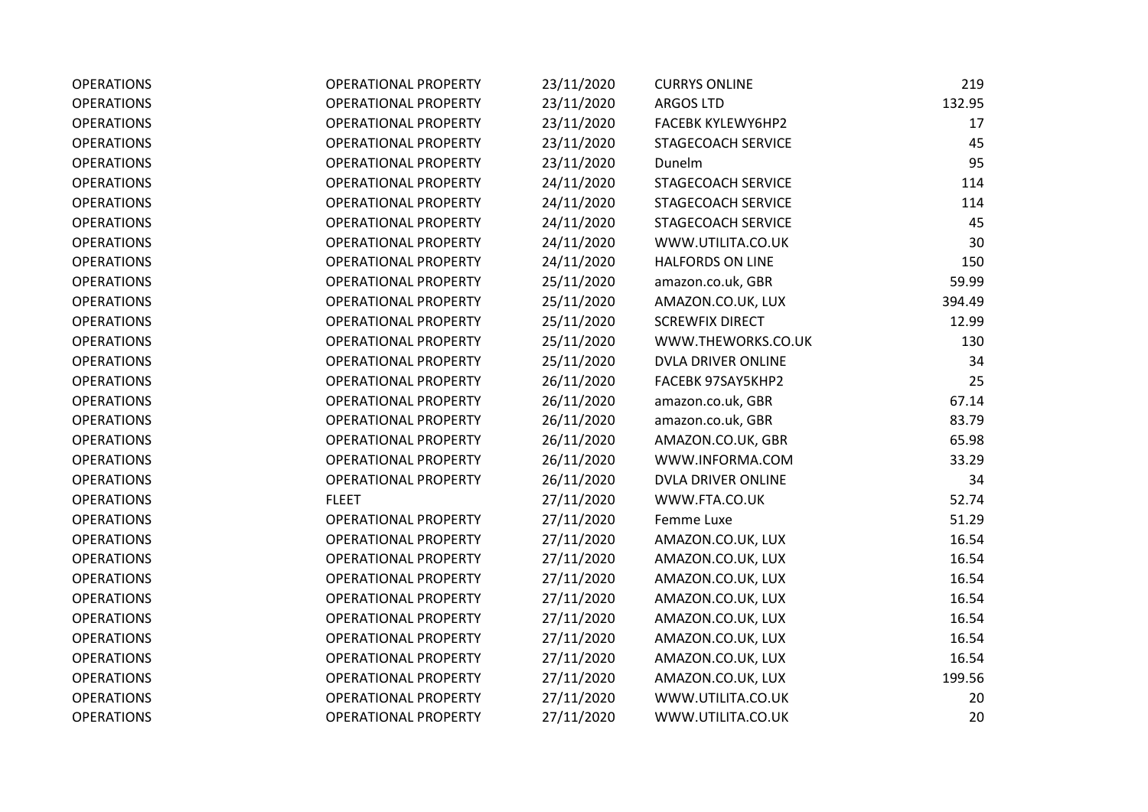| <b>OPERATIONS</b> | <b>OPERATIONAL PROPERTY</b> | 23/11/2020 | <b>CURRYS ONLINE</b>    | 219    |
|-------------------|-----------------------------|------------|-------------------------|--------|
| <b>OPERATIONS</b> | <b>OPERATIONAL PROPERTY</b> | 23/11/2020 | <b>ARGOS LTD</b>        | 132.95 |
| <b>OPERATIONS</b> | <b>OPERATIONAL PROPERTY</b> | 23/11/2020 | FACEBK KYLEWY6HP2       | 17     |
| <b>OPERATIONS</b> | <b>OPERATIONAL PROPERTY</b> | 23/11/2020 | STAGECOACH SERVICE      | 45     |
| <b>OPERATIONS</b> | <b>OPERATIONAL PROPERTY</b> | 23/11/2020 | Dunelm                  | 95     |
| <b>OPERATIONS</b> | <b>OPERATIONAL PROPERTY</b> | 24/11/2020 | STAGECOACH SERVICE      | 114    |
| <b>OPERATIONS</b> | <b>OPERATIONAL PROPERTY</b> | 24/11/2020 | STAGECOACH SERVICE      | 114    |
| <b>OPERATIONS</b> | <b>OPERATIONAL PROPERTY</b> | 24/11/2020 | STAGECOACH SERVICE      | 45     |
| <b>OPERATIONS</b> | <b>OPERATIONAL PROPERTY</b> | 24/11/2020 | WWW.UTILITA.CO.UK       | 30     |
| <b>OPERATIONS</b> | <b>OPERATIONAL PROPERTY</b> | 24/11/2020 | <b>HALFORDS ON LINE</b> | 150    |
| <b>OPERATIONS</b> | <b>OPERATIONAL PROPERTY</b> | 25/11/2020 | amazon.co.uk, GBR       | 59.99  |
| <b>OPERATIONS</b> | <b>OPERATIONAL PROPERTY</b> | 25/11/2020 | AMAZON.CO.UK, LUX       | 394.49 |
| <b>OPERATIONS</b> | <b>OPERATIONAL PROPERTY</b> | 25/11/2020 | <b>SCREWFIX DIRECT</b>  | 12.99  |
| <b>OPERATIONS</b> | <b>OPERATIONAL PROPERTY</b> | 25/11/2020 | WWW.THEWORKS.CO.UK      | 130    |
| <b>OPERATIONS</b> | <b>OPERATIONAL PROPERTY</b> | 25/11/2020 | DVLA DRIVER ONLINE      | 34     |
| <b>OPERATIONS</b> | <b>OPERATIONAL PROPERTY</b> | 26/11/2020 | FACEBK 97SAY5KHP2       | 25     |
| <b>OPERATIONS</b> | <b>OPERATIONAL PROPERTY</b> | 26/11/2020 | amazon.co.uk, GBR       | 67.14  |
| <b>OPERATIONS</b> | <b>OPERATIONAL PROPERTY</b> | 26/11/2020 | amazon.co.uk, GBR       | 83.79  |
| <b>OPERATIONS</b> | <b>OPERATIONAL PROPERTY</b> | 26/11/2020 | AMAZON.CO.UK, GBR       | 65.98  |
| <b>OPERATIONS</b> | <b>OPERATIONAL PROPERTY</b> | 26/11/2020 | WWW.INFORMA.COM         | 33.29  |
| <b>OPERATIONS</b> | <b>OPERATIONAL PROPERTY</b> | 26/11/2020 | DVLA DRIVER ONLINE      | 34     |
| <b>OPERATIONS</b> | <b>FLEET</b>                | 27/11/2020 | WWW.FTA.CO.UK           | 52.74  |
| <b>OPERATIONS</b> | <b>OPERATIONAL PROPERTY</b> | 27/11/2020 | Femme Luxe              | 51.29  |
| <b>OPERATIONS</b> | <b>OPERATIONAL PROPERTY</b> | 27/11/2020 | AMAZON.CO.UK, LUX       | 16.54  |
| <b>OPERATIONS</b> | <b>OPERATIONAL PROPERTY</b> | 27/11/2020 | AMAZON.CO.UK, LUX       | 16.54  |
| <b>OPERATIONS</b> | <b>OPERATIONAL PROPERTY</b> | 27/11/2020 | AMAZON.CO.UK, LUX       | 16.54  |
| <b>OPERATIONS</b> | <b>OPERATIONAL PROPERTY</b> | 27/11/2020 | AMAZON.CO.UK, LUX       | 16.54  |
| <b>OPERATIONS</b> | <b>OPERATIONAL PROPERTY</b> | 27/11/2020 | AMAZON.CO.UK, LUX       | 16.54  |
| <b>OPERATIONS</b> | <b>OPERATIONAL PROPERTY</b> | 27/11/2020 | AMAZON.CO.UK, LUX       | 16.54  |
| <b>OPERATIONS</b> | <b>OPERATIONAL PROPERTY</b> | 27/11/2020 | AMAZON.CO.UK, LUX       | 16.54  |
| <b>OPERATIONS</b> | <b>OPERATIONAL PROPERTY</b> | 27/11/2020 | AMAZON.CO.UK, LUX       | 199.56 |
| <b>OPERATIONS</b> | <b>OPERATIONAL PROPERTY</b> | 27/11/2020 | WWW.UTILITA.CO.UK       | 20     |
| <b>OPERATIONS</b> | <b>OPERATIONAL PROPERTY</b> | 27/11/2020 | WWW.UTILITA.CO.UK       | 20     |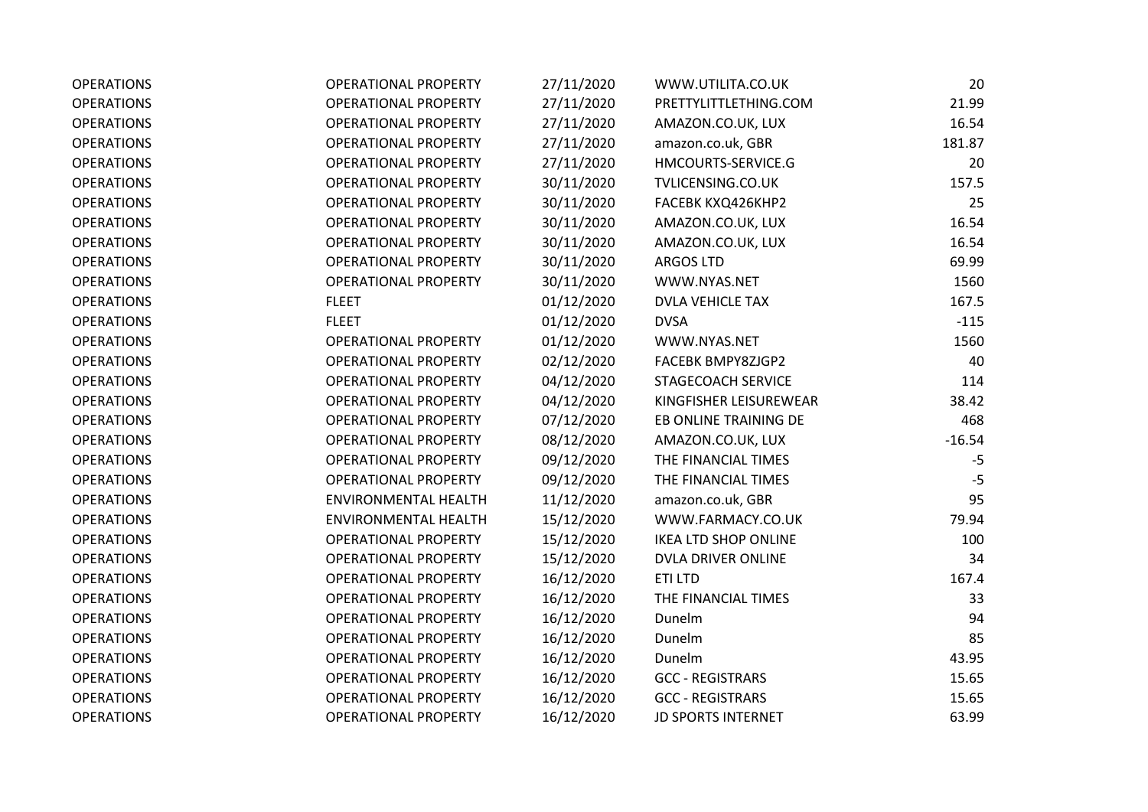| <b>OPERATIONS</b> | <b>OPERATIONAL PROPERTY</b> | 27/11/2020 | WWW.UTILITA.CO.UK           | 20       |
|-------------------|-----------------------------|------------|-----------------------------|----------|
| <b>OPERATIONS</b> | <b>OPERATIONAL PROPERTY</b> | 27/11/2020 | PRETTYLITTLETHING.COM       | 21.99    |
| <b>OPERATIONS</b> | <b>OPERATIONAL PROPERTY</b> | 27/11/2020 | AMAZON.CO.UK, LUX           | 16.54    |
| <b>OPERATIONS</b> | <b>OPERATIONAL PROPERTY</b> | 27/11/2020 | amazon.co.uk, GBR           | 181.87   |
| <b>OPERATIONS</b> | <b>OPERATIONAL PROPERTY</b> | 27/11/2020 | HMCOURTS-SERVICE.G          | 20       |
| <b>OPERATIONS</b> | <b>OPERATIONAL PROPERTY</b> | 30/11/2020 | TVLICENSING.CO.UK           | 157.5    |
| <b>OPERATIONS</b> | <b>OPERATIONAL PROPERTY</b> | 30/11/2020 | FACEBK KXQ426KHP2           | 25       |
| <b>OPERATIONS</b> | <b>OPERATIONAL PROPERTY</b> | 30/11/2020 | AMAZON.CO.UK, LUX           | 16.54    |
| <b>OPERATIONS</b> | <b>OPERATIONAL PROPERTY</b> | 30/11/2020 | AMAZON.CO.UK, LUX           | 16.54    |
| <b>OPERATIONS</b> | <b>OPERATIONAL PROPERTY</b> | 30/11/2020 | ARGOS LTD                   | 69.99    |
| <b>OPERATIONS</b> | <b>OPERATIONAL PROPERTY</b> | 30/11/2020 | WWW.NYAS.NET                | 1560     |
| <b>OPERATIONS</b> | <b>FLEET</b>                | 01/12/2020 | <b>DVLA VEHICLE TAX</b>     | 167.5    |
| <b>OPERATIONS</b> | <b>FLEET</b>                | 01/12/2020 | <b>DVSA</b>                 | $-115$   |
| <b>OPERATIONS</b> | <b>OPERATIONAL PROPERTY</b> | 01/12/2020 | WWW.NYAS.NET                | 1560     |
| <b>OPERATIONS</b> | <b>OPERATIONAL PROPERTY</b> | 02/12/2020 | FACEBK BMPY8ZJGP2           | 40       |
| <b>OPERATIONS</b> | <b>OPERATIONAL PROPERTY</b> | 04/12/2020 | STAGECOACH SERVICE          | 114      |
| <b>OPERATIONS</b> | <b>OPERATIONAL PROPERTY</b> | 04/12/2020 | KINGFISHER LEISUREWEAR      | 38.42    |
| <b>OPERATIONS</b> | <b>OPERATIONAL PROPERTY</b> | 07/12/2020 | EB ONLINE TRAINING DE       | 468      |
| <b>OPERATIONS</b> | <b>OPERATIONAL PROPERTY</b> | 08/12/2020 | AMAZON.CO.UK, LUX           | $-16.54$ |
| <b>OPERATIONS</b> | <b>OPERATIONAL PROPERTY</b> | 09/12/2020 | THE FINANCIAL TIMES         | $-5$     |
| <b>OPERATIONS</b> | <b>OPERATIONAL PROPERTY</b> | 09/12/2020 | THE FINANCIAL TIMES         | $-5$     |
| <b>OPERATIONS</b> | <b>ENVIRONMENTAL HEALTH</b> | 11/12/2020 | amazon.co.uk, GBR           | 95       |
| <b>OPERATIONS</b> | <b>ENVIRONMENTAL HEALTH</b> | 15/12/2020 | WWW.FARMACY.CO.UK           | 79.94    |
| <b>OPERATIONS</b> | OPERATIONAL PROPERTY        | 15/12/2020 | <b>IKEA LTD SHOP ONLINE</b> | 100      |
| <b>OPERATIONS</b> | <b>OPERATIONAL PROPERTY</b> | 15/12/2020 | DVLA DRIVER ONLINE          | 34       |
| <b>OPERATIONS</b> | <b>OPERATIONAL PROPERTY</b> | 16/12/2020 | ETI LTD                     | 167.4    |
| <b>OPERATIONS</b> | <b>OPERATIONAL PROPERTY</b> | 16/12/2020 | THE FINANCIAL TIMES         | 33       |
| <b>OPERATIONS</b> | <b>OPERATIONAL PROPERTY</b> | 16/12/2020 | Dunelm                      | 94       |
| <b>OPERATIONS</b> | <b>OPERATIONAL PROPERTY</b> | 16/12/2020 | Dunelm                      | 85       |
| <b>OPERATIONS</b> | <b>OPERATIONAL PROPERTY</b> | 16/12/2020 | Dunelm                      | 43.95    |
| <b>OPERATIONS</b> | <b>OPERATIONAL PROPERTY</b> | 16/12/2020 | <b>GCC - REGISTRARS</b>     | 15.65    |
| <b>OPERATIONS</b> | <b>OPERATIONAL PROPERTY</b> | 16/12/2020 | <b>GCC - REGISTRARS</b>     | 15.65    |
| <b>OPERATIONS</b> | <b>OPERATIONAL PROPERTY</b> | 16/12/2020 | <b>JD SPORTS INTERNET</b>   | 63.99    |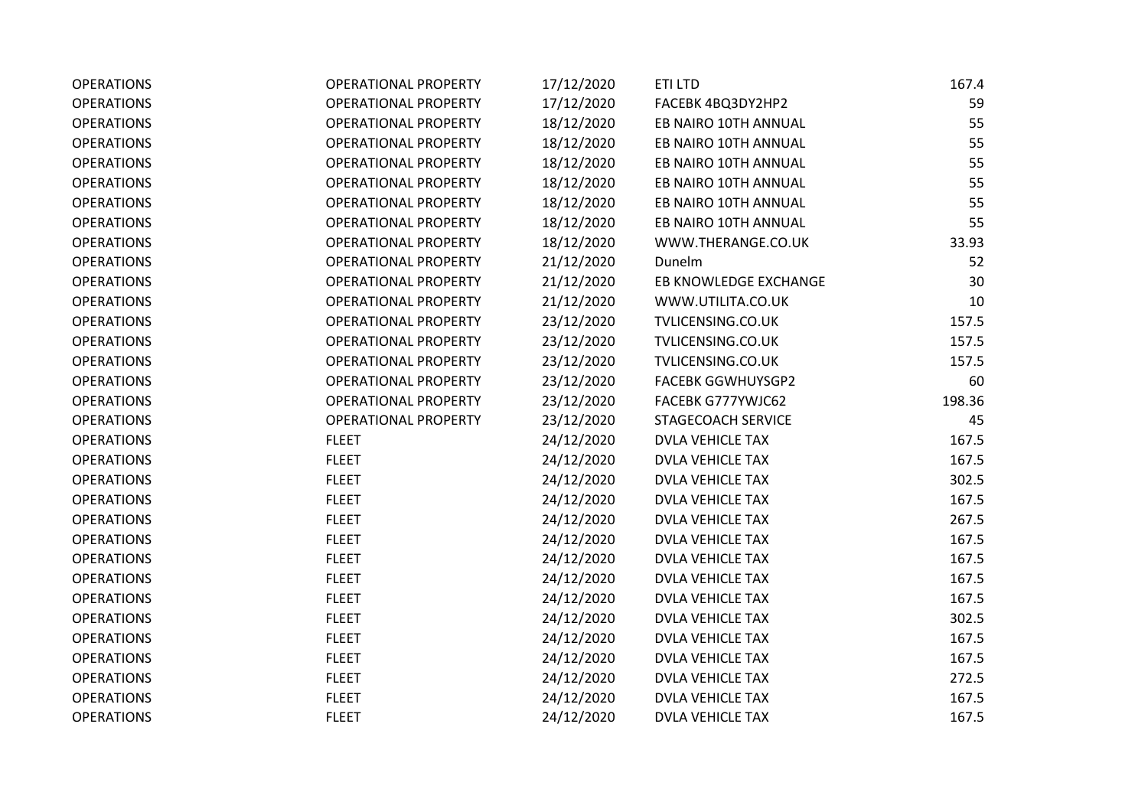| <b>OPERATIONS</b> | OPERATIONAL PROPERTY        | 17/12/2020 | ETI LTD                  | 167.4  |
|-------------------|-----------------------------|------------|--------------------------|--------|
| <b>OPERATIONS</b> | <b>OPERATIONAL PROPERTY</b> | 17/12/2020 | FACEBK 4BQ3DY2HP2        | 59     |
| <b>OPERATIONS</b> | <b>OPERATIONAL PROPERTY</b> | 18/12/2020 | EB NAIRO 10TH ANNUAL     | 55     |
| <b>OPERATIONS</b> | <b>OPERATIONAL PROPERTY</b> | 18/12/2020 | EB NAIRO 10TH ANNUAL     | 55     |
| <b>OPERATIONS</b> | <b>OPERATIONAL PROPERTY</b> | 18/12/2020 | EB NAIRO 10TH ANNUAL     | 55     |
| <b>OPERATIONS</b> | <b>OPERATIONAL PROPERTY</b> | 18/12/2020 | EB NAIRO 10TH ANNUAL     | 55     |
| <b>OPERATIONS</b> | <b>OPERATIONAL PROPERTY</b> | 18/12/2020 | EB NAIRO 10TH ANNUAL     | 55     |
| <b>OPERATIONS</b> | <b>OPERATIONAL PROPERTY</b> | 18/12/2020 | EB NAIRO 10TH ANNUAL     | 55     |
| <b>OPERATIONS</b> | <b>OPERATIONAL PROPERTY</b> | 18/12/2020 | WWW.THERANGE.CO.UK       | 33.93  |
| <b>OPERATIONS</b> | <b>OPERATIONAL PROPERTY</b> | 21/12/2020 | Dunelm                   | 52     |
| <b>OPERATIONS</b> | <b>OPERATIONAL PROPERTY</b> | 21/12/2020 | EB KNOWLEDGE EXCHANGE    | 30     |
| <b>OPERATIONS</b> | <b>OPERATIONAL PROPERTY</b> | 21/12/2020 | WWW.UTILITA.CO.UK        | 10     |
| <b>OPERATIONS</b> | <b>OPERATIONAL PROPERTY</b> | 23/12/2020 | TVLICENSING.CO.UK        | 157.5  |
| <b>OPERATIONS</b> | <b>OPERATIONAL PROPERTY</b> | 23/12/2020 | TVLICENSING.CO.UK        | 157.5  |
| <b>OPERATIONS</b> | <b>OPERATIONAL PROPERTY</b> | 23/12/2020 | TVLICENSING.CO.UK        | 157.5  |
| <b>OPERATIONS</b> | <b>OPERATIONAL PROPERTY</b> | 23/12/2020 | <b>FACEBK GGWHUYSGP2</b> | 60     |
| <b>OPERATIONS</b> | <b>OPERATIONAL PROPERTY</b> | 23/12/2020 | FACEBK G777YWJC62        | 198.36 |
| <b>OPERATIONS</b> | <b>OPERATIONAL PROPERTY</b> | 23/12/2020 | STAGECOACH SERVICE       | 45     |
| <b>OPERATIONS</b> | <b>FLEET</b>                | 24/12/2020 | <b>DVLA VEHICLE TAX</b>  | 167.5  |
| <b>OPERATIONS</b> | <b>FLEET</b>                | 24/12/2020 | <b>DVLA VEHICLE TAX</b>  | 167.5  |
| <b>OPERATIONS</b> | <b>FLEET</b>                | 24/12/2020 | <b>DVLA VEHICLE TAX</b>  | 302.5  |
| <b>OPERATIONS</b> | <b>FLEET</b>                | 24/12/2020 | <b>DVLA VEHICLE TAX</b>  | 167.5  |
| <b>OPERATIONS</b> | <b>FLEET</b>                | 24/12/2020 | <b>DVLA VEHICLE TAX</b>  | 267.5  |
| <b>OPERATIONS</b> | <b>FLEET</b>                | 24/12/2020 | <b>DVLA VEHICLE TAX</b>  | 167.5  |
| <b>OPERATIONS</b> | <b>FLEET</b>                | 24/12/2020 | <b>DVLA VEHICLE TAX</b>  | 167.5  |
| <b>OPERATIONS</b> | <b>FLEET</b>                | 24/12/2020 | <b>DVLA VEHICLE TAX</b>  | 167.5  |
| <b>OPERATIONS</b> | <b>FLEET</b>                | 24/12/2020 | <b>DVLA VEHICLE TAX</b>  | 167.5  |
| <b>OPERATIONS</b> | <b>FLEET</b>                | 24/12/2020 | <b>DVLA VEHICLE TAX</b>  | 302.5  |
| <b>OPERATIONS</b> | <b>FLEET</b>                | 24/12/2020 | <b>DVLA VEHICLE TAX</b>  | 167.5  |
| <b>OPERATIONS</b> | <b>FLEET</b>                | 24/12/2020 | <b>DVLA VEHICLE TAX</b>  | 167.5  |
| <b>OPERATIONS</b> | <b>FLEET</b>                | 24/12/2020 | <b>DVLA VEHICLE TAX</b>  | 272.5  |
| <b>OPERATIONS</b> | <b>FLEET</b>                | 24/12/2020 | <b>DVLA VEHICLE TAX</b>  | 167.5  |
| <b>OPERATIONS</b> | <b>FLEET</b>                | 24/12/2020 | <b>DVLA VEHICLE TAX</b>  | 167.5  |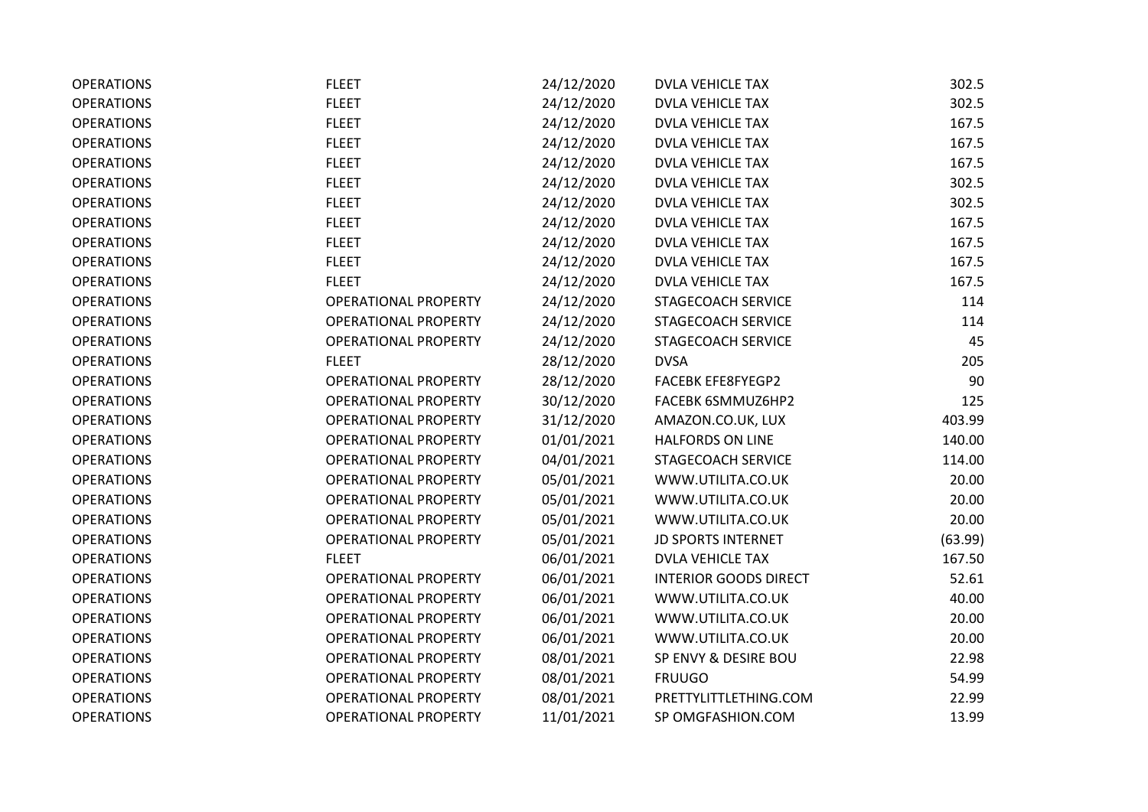| <b>OPERATIONS</b> | <b>FLEET</b>                | 24/12/2020 | <b>DVLA VEHICLE TAX</b>      | 302.5   |
|-------------------|-----------------------------|------------|------------------------------|---------|
| <b>OPERATIONS</b> | <b>FLEET</b>                | 24/12/2020 | <b>DVLA VEHICLE TAX</b>      | 302.5   |
| <b>OPERATIONS</b> | <b>FLEET</b>                | 24/12/2020 | <b>DVLA VEHICLE TAX</b>      | 167.5   |
| <b>OPERATIONS</b> | <b>FLEET</b>                | 24/12/2020 | <b>DVLA VEHICLE TAX</b>      | 167.5   |
| <b>OPERATIONS</b> | <b>FLEET</b>                | 24/12/2020 | <b>DVLA VEHICLE TAX</b>      | 167.5   |
| <b>OPERATIONS</b> | <b>FLEET</b>                | 24/12/2020 | <b>DVLA VEHICLE TAX</b>      | 302.5   |
| <b>OPERATIONS</b> | <b>FLEET</b>                | 24/12/2020 | <b>DVLA VEHICLE TAX</b>      | 302.5   |
| <b>OPERATIONS</b> | <b>FLEET</b>                | 24/12/2020 | <b>DVLA VEHICLE TAX</b>      | 167.5   |
| <b>OPERATIONS</b> | <b>FLEET</b>                | 24/12/2020 | <b>DVLA VEHICLE TAX</b>      | 167.5   |
| <b>OPERATIONS</b> | <b>FLEET</b>                | 24/12/2020 | <b>DVLA VEHICLE TAX</b>      | 167.5   |
| <b>OPERATIONS</b> | <b>FLEET</b>                | 24/12/2020 | <b>DVLA VEHICLE TAX</b>      | 167.5   |
| <b>OPERATIONS</b> | <b>OPERATIONAL PROPERTY</b> | 24/12/2020 | STAGECOACH SERVICE           | 114     |
| <b>OPERATIONS</b> | <b>OPERATIONAL PROPERTY</b> | 24/12/2020 | STAGECOACH SERVICE           | 114     |
| <b>OPERATIONS</b> | <b>OPERATIONAL PROPERTY</b> | 24/12/2020 | STAGECOACH SERVICE           | 45      |
| <b>OPERATIONS</b> | <b>FLEET</b>                | 28/12/2020 | <b>DVSA</b>                  | 205     |
| <b>OPERATIONS</b> | <b>OPERATIONAL PROPERTY</b> | 28/12/2020 | <b>FACEBK EFE8FYEGP2</b>     | 90      |
| <b>OPERATIONS</b> | <b>OPERATIONAL PROPERTY</b> | 30/12/2020 | FACEBK 6SMMUZ6HP2            | 125     |
| <b>OPERATIONS</b> | <b>OPERATIONAL PROPERTY</b> | 31/12/2020 | AMAZON.CO.UK, LUX            | 403.99  |
| <b>OPERATIONS</b> | <b>OPERATIONAL PROPERTY</b> | 01/01/2021 | <b>HALFORDS ON LINE</b>      | 140.00  |
| <b>OPERATIONS</b> | <b>OPERATIONAL PROPERTY</b> | 04/01/2021 | STAGECOACH SERVICE           | 114.00  |
| <b>OPERATIONS</b> | <b>OPERATIONAL PROPERTY</b> | 05/01/2021 | WWW.UTILITA.CO.UK            | 20.00   |
| <b>OPERATIONS</b> | <b>OPERATIONAL PROPERTY</b> | 05/01/2021 | WWW.UTILITA.CO.UK            | 20.00   |
| <b>OPERATIONS</b> | <b>OPERATIONAL PROPERTY</b> | 05/01/2021 | WWW.UTILITA.CO.UK            | 20.00   |
| <b>OPERATIONS</b> | <b>OPERATIONAL PROPERTY</b> | 05/01/2021 | <b>JD SPORTS INTERNET</b>    | (63.99) |
| <b>OPERATIONS</b> | <b>FLEET</b>                | 06/01/2021 | <b>DVLA VEHICLE TAX</b>      | 167.50  |
| <b>OPERATIONS</b> | <b>OPERATIONAL PROPERTY</b> | 06/01/2021 | <b>INTERIOR GOODS DIRECT</b> | 52.61   |
| <b>OPERATIONS</b> | <b>OPERATIONAL PROPERTY</b> | 06/01/2021 | WWW.UTILITA.CO.UK            | 40.00   |
| <b>OPERATIONS</b> | <b>OPERATIONAL PROPERTY</b> | 06/01/2021 | WWW.UTILITA.CO.UK            | 20.00   |
| <b>OPERATIONS</b> | <b>OPERATIONAL PROPERTY</b> | 06/01/2021 | WWW.UTILITA.CO.UK            | 20.00   |
| <b>OPERATIONS</b> | <b>OPERATIONAL PROPERTY</b> | 08/01/2021 | SP ENVY & DESIRE BOU         | 22.98   |
| <b>OPERATIONS</b> | <b>OPERATIONAL PROPERTY</b> | 08/01/2021 | <b>FRUUGO</b>                | 54.99   |
| <b>OPERATIONS</b> | <b>OPERATIONAL PROPERTY</b> | 08/01/2021 | PRETTYLITTLETHING.COM        | 22.99   |
| <b>OPERATIONS</b> | <b>OPERATIONAL PROPERTY</b> | 11/01/2021 | SP OMGFASHION.COM            | 13.99   |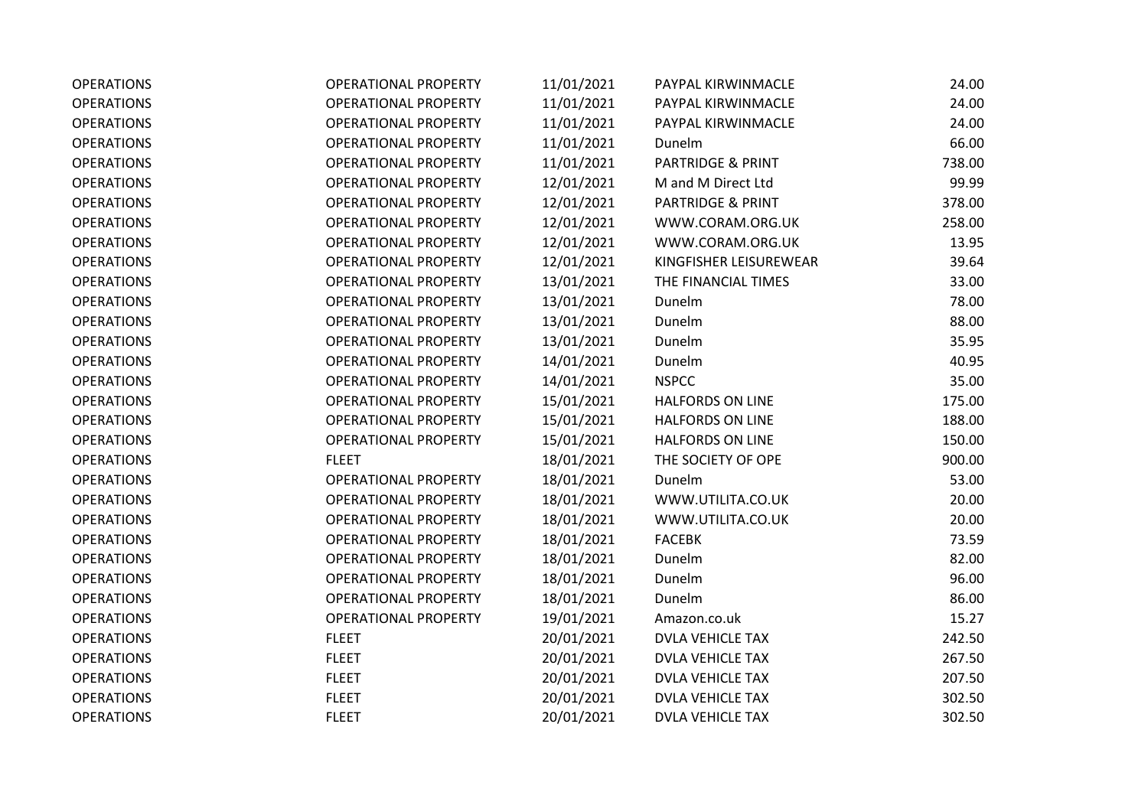| <b>OPERATIONS</b> | <b>OPERATIONAL PROPERTY</b> | 11/01/2021 | PAYPAL KIRWINMACLE           | 24.00  |
|-------------------|-----------------------------|------------|------------------------------|--------|
| <b>OPERATIONS</b> | <b>OPERATIONAL PROPERTY</b> | 11/01/2021 | PAYPAL KIRWINMACLE           | 24.00  |
| <b>OPERATIONS</b> | <b>OPERATIONAL PROPERTY</b> | 11/01/2021 | PAYPAL KIRWINMACLE           | 24.00  |
| <b>OPERATIONS</b> | <b>OPERATIONAL PROPERTY</b> | 11/01/2021 | Dunelm                       | 66.00  |
| <b>OPERATIONS</b> | <b>OPERATIONAL PROPERTY</b> | 11/01/2021 | PARTRIDGE & PRINT            | 738.00 |
| <b>OPERATIONS</b> | <b>OPERATIONAL PROPERTY</b> | 12/01/2021 | M and M Direct Ltd           | 99.99  |
| <b>OPERATIONS</b> | <b>OPERATIONAL PROPERTY</b> | 12/01/2021 | <b>PARTRIDGE &amp; PRINT</b> | 378.00 |
| <b>OPERATIONS</b> | <b>OPERATIONAL PROPERTY</b> | 12/01/2021 | WWW.CORAM.ORG.UK             | 258.00 |
| <b>OPERATIONS</b> | <b>OPERATIONAL PROPERTY</b> | 12/01/2021 | WWW.CORAM.ORG.UK             | 13.95  |
| <b>OPERATIONS</b> | <b>OPERATIONAL PROPERTY</b> | 12/01/2021 | KINGFISHER LEISUREWEAR       | 39.64  |
| <b>OPERATIONS</b> | <b>OPERATIONAL PROPERTY</b> | 13/01/2021 | THE FINANCIAL TIMES          | 33.00  |
| <b>OPERATIONS</b> | <b>OPERATIONAL PROPERTY</b> | 13/01/2021 | Dunelm                       | 78.00  |
| <b>OPERATIONS</b> | <b>OPERATIONAL PROPERTY</b> | 13/01/2021 | Dunelm                       | 88.00  |
| <b>OPERATIONS</b> | <b>OPERATIONAL PROPERTY</b> | 13/01/2021 | Dunelm                       | 35.95  |
| <b>OPERATIONS</b> | <b>OPERATIONAL PROPERTY</b> | 14/01/2021 | Dunelm                       | 40.95  |
| <b>OPERATIONS</b> | <b>OPERATIONAL PROPERTY</b> | 14/01/2021 | <b>NSPCC</b>                 | 35.00  |
| <b>OPERATIONS</b> | <b>OPERATIONAL PROPERTY</b> | 15/01/2021 | <b>HALFORDS ON LINE</b>      | 175.00 |
| <b>OPERATIONS</b> | <b>OPERATIONAL PROPERTY</b> | 15/01/2021 | <b>HALFORDS ON LINE</b>      | 188.00 |
| <b>OPERATIONS</b> | <b>OPERATIONAL PROPERTY</b> | 15/01/2021 | <b>HALFORDS ON LINE</b>      | 150.00 |
| <b>OPERATIONS</b> | <b>FLEET</b>                | 18/01/2021 | THE SOCIETY OF OPE           | 900.00 |
| <b>OPERATIONS</b> | <b>OPERATIONAL PROPERTY</b> | 18/01/2021 | Dunelm                       | 53.00  |
| <b>OPERATIONS</b> | <b>OPERATIONAL PROPERTY</b> | 18/01/2021 | WWW.UTILITA.CO.UK            | 20.00  |
| <b>OPERATIONS</b> | <b>OPERATIONAL PROPERTY</b> | 18/01/2021 | WWW.UTILITA.CO.UK            | 20.00  |
| <b>OPERATIONS</b> | <b>OPERATIONAL PROPERTY</b> | 18/01/2021 | <b>FACEBK</b>                | 73.59  |
| <b>OPERATIONS</b> | <b>OPERATIONAL PROPERTY</b> | 18/01/2021 | Dunelm                       | 82.00  |
| <b>OPERATIONS</b> | <b>OPERATIONAL PROPERTY</b> | 18/01/2021 | Dunelm                       | 96.00  |
| <b>OPERATIONS</b> | <b>OPERATIONAL PROPERTY</b> | 18/01/2021 | Dunelm                       | 86.00  |
| <b>OPERATIONS</b> | <b>OPERATIONAL PROPERTY</b> | 19/01/2021 | Amazon.co.uk                 | 15.27  |
| <b>OPERATIONS</b> | <b>FLEET</b>                | 20/01/2021 | <b>DVLA VEHICLE TAX</b>      | 242.50 |
| <b>OPERATIONS</b> | <b>FLEET</b>                | 20/01/2021 | <b>DVLA VEHICLE TAX</b>      | 267.50 |
| <b>OPERATIONS</b> | <b>FLEET</b>                | 20/01/2021 | <b>DVLA VEHICLE TAX</b>      | 207.50 |
| <b>OPERATIONS</b> | <b>FLEET</b>                | 20/01/2021 | <b>DVLA VEHICLE TAX</b>      | 302.50 |
| <b>OPERATIONS</b> | <b>FLEET</b>                | 20/01/2021 | <b>DVLA VEHICLE TAX</b>      | 302.50 |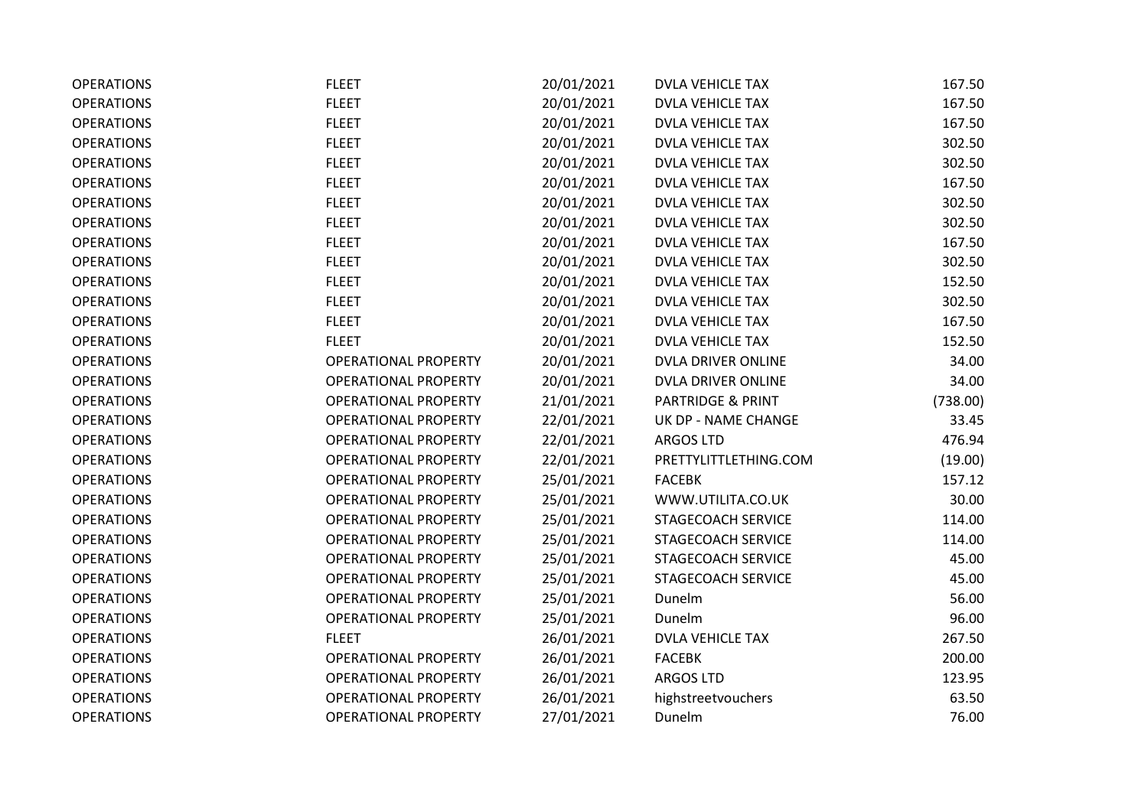| <b>OPERATIONS</b> | <b>FLEET</b>                | 20/01/2021 | <b>DVLA VEHICLE TAX</b>   | 167.50   |
|-------------------|-----------------------------|------------|---------------------------|----------|
| <b>OPERATIONS</b> | <b>FLEET</b>                | 20/01/2021 | <b>DVLA VEHICLE TAX</b>   | 167.50   |
| <b>OPERATIONS</b> | <b>FLEET</b>                | 20/01/2021 | <b>DVLA VEHICLE TAX</b>   | 167.50   |
| <b>OPERATIONS</b> | <b>FLEET</b>                | 20/01/2021 | <b>DVLA VEHICLE TAX</b>   | 302.50   |
| <b>OPERATIONS</b> | <b>FLEET</b>                | 20/01/2021 | <b>DVLA VEHICLE TAX</b>   | 302.50   |
| <b>OPERATIONS</b> | <b>FLEET</b>                | 20/01/2021 | <b>DVLA VEHICLE TAX</b>   | 167.50   |
| <b>OPERATIONS</b> | <b>FLEET</b>                | 20/01/2021 | <b>DVLA VEHICLE TAX</b>   | 302.50   |
| <b>OPERATIONS</b> | <b>FLEET</b>                | 20/01/2021 | <b>DVLA VEHICLE TAX</b>   | 302.50   |
| <b>OPERATIONS</b> | <b>FLEET</b>                | 20/01/2021 | <b>DVLA VEHICLE TAX</b>   | 167.50   |
| <b>OPERATIONS</b> | <b>FLEET</b>                | 20/01/2021 | <b>DVLA VEHICLE TAX</b>   | 302.50   |
| <b>OPERATIONS</b> | <b>FLEET</b>                | 20/01/2021 | <b>DVLA VEHICLE TAX</b>   | 152.50   |
| <b>OPERATIONS</b> | <b>FLEET</b>                | 20/01/2021 | <b>DVLA VEHICLE TAX</b>   | 302.50   |
| <b>OPERATIONS</b> | <b>FLEET</b>                | 20/01/2021 | <b>DVLA VEHICLE TAX</b>   | 167.50   |
| <b>OPERATIONS</b> | <b>FLEET</b>                | 20/01/2021 | <b>DVLA VEHICLE TAX</b>   | 152.50   |
| <b>OPERATIONS</b> | <b>OPERATIONAL PROPERTY</b> | 20/01/2021 | DVLA DRIVER ONLINE        | 34.00    |
| <b>OPERATIONS</b> | <b>OPERATIONAL PROPERTY</b> | 20/01/2021 | <b>DVLA DRIVER ONLINE</b> | 34.00    |
| <b>OPERATIONS</b> | <b>OPERATIONAL PROPERTY</b> | 21/01/2021 | PARTRIDGE & PRINT         | (738.00) |
| <b>OPERATIONS</b> | <b>OPERATIONAL PROPERTY</b> | 22/01/2021 | UK DP - NAME CHANGE       | 33.45    |
| <b>OPERATIONS</b> | <b>OPERATIONAL PROPERTY</b> | 22/01/2021 | <b>ARGOS LTD</b>          | 476.94   |
| <b>OPERATIONS</b> | <b>OPERATIONAL PROPERTY</b> | 22/01/2021 | PRETTYLITTLETHING.COM     | (19.00)  |
| <b>OPERATIONS</b> | <b>OPERATIONAL PROPERTY</b> | 25/01/2021 | <b>FACEBK</b>             | 157.12   |
| <b>OPERATIONS</b> | <b>OPERATIONAL PROPERTY</b> | 25/01/2021 | WWW.UTILITA.CO.UK         | 30.00    |
| <b>OPERATIONS</b> | <b>OPERATIONAL PROPERTY</b> | 25/01/2021 | STAGECOACH SERVICE        | 114.00   |
| <b>OPERATIONS</b> | <b>OPERATIONAL PROPERTY</b> | 25/01/2021 | STAGECOACH SERVICE        | 114.00   |
| <b>OPERATIONS</b> | <b>OPERATIONAL PROPERTY</b> | 25/01/2021 | STAGECOACH SERVICE        | 45.00    |
| <b>OPERATIONS</b> | <b>OPERATIONAL PROPERTY</b> | 25/01/2021 | STAGECOACH SERVICE        | 45.00    |
| <b>OPERATIONS</b> | <b>OPERATIONAL PROPERTY</b> | 25/01/2021 | Dunelm                    | 56.00    |
| <b>OPERATIONS</b> | <b>OPERATIONAL PROPERTY</b> | 25/01/2021 | Dunelm                    | 96.00    |
| <b>OPERATIONS</b> | <b>FLEET</b>                | 26/01/2021 | <b>DVLA VEHICLE TAX</b>   | 267.50   |
| <b>OPERATIONS</b> | <b>OPERATIONAL PROPERTY</b> | 26/01/2021 | <b>FACEBK</b>             | 200.00   |
| <b>OPERATIONS</b> | <b>OPERATIONAL PROPERTY</b> | 26/01/2021 | <b>ARGOS LTD</b>          | 123.95   |
| <b>OPERATIONS</b> | <b>OPERATIONAL PROPERTY</b> | 26/01/2021 | highstreetvouchers        | 63.50    |
| <b>OPERATIONS</b> | <b>OPERATIONAL PROPERTY</b> | 27/01/2021 | Dunelm                    | 76.00    |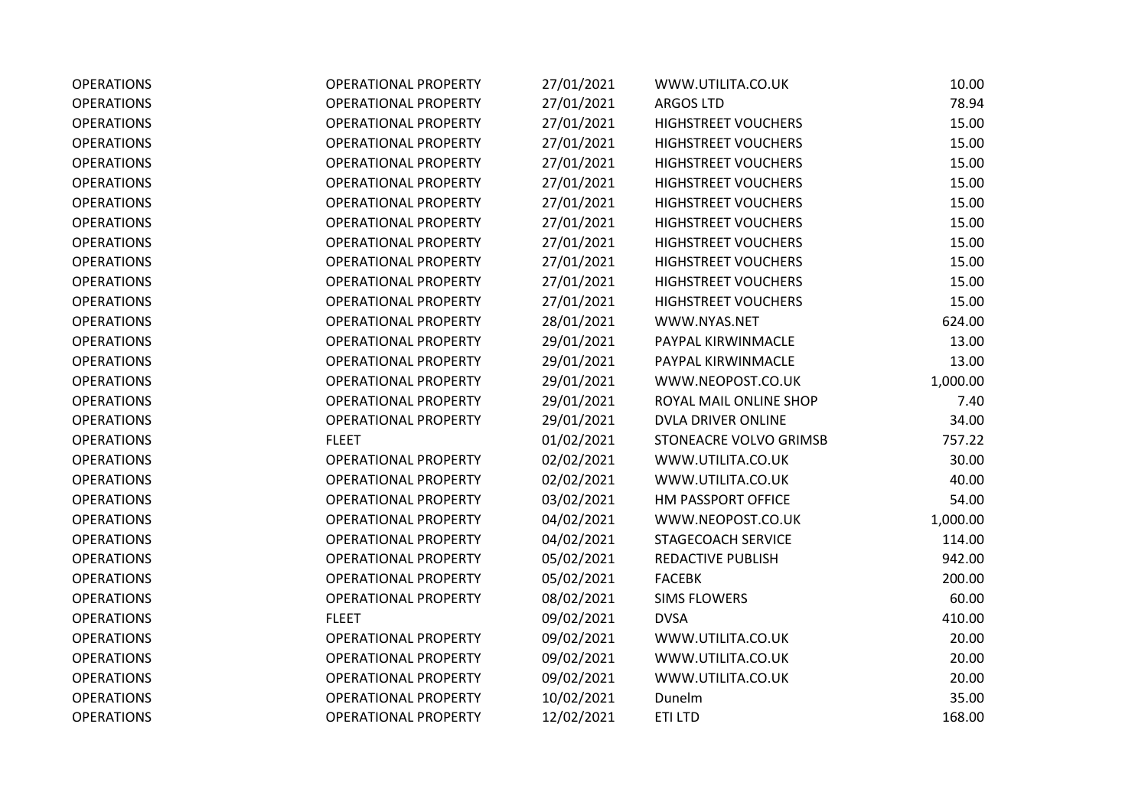| <b>OPERATIONS</b> | <b>OPERATIONAL PROPERTY</b> | 27/01/2021 | WWW.UTILITA.CO.UK          | 10.00    |
|-------------------|-----------------------------|------------|----------------------------|----------|
| <b>OPERATIONS</b> | <b>OPERATIONAL PROPERTY</b> | 27/01/2021 | <b>ARGOS LTD</b>           | 78.94    |
| <b>OPERATIONS</b> | <b>OPERATIONAL PROPERTY</b> | 27/01/2021 | <b>HIGHSTREET VOUCHERS</b> | 15.00    |
| <b>OPERATIONS</b> | <b>OPERATIONAL PROPERTY</b> | 27/01/2021 | <b>HIGHSTREET VOUCHERS</b> | 15.00    |
| <b>OPERATIONS</b> | <b>OPERATIONAL PROPERTY</b> | 27/01/2021 | <b>HIGHSTREET VOUCHERS</b> | 15.00    |
| <b>OPERATIONS</b> | <b>OPERATIONAL PROPERTY</b> | 27/01/2021 | <b>HIGHSTREET VOUCHERS</b> | 15.00    |
| <b>OPERATIONS</b> | <b>OPERATIONAL PROPERTY</b> | 27/01/2021 | <b>HIGHSTREET VOUCHERS</b> | 15.00    |
| <b>OPERATIONS</b> | <b>OPERATIONAL PROPERTY</b> | 27/01/2021 | <b>HIGHSTREET VOUCHERS</b> | 15.00    |
| <b>OPERATIONS</b> | <b>OPERATIONAL PROPERTY</b> | 27/01/2021 | <b>HIGHSTREET VOUCHERS</b> | 15.00    |
| <b>OPERATIONS</b> | <b>OPERATIONAL PROPERTY</b> | 27/01/2021 | <b>HIGHSTREET VOUCHERS</b> | 15.00    |
| <b>OPERATIONS</b> | <b>OPERATIONAL PROPERTY</b> | 27/01/2021 | <b>HIGHSTREET VOUCHERS</b> | 15.00    |
| <b>OPERATIONS</b> | <b>OPERATIONAL PROPERTY</b> | 27/01/2021 | <b>HIGHSTREET VOUCHERS</b> | 15.00    |
| <b>OPERATIONS</b> | <b>OPERATIONAL PROPERTY</b> | 28/01/2021 | WWW.NYAS.NET               | 624.00   |
| <b>OPERATIONS</b> | <b>OPERATIONAL PROPERTY</b> | 29/01/2021 | PAYPAL KIRWINMACLE         | 13.00    |
| <b>OPERATIONS</b> | <b>OPERATIONAL PROPERTY</b> | 29/01/2021 | PAYPAL KIRWINMACLE         | 13.00    |
| <b>OPERATIONS</b> | <b>OPERATIONAL PROPERTY</b> | 29/01/2021 | WWW.NEOPOST.CO.UK          | 1,000.00 |
| <b>OPERATIONS</b> | <b>OPERATIONAL PROPERTY</b> | 29/01/2021 | ROYAL MAIL ONLINE SHOP     | 7.40     |
| <b>OPERATIONS</b> | <b>OPERATIONAL PROPERTY</b> | 29/01/2021 | DVLA DRIVER ONLINE         | 34.00    |
| <b>OPERATIONS</b> | <b>FLEET</b>                | 01/02/2021 | STONEACRE VOLVO GRIMSB     | 757.22   |
| <b>OPERATIONS</b> | <b>OPERATIONAL PROPERTY</b> | 02/02/2021 | WWW.UTILITA.CO.UK          | 30.00    |
| <b>OPERATIONS</b> | <b>OPERATIONAL PROPERTY</b> | 02/02/2021 | WWW.UTILITA.CO.UK          | 40.00    |
| <b>OPERATIONS</b> | <b>OPERATIONAL PROPERTY</b> | 03/02/2021 | HM PASSPORT OFFICE         | 54.00    |
| <b>OPERATIONS</b> | <b>OPERATIONAL PROPERTY</b> | 04/02/2021 | WWW.NEOPOST.CO.UK          | 1,000.00 |
| <b>OPERATIONS</b> | <b>OPERATIONAL PROPERTY</b> | 04/02/2021 | STAGECOACH SERVICE         | 114.00   |
| <b>OPERATIONS</b> | <b>OPERATIONAL PROPERTY</b> | 05/02/2021 | REDACTIVE PUBLISH          | 942.00   |
| <b>OPERATIONS</b> | <b>OPERATIONAL PROPERTY</b> | 05/02/2021 | <b>FACEBK</b>              | 200.00   |
| <b>OPERATIONS</b> | <b>OPERATIONAL PROPERTY</b> | 08/02/2021 | <b>SIMS FLOWERS</b>        | 60.00    |
| <b>OPERATIONS</b> | <b>FLEET</b>                | 09/02/2021 | <b>DVSA</b>                | 410.00   |
| <b>OPERATIONS</b> | <b>OPERATIONAL PROPERTY</b> | 09/02/2021 | WWW.UTILITA.CO.UK          | 20.00    |
| <b>OPERATIONS</b> | <b>OPERATIONAL PROPERTY</b> | 09/02/2021 | WWW.UTILITA.CO.UK          | 20.00    |
| <b>OPERATIONS</b> | <b>OPERATIONAL PROPERTY</b> | 09/02/2021 | WWW.UTILITA.CO.UK          | 20.00    |
| <b>OPERATIONS</b> | <b>OPERATIONAL PROPERTY</b> | 10/02/2021 | Dunelm                     | 35.00    |
| <b>OPERATIONS</b> | <b>OPERATIONAL PROPERTY</b> | 12/02/2021 | ETI LTD                    | 168.00   |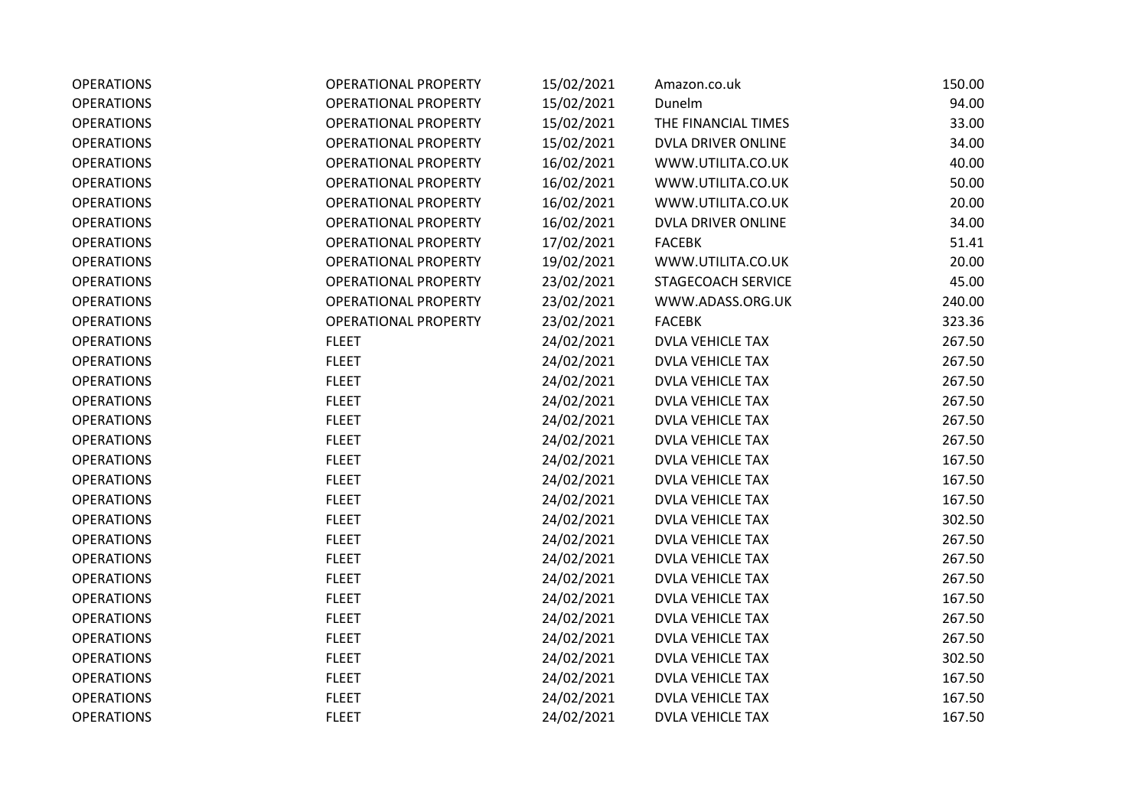| <b>OPERATIONS</b> | <b>OPERATIONAL PROPERTY</b> | 15/02/2021 | Amazon.co.uk            | 150.00 |
|-------------------|-----------------------------|------------|-------------------------|--------|
| <b>OPERATIONS</b> | <b>OPERATIONAL PROPERTY</b> | 15/02/2021 | Dunelm                  | 94.00  |
| <b>OPERATIONS</b> | <b>OPERATIONAL PROPERTY</b> | 15/02/2021 | THE FINANCIAL TIMES     | 33.00  |
| <b>OPERATIONS</b> | <b>OPERATIONAL PROPERTY</b> | 15/02/2021 | DVLA DRIVER ONLINE      | 34.00  |
| <b>OPERATIONS</b> | OPERATIONAL PROPERTY        | 16/02/2021 | WWW.UTILITA.CO.UK       | 40.00  |
| <b>OPERATIONS</b> | <b>OPERATIONAL PROPERTY</b> | 16/02/2021 | WWW.UTILITA.CO.UK       | 50.00  |
| <b>OPERATIONS</b> | <b>OPERATIONAL PROPERTY</b> | 16/02/2021 | WWW.UTILITA.CO.UK       | 20.00  |
| <b>OPERATIONS</b> | <b>OPERATIONAL PROPERTY</b> | 16/02/2021 | DVLA DRIVER ONLINE      | 34.00  |
| <b>OPERATIONS</b> | <b>OPERATIONAL PROPERTY</b> | 17/02/2021 | <b>FACEBK</b>           | 51.41  |
| <b>OPERATIONS</b> | <b>OPERATIONAL PROPERTY</b> | 19/02/2021 | WWW.UTILITA.CO.UK       | 20.00  |
| <b>OPERATIONS</b> | <b>OPERATIONAL PROPERTY</b> | 23/02/2021 | STAGECOACH SERVICE      | 45.00  |
| <b>OPERATIONS</b> | <b>OPERATIONAL PROPERTY</b> | 23/02/2021 | WWW.ADASS.ORG.UK        | 240.00 |
| <b>OPERATIONS</b> | <b>OPERATIONAL PROPERTY</b> | 23/02/2021 | <b>FACEBK</b>           | 323.36 |
| <b>OPERATIONS</b> | <b>FLEET</b>                | 24/02/2021 | <b>DVLA VEHICLE TAX</b> | 267.50 |
| <b>OPERATIONS</b> | <b>FLEET</b>                | 24/02/2021 | <b>DVLA VEHICLE TAX</b> | 267.50 |
| <b>OPERATIONS</b> | <b>FLEET</b>                | 24/02/2021 | <b>DVLA VEHICLE TAX</b> | 267.50 |
| <b>OPERATIONS</b> | <b>FLEET</b>                | 24/02/2021 | <b>DVLA VEHICLE TAX</b> | 267.50 |
| <b>OPERATIONS</b> | <b>FLEET</b>                | 24/02/2021 | <b>DVLA VEHICLE TAX</b> | 267.50 |
| <b>OPERATIONS</b> | <b>FLEET</b>                | 24/02/2021 | <b>DVLA VEHICLE TAX</b> | 267.50 |
| <b>OPERATIONS</b> | <b>FLEET</b>                | 24/02/2021 | <b>DVLA VEHICLE TAX</b> | 167.50 |
| <b>OPERATIONS</b> | <b>FLEET</b>                | 24/02/2021 | <b>DVLA VEHICLE TAX</b> | 167.50 |
| <b>OPERATIONS</b> | <b>FLEET</b>                | 24/02/2021 | <b>DVLA VEHICLE TAX</b> | 167.50 |
| <b>OPERATIONS</b> | <b>FLEET</b>                | 24/02/2021 | <b>DVLA VEHICLE TAX</b> | 302.50 |
| <b>OPERATIONS</b> | <b>FLEET</b>                | 24/02/2021 | <b>DVLA VEHICLE TAX</b> | 267.50 |
| <b>OPERATIONS</b> | <b>FLEET</b>                | 24/02/2021 | <b>DVLA VEHICLE TAX</b> | 267.50 |
| <b>OPERATIONS</b> | <b>FLEET</b>                | 24/02/2021 | <b>DVLA VEHICLE TAX</b> | 267.50 |
| <b>OPERATIONS</b> | <b>FLEET</b>                | 24/02/2021 | <b>DVLA VEHICLE TAX</b> | 167.50 |
| <b>OPERATIONS</b> | <b>FLEET</b>                | 24/02/2021 | <b>DVLA VEHICLE TAX</b> | 267.50 |
| <b>OPERATIONS</b> | <b>FLEET</b>                | 24/02/2021 | DVLA VEHICLE TAX        | 267.50 |
| <b>OPERATIONS</b> | <b>FLEET</b>                | 24/02/2021 | <b>DVLA VEHICLE TAX</b> | 302.50 |
| <b>OPERATIONS</b> | <b>FLEET</b>                | 24/02/2021 | <b>DVLA VEHICLE TAX</b> | 167.50 |
| <b>OPERATIONS</b> | <b>FLEET</b>                | 24/02/2021 | DVLA VEHICLE TAX        | 167.50 |
| <b>OPERATIONS</b> | <b>FLEET</b>                | 24/02/2021 | <b>DVLA VEHICLE TAX</b> | 167.50 |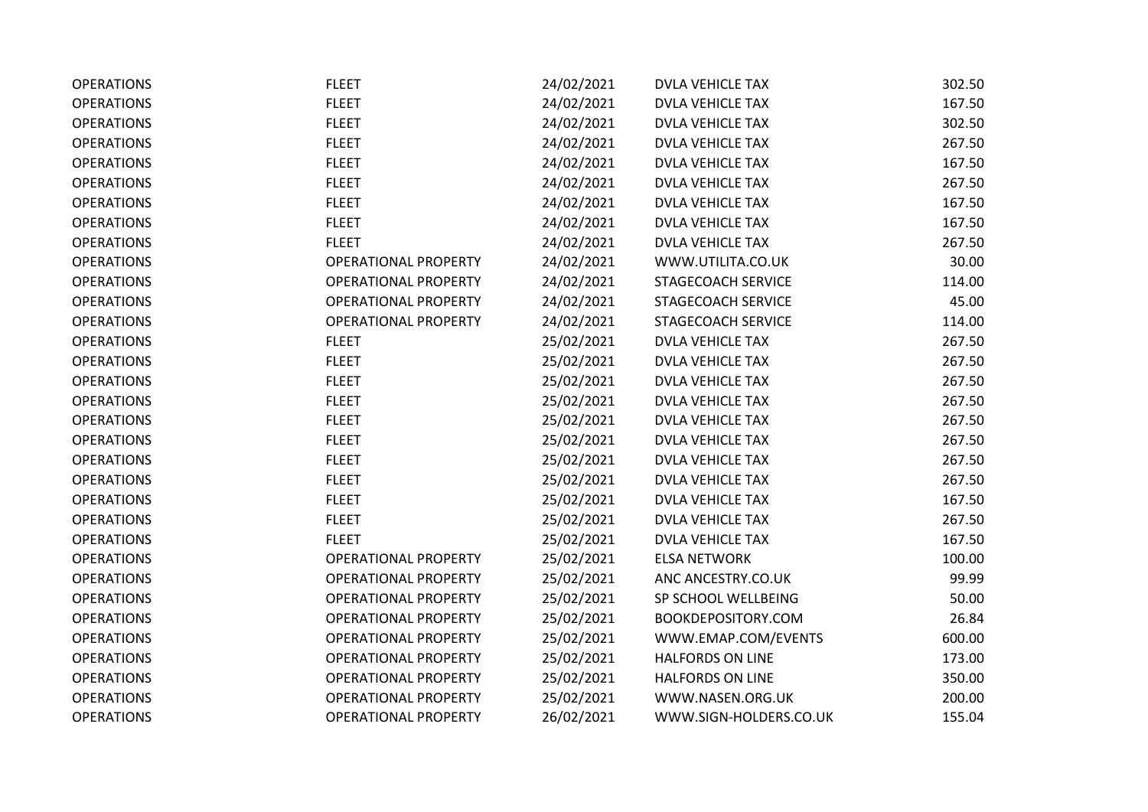| <b>OPERATIONS</b> | <b>FLEET</b>                | 24/02/2021 | <b>DVLA VEHICLE TAX</b> | 302.50 |
|-------------------|-----------------------------|------------|-------------------------|--------|
| <b>OPERATIONS</b> | <b>FLEET</b>                | 24/02/2021 | <b>DVLA VEHICLE TAX</b> | 167.50 |
| <b>OPERATIONS</b> | <b>FLEET</b>                | 24/02/2021 | <b>DVLA VEHICLE TAX</b> | 302.50 |
| <b>OPERATIONS</b> | <b>FLEET</b>                | 24/02/2021 | <b>DVLA VEHICLE TAX</b> | 267.50 |
| <b>OPERATIONS</b> | <b>FLEET</b>                | 24/02/2021 | <b>DVLA VEHICLE TAX</b> | 167.50 |
| <b>OPERATIONS</b> | <b>FLEET</b>                | 24/02/2021 | <b>DVLA VEHICLE TAX</b> | 267.50 |
| <b>OPERATIONS</b> | <b>FLEET</b>                | 24/02/2021 | <b>DVLA VEHICLE TAX</b> | 167.50 |
| <b>OPERATIONS</b> | <b>FLEET</b>                | 24/02/2021 | <b>DVLA VEHICLE TAX</b> | 167.50 |
| <b>OPERATIONS</b> | <b>FLEET</b>                | 24/02/2021 | <b>DVLA VEHICLE TAX</b> | 267.50 |
| <b>OPERATIONS</b> | <b>OPERATIONAL PROPERTY</b> | 24/02/2021 | WWW.UTILITA.CO.UK       | 30.00  |
| <b>OPERATIONS</b> | <b>OPERATIONAL PROPERTY</b> | 24/02/2021 | STAGECOACH SERVICE      | 114.00 |
| <b>OPERATIONS</b> | <b>OPERATIONAL PROPERTY</b> | 24/02/2021 | STAGECOACH SERVICE      | 45.00  |
| <b>OPERATIONS</b> | <b>OPERATIONAL PROPERTY</b> | 24/02/2021 | STAGECOACH SERVICE      | 114.00 |
| <b>OPERATIONS</b> | <b>FLEET</b>                | 25/02/2021 | <b>DVLA VEHICLE TAX</b> | 267.50 |
| <b>OPERATIONS</b> | <b>FLEET</b>                | 25/02/2021 | <b>DVLA VEHICLE TAX</b> | 267.50 |
| <b>OPERATIONS</b> | <b>FLEET</b>                | 25/02/2021 | <b>DVLA VEHICLE TAX</b> | 267.50 |
| <b>OPERATIONS</b> | <b>FLEET</b>                | 25/02/2021 | <b>DVLA VEHICLE TAX</b> | 267.50 |
| <b>OPERATIONS</b> | <b>FLEET</b>                | 25/02/2021 | <b>DVLA VEHICLE TAX</b> | 267.50 |
| <b>OPERATIONS</b> | <b>FLEET</b>                | 25/02/2021 | <b>DVLA VEHICLE TAX</b> | 267.50 |
| <b>OPERATIONS</b> | <b>FLEET</b>                | 25/02/2021 | <b>DVLA VEHICLE TAX</b> | 267.50 |
| <b>OPERATIONS</b> | <b>FLEET</b>                | 25/02/2021 | <b>DVLA VEHICLE TAX</b> | 267.50 |
| <b>OPERATIONS</b> | <b>FLEET</b>                | 25/02/2021 | <b>DVLA VEHICLE TAX</b> | 167.50 |
| <b>OPERATIONS</b> | <b>FLEET</b>                | 25/02/2021 | <b>DVLA VEHICLE TAX</b> | 267.50 |
| <b>OPERATIONS</b> | <b>FLEET</b>                | 25/02/2021 | <b>DVLA VEHICLE TAX</b> | 167.50 |
| <b>OPERATIONS</b> | OPERATIONAL PROPERTY        | 25/02/2021 | <b>ELSA NETWORK</b>     | 100.00 |
| <b>OPERATIONS</b> | <b>OPERATIONAL PROPERTY</b> | 25/02/2021 | ANC ANCESTRY.CO.UK      | 99.99  |
| <b>OPERATIONS</b> | <b>OPERATIONAL PROPERTY</b> | 25/02/2021 | SP SCHOOL WELLBEING     | 50.00  |
| <b>OPERATIONS</b> | <b>OPERATIONAL PROPERTY</b> | 25/02/2021 | BOOKDEPOSITORY.COM      | 26.84  |
| <b>OPERATIONS</b> | <b>OPERATIONAL PROPERTY</b> | 25/02/2021 | WWW.EMAP.COM/EVENTS     | 600.00 |
| <b>OPERATIONS</b> | <b>OPERATIONAL PROPERTY</b> | 25/02/2021 | HALFORDS ON LINE        | 173.00 |
| <b>OPERATIONS</b> | <b>OPERATIONAL PROPERTY</b> | 25/02/2021 | <b>HALFORDS ON LINE</b> | 350.00 |
| <b>OPERATIONS</b> | <b>OPERATIONAL PROPERTY</b> | 25/02/2021 | WWW.NASEN.ORG.UK        | 200.00 |
| <b>OPERATIONS</b> | <b>OPERATIONAL PROPERTY</b> | 26/02/2021 | WWW.SIGN-HOLDERS.CO.UK  | 155.04 |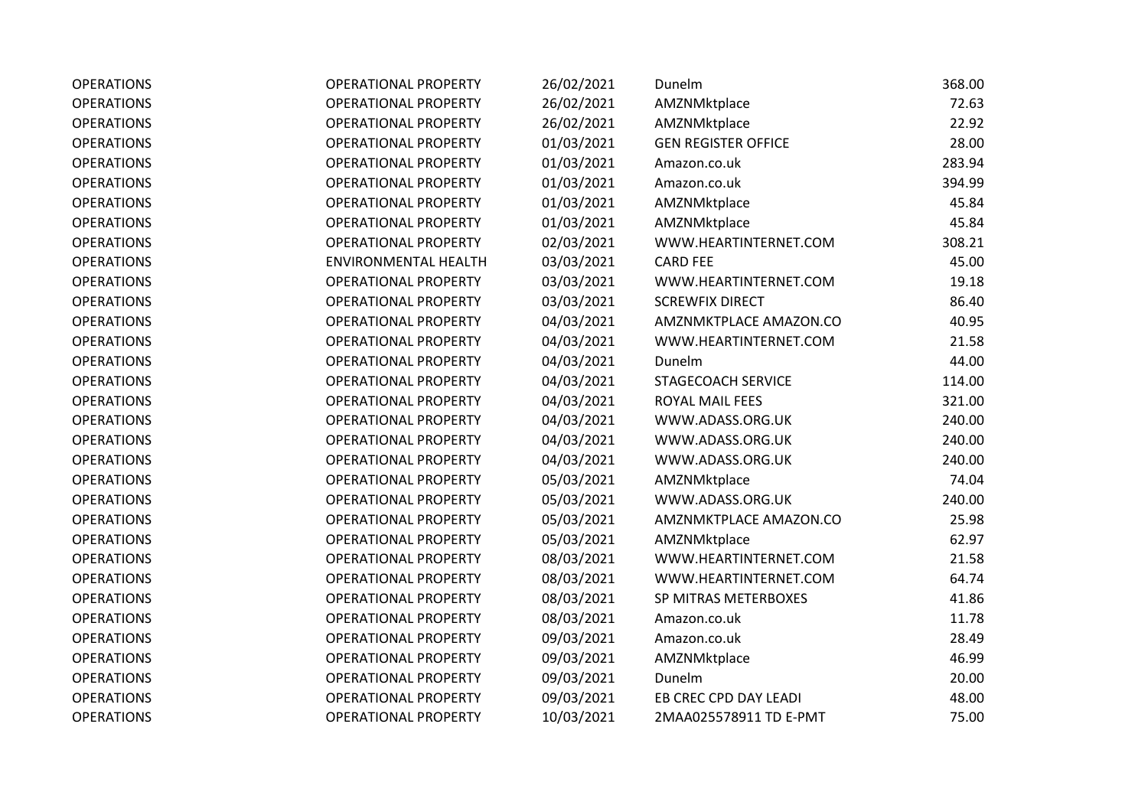| <b>OPERATIONS</b> | <b>OPERATIONAL PROPERTY</b> | 26/02/2021 | Dunelm                     | 368.00 |
|-------------------|-----------------------------|------------|----------------------------|--------|
| <b>OPERATIONS</b> | <b>OPERATIONAL PROPERTY</b> | 26/02/2021 | AMZNMktplace               | 72.63  |
| <b>OPERATIONS</b> | <b>OPERATIONAL PROPERTY</b> | 26/02/2021 | AMZNMktplace               | 22.92  |
| <b>OPERATIONS</b> | <b>OPERATIONAL PROPERTY</b> | 01/03/2021 | <b>GEN REGISTER OFFICE</b> | 28.00  |
| <b>OPERATIONS</b> | <b>OPERATIONAL PROPERTY</b> | 01/03/2021 | Amazon.co.uk               | 283.94 |
| <b>OPERATIONS</b> | <b>OPERATIONAL PROPERTY</b> | 01/03/2021 | Amazon.co.uk               | 394.99 |
| <b>OPERATIONS</b> | <b>OPERATIONAL PROPERTY</b> | 01/03/2021 | AMZNMktplace               | 45.84  |
| <b>OPERATIONS</b> | <b>OPERATIONAL PROPERTY</b> | 01/03/2021 | AMZNMktplace               | 45.84  |
| <b>OPERATIONS</b> | <b>OPERATIONAL PROPERTY</b> | 02/03/2021 | WWW.HEARTINTERNET.COM      | 308.21 |
| <b>OPERATIONS</b> | <b>ENVIRONMENTAL HEALTH</b> | 03/03/2021 | <b>CARD FEE</b>            | 45.00  |
| <b>OPERATIONS</b> | <b>OPERATIONAL PROPERTY</b> | 03/03/2021 | WWW.HEARTINTERNET.COM      | 19.18  |
| <b>OPERATIONS</b> | <b>OPERATIONAL PROPERTY</b> | 03/03/2021 | <b>SCREWFIX DIRECT</b>     | 86.40  |
| <b>OPERATIONS</b> | <b>OPERATIONAL PROPERTY</b> | 04/03/2021 | AMZNMKTPLACE AMAZON.CO     | 40.95  |
| <b>OPERATIONS</b> | <b>OPERATIONAL PROPERTY</b> | 04/03/2021 | WWW.HEARTINTERNET.COM      | 21.58  |
| <b>OPERATIONS</b> | <b>OPERATIONAL PROPERTY</b> | 04/03/2021 | Dunelm                     | 44.00  |
| <b>OPERATIONS</b> | <b>OPERATIONAL PROPERTY</b> | 04/03/2021 | STAGECOACH SERVICE         | 114.00 |
| <b>OPERATIONS</b> | <b>OPERATIONAL PROPERTY</b> | 04/03/2021 | ROYAL MAIL FEES            | 321.00 |
| <b>OPERATIONS</b> | <b>OPERATIONAL PROPERTY</b> | 04/03/2021 | WWW.ADASS.ORG.UK           | 240.00 |
| <b>OPERATIONS</b> | <b>OPERATIONAL PROPERTY</b> | 04/03/2021 | WWW.ADASS.ORG.UK           | 240.00 |
| <b>OPERATIONS</b> | <b>OPERATIONAL PROPERTY</b> | 04/03/2021 | WWW.ADASS.ORG.UK           | 240.00 |
| <b>OPERATIONS</b> | <b>OPERATIONAL PROPERTY</b> | 05/03/2021 | AMZNMktplace               | 74.04  |
| <b>OPERATIONS</b> | <b>OPERATIONAL PROPERTY</b> | 05/03/2021 | WWW.ADASS.ORG.UK           | 240.00 |
| <b>OPERATIONS</b> | <b>OPERATIONAL PROPERTY</b> | 05/03/2021 | AMZNMKTPLACE AMAZON.CO     | 25.98  |
| <b>OPERATIONS</b> | <b>OPERATIONAL PROPERTY</b> | 05/03/2021 | AMZNMktplace               | 62.97  |
| <b>OPERATIONS</b> | <b>OPERATIONAL PROPERTY</b> | 08/03/2021 | WWW.HEARTINTERNET.COM      | 21.58  |
| <b>OPERATIONS</b> | <b>OPERATIONAL PROPERTY</b> | 08/03/2021 | WWW.HEARTINTERNET.COM      | 64.74  |
| <b>OPERATIONS</b> | <b>OPERATIONAL PROPERTY</b> | 08/03/2021 | SP MITRAS METERBOXES       | 41.86  |
| <b>OPERATIONS</b> | <b>OPERATIONAL PROPERTY</b> | 08/03/2021 | Amazon.co.uk               | 11.78  |
| <b>OPERATIONS</b> | <b>OPERATIONAL PROPERTY</b> | 09/03/2021 | Amazon.co.uk               | 28.49  |
| <b>OPERATIONS</b> | <b>OPERATIONAL PROPERTY</b> | 09/03/2021 | AMZNMktplace               | 46.99  |
| <b>OPERATIONS</b> | <b>OPERATIONAL PROPERTY</b> | 09/03/2021 | Dunelm                     | 20.00  |
| <b>OPERATIONS</b> | <b>OPERATIONAL PROPERTY</b> | 09/03/2021 | EB CREC CPD DAY LEADI      | 48.00  |
| <b>OPERATIONS</b> | <b>OPERATIONAL PROPERTY</b> | 10/03/2021 | 2MAA025578911 TD E-PMT     | 75.00  |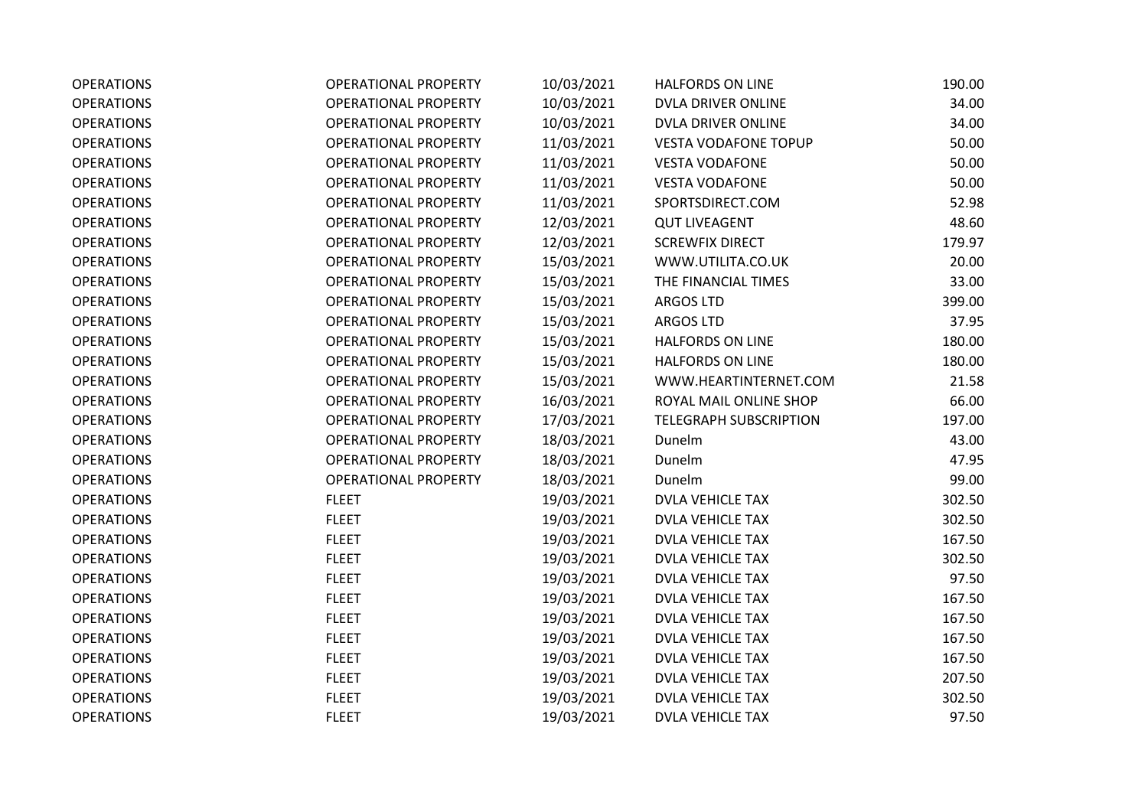| <b>OPERATIONS</b> | <b>OPERATIONAL PROPERTY</b> | 10/03/2021 | <b>HALFORDS ON LINE</b>       | 190.00 |
|-------------------|-----------------------------|------------|-------------------------------|--------|
| <b>OPERATIONS</b> | <b>OPERATIONAL PROPERTY</b> | 10/03/2021 | DVLA DRIVER ONLINE            | 34.00  |
| <b>OPERATIONS</b> | <b>OPERATIONAL PROPERTY</b> | 10/03/2021 | DVLA DRIVER ONLINE            | 34.00  |
| <b>OPERATIONS</b> | <b>OPERATIONAL PROPERTY</b> | 11/03/2021 | <b>VESTA VODAFONE TOPUP</b>   | 50.00  |
| <b>OPERATIONS</b> | <b>OPERATIONAL PROPERTY</b> | 11/03/2021 | <b>VESTA VODAFONE</b>         | 50.00  |
| <b>OPERATIONS</b> | <b>OPERATIONAL PROPERTY</b> | 11/03/2021 | <b>VESTA VODAFONE</b>         | 50.00  |
| <b>OPERATIONS</b> | <b>OPERATIONAL PROPERTY</b> | 11/03/2021 | SPORTSDIRECT.COM              | 52.98  |
| <b>OPERATIONS</b> | <b>OPERATIONAL PROPERTY</b> | 12/03/2021 | <b>QUT LIVEAGENT</b>          | 48.60  |
| <b>OPERATIONS</b> | <b>OPERATIONAL PROPERTY</b> | 12/03/2021 | <b>SCREWFIX DIRECT</b>        | 179.97 |
| <b>OPERATIONS</b> | <b>OPERATIONAL PROPERTY</b> | 15/03/2021 | WWW.UTILITA.CO.UK             | 20.00  |
| <b>OPERATIONS</b> | <b>OPERATIONAL PROPERTY</b> | 15/03/2021 | THE FINANCIAL TIMES           | 33.00  |
| <b>OPERATIONS</b> | <b>OPERATIONAL PROPERTY</b> | 15/03/2021 | ARGOS LTD                     | 399.00 |
| <b>OPERATIONS</b> | <b>OPERATIONAL PROPERTY</b> | 15/03/2021 | <b>ARGOS LTD</b>              | 37.95  |
| <b>OPERATIONS</b> | <b>OPERATIONAL PROPERTY</b> | 15/03/2021 | <b>HALFORDS ON LINE</b>       | 180.00 |
| <b>OPERATIONS</b> | <b>OPERATIONAL PROPERTY</b> | 15/03/2021 | <b>HALFORDS ON LINE</b>       | 180.00 |
| <b>OPERATIONS</b> | <b>OPERATIONAL PROPERTY</b> | 15/03/2021 | WWW.HEARTINTERNET.COM         | 21.58  |
| <b>OPERATIONS</b> | <b>OPERATIONAL PROPERTY</b> | 16/03/2021 | ROYAL MAIL ONLINE SHOP        | 66.00  |
| <b>OPERATIONS</b> | <b>OPERATIONAL PROPERTY</b> | 17/03/2021 | <b>TELEGRAPH SUBSCRIPTION</b> | 197.00 |
| <b>OPERATIONS</b> | <b>OPERATIONAL PROPERTY</b> | 18/03/2021 | Dunelm                        | 43.00  |
| <b>OPERATIONS</b> | <b>OPERATIONAL PROPERTY</b> | 18/03/2021 | Dunelm                        | 47.95  |
| <b>OPERATIONS</b> | <b>OPERATIONAL PROPERTY</b> | 18/03/2021 | Dunelm                        | 99.00  |
| <b>OPERATIONS</b> | <b>FLEET</b>                | 19/03/2021 | <b>DVLA VEHICLE TAX</b>       | 302.50 |
| <b>OPERATIONS</b> | <b>FLEET</b>                | 19/03/2021 | <b>DVLA VEHICLE TAX</b>       | 302.50 |
| <b>OPERATIONS</b> | <b>FLEET</b>                | 19/03/2021 | <b>DVLA VEHICLE TAX</b>       | 167.50 |
| <b>OPERATIONS</b> | <b>FLEET</b>                | 19/03/2021 | <b>DVLA VEHICLE TAX</b>       | 302.50 |
| <b>OPERATIONS</b> | <b>FLEET</b>                | 19/03/2021 | <b>DVLA VEHICLE TAX</b>       | 97.50  |
| <b>OPERATIONS</b> | <b>FLEET</b>                | 19/03/2021 | <b>DVLA VEHICLE TAX</b>       | 167.50 |
| <b>OPERATIONS</b> | <b>FLEET</b>                | 19/03/2021 | <b>DVLA VEHICLE TAX</b>       | 167.50 |
| <b>OPERATIONS</b> | <b>FLEET</b>                | 19/03/2021 | <b>DVLA VEHICLE TAX</b>       | 167.50 |
| <b>OPERATIONS</b> | <b>FLEET</b>                | 19/03/2021 | <b>DVLA VEHICLE TAX</b>       | 167.50 |
| <b>OPERATIONS</b> | <b>FLEET</b>                | 19/03/2021 | <b>DVLA VEHICLE TAX</b>       | 207.50 |
| <b>OPERATIONS</b> | <b>FLEET</b>                | 19/03/2021 | <b>DVLA VEHICLE TAX</b>       | 302.50 |
| <b>OPERATIONS</b> | <b>FLEET</b>                | 19/03/2021 | <b>DVLA VEHICLE TAX</b>       | 97.50  |
|                   |                             |            |                               |        |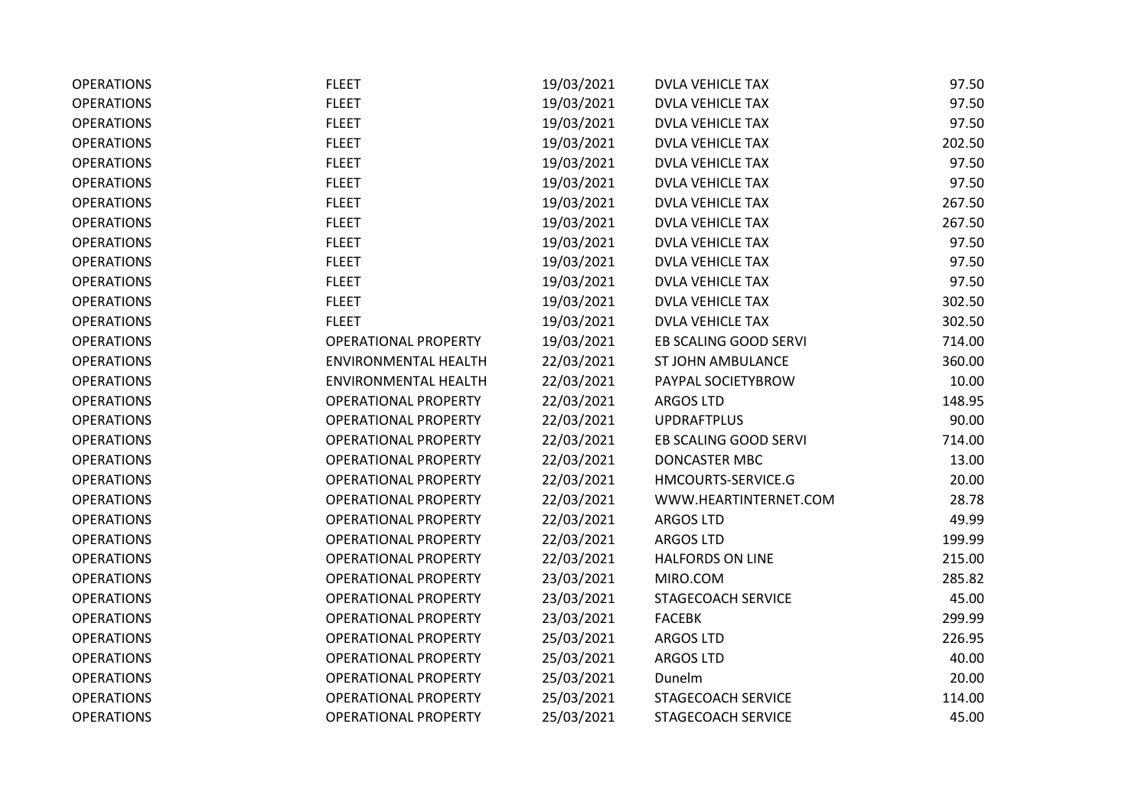| <b>OPERATIONS</b> | <b>FLEET</b>                | 19/03/2021 | <b>DVLA VEHICLE TAX</b> | 97.50  |
|-------------------|-----------------------------|------------|-------------------------|--------|
| <b>OPERATIONS</b> | <b>FLEET</b>                | 19/03/2021 | DVLA VEHICLE TAX        | 97.50  |
| <b>OPERATIONS</b> | <b>FLEET</b>                | 19/03/2021 | <b>DVLA VEHICLE TAX</b> | 97.50  |
| <b>OPERATIONS</b> | <b>FLEET</b>                | 19/03/2021 | <b>DVLA VEHICLE TAX</b> | 202.50 |
| <b>OPERATIONS</b> | <b>FLEET</b>                | 19/03/2021 | <b>DVLA VEHICLE TAX</b> | 97.50  |
| <b>OPERATIONS</b> | <b>FLEET</b>                | 19/03/2021 | <b>DVLA VEHICLE TAX</b> | 97.50  |
| <b>OPERATIONS</b> | <b>FLEET</b>                | 19/03/2021 | <b>DVLA VEHICLE TAX</b> | 267.50 |
| <b>OPERATIONS</b> | <b>FLEET</b>                | 19/03/2021 | <b>DVLA VEHICLE TAX</b> | 267.50 |
| <b>OPERATIONS</b> | <b>FLEET</b>                | 19/03/2021 | <b>DVLA VEHICLE TAX</b> | 97.50  |
| <b>OPERATIONS</b> | <b>FLEET</b>                | 19/03/2021 | DVLA VEHICLE TAX        | 97.50  |
| <b>OPERATIONS</b> | <b>FLEET</b>                | 19/03/2021 | <b>DVLA VEHICLE TAX</b> | 97.50  |
| <b>OPERATIONS</b> | <b>FLEET</b>                | 19/03/2021 | <b>DVLA VEHICLE TAX</b> | 302.50 |
| <b>OPERATIONS</b> | <b>FLEET</b>                | 19/03/2021 | <b>DVLA VEHICLE TAX</b> | 302.50 |
| <b>OPERATIONS</b> | <b>OPERATIONAL PROPERTY</b> | 19/03/2021 | EB SCALING GOOD SERVI   | 714.00 |
| <b>OPERATIONS</b> | <b>ENVIRONMENTAL HEALTH</b> | 22/03/2021 | ST JOHN AMBULANCE       | 360.00 |
| <b>OPERATIONS</b> | <b>ENVIRONMENTAL HEALTH</b> | 22/03/2021 | PAYPAL SOCIETYBROW      | 10.00  |
| <b>OPERATIONS</b> | <b>OPERATIONAL PROPERTY</b> | 22/03/2021 | <b>ARGOS LTD</b>        | 148.95 |
| <b>OPERATIONS</b> | <b>OPERATIONAL PROPERTY</b> | 22/03/2021 | <b>UPDRAFTPLUS</b>      | 90.00  |
| <b>OPERATIONS</b> | <b>OPERATIONAL PROPERTY</b> | 22/03/2021 | EB SCALING GOOD SERVI   | 714.00 |
| <b>OPERATIONS</b> | <b>OPERATIONAL PROPERTY</b> | 22/03/2021 | DONCASTER MBC           | 13.00  |
| <b>OPERATIONS</b> | <b>OPERATIONAL PROPERTY</b> | 22/03/2021 | HMCOURTS-SERVICE.G      | 20.00  |
| <b>OPERATIONS</b> | <b>OPERATIONAL PROPERTY</b> | 22/03/2021 | WWW.HEARTINTERNET.COM   | 28.78  |
| <b>OPERATIONS</b> | <b>OPERATIONAL PROPERTY</b> | 22/03/2021 | <b>ARGOS LTD</b>        | 49.99  |
| <b>OPERATIONS</b> | <b>OPERATIONAL PROPERTY</b> | 22/03/2021 | <b>ARGOS LTD</b>        | 199.99 |
| <b>OPERATIONS</b> | <b>OPERATIONAL PROPERTY</b> | 22/03/2021 | <b>HALFORDS ON LINE</b> | 215.00 |
| <b>OPERATIONS</b> | <b>OPERATIONAL PROPERTY</b> | 23/03/2021 | MIRO.COM                | 285.82 |
| <b>OPERATIONS</b> | <b>OPERATIONAL PROPERTY</b> | 23/03/2021 | STAGECOACH SERVICE      | 45.00  |
| <b>OPERATIONS</b> | <b>OPERATIONAL PROPERTY</b> | 23/03/2021 | <b>FACEBK</b>           | 299.99 |
| <b>OPERATIONS</b> | <b>OPERATIONAL PROPERTY</b> | 25/03/2021 | <b>ARGOS LTD</b>        | 226.95 |
| <b>OPERATIONS</b> | <b>OPERATIONAL PROPERTY</b> | 25/03/2021 | <b>ARGOS LTD</b>        | 40.00  |
| <b>OPERATIONS</b> | <b>OPERATIONAL PROPERTY</b> | 25/03/2021 | Dunelm                  | 20.00  |
| <b>OPERATIONS</b> | <b>OPERATIONAL PROPERTY</b> | 25/03/2021 | STAGECOACH SERVICE      | 114.00 |
| <b>OPERATIONS</b> | <b>OPERATIONAL PROPERTY</b> | 25/03/2021 | STAGECOACH SERVICE      | 45.00  |